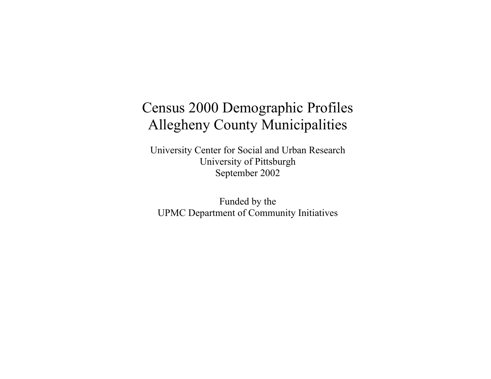# Census 2000 Demographic Profiles Allegheny County Municipalities

University Center for Social and Urban Research University of Pittsburgh September 2002

Funded by the UPMC Department of Community Initiatives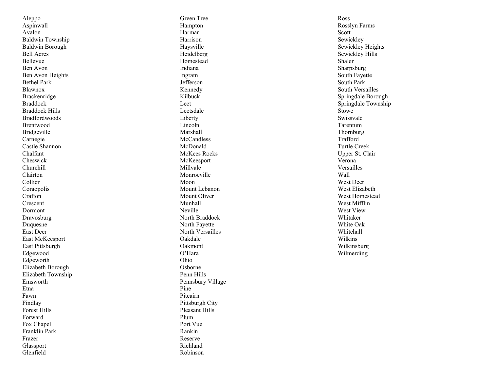Aleppo Aspinwall Avalon Baldwin Township Baldwin Borough Bell Acres Bellevue Ben Avon Ben Avon Heights Bethel Park Blawnox Brackenridge Braddock Braddock Hills Bradfordwoods Brentwood Bridgeville Carnegie Castle Shannon Chalfant Cheswick Churchill Clairton Collier Coraopolis Crafton Crescent Dormont Dravosburg Duquesne East Deer East McKeesport East Pittsburgh Edgewood Edgeworth Elizabeth Borough Elizabeth Township Emsworth Etna Fawn Findlay Forest Hills Forward Fox Chapel Franklin Park Frazer Glassport Glenfield

Green Tree Hampton Harmar Harrison Haysville Heidelberg Homestead Indiana Ingram Jefferson Kennedy Kilbuck Leet Leetsdale Liberty Lincoln Marshall **McCandless** McDonald McKees Rocks McKeesport Millvale Monroeville Moon Mount Lebanon Mount Oliver Munhall Neville North Braddock North Fayette North Versailles Oakdale Oakmont O'Hara Ohio Osborne Penn Hills Pennsbury Village Pine Pitcairn Pittsburgh City Pleasant Hills Plum Port Vue Rankin Reserve Richland Robinson

Ross Rosslyn Farms Scott Sewickley Sewickley Heights Sewickley Hills Shaler Sharpsburg South Fayette South Park South Versailles Springdale Borough Springdale Township Stowe Swissvale Tarentum Thornburg Trafford Turtle Creek Upper St. Clair Verona Versailles Wall West Deer West Elizabeth West Homestead West Mifflin West View Whitaker White Oak Whitehall Wilkins Wilkinsburg Wilmerding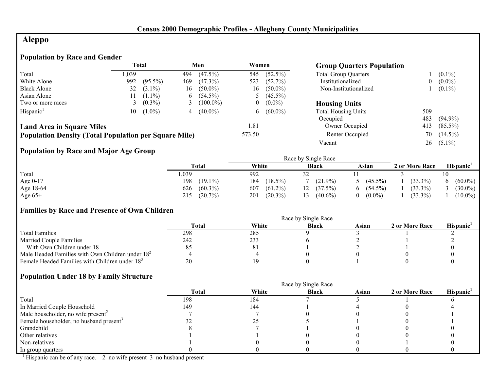# **Aleppo**

#### **Population by Race and Gender**

|                                                              |      | <b>Total</b> |     | Men         | Women          | <b>Group Quarters Population</b> |                             |     |             |
|--------------------------------------------------------------|------|--------------|-----|-------------|----------------|----------------------------------|-----------------------------|-----|-------------|
| Total                                                        | .039 |              | 494 | $(47.5\%)$  | 545            | $(52.5\%)$                       | <b>Total Group Quarters</b> |     | $(0.1\%)$   |
| White Alone                                                  | 992  | $(95.5\%)$   | 469 | $(47.3\%)$  | 523            | (52.7%)                          | Institutionalized           |     | $0 (0.0\%)$ |
| <b>Black Alone</b>                                           | 32   | $(3.1\%)$    | 16  | $(50.0\%)$  | 16.            | $(50.0\%)$                       | Non-Institutionalized       |     | $(0.1\%)$   |
| Asian Alone                                                  |      | $(1.1\%)$    | 6.  | $(54.5\%)$  |                | $(45.5\%)$                       |                             |     |             |
| Two or more races                                            |      | $(0.3\%)$    |     | $(100.0\%)$ | $\overline{0}$ | $(0.0\%)$                        | <b>Housing Units</b>        |     |             |
| Hispanic <sup>1</sup>                                        | 10   | $(1.0\%)$    |     | $(40.0\%)$  | 6              | $(60.0\%)$                       | <b>Total Housing Units</b>  | 509 |             |
|                                                              |      |              |     |             |                |                                  | Occupied                    | 483 | $(94.9\%)$  |
| <b>Land Area in Square Miles</b>                             |      |              |     |             | 1.81           |                                  | Owner Occupied              | 413 | $(85.5\%)$  |
| <b>Population Density (Total Population per Square Mile)</b> |      |              |     |             | 573.50         |                                  | Renter Occupied             | 70  | $(14.5\%)$  |
|                                                              |      |              |     |             |                |                                  | Vacant                      | 26  | $(5.1\%)$   |

# **Population by Race and Major Age Group**

| ັ          |                   |                   | Race by Single Race |                  |                |                  |
|------------|-------------------|-------------------|---------------------|------------------|----------------|------------------|
|            | Total             | White             | <b>Black</b>        | Asian            | 2 or More Race | Hispanic         |
| Total      | ,039              | 992               |                     |                  |                | 10               |
| Age $0-17$ | 198<br>$(19.1\%)$ | 184<br>$(18.5\%)$ | $(21.9\%)$          | $(45.5\%)$       | $(33.3\%)$     | $(60.0\%)$<br>6. |
| Age 18-64  | $(60.3\%)$<br>626 | $(61.2\%)$<br>607 | (37.5%)             | $(54.5\%)$<br>6. | $(33.3\%)$     | $(30.0\%)$       |
| Age $65+$  | $(20.7\%)$<br>215 | $(20.3\%)$<br>201 | $(40.6\%)$          | $(0.0\%)$<br>0   | $(33.3\%)$     | $(10.0\%)$       |

# **Families by Race and Presence of Own Children**

|                                                            | Race by Single Race |       |              |       |                |                 |  |
|------------------------------------------------------------|---------------------|-------|--------------|-------|----------------|-----------------|--|
|                                                            | Total               | White | <b>Black</b> | Asian | 2 or More Race | <b>Hispanic</b> |  |
| <b>Total Families</b>                                      | 298                 | 285   |              |       |                |                 |  |
| <b>Married Couple Families</b>                             | 242                 | 233   |              |       |                |                 |  |
| With Own Children under 18                                 |                     | 8.    |              |       |                |                 |  |
| Male Headed Families with Own Children under $182$         |                     |       |              |       |                |                 |  |
| Female Headed Families with Children under 18 <sup>3</sup> | 20                  |       |              |       |                |                 |  |

#### **Population Under 18 by Family Structure**

|                                                     |              |       | Race by Single Race |       |                |                       |
|-----------------------------------------------------|--------------|-------|---------------------|-------|----------------|-----------------------|
|                                                     | <b>Total</b> | White | <b>Black</b>        | Asian | 2 or More Race | Hispanic <sup>1</sup> |
| Total                                               | 198          | 184   |                     |       |                |                       |
| In Married Couple Household                         | 149          | 144   |                     |       |                |                       |
| Male householder, no wife present <sup>2</sup>      |              |       |                     |       |                |                       |
| Female householder, no husband present <sup>3</sup> |              |       |                     |       |                |                       |
| Grandchild                                          |              |       |                     |       |                |                       |
| Other relatives                                     |              |       |                     |       |                |                       |
| Non-relatives                                       |              |       |                     |       |                |                       |
| In group quarters                                   |              |       |                     |       |                |                       |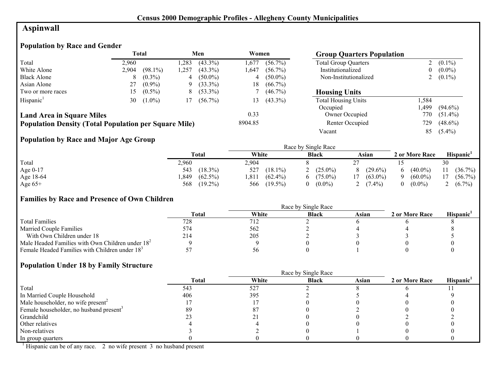# **Aspinwall**

# **Population by Race and Gender**

|                                                              |       | <b>Total</b> |      | Men        | Women   |            | <b>Group Quarters Population</b> |                |            |
|--------------------------------------------------------------|-------|--------------|------|------------|---------|------------|----------------------------------|----------------|------------|
| Total                                                        | 2.960 |              | ,283 | $(43.3\%)$ | 1,677   | $(56.7\%)$ | <b>Total Group Quarters</b>      |                | $(0.1\%)$  |
| White Alone                                                  | 2.904 | $(98.1\%)$   | .257 | $(43.3\%)$ | ,647    | $(56.7\%)$ | Institutionalized                | 0              | $(0.0\%)$  |
| <b>Black Alone</b>                                           | 8     | $(0.3\%)$    | 4    | $(50.0\%)$ | 4       | $(50.0\%)$ | Non-Institutionalized            | $\overline{a}$ | $(0.1\%)$  |
| Asian Alone                                                  | 27    | $(0.9\%)$    | 9    | $(33.3\%)$ | 18      | $(66.7\%)$ |                                  |                |            |
| Two or more races                                            | 15.   | $(0.5\%)$    | 8    | $(53.3\%)$ |         | $(46.7\%)$ | <b>Housing Units</b>             |                |            |
| Hispanic <sup>1</sup>                                        | 30    | $(1.0\%)$    | 17   | $(56.7\%)$ | l 3     | $(43.3\%)$ | <b>Total Housing Units</b>       | .584           |            |
|                                                              |       |              |      |            |         |            | Occupied                         | .499           | $(94.6\%)$ |
| <b>Land Area in Square Miles</b>                             |       |              |      |            | 0.33    |            | Owner Occupied                   | 770            | $(51.4\%)$ |
| <b>Population Density (Total Population per Square Mile)</b> |       |              |      |            | 8904.85 |            | Renter Occupied                  | 729            | $(48.6\%)$ |
|                                                              |       |              |      |            |         |            | Vacant                           | 85             | $(5.4\%)$  |

# **Population by Race and Major Age Group**

|           |                    |                     | Race by Single Race |                 |                |                       |
|-----------|--------------------|---------------------|---------------------|-----------------|----------------|-----------------------|
|           | <b>Total</b>       | White               | <b>Black</b>        | Asian           | 2 or More Race | Hispanic <sup>1</sup> |
| Total     | 2,960              | 2,904               |                     |                 |                | 30                    |
| Age 0-17  | $(18.3\%)$<br>543  | 527<br>$(18.1\%)$   | $(25.0\%)$          | $(29.6\%)$<br>8 | $(40.0\%)$     | $(36.7\%)$            |
| Age 18-64 | $(62.5\%)$<br>,849 | $(62.4\%)$<br>'.811 | $(75.0\%)$          | $(63.0\%)$      | $(60.0\%)$     | $(56.7\%)$            |
| Age $65+$ | $(19.2\%)$<br>568  | $(19.5\%)$<br>566   | $(0.0\%)$           | $(7.4\%)$<br>∼  | $(0.0\%)$      | $(6.7\%)$             |

#### **Families by Race and Presence of Own Children**

|                                                            | Race by Single Race |       |              |       |                |                       |  |
|------------------------------------------------------------|---------------------|-------|--------------|-------|----------------|-----------------------|--|
|                                                            | <b>Total</b>        | White | <b>Black</b> | Asian | 2 or More Race | Hispanic <sup>'</sup> |  |
| <b>Total Families</b>                                      | 728                 | 712   |              |       |                |                       |  |
| <b>Married Couple Families</b>                             | 574                 | 562   |              |       |                |                       |  |
| With Own Children under 18                                 | 214                 | 205   |              |       |                |                       |  |
| Male Headed Families with Own Children under $182$         |                     |       |              |       |                |                       |  |
| Female Headed Families with Children under 18 <sup>3</sup> |                     | 56    |              |       |                |                       |  |

#### **Population Under 18 by Family Structure**

|                                                     |       |       | Race by Single Race |       |                |                       |
|-----------------------------------------------------|-------|-------|---------------------|-------|----------------|-----------------------|
|                                                     | Total | White | <b>Black</b>        | Asian | 2 or More Race | Hispanic <sup>1</sup> |
| Total                                               | 543   | 527   |                     |       |                |                       |
| In Married Couple Household                         | 406   | 395   |                     |       |                |                       |
| Male householder, no wife present <sup>2</sup>      |       |       |                     |       |                |                       |
| Female householder, no husband present <sup>3</sup> | 89    |       |                     |       |                |                       |
| Grandchild                                          |       |       |                     |       |                |                       |
| Other relatives                                     |       |       |                     |       |                |                       |
| Non-relatives                                       |       |       |                     |       |                |                       |
| In group quarters                                   |       |       |                     |       |                |                       |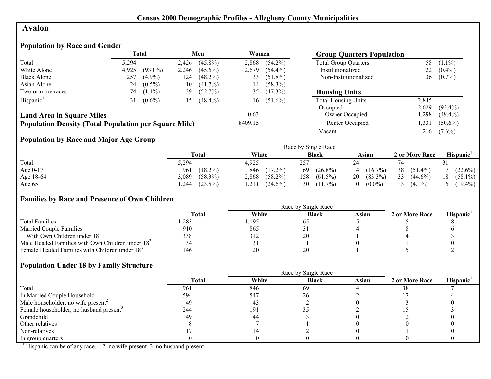#### **Avalon**

# **Population by Race and Gender**

|                                                              |       | Total      |       | Men        | Women   |            | <b>Group Quarters Population</b> |       |            |
|--------------------------------------------------------------|-------|------------|-------|------------|---------|------------|----------------------------------|-------|------------|
| Total                                                        | 5,294 |            | 2,426 | $(45.8\%)$ | 2.868   | $(54.2\%)$ | <b>Total Group Quarters</b>      | 58    | $(1.1\%)$  |
| White Alone                                                  | 4,925 | $(93.0\%)$ | 2,246 | $(45.6\%)$ | 2,679   | $(54.4\%)$ | Institutionalized                | 22    | $(0.4\%)$  |
| <b>Black Alone</b>                                           | 257   | $(4.9\%)$  | 124   | $(48.2\%)$ | 133     | $(51.8\%)$ | Non-Institutionalized            | 36    | $(0.7\%)$  |
| Asian Alone                                                  | 24    | $(0.5\%)$  | 10    | $(41.7\%)$ | 14      | $(58.3\%)$ |                                  |       |            |
| Two or more races                                            | 74    | $(1.4\%)$  | 39    | $(52.7\%)$ | 35      | $(47.3\%)$ | <b>Housing Units</b>             |       |            |
| Hispanic <sup>1</sup>                                        | 31    | $(0.6\%)$  | 15    | $(48.4\%)$ | 16      | $(51.6\%)$ | <b>Total Housing Units</b>       | 2,845 |            |
|                                                              |       |            |       |            |         |            | Occupied                         | 2,629 | $(92.4\%)$ |
| <b>Land Area in Square Miles</b>                             |       |            |       |            | 0.63    |            | Owner Occupied                   | ,298  | $(49.4\%)$ |
| <b>Population Density (Total Population per Square Mile)</b> |       |            |       |            | 8409.15 |            | Renter Occupied                  | ,331  | $(50.6\%)$ |
|                                                              |       |            |       |            |         |            | Vacant                           | 216   | $(7.6\%)$  |

# **Population by Race and Major Age Group**

|            |                     |                     | Race by Single Race |                       |                  |                  |
|------------|---------------------|---------------------|---------------------|-----------------------|------------------|------------------|
|            | Total               | White               | <b>Black</b>        | Asian                 | 2 or More Race   | <b>Hispanic</b>  |
| Total      | 5,294               | 4.925               | 257                 |                       |                  |                  |
| Age $0-17$ | $(18.2\%)$<br>961   | $(17.2\%)$<br>846   | $(26.8\%)$<br>69    | 4 $(16.7\%)$          | 38<br>$(51.4\%)$ | $(22.6\%)$       |
| Age 18-64  | $(58.3\%)$<br>3,089 | $(58.2\%)$<br>2,868 | 158<br>$(61.5\%)$   | $20(83.3\%)$          | 33<br>$(44.6\%)$ | $(58.1\%)$<br>18 |
| Age $65+$  | $(23.5\%)$<br>.244  | $(24.6\%)$<br>1.211 | 30<br>$(11.7\%)$    | $(0.0\%)$<br>$\Omega$ | $(4.1\%)$        | $(19.4\%)$       |

#### **Families by Race and Presence of Own Children**

|                                                            | <b>Total</b> | White | <b>Black</b> | Asian | 2 or More Race | <b>Hispanic</b> |
|------------------------------------------------------------|--------------|-------|--------------|-------|----------------|-----------------|
| <b>Total Families</b>                                      | ,283         | ,195  | O.           |       |                |                 |
| <b>Married Couple Families</b>                             | 910          | 865   |              |       |                |                 |
| With Own Children under 18                                 | 338          | 312   | 20           |       |                |                 |
| Male Headed Families with Own Children under $182$         | 34           | ر ر   |              |       |                |                 |
| Female Headed Families with Children under 18 <sup>3</sup> | 146          | 120   | 20           |       |                |                 |

#### **Population Under 18 by Family Structure**

|                                                     |       |       | Race by Single Race |       |                |                       |
|-----------------------------------------------------|-------|-------|---------------------|-------|----------------|-----------------------|
|                                                     | Total | White | <b>Black</b>        | Asian | 2 or More Race | Hispanic <sup>1</sup> |
| Total                                               | 961   | 846   | 69                  |       |                |                       |
| In Married Couple Household                         | 594   | 547   | 26                  |       |                |                       |
| Male householder, no wife present <sup>2</sup>      | 49    | 43    |                     |       |                |                       |
| Female householder, no husband present <sup>3</sup> | 244   | 191   |                     |       |                |                       |
| Grandchild                                          | 49    | 44    |                     |       |                |                       |
| Other relatives                                     |       |       |                     |       |                |                       |
| Non-relatives                                       |       |       |                     |       |                |                       |
| In group quarters                                   |       |       |                     |       |                |                       |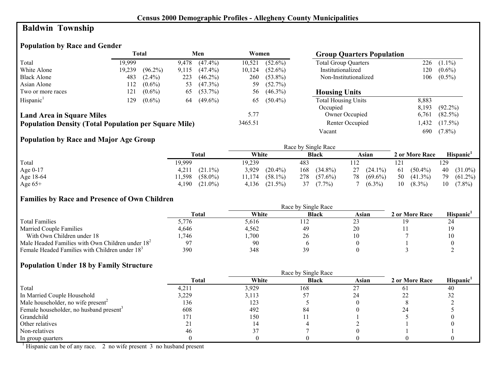# **Baldwin Township**

# **Population by Race and Gender**

|                                                              |        | Total      |       | Men        | Women   |            | <b>Group Quarters Population</b> |       |            |
|--------------------------------------------------------------|--------|------------|-------|------------|---------|------------|----------------------------------|-------|------------|
| Total                                                        | 19.999 |            | 9,478 | $(47.4\%)$ | 10,521  | $(52.6\%)$ | <b>Total Group Quarters</b>      | 226   | $(1.1\%)$  |
| White Alone                                                  | 19,239 | $(96.2\%)$ | 9.115 | $(47.4\%)$ | 10,124  | $(52.6\%)$ | Institutionalized                | 120   | $(0.6\%)$  |
| <b>Black Alone</b>                                           | 483    | $(2.4\%)$  | 223   | $(46.2\%)$ | 260     | $(53.8\%)$ | Non-Institutionalized            | 106   | $(0.5\%)$  |
| Asian Alone                                                  | 112    | $(0.6\%)$  | 53    | $(47.3\%)$ | 59      | $(52.7\%)$ |                                  |       |            |
| Two or more races                                            | 121    | $(0.6\%)$  | 65    | $(53.7\%)$ | 56      | $(46.3\%)$ | <b>Housing Units</b>             |       |            |
| Hispanic <sup>1</sup>                                        | 129    | $(0.6\%)$  | 64    | $(49.6\%)$ | 65      | $(50.4\%)$ | <b>Total Housing Units</b>       | 8,883 |            |
|                                                              |        |            |       |            |         |            | Occupied                         | 8.193 | $(92.2\%)$ |
| <b>Land Area in Square Miles</b>                             |        |            |       |            | 5.77    |            | Owner Occupied                   | 6,761 | $(82.5\%)$ |
| <b>Population Density (Total Population per Square Mile)</b> |        |            |       |            | 3465.51 |            | Renter Occupied                  | 1,432 | $(17.5\%)$ |
|                                                              |        |            |       |            |         |            | Vacant                           | 690   | $(7.8\%)$  |

# **Population by Race and Major Age Group**

|            |                     |                      | Race by Single Race |                  |                  |                  |
|------------|---------------------|----------------------|---------------------|------------------|------------------|------------------|
|            | Total               | White                | <b>Black</b>        | Asian            | 2 or More Race   | <b>Hispanic</b>  |
| Total      | 19.999              | 19.239               | 483                 |                  | 121              | 129              |
| Age $0-17$ | $(21.1\%)$<br>4.211 | 3,929<br>$(20.4\%)$  | 168<br>$(34.8\%)$   | $27(24.1\%)$     | 61<br>$(50.4\%)$ | $40(31.0\%)$     |
| Age 18-64  | $(58.0\%)$<br>1,598 | $(58.1\%)$<br>11,174 | 278<br>$(57.6\%)$   | $(69.6\%)$<br>78 | 50<br>$(41.3\%)$ | 79<br>$(61.2\%)$ |
| Age $65+$  | $(21.0\%)$<br>4.190 | 4,136<br>$(21.5\%)$  | $(7.7\%)$           | $(6.3\%)$        | $(8.3\%)$<br>10  | $(7.8\%)$<br>10  |

#### **Families by Race and Presence of Own Children**

|                                                            | Race by Single Race |       |              |       |                |                 |  |  |
|------------------------------------------------------------|---------------------|-------|--------------|-------|----------------|-----------------|--|--|
|                                                            | <b>Total</b>        | White | <b>Black</b> | Asian | 2 or More Race | <b>Hispanic</b> |  |  |
| <b>Total Families</b>                                      | 5,776               | 5.616 | 112          |       |                | 24              |  |  |
| <b>Married Couple Families</b>                             | 4,646               | 4.562 | 49           | 20    |                |                 |  |  |
| With Own Children under 18                                 | .746                | ,700  | 26           |       |                |                 |  |  |
| Male Headed Families with Own Children under $182$         |                     | 90    |              |       |                |                 |  |  |
| Female Headed Families with Children under 18 <sup>3</sup> | 390                 | 348   | 30           |       |                |                 |  |  |

#### **Population Under 18 by Family Structure**

|                                                     |              | Race by Single Race |              |       |                |                       |  |  |
|-----------------------------------------------------|--------------|---------------------|--------------|-------|----------------|-----------------------|--|--|
|                                                     | <b>Total</b> | White               | <b>Black</b> | Asian | 2 or More Race | Hispanic <sup>1</sup> |  |  |
| Total                                               | 4,211        | 3,929               | 168          |       | 61             | 40                    |  |  |
| In Married Couple Household                         | 3,229        | 3,113               |              |       |                | 32                    |  |  |
| Male householder, no wife present <sup>2</sup>      | 136          | 123                 |              |       |                |                       |  |  |
| Female householder, no husband present <sup>3</sup> | 608          | 492                 | 84           |       |                |                       |  |  |
| Grandchild                                          | 171          | 150                 |              |       |                |                       |  |  |
| Other relatives                                     |              |                     |              |       |                |                       |  |  |
| Non-relatives                                       | 46           |                     |              |       |                |                       |  |  |
| In group quarters                                   |              |                     |              |       |                |                       |  |  |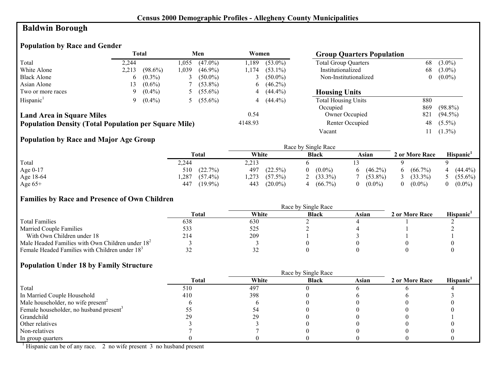# **Baldwin Borough**

# **Population by Race and Gender**

|                                                              |       | <b>Total</b> |       | Men        | Women        |            | <b>Group Quarters Population</b> |          |            |
|--------------------------------------------------------------|-------|--------------|-------|------------|--------------|------------|----------------------------------|----------|------------|
| Total                                                        | 2.244 |              | l.055 | $(47.0\%)$ | .189         | $(53.0\%)$ | <b>Total Group Quarters</b>      | 68       | $(3.0\%)$  |
| White Alone                                                  | 2,213 | $(98.6\%)$   | 1,039 | $(46.9\%)$ | l.174        | $(53.1\%)$ | Institutionalized                | 68       | $(3.0\%)$  |
| <b>Black Alone</b>                                           | 6     | $(0.3\%)$    |       | $(50.0\%)$ |              | $(50.0\%)$ | Non-Institutionalized            | $\theta$ | $(0.0\%)$  |
| Asian Alone                                                  | l 3   | $(0.6\%)$    |       | $(53.8\%)$ | $\mathbf{6}$ | $(46.2\%)$ |                                  |          |            |
| Two or more races                                            | 9.    | $(0.4\%)$    |       | $(55.6\%)$ | 4            | $(44.4\%)$ | <b>Housing Units</b>             |          |            |
| Hispanic <sup>1</sup>                                        | 9.    | $(0.4\%)$    |       | $(55.6\%)$ |              | $(44.4\%)$ | <b>Total Housing Units</b>       | 880      |            |
|                                                              |       |              |       |            |              |            | Occupied                         | 869      | $(98.8\%)$ |
| <b>Land Area in Square Miles</b>                             |       |              |       |            | 0.54         |            | Owner Occupied                   | 821      | $(94.5\%)$ |
| <b>Population Density (Total Population per Square Mile)</b> |       |              |       |            | 4148.93      |            | Renter Occupied                  | 48       | $(5.5\%)$  |
|                                                              |       |              |       |            |              |            | Vacant                           |          | $(1.3\%)$  |

# **Population by Race and Major Age Group**

|           |                    | Race by Single Race |                 |            |                |                       |  |  |  |
|-----------|--------------------|---------------------|-----------------|------------|----------------|-----------------------|--|--|--|
|           | Total              | White               | <b>Black</b>    | Asian      | 2 or More Race | Hispanic <sup>1</sup> |  |  |  |
| Total     | 2,244              | 2,213               |                 |            |                |                       |  |  |  |
| Age 0-17  | (22.7%)<br>510     | 497<br>$(22.5\%)$   | $(0.0\%)$<br>0. | $(46.2\%)$ | $(66.7\%)$     | $(44.4\%)$            |  |  |  |
| Age 18-64 | $(57.4\%)$<br>,287 | 1,273<br>(57.5%)    | $(33.3\%)$      | $(53.8\%)$ | $(33.3\%)$     | $(55.6\%)$            |  |  |  |
| Age $65+$ | $(19.9\%)$<br>447  | $(20.0\%)$<br>443   | $(66.7\%)$      | $(0.0\%)$  | $(0.0\%)$      | $(0.0\%)$             |  |  |  |

#### **Families by Race and Presence of Own Children**

|                                                            | Race by Single Race |       |              |       |                |                 |  |
|------------------------------------------------------------|---------------------|-------|--------------|-------|----------------|-----------------|--|
|                                                            | <b>Total</b>        | White | <b>Black</b> | Asian | 2 or More Race | <b>Hispanic</b> |  |
| <b>Total Families</b>                                      | 638                 | 630   |              |       |                |                 |  |
| <b>Married Couple Families</b>                             | 533                 | 525   |              |       |                |                 |  |
| With Own Children under 18                                 | 214                 | 209   |              |       |                |                 |  |
| Male Headed Families with Own Children under $182$         |                     |       |              |       |                |                 |  |
| Female Headed Families with Children under 18 <sup>3</sup> | ے ر                 | ے ر   |              |       |                |                 |  |

#### **Population Under 18 by Family Structure**

|                                                     |       |       | Race by Single Race |       |                |                       |
|-----------------------------------------------------|-------|-------|---------------------|-------|----------------|-----------------------|
|                                                     | Total | White | <b>Black</b>        | Asian | 2 or More Race | Hispanic <sup>1</sup> |
| Total                                               | 510   | 497   |                     |       |                |                       |
| In Married Couple Household                         | 410   | 398   |                     |       |                |                       |
| Male householder, no wife present <sup>2</sup>      |       |       |                     |       |                |                       |
| Female householder, no husband present <sup>3</sup> |       |       |                     |       |                |                       |
| Grandchild                                          |       |       |                     |       |                |                       |
| Other relatives                                     |       |       |                     |       |                |                       |
| Non-relatives                                       |       |       |                     |       |                |                       |
| In group quarters                                   |       |       |                     |       |                |                       |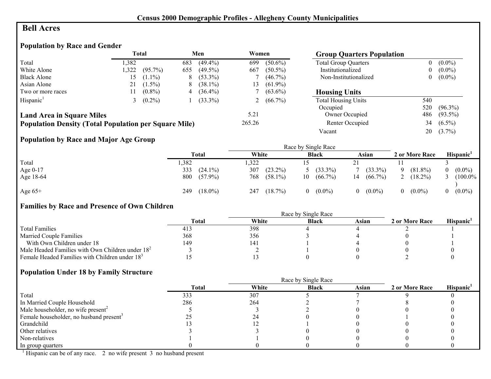# **Bell Acres**

# **Population by Race and Gender**

|                                                              |       | <b>Total</b> |     | Men        | Women  |              | <b>Group Quarters Population</b> |                |            |
|--------------------------------------------------------------|-------|--------------|-----|------------|--------|--------------|----------------------------------|----------------|------------|
| Total                                                        | 1,382 |              | 683 | $(49.4\%)$ | 699    | $(50.6\%)$   | <b>Total Group Quarters</b>      | 0              | $(0.0\%)$  |
| White Alone                                                  | .322  | $(95.7\%)$   | 655 | $(49.5\%)$ | 667    | $(50.5\%)$   | Institutionalized                | $\overline{0}$ | $(0.0\%)$  |
| <b>Black Alone</b>                                           | 15.   | $(1.1\%)$    | 8   | $(53.3\%)$ |        | $(46.7\%)$   | Non-Institutionalized            | 0              | $(0.0\%)$  |
| Asian Alone                                                  | 21    | $(1.5\%)$    | 8   | $(38.1\%)$ | 13.    | $(61.9\%)$   |                                  |                |            |
| Two or more races                                            |       | $(0.8\%)$    | 4   | $(36.4\%)$ |        | $(63.6\%)$   | <b>Housing Units</b>             |                |            |
| Hispanic <sup>1</sup>                                        |       | $(0.2\%)$    |     | $(33.3\%)$ |        | 2 $(66.7\%)$ | <b>Total Housing Units</b>       | 540            |            |
|                                                              |       |              |     |            |        |              | Occupied                         | 520            | $(96.3\%)$ |
| <b>Land Area in Square Miles</b>                             |       |              |     |            | 5.21   |              | Owner Occupied                   | 486            | $(93.5\%)$ |
| <b>Population Density (Total Population per Square Mile)</b> |       |              |     |            | 265.26 |              | Renter Occupied                  | 34             | $(6.5\%)$  |
|                                                              |       |              |     |            |        |              | Vacant                           | 20             | $(3.7\%)$  |

# **Population by Race and Major Age Group**

|            |                   |                   | Race by Single Race   |                       |                        |            |
|------------|-------------------|-------------------|-----------------------|-----------------------|------------------------|------------|
|            | <b>Total</b>      | White             | <b>Black</b>          | Asian                 | 2 or More Race         | Hispanic   |
| Total      | ,382              | ,322              |                       |                       |                        |            |
| Age $0-17$ | 333<br>$(24.1\%)$ | 307<br>$(23.2\%)$ | $(33.3\%)$            | $(33.3\%)$            | $(81.8\%)$<br>$\Omega$ | $(0.0\%)$  |
| Age 18-64  | 800<br>$(57.9\%)$ | 768<br>$(58.1\%)$ | $(66.7\%)$<br>10      | $(66.7\%)$<br>14      | $(18.2\%)$             | $(100.0\%$ |
| Age $65+$  | $(18.0\%)$<br>249 | $(18.7\%)$<br>247 | $(0.0\%)$<br>$\theta$ | $(0.0\%)$<br>$\theta$ | $(0.0\%)$<br>$\theta$  | $(0.0\%)$  |

# **Families by Race and Presence of Own Children**

|                                                            |       | Race by Single Race |              |       |                |                 |
|------------------------------------------------------------|-------|---------------------|--------------|-------|----------------|-----------------|
|                                                            | Total | White               | <b>Black</b> | Asian | 2 or More Race | <b>Hispanic</b> |
| <b>Total Families</b>                                      | -413  | 398                 |              |       |                |                 |
| <b>Married Couple Families</b>                             | 368   | 356                 |              |       |                |                 |
| With Own Children under 18                                 | 149   | 14.                 |              |       |                |                 |
| Male Headed Families with Own Children under $182$         |       |                     |              |       |                |                 |
| Female Headed Families with Children under 18 <sup>3</sup> |       |                     |              |       |                |                 |

#### **Population Under 18 by Family Structure**

|                                                     |              |       | Race by Single Race |       |                |                       |
|-----------------------------------------------------|--------------|-------|---------------------|-------|----------------|-----------------------|
|                                                     | <b>Total</b> | White | <b>Black</b>        | Asian | 2 or More Race | Hispanic <sup>1</sup> |
| Total                                               | 333          | 307   |                     |       |                |                       |
| In Married Couple Household                         | 286          | 264   |                     |       |                |                       |
| Male householder, no wife present <sup>2</sup>      |              |       |                     |       |                |                       |
| Female householder, no husband present <sup>3</sup> |              | 24    |                     |       |                |                       |
| Grandchild                                          |              |       |                     |       |                |                       |
| Other relatives                                     |              |       |                     |       |                |                       |
| Non-relatives                                       |              |       |                     |       |                |                       |
| In group quarters                                   |              |       |                     |       |                |                       |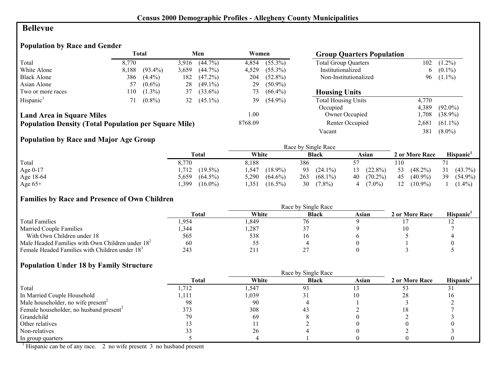#### **Bellevue**

# **Population by Race and Gender**

|                                                              |       | Total      |       | Men        | Women   |            | <b>Group Quarters Population</b> |       |            |
|--------------------------------------------------------------|-------|------------|-------|------------|---------|------------|----------------------------------|-------|------------|
| Total                                                        | 8.770 |            | 3.916 | $(44.7\%)$ | 4,854   | $(55.3\%)$ | <b>Total Group Quarters</b>      | 102   | $(1.2\%)$  |
| White Alone                                                  | 8,188 | $(93.4\%)$ | 3,659 | $(44.7\%)$ | 4,529   | $(55.3\%)$ | Institutionalized                | 6     | $(0.1\%)$  |
| <b>Black Alone</b>                                           | 386   | $(4.4\%)$  | 182   | $(47.2\%)$ | 204     | $(52.8\%)$ | Non-Institutionalized            | 96    | $(1.1\%)$  |
| Asian Alone                                                  | 57    | $(0.6\%)$  | 28    | $(49.1\%)$ | 29      | $(50.9\%)$ |                                  |       |            |
| Two or more races                                            | 110   | $(1.3\%)$  | 37    | $(33.6\%)$ | 73      | $(66.4\%)$ | <b>Housing Units</b>             |       |            |
| Hispanic <sup>1</sup>                                        |       | $(0.8\%)$  | 32    | $(45.1\%)$ | 39      | $(54.9\%)$ | <b>Total Housing Units</b>       | 4,770 |            |
|                                                              |       |            |       |            |         |            | Occupied                         | 4.389 | $(92.0\%)$ |
| <b>Land Area in Square Miles</b>                             |       |            |       |            | 1.00    |            | Owner Occupied                   | .708  | $(38.9\%)$ |
| <b>Population Density (Total Population per Square Mile)</b> |       |            |       |            | 8768.09 |            | Renter Occupied                  | 2,681 | $(61.1\%)$ |
|                                                              |       |            |       |            |         |            | Vacant                           | 381   | $(8.0\%)$  |

# **Population by Race and Major Age Group**

|           |                     |                     | Race by Single Race |                  |                  |                  |
|-----------|---------------------|---------------------|---------------------|------------------|------------------|------------------|
|           | <b>Total</b>        | White               | <b>Black</b>        | Asian            | 2 or More Race   | Hispanic'        |
| Total     | 8.770               | 8.188               | 386                 |                  | 110              |                  |
| Age 0-17  | $(19.5\%)$<br>.712  | ,547<br>$(18.9\%)$  | 93<br>$(24.1\%)$    | $(22.8\%)$<br>13 | 53<br>$(48.2\%)$ | 31<br>$(43.7\%)$ |
| Age 18-64 | $(64.5\%)$<br>5.659 | 5,290<br>$(64.6\%)$ | 263<br>$(68.1\%)$   | $(70.2\%)$<br>40 | 45<br>$(40.9\%)$ | 39<br>$(54.9\%)$ |
| Age $65+$ | $(16.0\%)$<br>.399  | , 351<br>$(16.5\%)$ | 30<br>$(7.8\%)$     | $(7.0\%)$        | 12<br>$(10.9\%)$ | $(1.4\%)$        |

#### **Families by Race and Presence of Own Children**

|                                                            | Race by Single Race |       |              |       |                |                 |  |  |
|------------------------------------------------------------|---------------------|-------|--------------|-------|----------------|-----------------|--|--|
|                                                            | <b>Total</b>        | White | <b>Black</b> | Asian | 2 or More Race | <b>Hispanic</b> |  |  |
| <b>Total Families</b>                                      | . 954               | .849  | 76           |       |                |                 |  |  |
| <b>Married Couple Families</b>                             | 344.                | ,287  |              |       |                |                 |  |  |
| With Own Children under 18                                 | 565                 | 538   |              |       |                |                 |  |  |
| Male Headed Families with Own Children under $182$         | 60                  | CC    |              |       |                |                 |  |  |
| Female Headed Families with Children under 18 <sup>3</sup> | 243                 | 211   |              |       |                |                 |  |  |

#### **Population Under 18 by Family Structure**

|                                                     | <b>Total</b> | White | <b>Black</b> | Asian | 2 or More Race | Hispanic <sup>1</sup> |
|-----------------------------------------------------|--------------|-------|--------------|-------|----------------|-----------------------|
| Total                                               | l.712        | 1,547 | 93           |       |                |                       |
| In Married Couple Household                         | .111         | 1,039 |              |       | 28             |                       |
| Male householder, no wife present <sup>2</sup>      | 98           | 90    |              |       |                |                       |
| Female householder, no husband present <sup>3</sup> | 373          | 308   | 43           |       |                |                       |
| Grandchild                                          |              | 69    |              |       |                |                       |
| Other relatives                                     |              |       |              |       |                |                       |
| Non-relatives                                       |              | 26    |              |       |                |                       |
| In group quarters                                   |              |       |              |       |                |                       |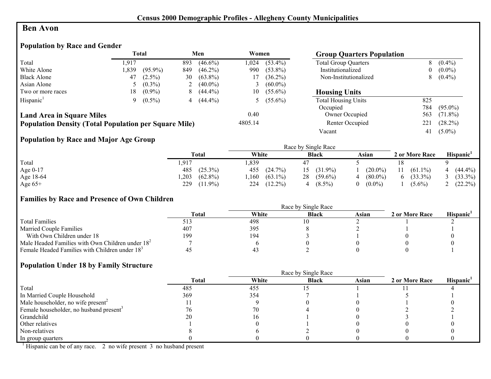#### **Ben Avon**

# **Population by Race and Gender**

|                                                              |      | <b>Total</b> |     | Men          | Women   |              | <b>Group Quarters Population</b> |     |            |
|--------------------------------------------------------------|------|--------------|-----|--------------|---------|--------------|----------------------------------|-----|------------|
| Total                                                        | .917 |              | 893 | $(46.6\%)$   | 1.024   | $(53.4\%)$   | <b>Total Group Quarters</b>      | 8   | $(0.4\%)$  |
| White Alone                                                  | .839 | $(95.9\%)$   | 849 | $(46.2\%)$   | 990     | $(53.8\%)$   | Institutionalized                | 0   | $(0.0\%)$  |
| <b>Black Alone</b>                                           | 47   | $(2.5\%)$    | 30  | $(63.8\%)$   | 17      | $(36.2\%)$   | Non-Institutionalized            | 8   | $(0.4\%)$  |
| Asian Alone                                                  |      | $(0.3\%)$    | 2   | $(40.0\%)$   |         | $(60.0\%)$   |                                  |     |            |
| Two or more races                                            | 18   | $(0.9\%)$    | 8   | $(44.4\%)$   | 10      | $(55.6\%)$   | <b>Housing Units</b>             |     |            |
| Hispanic <sup>1</sup>                                        | 9.   | $(0.5\%)$    |     | 4 $(44.4\%)$ |         | 5 $(55.6\%)$ | <b>Total Housing Units</b>       | 825 |            |
|                                                              |      |              |     |              |         |              | Occupied                         | 784 | $(95.0\%)$ |
| <b>Land Area in Square Miles</b>                             |      |              |     |              | 0.40    |              | Owner Occupied                   | 563 | $(71.8\%)$ |
| <b>Population Density (Total Population per Square Mile)</b> |      |              |     |              | 4805.14 |              | Renter Occupied                  | 221 | $(28.2\%)$ |
|                                                              |      |              |     |              |         |              | Vacant                           | 41  | $(5.0\%)$  |

# **Population by Race and Major Age Group**

|           |                     |                    | Race by Single Race |                |                  |                           |
|-----------|---------------------|--------------------|---------------------|----------------|------------------|---------------------------|
|           | Total               | White              | <b>Black</b>        | Asian          | 2 or More Race   | Hispanic <sup>'</sup>     |
| Total     | 917,                | .,839              |                     |                | 18               |                           |
| Age 0-17  | $(25.3\%)$<br>485   | 455<br>$(24.7\%)$  | $(31.9\%)$          | $(20.0\%)$     | 11<br>$(61.1\%)$ | $(44.4\%)$<br>$\mathbf 4$ |
| Age 18-64 | $(62.8\%)$<br>0.203 | $(63.1\%)$<br>.160 | $(59.6\%)$<br>28    | $(80.0\%)$     | $(33.3\%)$<br>b  | $(33.3\%)$                |
| Age $65+$ | 229<br>$(11.9\%)$   | $(12.2\%)$<br>224  | $(8.5\%)$           | $(0.0\%)$<br>0 | $(5.6\%)$        | $(22.2\%)$                |

#### **Families by Race and Presence of Own Children**

|                                                            | Race by Single Race |       |              |       |                |                 |  |  |
|------------------------------------------------------------|---------------------|-------|--------------|-------|----------------|-----------------|--|--|
|                                                            | <b>Total</b>        | White | <b>Black</b> | Asian | 2 or More Race | <b>Hispanic</b> |  |  |
| <b>Total Families</b>                                      |                     | 498   |              |       |                |                 |  |  |
| <b>Married Couple Families</b>                             | 407                 | 395   |              |       |                |                 |  |  |
| With Own Children under 18                                 | 199                 | 194   |              |       |                |                 |  |  |
| Male Headed Families with Own Children under $182$         |                     |       |              |       |                |                 |  |  |
| Female Headed Families with Children under 18 <sup>3</sup> |                     | 43    |              |       |                |                 |  |  |

#### **Population Under 18 by Family Structure**

|                                                     |       | Race by Single Race |              |       |                |                       |
|-----------------------------------------------------|-------|---------------------|--------------|-------|----------------|-----------------------|
|                                                     | Total | White               | <b>Black</b> | Asian | 2 or More Race | Hispanic <sup>1</sup> |
| Total                                               | 485   | 455                 |              |       |                |                       |
| In Married Couple Household                         | 369   | 354                 |              |       |                |                       |
| Male householder, no wife present <sup>2</sup>      |       |                     |              |       |                |                       |
| Female householder, no husband present <sup>3</sup> |       | 70                  |              |       |                |                       |
| Grandchild                                          |       |                     |              |       |                |                       |
| Other relatives                                     |       |                     |              |       |                |                       |
| Non-relatives                                       |       |                     |              |       |                |                       |
| In group quarters                                   |       |                     |              |       |                |                       |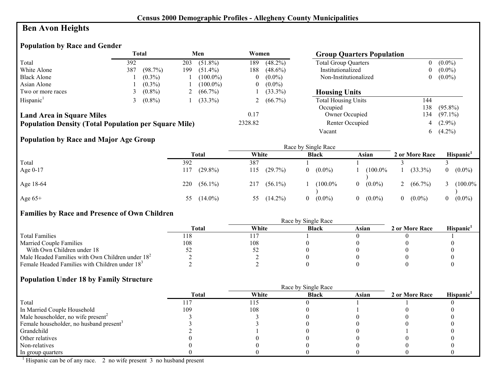# **Ben Avon Heights**

#### **Population by Race and Gender**

|                                                              |     | Total     |          | Men         | Women    |            | <b>Group Quarters Population</b> |     |            |
|--------------------------------------------------------------|-----|-----------|----------|-------------|----------|------------|----------------------------------|-----|------------|
| Total                                                        | 392 |           | 203      | $(51.8\%)$  | 189      | $(48.2\%)$ | <b>Total Group Quarters</b>      | 0   | $(0.0\%)$  |
| White Alone                                                  | 387 | (98.7%)   | 199      | $(51.4\%)$  | 188      | $(48.6\%)$ | Institutionalized                |     | $(0.0\%)$  |
| <b>Black Alone</b>                                           |     | $(0.3\%)$ |          | $(100.0\%)$ | $\bf{0}$ | $(0.0\%)$  | Non-Institutionalized            |     | $(0.0\%)$  |
| Asian Alone                                                  |     | $(0.3\%)$ |          | $(100.0\%)$ | $_{0}$   | $(0.0\%)$  |                                  |     |            |
| Two or more races                                            |     | $(0.8\%)$ | $\angle$ | $(66.7\%)$  |          | $(33.3\%)$ | <b>Housing Units</b>             |     |            |
| Hispanic <sup>1</sup>                                        |     | $(0.8\%)$ |          | $(33.3\%)$  |          | $(66.7\%)$ | <b>Total Housing Units</b>       | 144 |            |
|                                                              |     |           |          |             |          |            | Occupied                         | 138 | $(95.8\%)$ |
| <b>Land Area in Square Miles</b>                             |     |           |          |             | 0.17     |            | Owner Occupied                   | 134 | $(97.1\%)$ |
| <b>Population Density (Total Population per Square Mile)</b> |     |           |          |             | 2328.82  |            | Renter Occupied                  | 4   | $(2.9\%)$  |
|                                                              |     |           |          |             |          |            | Vacant                           | 6   | $(4.2\%)$  |

# **Population by Race and Major Age Group**

|            | <b>Total</b>      | White             | <b>Black</b>          | Asian                 | 2 or More Race        | Hispanic     |
|------------|-------------------|-------------------|-----------------------|-----------------------|-----------------------|--------------|
| Total      | 392               | 387               |                       |                       |                       |              |
| Age $0-17$ | $(29.8\%)$<br>117 | (29.7%)<br>115    | $(0.0\%)$<br>$\theta$ | $(100.0\%$            | $(33.3\%)$            | $0 (0.0\%)$  |
| Age 18-64  | 220<br>$(56.1\%)$ | $(56.1\%)$<br>217 | (100.0%               | $(0.0\%)$<br>$\theta$ | 2 $(66.7\%)$          | 3 $(100.0\%$ |
| Age $65+$  | $(14.0\%)$<br>55  | $(14.2\%)$<br>55  | $(0.0\%)$<br>$\Omega$ | $(0.0\%)$<br>$\theta$ | $(0.0\%)$<br>$\theta$ | $0 (0.0\%)$  |

#### **Families by Race and Presence of Own Children**

|                                                            | Race by Single Race |       |              |       |                |                 |  |
|------------------------------------------------------------|---------------------|-------|--------------|-------|----------------|-----------------|--|
|                                                            | <b>Total</b>        | White | <b>Black</b> | Asian | 2 or More Race | <b>Hispanic</b> |  |
| <b>Total Families</b>                                      | 118                 |       |              |       |                |                 |  |
| <b>Married Couple Families</b>                             | 108                 | 108   |              |       |                |                 |  |
| With Own Children under 18                                 |                     | ے ر   |              |       |                |                 |  |
| Male Headed Families with Own Children under $182$         |                     |       |              |       |                |                 |  |
| Female Headed Families with Children under 18 <sup>3</sup> |                     |       |              |       |                |                 |  |

#### **Population Under 18 by Family Structure**

|                                                     |              |       | Race by Single Race |       |                |                       |
|-----------------------------------------------------|--------------|-------|---------------------|-------|----------------|-----------------------|
|                                                     | <b>Total</b> | White | <b>Black</b>        | Asian | 2 or More Race | Hispanic <sup>1</sup> |
| Total                                               |              | 115   |                     |       |                |                       |
| In Married Couple Household                         | 109          | 108   |                     |       |                |                       |
| Male householder, no wife present <sup>2</sup>      |              |       |                     |       |                |                       |
| Female householder, no husband present <sup>3</sup> |              |       |                     |       |                |                       |
| Grandchild                                          |              |       |                     |       |                |                       |
| Other relatives                                     |              |       |                     |       |                |                       |
| Non-relatives                                       |              |       |                     |       |                |                       |
| In group quarters                                   |              |       |                     |       |                |                       |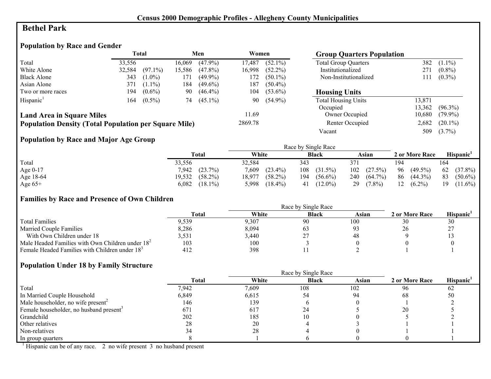## **Bethel Park**

# **Population by Race and Gender**

|                                                              | <b>Total</b> |            | Men    |            | Women   |            |                             |        | <b>Group Quarters Population</b> |  |  |
|--------------------------------------------------------------|--------------|------------|--------|------------|---------|------------|-----------------------------|--------|----------------------------------|--|--|
| Total                                                        | 33.556       |            | 16.069 | $(47.9\%)$ | 17.487  | $(52.1\%)$ | <b>Total Group Quarters</b> | 382    | $(1.1\%)$                        |  |  |
| White Alone                                                  | 32,584       | $(97.1\%)$ | 15,586 | $(47.8\%)$ | 16,998  | $(52.2\%)$ | Institutionalized           | 271    | $(0.8\%)$                        |  |  |
| <b>Black Alone</b>                                           | 343          | $(1.0\%)$  | 171    | $(49.9\%)$ | 172     | $(50.1\%)$ | Non-Institutionalized       | 111    | $(0.3\%)$                        |  |  |
| Asian Alone                                                  | 371          | $(1.1\%)$  | 184    | $(49.6\%)$ | 187     | $(50.4\%)$ |                             |        |                                  |  |  |
| Two or more races                                            | 194          | $(0.6\%)$  | 90     | $(46.4\%)$ | 104     | $(53.6\%)$ | <b>Housing Units</b>        |        |                                  |  |  |
| Hispanic <sup>1</sup>                                        | 164          | $(0.5\%)$  | 74     | $(45.1\%)$ | 90      | $(54.9\%)$ | <b>Total Housing Units</b>  | 13,871 |                                  |  |  |
|                                                              |              |            |        |            |         |            | Occupied                    | 13,362 | $(96.3\%)$                       |  |  |
| <b>Land Area in Square Miles</b>                             |              |            |        |            | 11.69   |            | <b>Owner Occupied</b>       | 10,680 | $(79.9\%)$                       |  |  |
| <b>Population Density (Total Population per Square Mile)</b> |              |            |        |            | 2869.78 |            | Renter Occupied             | 2,682  | $(20.1\%)$                       |  |  |
|                                                              |              |            |        |            |         |            | Vacant                      | 509    | $(3.7\%)$                        |  |  |

# **Population by Race and Major Age Group**

|            |                      |                      | Race by Single Race |                   |                  |                  |
|------------|----------------------|----------------------|---------------------|-------------------|------------------|------------------|
|            | Total                | White                | <b>Black</b>        | Asian             | 2 or More Race   | <b>Hispanic</b>  |
| Total      | 33,556               | 32.584               | 343                 | 371               | 194              | 164              |
| Age $0-17$ | (23.7%)<br>7,942     | $(23.4\%)$<br>7,609  | 108<br>$(31.5\%)$   | $(27.5\%)$<br>102 | 96<br>$(49.5\%)$ | 62 (37.8%)       |
| Age 18-64  | 19,532<br>$(58.2\%)$ | $(58.2\%)$<br>18.977 | 194<br>$(56.6\%)$   | 240<br>$(64.7\%)$ | 86<br>$(44.3\%)$ | 83<br>$(50.6\%)$ |
| Age $65+$  | $(18.1\%)$<br>6,082  | 5,998<br>$(18.4\%)$  | $(12.0\%)$<br>41    | $(7.8\%)$<br>29   | $(6.2\%)$<br>12  | $(11.6\%)$<br>19 |

#### **Families by Race and Presence of Own Children**

|                                                            | <b>Total</b> | White | <b>Black</b> | Asian | 2 or More Race | <b>Hispanic</b> |
|------------------------------------------------------------|--------------|-------|--------------|-------|----------------|-----------------|
| <b>Total Families</b>                                      | 9.539        | 9,307 | 90           | 100   | 30             | 30              |
| <b>Married Couple Families</b>                             | 8,286        | 8,094 | ಂ            |       |                | n J             |
| With Own Children under 18                                 | 3,531        | 3,440 | ∸            | 48    |                |                 |
| Male Headed Families with Own Children under $182$         | 103          | 100   |              |       |                |                 |
| Female Headed Families with Children under 18 <sup>3</sup> | 412          | 398   |              |       |                |                 |

#### **Population Under 18 by Family Structure**

|                                                     |       |       | Race by Single Race |       |                |                       |
|-----------------------------------------------------|-------|-------|---------------------|-------|----------------|-----------------------|
|                                                     | Total | White | <b>Black</b>        | Asian | 2 or More Race | Hispanic <sup>1</sup> |
| Total                                               | 7,942 | 7,609 | 108                 | 102   | 96             | 62                    |
| In Married Couple Household                         | 6,849 | 6,615 | 54                  | 94    | 68             | 50                    |
| Male householder, no wife present <sup>2</sup>      | 146   | 139   |                     |       |                |                       |
| Female householder, no husband present <sup>3</sup> | 671   | 617   | 24                  |       | 20             |                       |
| Grandchild                                          | 202   | 185   |                     |       |                |                       |
| Other relatives                                     | 28    | 20    |                     |       |                |                       |
| Non-relatives                                       |       | 28    |                     |       |                |                       |
| In group quarters                                   |       |       |                     |       |                |                       |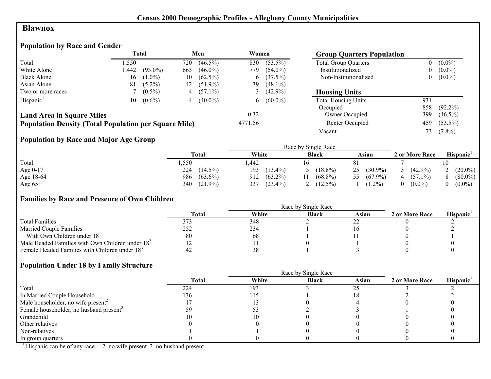#### **Blawnox**

# **Population by Race and Gender**

|                                                              |       | <b>Total</b> |     | Men        | Women    |            | <b>Group Quarters Population</b> |     |            |
|--------------------------------------------------------------|-------|--------------|-----|------------|----------|------------|----------------------------------|-----|------------|
| Total                                                        | .,550 |              | 720 | $(46.5\%)$ | 830      | $(53.5\%)$ | <b>Total Group Quarters</b>      |     | $(0.0\%)$  |
| White Alone                                                  | .442  | $(93.0\%)$   | 663 | $(46.0\%)$ | 779      | $(54.0\%)$ | Institutionalized                | 0   | $(0.0\%)$  |
| <b>Black Alone</b>                                           | 16    | $(1.0\%)$    | 10  | $(62.5\%)$ | $\sigma$ | (37.5%)    | Non-Institutionalized            | 0   | $(0.0\%)$  |
| Asian Alone                                                  | 81    | $(5.2\%)$    | 42  | $(51.9\%)$ | 39       | $(48.1\%)$ |                                  |     |            |
| Two or more races                                            |       | $(0.5\%)$    | 4   | $(57.1\%)$ |          | $(42.9\%)$ | <b>Housing Units</b>             |     |            |
| Hispanic <sup>1</sup>                                        | 10-   | $(0.6\%)$    | 4   | $(40.0\%)$ | $\sigma$ | $(60.0\%)$ | <b>Total Housing Units</b>       | 931 |            |
|                                                              |       |              |     |            |          |            | Occupied                         | 858 | $(92.2\%)$ |
| <b>Land Area in Square Miles</b>                             |       |              |     |            | 0.32     |            | Owner Occupied                   | 399 | $(46.5\%)$ |
| <b>Population Density (Total Population per Square Mile)</b> |       |              |     |            | 4771.56  |            | Renter Occupied                  | 459 | $(53.5\%)$ |
|                                                              |       |              |     |            |          |            | Vacant                           | 73. | $(7.8\%)$  |

# **Population by Race and Major Age Group**

|           |                   |                   | Race by Single Race |                  |                |                       |
|-----------|-------------------|-------------------|---------------------|------------------|----------------|-----------------------|
|           | Total             | White             | <b>Black</b>        | Asian            | 2 or More Race | Hispanic <sup>1</sup> |
| Total     | ,550              | ,442              |                     |                  |                |                       |
| Age 0-17  | 224<br>$(14.5\%)$ | 193<br>$(13.4\%)$ | $(18.8\%)$          | $(30.9\%)$<br>25 | $(42.9\%)$     | $(20.0\%)$            |
| Age 18-64 | $(63.6\%)$<br>986 | $(63.2\%)$<br>912 | $(68.8\%)$          | $(67.9\%)$<br>55 | $(57.1\%)$     | $(80.0\%)$            |
| Age $65+$ | $(21.9\%)$<br>340 | 337<br>$(23.4\%)$ | $(12.5\%)$          | $(1.2\%)$        | $(0.0\%)$      | $(0.0\%)$             |

#### **Families by Race and Presence of Own Children**

|                                                            | Race by Single Race |       |              |       |                |                 |  |  |
|------------------------------------------------------------|---------------------|-------|--------------|-------|----------------|-----------------|--|--|
|                                                            | <b>Total</b>        | White | <b>Black</b> | Asian | 2 or More Race | <b>Hispanic</b> |  |  |
| <b>Total Families</b>                                      |                     | 348   |              |       |                |                 |  |  |
| <b>Married Couple Families</b>                             | 252                 | 234   |              |       |                |                 |  |  |
| With Own Children under 18                                 | 80                  | 68    |              |       |                |                 |  |  |
| Male Headed Families with Own Children under $182$         |                     |       |              |       |                |                 |  |  |
| Female Headed Families with Children under 18 <sup>3</sup> |                     | 38    |              |       |                |                 |  |  |

#### **Population Under 18 by Family Structure**

|                                                     |              |       | Race by Single Race |       |                |                       |
|-----------------------------------------------------|--------------|-------|---------------------|-------|----------------|-----------------------|
|                                                     | <b>Total</b> | White | <b>Black</b>        | Asian | 2 or More Race | Hispanic <sup>1</sup> |
| Total                                               | 224          | 193   |                     |       |                |                       |
| In Married Couple Household                         | 136          | 115   |                     |       |                |                       |
| Male householder, no wife present <sup>2</sup>      |              |       |                     |       |                |                       |
| Female householder, no husband present <sup>3</sup> | 59           |       |                     |       |                |                       |
| Grandchild                                          | 0            |       |                     |       |                |                       |
| Other relatives                                     |              |       |                     |       |                |                       |
| Non-relatives                                       |              |       |                     |       |                |                       |
| In group quarters                                   |              |       |                     |       |                |                       |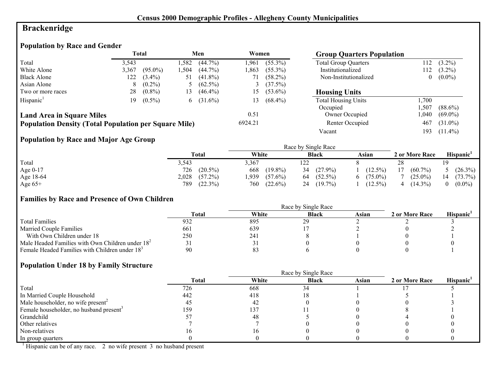# **Brackenridge**

# **Population by Race and Gender**

| Total<br>Men                                                 |       | Women      |      | <b>Group Quarters Population</b> |         |            |                             |                |            |
|--------------------------------------------------------------|-------|------------|------|----------------------------------|---------|------------|-----------------------------|----------------|------------|
| Total                                                        | 3,543 |            | .582 | $(44.7\%)$                       | .961    | $(55.3\%)$ | <b>Total Group Quarters</b> |                | $(3.2\%)$  |
| White Alone                                                  | 3,367 | $(95.0\%)$ | .504 | $(44.7\%)$                       | .863    | $(55.3\%)$ | Institutionalized           | 112            | $(3.2\%)$  |
| <b>Black Alone</b>                                           | 122   | $(3.4\%)$  | 51   | $(41.8\%)$                       |         | $(58.2\%)$ | Non-Institutionalized       | $\overline{0}$ | $(0.0\%)$  |
| Asian Alone                                                  | 8     | $(0.2\%)$  |      | $(62.5\%)$                       |         | (37.5%)    |                             |                |            |
| Two or more races                                            | 28    | $(0.8\%)$  | 13   | $(46.4\%)$                       | 15      | $(53.6\%)$ | <b>Housing Units</b>        |                |            |
| Hispanic <sup>1</sup>                                        | 19.   | $(0.5\%)$  | 6    | $(31.6\%)$                       | 13      | $(68.4\%)$ | <b>Total Housing Units</b>  | ,700           |            |
|                                                              |       |            |      |                                  |         |            | Occupied                    | .507           | $(88.6\%)$ |
| <b>Land Area in Square Miles</b>                             |       |            |      |                                  | 0.51    |            | Owner Occupied              | .040           | $(69.0\%)$ |
| <b>Population Density (Total Population per Square Mile)</b> |       |            |      |                                  | 6924.21 |            | Renter Occupied             | 467            | $(31.0\%)$ |
|                                                              |       |            |      |                                  |         |            | Vacant                      | 193            | $(11.4\%)$ |

# **Population by Race and Major Age Group**

|           |                     |                    | Race by Single Race |                  |                  |                       |
|-----------|---------------------|--------------------|---------------------|------------------|------------------|-----------------------|
|           | Total               | White              | <b>Black</b>        | Asian            | 2 or More Race   | Hispanic <sup>'</sup> |
| Total     | 3,543               | 3.367              | 122                 |                  | 28               |                       |
| Age 0-17  | $(20.5\%)$<br>726   | $(19.8\%)$<br>668  | $(27.9\%)$<br>34    | $(12.5\%)$       | $(60.7\%)$<br>17 | 5 $(26.3\%)$          |
| Age 18-64 | 2,028<br>$(57.2\%)$ | .939<br>$(57.6\%)$ | $(52.5\%)$<br>64    | $(75.0\%)$<br>6. | $(25.0\%)$       | $(73.7\%)$<br>14      |
| Age $65+$ | (22.3%)<br>789      | $(22.6\%)$<br>760  | $(19.7\%)$<br>24    | $(12.5\%)$       | $(14.3\%)$       | $(0.0\%)$             |

#### **Families by Race and Presence of Own Children**

|                                                            | Race by Single Race |       |              |       |                |                 |  |  |
|------------------------------------------------------------|---------------------|-------|--------------|-------|----------------|-----------------|--|--|
|                                                            | <b>Total</b>        | White | <b>Black</b> | Asian | 2 or More Race | <b>Hispanic</b> |  |  |
| <b>Total Families</b>                                      | 932                 | 895   | 2Q<br>43     |       |                |                 |  |  |
| <b>Married Couple Families</b>                             | 661                 | 639   |              |       |                |                 |  |  |
| With Own Children under 18                                 | 250                 | 241   |              |       |                |                 |  |  |
| Male Headed Families with Own Children under $182$         |                     |       |              |       |                |                 |  |  |
| Female Headed Families with Children under 18 <sup>3</sup> | 90                  | 83    |              |       |                |                 |  |  |

#### **Population Under 18 by Family Structure**

|                                                     |       |       | Race by Single Race |       |                |                       |
|-----------------------------------------------------|-------|-------|---------------------|-------|----------------|-----------------------|
|                                                     | Total | White | <b>Black</b>        | Asian | 2 or More Race | Hispanic <sup>1</sup> |
| Total                                               | 726   | 668   | 34                  |       |                |                       |
| In Married Couple Household                         | 442   | 418   |                     |       |                |                       |
| Male householder, no wife present <sup>2</sup>      | 40    | 42    |                     |       |                |                       |
| Female householder, no husband present <sup>3</sup> | 159   | 137   |                     |       |                |                       |
| Grandchild                                          |       | 48    |                     |       |                |                       |
| Other relatives                                     |       |       |                     |       |                |                       |
| Non-relatives                                       |       |       |                     |       |                |                       |
| In group quarters                                   |       |       |                     |       |                |                       |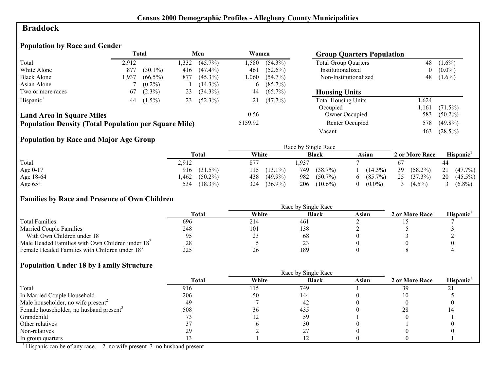# **Braddock**

# **Population by Race and Gender**

|                                                              |       | <b>Total</b> |      | Men        | Women   |            | <b>Group Quarters Population</b> |                  |            |
|--------------------------------------------------------------|-------|--------------|------|------------|---------|------------|----------------------------------|------------------|------------|
| Total                                                        | 2.912 |              | .332 | $(45.7\%)$ | .580    | $(54.3\%)$ | <b>Total Group Quarters</b>      | 48               | $(1.6\%)$  |
| White Alone                                                  | 877   | $(30.1\%)$   | 416  | $(47.4\%)$ | 461     | $(52.6\%)$ | Institutionalized                | $\boldsymbol{0}$ | $(0.0\%)$  |
| <b>Black Alone</b>                                           | 1,937 | $(66.5\%)$   | 877  | $(45.3\%)$ | .060    | $(54.7\%)$ | Non-Institutionalized            | 48               | $(1.6\%)$  |
| Asian Alone                                                  |       | $(0.2\%)$    |      | $(14.3\%)$ | 6       | $(85.7\%)$ |                                  |                  |            |
| Two or more races                                            | 67    | $(2.3\%)$    | 23   | $(34.3\%)$ | 44      | $(65.7\%)$ | <b>Housing Units</b>             |                  |            |
| Hispanic <sup>1</sup>                                        | 44    | $(1.5\%)$    | 23   | $(52.3\%)$ |         | $(47.7\%)$ | <b>Total Housing Units</b>       | .624             |            |
|                                                              |       |              |      |            |         |            | Occupied                         | .161             | $(71.5\%)$ |
| <b>Land Area in Square Miles</b>                             |       |              |      |            | 0.56    |            | Owner Occupied                   | 583              | $(50.2\%)$ |
| <b>Population Density (Total Population per Square Mile)</b> |       |              |      |            | 5159.92 |            | Renter Occupied                  | 578              | $(49.8\%)$ |
|                                                              |       |              |      |            |         |            | Vacant                           | 463              | $(28.5\%)$ |

# **Population by Race and Major Age Group**

|           |                    |                   | Race by Single Race |            |                  |                       |
|-----------|--------------------|-------------------|---------------------|------------|------------------|-----------------------|
|           | <b>Total</b>       | White             | <b>Black</b>        | Asian      | 2 or More Race   | Hispanic <sup>1</sup> |
| Total     | 2,912              | 877               | .,937               |            |                  | 44                    |
| Age 0-17  | 916 (31.5%)        | $(13.1\%)$<br>115 | 749<br>(38.7%)      | $(14.3\%)$ | 39<br>$(58.2\%)$ | 21<br>$(47.7\%)$      |
| Age 18-64 | $(50.2\%)$<br>.462 | $(49.9\%)$<br>438 | 982<br>$(50.7\%)$   | $(85.7\%)$ | 25<br>$(37.3\%)$ | 20<br>$(45.5\%)$      |
| Age $65+$ | 534<br>$(18.3\%)$  | $(36.9\%)$<br>324 | 206<br>$(10.6\%)$   | $(0.0\%)$  | $(4.5\%)$        | $(6.8\%)$             |

#### **Families by Race and Presence of Own Children**

|                                                            | <b>Total</b> | White | <b>Black</b> | Asian | 2 or More Race | Hispanic <sup>'</sup> |
|------------------------------------------------------------|--------------|-------|--------------|-------|----------------|-----------------------|
| <b>Total Families</b>                                      | 696          | 214   | 461          |       |                |                       |
| <b>Married Couple Families</b>                             | 248          | 101   | 138          |       |                |                       |
| With Own Children under 18                                 |              | ر ے   | 68           |       |                |                       |
| Male Headed Families with Own Children under $182$         | 28           |       | <u>_</u>     |       |                |                       |
| Female Headed Families with Children under 18 <sup>3</sup> | 225          | 26    | 189          |       |                |                       |

#### **Population Under 18 by Family Structure**

|                                                     |       |       | Race by Single Race |       |                |                             |
|-----------------------------------------------------|-------|-------|---------------------|-------|----------------|-----------------------------|
|                                                     | Total | White | <b>Black</b>        | Asian | 2 or More Race | Hispanic <sup>1</sup>       |
| Total                                               | 916   | 115   | 749                 |       | 39             | $\mathcal{D}$ 1<br>$\angle$ |
| In Married Couple Household                         | 206   | 50    | 144                 |       |                |                             |
| Male householder, no wife present <sup>2</sup>      | 49    |       | 42                  |       |                |                             |
| Female householder, no husband present <sup>3</sup> | 508   | 36    | 435                 |       | 28             |                             |
| Grandchild                                          |       |       | 59                  |       |                |                             |
| Other relatives                                     |       |       | 30                  |       |                |                             |
| Non-relatives                                       | 29    |       |                     |       |                |                             |
| In group quarters                                   |       |       |                     |       |                |                             |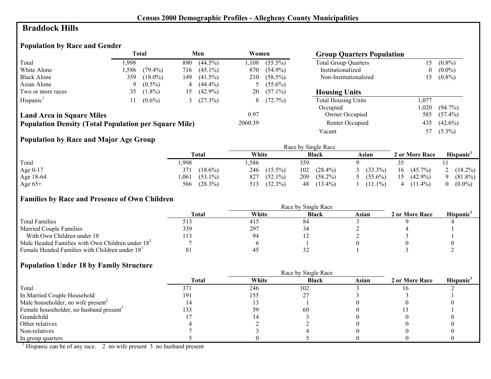### **Braddock Hills**

# **Population by Race and Gender**

|                                                              |       | <b>Total</b> |      | Men        | Women   |            | <b>Group Quarters Population</b> |          |            |
|--------------------------------------------------------------|-------|--------------|------|------------|---------|------------|----------------------------------|----------|------------|
| Total                                                        | 1.998 |              | 890  | $(44.5\%)$ | 1.108   | $(55.5\%)$ | <b>Total Group Quarters</b>      | 15       | $(0.8\%)$  |
| White Alone                                                  | 1.586 | $(79.4\%)$   | 716  | $(45.1\%)$ | 870     | $(54.9\%)$ | Institutionalized                | $\theta$ | $(0.0\%)$  |
| <b>Black Alone</b>                                           | 359   | $(18.0\%)$   | 149. | $(41.5\%)$ | 210     | $(58.5\%)$ | Non-Institutionalized            | 15       | $(0.8\%)$  |
| Asian Alone                                                  | Q     | $(0.5\%)$    | 4    | $(44.4\%)$ |         | $(55.6\%)$ |                                  |          |            |
| Two or more races                                            | 35    | $(1.8\%)$    | 15   | $(42.9\%)$ | 20      | $(57.1\%)$ | <b>Housing Units</b>             |          |            |
| Hispanic <sup>1</sup>                                        |       | $(0.6\%)$    |      | (27.3%)    | 8       | $(72.7\%)$ | <b>Total Housing Units</b>       | 1,077    |            |
|                                                              |       |              |      |            |         |            | Occupied                         | 0.020    | $(94.7\%)$ |
| <b>Land Area in Square Miles</b>                             |       |              |      |            | 0.97    |            | Owner Occupied                   | 585      | $(57.4\%)$ |
| <b>Population Density (Total Population per Square Mile)</b> |       |              |      |            | 2060.39 |            | Renter Occupied                  | 435      | $(42.6\%)$ |
|                                                              |       |              |      |            |         |            | Vacant                           | 57       | $(5.3\%)$  |

# **Population by Race and Major Age Group**

|           |                    | Race by Single Race |                   |              |                  |                       |  |  |
|-----------|--------------------|---------------------|-------------------|--------------|------------------|-----------------------|--|--|
|           | <b>Total</b>       | White               | <b>Black</b>      | Asian        | 2 or More Race   | Hispanic <sup>1</sup> |  |  |
| Total     | ,998               | .586                | 359               |              |                  |                       |  |  |
| Age 0-17  | $(18.6\%)$<br>371  | 246<br>$(15.5\%)$   | $(28.4\%)$<br>102 | $(33.3\%)$   | $(45.7\%)$<br>16 | $(18.2\%)$            |  |  |
| Age 18-64 | $(53.1\%)$<br>.061 | 827<br>$(52.1\%)$   | 209<br>$(58.2\%)$ | 5 $(55.6\%)$ | 15<br>$(42.9\%)$ | $(81.8\%)$            |  |  |
| Age $65+$ | $(28.3\%)$<br>566  | (32.3%)<br>513      | $(13.4\%)$<br>48  | $(11.1\%)$   | $(11.4\%)$       | $(0.0\%)$             |  |  |

#### **Families by Race and Presence of Own Children**

|                                                            | Race by Single Race |       |              |       |                |                 |  |  |
|------------------------------------------------------------|---------------------|-------|--------------|-------|----------------|-----------------|--|--|
|                                                            | <b>Total</b>        | White | <b>Black</b> | Asian | 2 or More Race | <b>Hispanic</b> |  |  |
| <b>Total Families</b>                                      |                     | 415   | 84           |       |                |                 |  |  |
| <b>Married Couple Families</b>                             | 339                 | 297   |              |       |                |                 |  |  |
| With Own Children under 18                                 |                     | 94    |              |       |                |                 |  |  |
| Male Headed Families with Own Children under $182$         |                     |       |              |       |                |                 |  |  |
| Female Headed Families with Children under 18 <sup>3</sup> |                     | 45    | ◡▵           |       |                |                 |  |  |

#### **Population Under 18 by Family Structure**

|                                                     | Race by Single Race |       |              |       |                |                       |  |
|-----------------------------------------------------|---------------------|-------|--------------|-------|----------------|-----------------------|--|
|                                                     | <b>Total</b>        | White | <b>Black</b> | Asian | 2 or More Race | Hispanic <sup>1</sup> |  |
| Total                                               | 371                 | 246   | 102          |       |                |                       |  |
| In Married Couple Household                         | 191                 | 155   |              |       |                |                       |  |
| Male householder, no wife present <sup>2</sup>      |                     |       |              |       |                |                       |  |
| Female householder, no husband present <sup>3</sup> | 133                 | 59    | -60          |       |                |                       |  |
| Grandchild                                          |                     |       |              |       |                |                       |  |
| Other relatives                                     |                     |       |              |       |                |                       |  |
| Non-relatives                                       |                     |       |              |       |                |                       |  |
| In group quarters                                   |                     |       |              |       |                |                       |  |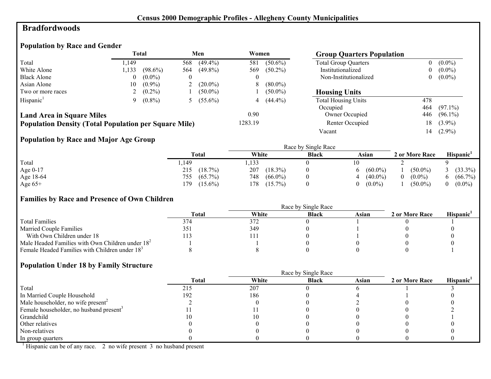#### **Bradfordwoods**

# **Population by Race and Gender**

|                                                              |      | <b>Total</b> |          | Men        | Women    |              | <b>Group Quarters Population</b> |     |            |
|--------------------------------------------------------------|------|--------------|----------|------------|----------|--------------|----------------------------------|-----|------------|
| Total                                                        | .149 |              | 568      | $(49.4\%)$ | 581      | $(50.6\%)$   | <b>Total Group Quarters</b>      | 0   | $(0.0\%)$  |
| White Alone                                                  | .133 | $(98.6\%)$   | 564      | $(49.8\%)$ | 569      | $(50.2\%)$   | Institutionalized                | 0   | $(0.0\%)$  |
| <b>Black Alone</b>                                           | 0    | $(0.0\%)$    | $\theta$ |            | $\theta$ |              | Non-Institutionalized            | 0   | $(0.0\%)$  |
| Asian Alone                                                  | 10   | $(0.9\%)$    |          | $(20.0\%)$ | 8        | $(80.0\%)$   |                                  |     |            |
| Two or more races                                            |      | $(0.2\%)$    |          | $(50.0\%)$ |          | $(50.0\%)$   | <b>Housing Units</b>             |     |            |
| Hispanic <sup>1</sup>                                        | Q    | $(0.8\%)$    |          | $(55.6\%)$ |          | 4 $(44.4\%)$ | <b>Total Housing Units</b>       | 478 |            |
|                                                              |      |              |          |            |          |              | Occupied                         | 464 | $(97.1\%)$ |
| <b>Land Area in Square Miles</b>                             |      |              |          |            | 0.90     |              | Owner Occupied                   | 446 | $(96.1\%)$ |
| <b>Population Density (Total Population per Square Mile)</b> |      |              |          |            | 1283.19  |              | Renter Occupied                  | 18  | $(3.9\%)$  |
|                                                              |      |              |          |            |          |              | Vacant                           | 14  | $(2.9\%)$  |

# **Population by Race and Major Age Group**

|           |                   |                   | Race by Single Race |            |                |                       |
|-----------|-------------------|-------------------|---------------------|------------|----------------|-----------------------|
|           | <b>Total</b>      | White             | <b>Black</b>        | Asian      | 2 or More Race | Hispanic <sup>1</sup> |
| Total     | ,149              | ,133              |                     | 10         |                |                       |
| Age 0-17  | $(18.7\%)$<br>215 | 207<br>$(18.3\%)$ |                     | $(60.0\%)$ | $(50.0\%)$     | $(33.3\%)$            |
| Age 18-64 | $(65.7\%)$<br>755 | 748<br>$(66.0\%)$ |                     | $(40.0\%)$ | $(0.0\%)$      | $(66.7\%)$            |
| Age $65+$ | 179<br>$(15.6\%)$ | 178<br>$(15.7\%)$ |                     | $(0.0\%)$  | $(50.0\%)$     | $(0.0\%)$             |

#### **Families by Race and Presence of Own Children**

|                                                            | Total | White | <b>Black</b> | Asian | 2 or More Race | <b>Hispanic</b> |
|------------------------------------------------------------|-------|-------|--------------|-------|----------------|-----------------|
| <b>Total Families</b>                                      | 374   | 372   |              |       |                |                 |
| <b>Married Couple Families</b>                             | 351   | 349   |              |       |                |                 |
| With Own Children under 18                                 |       |       |              |       |                |                 |
| Male Headed Families with Own Children under $182$         |       |       |              |       |                |                 |
| Female Headed Families with Children under 18 <sup>3</sup> |       |       |              |       |                |                 |

#### **Population Under 18 by Family Structure**

|                                                     | Race by Single Race |       |              |       |                |                       |  |
|-----------------------------------------------------|---------------------|-------|--------------|-------|----------------|-----------------------|--|
|                                                     | <b>Total</b>        | White | <b>Black</b> | Asian | 2 or More Race | Hispanic <sup>1</sup> |  |
| Total                                               | 215                 | 207   |              |       |                |                       |  |
| In Married Couple Household                         | 192                 | 186   |              |       |                |                       |  |
| Male householder, no wife present <sup>2</sup>      |                     |       |              |       |                |                       |  |
| Female householder, no husband present <sup>3</sup> |                     |       |              |       |                |                       |  |
| Grandchild                                          |                     |       |              |       |                |                       |  |
| Other relatives                                     |                     |       |              |       |                |                       |  |
| Non-relatives                                       |                     |       |              |       |                |                       |  |
| In group quarters                                   |                     |       |              |       |                |                       |  |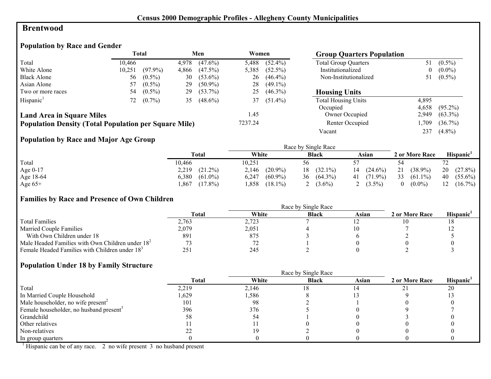#### **Brentwood**

#### **Population by Race and Gender**

|                                                              |        | <b>Total</b> |       | Men        | Women   |            | <b>Group Quarters Population</b> |       |            |
|--------------------------------------------------------------|--------|--------------|-------|------------|---------|------------|----------------------------------|-------|------------|
| Total                                                        | 10.466 |              | 4.978 | $(47.6\%)$ | 5,488   | $(52.4\%)$ | <b>Total Group Quarters</b>      | 51    | $(0.5\%)$  |
| White Alone                                                  | 10,251 | $(97.9\%)$   | 4,866 | $(47.5\%)$ | 5.385   | $(52.5\%)$ | Institutionalized                | 0     | $(0.0\%)$  |
| <b>Black Alone</b>                                           | 56     | $(0.5\%)$    | 30    | $(53.6\%)$ | 26      | $(46.4\%)$ | Non-Institutionalized            | 51    | $(0.5\%)$  |
| Asian Alone                                                  | 57     | $(0.5\%)$    | 29    | $(50.9\%)$ | 28      | $(49.1\%)$ |                                  |       |            |
| Two or more races                                            | 54     | $(0.5\%)$    | 29    | $(53.7\%)$ | 25      | $(46.3\%)$ | <b>Housing Units</b>             |       |            |
| Hispanic <sup>1</sup>                                        | 72     | $(0.7\%)$    | 35    | $(48.6\%)$ | 37      | $(51.4\%)$ | <b>Total Housing Units</b>       | 4,895 |            |
|                                                              |        |              |       |            |         |            | Occupied                         | 4,658 | $(95.2\%)$ |
| <b>Land Area in Square Miles</b>                             |        |              |       |            | 1.45    |            | Owner Occupied                   | 2,949 | $(63.3\%)$ |
| <b>Population Density (Total Population per Square Mile)</b> |        |              |       |            | 7237.24 |            | Renter Occupied                  | ,709  | $(36.7\%)$ |
|                                                              |        |              |       |            |         |            | Vacant                           | 237   | $(4.8\%)$  |

# **Population by Race and Major Age Group**

|           |                     |                     | Race by Single Race |                  |                       |                       |
|-----------|---------------------|---------------------|---------------------|------------------|-----------------------|-----------------------|
|           | <b>Total</b>        | White               | <b>Black</b>        | Asian            | 2 or More Race        | Hispanic <sup>'</sup> |
| Total     | 10.466              | 10,251              | 56                  |                  | 54                    |                       |
| Age 0-17  | 2,219<br>$(21.2\%)$ | $(20.9\%)$<br>2,146 | $(32.1\%)$<br>18    | $(24.6\%)$<br>14 | $(38.9\%)$<br>21      | 20<br>$(27.8\%)$      |
| Age 18-64 | 6,380<br>$(61.0\%)$ | $(60.9\%)$<br>6,247 | $(64.3\%)$<br>36    | $41(71.9\%)$     | 33<br>$(61.1\%)$      | $(55.6\%)$<br>40      |
| Age $65+$ | $(17.8\%)$<br>,867  | $(18.1\%)$<br>.858  | $(3.6\%)$           | $(3.5\%)$        | $(0.0\%)$<br>$\theta$ | $(16.7\%)$<br>12      |

#### **Families by Race and Presence of Own Children**

|                                                            | Race by Single Race |       |              |       |                |                       |  |
|------------------------------------------------------------|---------------------|-------|--------------|-------|----------------|-----------------------|--|
|                                                            | <b>Total</b>        | White | <b>Black</b> | Asian | 2 or More Race | Hispanic <sup>'</sup> |  |
| <b>Total Families</b>                                      | 2.763               | 2,723 |              |       |                |                       |  |
| <b>Married Couple Families</b>                             | 2,079               | 2,051 |              |       |                |                       |  |
| With Own Children under 18                                 | 891                 | 875   |              |       |                |                       |  |
| Male Headed Families with Own Children under $182$         |                     |       |              |       |                |                       |  |
| Female Headed Families with Children under 18 <sup>3</sup> | 251                 | 245   |              |       |                |                       |  |

#### **Population Under 18 by Family Structure**

|                                                     |       |       | Race by Single Race |       |                |                       |
|-----------------------------------------------------|-------|-------|---------------------|-------|----------------|-----------------------|
|                                                     | Total | White | <b>Black</b>        | Asian | 2 or More Race | Hispanic <sup>1</sup> |
| Total                                               | 2,219 | 2,146 |                     |       |                | 20                    |
| In Married Couple Household                         | .629  | 1,586 |                     |       |                |                       |
| Male householder, no wife present <sup>2</sup>      | 101   | 98    |                     |       |                |                       |
| Female householder, no husband present <sup>3</sup> | 396   | 376   |                     |       |                |                       |
| Grandchild                                          | 58    |       |                     |       |                |                       |
| Other relatives                                     |       |       |                     |       |                |                       |
| Non-relatives                                       |       |       |                     |       |                |                       |
| In group quarters                                   |       |       |                     |       |                |                       |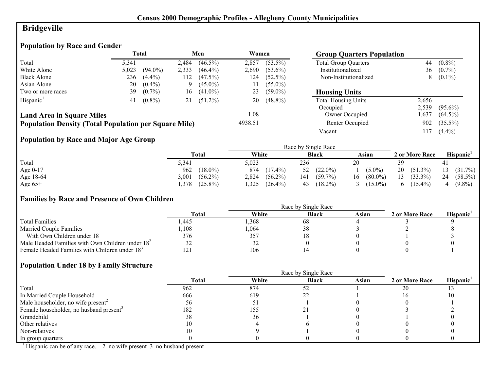# **Bridgeville**

# **Population by Race and Gender**

|                                                              |       | <b>Total</b> |       | Men        | Women   |            | <b>Group Quarters Population</b> |       |            |
|--------------------------------------------------------------|-------|--------------|-------|------------|---------|------------|----------------------------------|-------|------------|
| Total                                                        | 5.341 |              | 2,484 | $(46.5\%)$ | 2.857   | $(53.5\%)$ | <b>Total Group Quarters</b>      | 44    | $(0.8\%)$  |
| White Alone                                                  | 5,023 | $(94.0\%)$   | 2,333 | $(46.4\%)$ | 2,690   | $(53.6\%)$ | Institutionalized                | 36    | $(0.7\%)$  |
| <b>Black Alone</b>                                           | 236   | $(4.4\%)$    | 112   | $(47.5\%)$ | 24ء     | $(52.5\%)$ | Non-Institutionalized            | 8     | $(0.1\%)$  |
| Asian Alone                                                  | 20    | $(0.4\%)$    | 9     | $(45.0\%)$ |         | $(55.0\%)$ |                                  |       |            |
| Two or more races                                            | 39    | $(0.7\%)$    | 16    | $(41.0\%)$ | 23      | $(59.0\%)$ | <b>Housing Units</b>             |       |            |
| Hispanic <sup>1</sup>                                        | 41    | $(0.8\%)$    | 21    | $(51.2\%)$ | 20      | $(48.8\%)$ | <b>Total Housing Units</b>       | 2,656 |            |
|                                                              |       |              |       |            |         |            | Occupied                         | 2,539 | $(95.6\%)$ |
| <b>Land Area in Square Miles</b>                             |       |              |       |            | 1.08    |            | Owner Occupied                   | ,637  | $(64.5\%)$ |
| <b>Population Density (Total Population per Square Mile)</b> |       |              |       |            | 4938.51 |            | Renter Occupied                  | 902   | $(35.5\%)$ |
|                                                              |       |              |       |            |         |            | Vacant                           | 17    | $(4.4\%)$  |

# **Population by Race and Major Age Group**

|           |                     |                     | Race by Single Race |                      |                            |                       |
|-----------|---------------------|---------------------|---------------------|----------------------|----------------------------|-----------------------|
|           | <b>Total</b>        | White               | <b>Black</b>        | Asian                | 2 or More Race             | Hispanic <sup>1</sup> |
| Total     | 5,341               | 5,023               | 236                 | 20                   | 39                         | 41                    |
| Age 0-17  | $(18.0\%)$<br>962   | 874<br>$(17.4\%)$   | $(22.0\%)$<br>52    | $(5.0\%)$            | 20<br>$(51.3\%)$           | $(31.7\%)$<br>13      |
| Age 18-64 | 3,001<br>$(56.2\%)$ | $(56.2\%)$<br>2,824 | $(59.7\%)$<br>141   | $(80.0\%)$<br>16     | $(33.3\%)$<br>13           | 24<br>$(58.5\%)$      |
| Age $65+$ | $(25.8\%)$<br>.378  | ,325<br>$(26.4\%)$  | $(18.2\%)$<br>43    | $(15.0\%)$<br>$\sim$ | $(15.4\%)$<br><sub>0</sub> | $(9.8\%)$             |

#### **Families by Race and Presence of Own Children**

|                                                            | <b>Total</b> | White | <b>Black</b> | Asian | 2 or More Race | Hispanic <sup>'</sup> |
|------------------------------------------------------------|--------------|-------|--------------|-------|----------------|-----------------------|
| <b>Total Families</b>                                      | .445         | .368  | 68           |       |                |                       |
| <b>Married Couple Families</b>                             | ,108         | ,064  | 38           |       |                |                       |
| With Own Children under 18                                 | 376          | 357   | 10           |       |                |                       |
| Male Headed Families with Own Children under $182$         | 32           | 32    |              |       |                |                       |
| Female Headed Families with Children under 18 <sup>3</sup> | l∠l          | 106   |              |       |                |                       |

#### **Population Under 18 by Family Structure**

|                                                     |       | Race by Single Race |              |       |                |                       |
|-----------------------------------------------------|-------|---------------------|--------------|-------|----------------|-----------------------|
|                                                     | Total | White               | <b>Black</b> | Asian | 2 or More Race | Hispanic <sup>1</sup> |
| Total                                               | 962   | 874                 |              |       | 20             |                       |
| In Married Couple Household                         | 666   | 619                 |              |       |                |                       |
| Male householder, no wife present <sup>2</sup>      | эb    |                     |              |       |                |                       |
| Female householder, no husband present <sup>3</sup> | 182   | 155                 |              |       |                |                       |
| Grandchild                                          | 38    | 36                  |              |       |                |                       |
| Other relatives                                     | 10    |                     |              |       |                |                       |
| Non-relatives                                       | 10    |                     |              |       |                |                       |
| In group quarters                                   |       |                     |              |       |                |                       |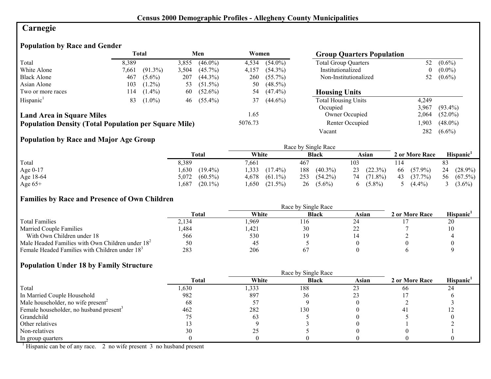# **Carnegie**

# **Population by Race and Gender**

|                                                              |       | <b>Total</b> |       | Men        | Women   |            | <b>Group Quarters Population</b> |                  |            |
|--------------------------------------------------------------|-------|--------------|-------|------------|---------|------------|----------------------------------|------------------|------------|
| Total                                                        | 8,389 |              | 3,855 | $(46.0\%)$ | 4,534   | $(54.0\%)$ | <b>Total Group Quarters</b>      | 52               | $(0.6\%)$  |
| White Alone                                                  | 7.661 | $(91.3\%)$   | 3,504 | $(45.7\%)$ | 4,157   | $(54.3\%)$ | Institutionalized                | $\boldsymbol{0}$ | $(0.0\%)$  |
| <b>Black Alone</b>                                           | 467   | $(5.6\%)$    | 207   | $(44.3\%)$ | 260     | $(55.7\%)$ | Non-Institutionalized            | 52               | $(0.6\%)$  |
| Asian Alone                                                  | 103   | $(1.2\%)$    | 53    | $(51.5\%)$ | 50      | $(48.5\%)$ |                                  |                  |            |
| Two or more races                                            | 114   | $(1.4\%)$    | 60    | $(52.6\%)$ | 54      | $(47.4\%)$ | <b>Housing Units</b>             |                  |            |
| Hispanic <sup>1</sup>                                        | 83    | $(1.0\%)$    | 46    | $(55.4\%)$ | 37      | $(44.6\%)$ | <b>Total Housing Units</b>       | 4.249            |            |
|                                                              |       |              |       |            |         |            | Occupied                         | 3.967            | $(93.4\%)$ |
| <b>Land Area in Square Miles</b>                             |       |              |       |            | 1.65    |            | Owner Occupied                   | 2,064            | $(52.0\%)$ |
| <b>Population Density (Total Population per Square Mile)</b> |       |              |       |            | 5076.73 |            | Renter Occupied                  | ,903             | $(48.0\%)$ |
|                                                              |       |              |       |            |         |            | Vacant                           | 282              | $(6.6\%)$  |

# **Population by Race and Major Age Group**

|           |                     |                     | Race by Single Race |            |                  |                       |
|-----------|---------------------|---------------------|---------------------|------------|------------------|-----------------------|
|           | Total               | White               | <b>Black</b>        | Asian      | 2 or More Race   | Hispanic <sup>1</sup> |
| Total     | 8,389               | 7.661               | 467                 | 103        |                  | 83                    |
| Age 0-17  | .630<br>$(19.4\%)$  | 333<br>$(17.4\%)$   | 188<br>$(40.3\%)$   | 23(22.3%)  | $(57.9\%)$<br>66 | $(28.9\%)$<br>24      |
| Age 18-64 | 5,072<br>$(60.5\%)$ | $(61.1\%)$<br>4,678 | 253<br>$(54.2\%)$   | 74 (71.8%) | 43<br>$(37.7\%)$ | $(67.5\%)$<br>56      |
| Age $65+$ | $(20.1\%)$<br>,687  | .650<br>$(21.5\%)$  | 26<br>$(5.6\%)$     | $(5.8\%)$  | $(4.4\%)$        | $(3.6\%)$             |

#### **Families by Race and Presence of Own Children**

|                                                            | <b>Total</b> | White | <b>Black</b> | Asian | 2 or More Race | Hispanic <sup>'</sup> |
|------------------------------------------------------------|--------------|-------|--------------|-------|----------------|-----------------------|
| <b>Total Families</b>                                      | 2.134        | .969  | 116          | 24    |                | 20                    |
| <b>Married Couple Families</b>                             | .484         | .421  | 30           |       |                |                       |
| With Own Children under 18                                 | 566          | 530   |              |       |                |                       |
| Male Headed Families with Own Children under $182$         | 50           | -45   |              |       |                |                       |
| Female Headed Families with Children under 18 <sup>3</sup> | 283          | 206   |              |       |                |                       |

#### **Population Under 18 by Family Structure**

|                                                     |       |       | Race by Single Race |       |                |                       |
|-----------------------------------------------------|-------|-------|---------------------|-------|----------------|-----------------------|
|                                                     | Total | White | <b>Black</b>        | Asian | 2 or More Race | Hispanic <sup>1</sup> |
| Total                                               | 1,630 | 1,333 | 188                 |       | 66             | 24                    |
| In Married Couple Household                         | 982   | 897   | 36                  |       |                |                       |
| Male householder, no wife present <sup>2</sup>      | 68    |       |                     |       |                |                       |
| Female householder, no husband present <sup>3</sup> | 462   | 282   | 130                 |       |                |                       |
| Grandchild                                          |       | 63    |                     |       |                |                       |
| Other relatives                                     |       |       |                     |       |                |                       |
| Non-relatives                                       | 30    | 25    |                     |       |                |                       |
| In group quarters                                   |       |       |                     |       |                |                       |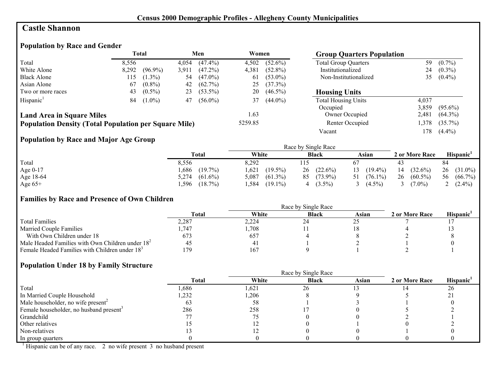#### **Castle Shannon**

# **Population by Race and Gender**

|                                                              |       | Total      |       | Men        | Women   |            | <b>Group Quarters Population</b> |       |            |
|--------------------------------------------------------------|-------|------------|-------|------------|---------|------------|----------------------------------|-------|------------|
| Total                                                        | 8,556 |            | 4.054 | $(47.4\%)$ | 4,502   | $(52.6\%)$ | <b>Total Group Quarters</b>      | 59    | $(0.7\%)$  |
| White Alone                                                  | 8,292 | $(96.9\%)$ | 3,911 | $(47.2\%)$ | 4,381   | $(52.8\%)$ | Institutionalized                | 24    | $(0.3\%)$  |
| <b>Black Alone</b>                                           | 115   | $(1.3\%)$  | 54    | $(47.0\%)$ | 61      | $(53.0\%)$ | Non-Institutionalized            | 35    | $(0.4\%)$  |
| Asian Alone                                                  | 67    | $(0.8\%)$  | 42    | $(62.7\%)$ | 25      | $(37.3\%)$ |                                  |       |            |
| Two or more races                                            | 43    | $(0.5\%)$  | 23    | $(53.5\%)$ | 20      | $(46.5\%)$ | <b>Housing Units</b>             |       |            |
| Hispanic <sup>1</sup>                                        | 84    | $(1.0\%)$  | 47    | $(56.0\%)$ | 37      | $(44.0\%)$ | <b>Total Housing Units</b>       | 4,037 |            |
|                                                              |       |            |       |            |         |            | Occupied                         | 3,859 | $(95.6\%)$ |
| <b>Land Area in Square Miles</b>                             |       |            |       |            | 1.63    |            | Owner Occupied                   | 2.481 | $(64.3\%)$ |
| <b>Population Density (Total Population per Square Mile)</b> |       |            |       |            | 5259.85 |            | Renter Occupied                  | ,378  | $(35.7\%)$ |
|                                                              |       |            |       |            |         |            | Vacant                           | !78   | $(4.4\%)$  |

# **Population by Race and Major Age Group**

|           |                     |                     | Race by Single Race |                  |                  |                       |
|-----------|---------------------|---------------------|---------------------|------------------|------------------|-----------------------|
|           | <b>Total</b>        | White               | <b>Black</b>        | Asian            | 2 or More Race   | Hispanic <sup>1</sup> |
| Total     | 8,556               | 8,292               |                     |                  |                  | 84                    |
| Age 0-17  | $(19.7\%)$<br>.686  | 1,621<br>$(19.5\%)$ | $(22.6\%)$<br>26    | $(19.4\%)$<br>13 | $(32.6\%)$<br>14 | $26$ $(31.0\%)$       |
| Age 18-64 | $(61.6\%)$<br>5,274 | $(61.3\%)$<br>5,087 | $(73.9\%)$<br>85    | $(76.1\%)$<br>51 | 26<br>$(60.5\%)$ | $(66.7\%)$<br>56      |
| Age $65+$ | $(18.7\%)$<br>.596  | .584<br>$(19.1\%)$  | $(3.5\%)$           | $(4.5\%)$        | $7.0\%$          | $(2.4\%)$             |

#### **Families by Race and Presence of Own Children**

|                                                            | <b>Total</b> | White | <b>Black</b>                | Asian | 2 or More Race | <b>Hispanic</b> |
|------------------------------------------------------------|--------------|-------|-----------------------------|-------|----------------|-----------------|
| <b>Total Families</b>                                      | 2,287        | 2,224 | $\mathcal{L}^{\mathcal{L}}$ |       |                |                 |
| <b>Married Couple Families</b>                             | .747         | ,708  |                             |       |                |                 |
| With Own Children under 18                                 | 673          | 657   |                             |       |                |                 |
| Male Headed Families with Own Children under $182$         | 45           | $+1$  |                             |       |                |                 |
| Female Headed Families with Children under 18 <sup>3</sup> | 179          | 167   |                             |       |                |                 |

#### **Population Under 18 by Family Structure**

|                                                     |       |       | Race by Single Race |       |                |                       |
|-----------------------------------------------------|-------|-------|---------------------|-------|----------------|-----------------------|
|                                                     | Total | White | <b>Black</b>        | Asian | 2 or More Race | Hispanic <sup>1</sup> |
| Total                                               | ,686  | 1,621 | 26                  |       |                | 26                    |
| In Married Couple Household                         | ,232  | 1,206 |                     |       |                | ∠                     |
| Male householder, no wife present <sup>2</sup>      | ხა    | 58    |                     |       |                |                       |
| Female householder, no husband present <sup>3</sup> | 286   | 258   |                     |       |                |                       |
| Grandchild                                          |       |       |                     |       |                |                       |
| Other relatives                                     |       |       |                     |       |                |                       |
| Non-relatives                                       |       |       |                     |       |                |                       |
| In group quarters                                   |       |       |                     |       |                |                       |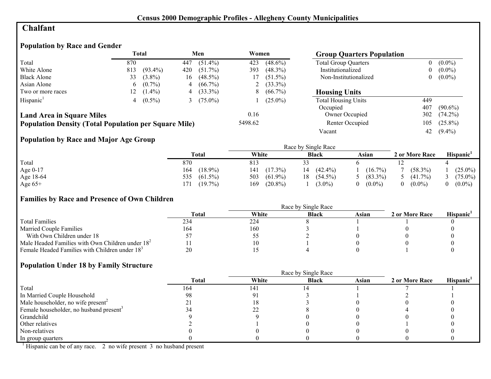# **Chalfant**

# **Population by Race and Gender**

|                                                              |             | Total      |     | Men        | Women   |            | <b>Group Quarters Population</b> |                |            |
|--------------------------------------------------------------|-------------|------------|-----|------------|---------|------------|----------------------------------|----------------|------------|
| Total                                                        | 870         |            | 447 | $(51.4\%)$ | 423     | $(48.6\%)$ | <b>Total Group Quarters</b>      |                | $(0.0\%)$  |
| White Alone                                                  | 813         | $(93.4\%)$ | 420 | $(51.7\%)$ | 393     | $(48.3\%)$ | Institutionalized                | $\overline{0}$ | $(0.0\%)$  |
| <b>Black Alone</b>                                           | 33          | $(3.8\%)$  | 16  | $(48.5\%)$ |         | $(51.5\%)$ | Non-Institutionalized            | 0              | $(0.0\%)$  |
| Asian Alone                                                  | $6^{\circ}$ | $(0.7\%)$  | 4   | $(66.7\%)$ |         | $(33.3\%)$ |                                  |                |            |
| Two or more races                                            | 12          | $(1.4\%)$  | 4   | $(33.3\%)$ | 8       | $(66.7\%)$ | <b>Housing Units</b>             |                |            |
| Hispanic <sup>1</sup>                                        |             | $(0.5\%)$  |     | $(75.0\%)$ |         | $(25.0\%)$ | <b>Total Housing Units</b>       | 449            |            |
|                                                              |             |            |     |            |         |            | Occupied                         | 407            | $(90.6\%)$ |
| <b>Land Area in Square Miles</b>                             |             |            |     |            | 0.16    |            | Owner Occupied                   | 302            | $(74.2\%)$ |
| <b>Population Density (Total Population per Square Mile)</b> |             |            |     |            | 5498.62 |            | Renter Occupied                  | 105            | $(25.8\%)$ |
|                                                              |             |            |     |            |         |            | Vacant                           | 42             | $(9.4\%)$  |

# **Population by Race and Major Age Group**

|           |                   |                   | Race by Single Race |            |                |                       |
|-----------|-------------------|-------------------|---------------------|------------|----------------|-----------------------|
|           | Total             | White             | <b>Black</b>        | Asian      | 2 or More Race | Hispanic <sup>1</sup> |
| Total     | 870               | 813               |                     |            |                |                       |
| Age 0-17  | $(18.9\%)$<br>164 | $(17.3\%)$<br>141 | $(42.4\%)$<br>14    | $(16.7\%)$ | $(58.3\%)$     | $(25.0\%)$            |
| Age 18-64 | 535<br>$(61.5\%)$ | $(61.9\%)$<br>503 | $(54.5\%)$<br>18    | $(83.3\%)$ | $(41.7\%)$     | $(75.0\%)$            |
| Age $65+$ | $(19.7\%)$<br>171 | $(20.8\%)$<br>169 | $(3.0\%)$           | $(0.0\%)$  | $(0.0\%)$      | $(0.0\%)$             |

#### **Families by Race and Presence of Own Children**

|                                                            | Total | White | <b>Black</b> | Asian | 2 or More Race | <b>Hispanic</b> |
|------------------------------------------------------------|-------|-------|--------------|-------|----------------|-----------------|
| <b>Total Families</b>                                      | 234   | 224   |              |       |                |                 |
| <b>Married Couple Families</b>                             | 164   | 160   |              |       |                |                 |
| With Own Children under 18                                 |       | ں ر   |              |       |                |                 |
| Male Headed Families with Own Children under $182$         |       |       |              |       |                |                 |
| Female Headed Families with Children under 18 <sup>3</sup> | 20    |       |              |       |                |                 |

#### **Population Under 18 by Family Structure**

|                                                     |       |       | Race by Single Race |       |                |                       |
|-----------------------------------------------------|-------|-------|---------------------|-------|----------------|-----------------------|
|                                                     | Total | White | <b>Black</b>        | Asian | 2 or More Race | Hispanic <sup>1</sup> |
| Total                                               | 164   | 141   |                     |       |                |                       |
| In Married Couple Household                         | 98    |       |                     |       |                |                       |
| Male householder, no wife present <sup>2</sup>      |       |       |                     |       |                |                       |
| Female householder, no husband present <sup>3</sup> |       | ∠∠    |                     |       |                |                       |
| Grandchild                                          |       |       |                     |       |                |                       |
| Other relatives                                     |       |       |                     |       |                |                       |
| Non-relatives                                       |       |       |                     |       |                |                       |
| In group quarters                                   |       |       |                     |       |                |                       |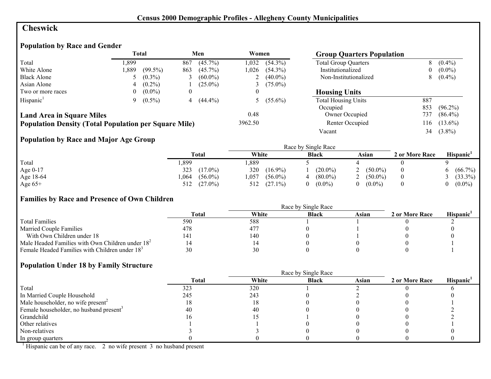# **Cheswick**

# **Population by Race and Gender**

|                                                              |          | <b>Total</b> |     | Men        | Women    |              | <b>Group Quarters Population</b> |          |            |
|--------------------------------------------------------------|----------|--------------|-----|------------|----------|--------------|----------------------------------|----------|------------|
| Total                                                        | .899     |              | 867 | $(45.7\%)$ | 1.032    | $(54.3\%)$   | <b>Total Group Quarters</b>      | 8        | $(0.4\%)$  |
| White Alone                                                  | ,889     | $(99.5\%)$   | 863 | $(45.7\%)$ | 1.026    | $(54.3\%)$   | Institutionalized                | $\theta$ | $(0.0\%)$  |
| <b>Black Alone</b>                                           |          | $(0.3\%)$    |     | $(60.0\%)$ |          | 2 $(40.0\%)$ | Non-Institutionalized            | 8        | $(0.4\%)$  |
| Asian Alone                                                  | 4        | $(0.2\%)$    |     | $(25.0\%)$ |          | 3 $(75.0\%)$ |                                  |          |            |
| Two or more races                                            | $^{(1)}$ | $(0.0\%)$    | 0   |            | $\theta$ |              | <b>Housing Units</b>             |          |            |
| Hispanic <sup>1</sup>                                        | 9.       | $(0.5\%)$    | 4   | $(44.4\%)$ |          | 5 $(55.6\%)$ | <b>Total Housing Units</b>       | 887      |            |
|                                                              |          |              |     |            |          |              | Occupied                         | 853      | $(96.2\%)$ |
| <b>Land Area in Square Miles</b>                             |          |              |     |            | 0.48     |              | Owner Occupied                   | 737      | $(86.4\%)$ |
| <b>Population Density (Total Population per Square Mile)</b> |          |              |     |            | 3962.50  |              | Renter Occupied                  | 116      | $(13.6\%)$ |
|                                                              |          |              |     |            |          |              | Vacant                           | 34       | $(3.8\%)$  |

# **Population by Race and Major Age Group**

|           |                    | Race by Single Race |              |            |                |            |  |  |
|-----------|--------------------|---------------------|--------------|------------|----------------|------------|--|--|
|           | <b>Total</b>       | White               | <b>Black</b> | Asian      | 2 or More Race | Hispanic'  |  |  |
| Total     | ,899               | ,889                |              |            |                |            |  |  |
| Age 0-17  | 323<br>$(17.0\%)$  | 320<br>$(16.9\%)$   | $(20.0\%)$   | $(50.0\%)$ |                | $(66.7\%)$ |  |  |
| Age 18-64 | $(56.0\%)$<br>.064 | $(56.0\%)$<br>.057  | $(80.0\%)$   | $(50.0\%)$ |                | $(33.3\%)$ |  |  |
| Age $65+$ | $(27.0\%)$<br>512  | $(27.1\%)$<br>512   | $(0.0\%)$    | $(0.0\%)$  |                | $(0.0\%)$  |  |  |

#### **Families by Race and Presence of Own Children**

|                                                            | Total | White | <b>Black</b> | Asian | 2 or More Race | <b>Hispanic</b> |
|------------------------------------------------------------|-------|-------|--------------|-------|----------------|-----------------|
| <b>Total Families</b>                                      | 590   | 588   |              |       |                |                 |
| <b>Married Couple Families</b>                             | 478   | 477   |              |       |                |                 |
| With Own Children under 18                                 | 141   | 140   |              |       |                |                 |
| Male Headed Families with Own Children under $182$         | 14    |       |              |       |                |                 |
| Female Headed Families with Children under 18 <sup>3</sup> | 30    | 30    |              |       |                |                 |

#### **Population Under 18 by Family Structure**

|                                                     | Race by Single Race |       |              |       |                |                       |  |
|-----------------------------------------------------|---------------------|-------|--------------|-------|----------------|-----------------------|--|
|                                                     | <b>Total</b>        | White | <b>Black</b> | Asian | 2 or More Race | Hispanic <sup>1</sup> |  |
| Total                                               | 323                 | 320   |              |       |                |                       |  |
| In Married Couple Household                         | 245                 | 243   |              |       |                |                       |  |
| Male householder, no wife present <sup>2</sup>      | 18                  |       |              |       |                |                       |  |
| Female householder, no husband present <sup>3</sup> | 40                  | 40    |              |       |                |                       |  |
| Grandchild                                          | I O                 |       |              |       |                |                       |  |
| Other relatives                                     |                     |       |              |       |                |                       |  |
| Non-relatives                                       |                     |       |              |       |                |                       |  |
| In group quarters                                   |                     |       |              |       |                |                       |  |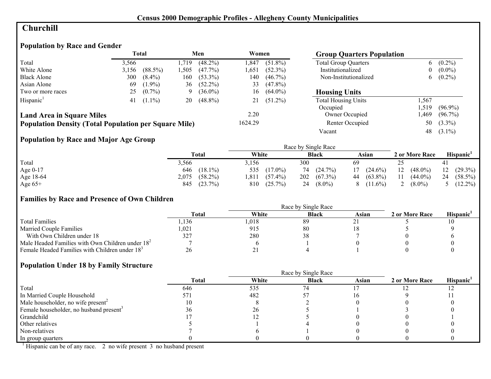# **Churchill**

# **Population by Race and Gender**

|                                                              |       | <b>Total</b> |      | Men        | Women   |            | <b>Group Quarters Population</b> |                  |            |
|--------------------------------------------------------------|-------|--------------|------|------------|---------|------------|----------------------------------|------------------|------------|
| Total                                                        | 3,566 |              | .719 | $(48.2\%)$ | .847    | $(51.8\%)$ | <b>Total Group Quarters</b>      | 6                | $(0.2\%)$  |
| White Alone                                                  | 3,156 | $(88.5\%)$   | .505 | $(47.7\%)$ | l.651   | $(52.3\%)$ | Institutionalized                | $\boldsymbol{0}$ | $(0.0\%)$  |
| <b>Black Alone</b>                                           | 300   | $(8.4\%)$    | 160  | $(53.3\%)$ | 140     | $(46.7\%)$ | Non-Institutionalized            | b                | $(0.2\%)$  |
| Asian Alone                                                  | 69    | $(1.9\%)$    | 36   | $(52.2\%)$ | 33      | $(47.8\%)$ |                                  |                  |            |
| Two or more races                                            | 25    | $(0.7\%)$    | 9    | $(36.0\%)$ | 16      | $(64.0\%)$ | <b>Housing Units</b>             |                  |            |
| Hispanic <sup>1</sup>                                        | 41    | $(1.1\%)$    | 20   | $(48.8\%)$ |         | $(51.2\%)$ | <b>Total Housing Units</b>       | .567             |            |
|                                                              |       |              |      |            |         |            | Occupied                         | .519             | $(96.9\%)$ |
| <b>Land Area in Square Miles</b>                             |       |              |      |            | 2.20    |            | Owner Occupied                   | .469             | $(96.7\%)$ |
| <b>Population Density (Total Population per Square Mile)</b> |       |              |      |            | 1624.29 |            | Renter Occupied                  | 50               | $(3.3\%)$  |
|                                                              |       |              |      |            |         |            | Vacant                           | 48               | $(3.1\%)$  |

# **Population by Race and Major Age Group**

|           |                     |                    | Race by Single Race |                  |                  |                       |
|-----------|---------------------|--------------------|---------------------|------------------|------------------|-----------------------|
|           | Total               | White              | <b>Black</b>        | Asian            | 2 or More Race   | Hispanic <sup>'</sup> |
| Total     | 5,566               | 3,156              | 300                 | 69               |                  |                       |
| Age 0-17  | $(18.1\%)$<br>646   | 535<br>$(17.0\%)$  | $(24.7\%)$<br>74    | $(24.6\%)$<br>17 | 12<br>$(48.0\%)$ | $12(29.3\%)$          |
| Age 18-64 | $(58.2\%)$<br>2,075 | $(57.4\%)$<br>.811 | 202<br>$(67.3\%)$   | 44 (63.8%)       | 11<br>$(44.0\%)$ | 24<br>$(58.5\%)$      |
| Age $65+$ | $(23.7\%)$<br>845   | $(25.7\%)$<br>810  | $(8.0\%)$<br>24     | $(11.6\%)$<br>8  | $(8.0\%)$        | 5 $(12.2\%)$          |

#### **Families by Race and Presence of Own Children**

|                                                            | <b>Total</b> | White | <b>Black</b> | Asian | 2 or More Race | <b>Hispanic</b> |
|------------------------------------------------------------|--------------|-------|--------------|-------|----------------|-----------------|
| <b>Total Families</b>                                      | .136         | .018  | 89           |       |                |                 |
| <b>Married Couple Families</b>                             | 0.021        | 915   | 80           |       |                |                 |
| With Own Children under 18                                 | 327          | 280   |              |       |                |                 |
| Male Headed Families with Own Children under $182$         |              |       |              |       |                |                 |
| Female Headed Families with Children under 18 <sup>3</sup> | 26           | ر پ   |              |       |                |                 |

#### **Population Under 18 by Family Structure**

|                                                     |       | Race by Single Race |              |       |                |                       |
|-----------------------------------------------------|-------|---------------------|--------------|-------|----------------|-----------------------|
|                                                     | Total | White               | <b>Black</b> | Asian | 2 or More Race | Hispanic <sup>1</sup> |
| Total                                               | 646   | 535                 | 74           |       |                |                       |
| In Married Couple Household                         |       | 482                 |              |       |                |                       |
| Male householder, no wife present <sup>2</sup>      | 10    |                     |              |       |                |                       |
| Female householder, no husband present <sup>3</sup> |       | 26                  |              |       |                |                       |
| Grandchild                                          |       |                     |              |       |                |                       |
| Other relatives                                     |       |                     |              |       |                |                       |
| Non-relatives                                       |       |                     |              |       |                |                       |
| In group quarters                                   |       |                     |              |       |                |                       |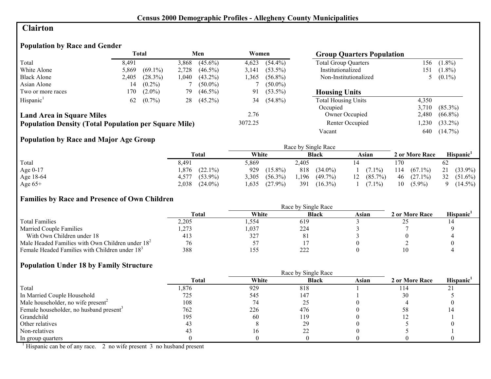# **Clairton**

# **Population by Race and Gender**

|                                                              | <b>Total</b> |            | Men   | Women      |         | <b>Group Quarters Population</b> |                             |       |            |
|--------------------------------------------------------------|--------------|------------|-------|------------|---------|----------------------------------|-----------------------------|-------|------------|
| Total                                                        | 8.491        |            | 3,868 | $(45.6\%)$ | 4,623   | $(54.4\%)$                       | <b>Total Group Quarters</b> | 156   | $(1.8\%)$  |
| White Alone                                                  | 5,869        | $(69.1\%)$ | 2,728 | $(46.5\%)$ | 3,141   | $(53.5\%)$                       | Institutionalized           | 151   | $(1.8\%)$  |
| <b>Black Alone</b>                                           | 2,405        | (28.3%)    | .040  | $(43.2\%)$ | l.365   | $(56.8\%)$                       | Non-Institutionalized       |       | $(0.1\%)$  |
| Asian Alone                                                  | 14           | $(0.2\%)$  |       | $(50.0\%)$ |         | $(50.0\%)$                       |                             |       |            |
| Two or more races                                            | l 70         | $(2.0\%)$  | 79    | $(46.5\%)$ | 91      | $(53.5\%)$                       | <b>Housing Units</b>        |       |            |
| Hispanic <sup>1</sup>                                        | 62           | $(0.7\%)$  | 28    | $(45.2\%)$ | 34      | $(54.8\%)$                       | <b>Total Housing Units</b>  | 4,350 |            |
|                                                              |              |            |       |            |         |                                  | Occupied                    | 3.710 | $(85.3\%)$ |
| <b>Land Area in Square Miles</b>                             |              |            |       |            | 2.76    |                                  | Owner Occupied              | 2,480 | $(66.8\%)$ |
| <b>Population Density (Total Population per Square Mile)</b> |              |            |       |            | 3072.25 |                                  | Renter Occupied             | ,230  | $(33.2\%)$ |
|                                                              |              |            |       |            |         |                                  | Vacant                      | 640   | $(14.7\%)$ |

# **Population by Race and Major Age Group**

|            |                     |                     | Race by Single Race |                  |                   |                       |
|------------|---------------------|---------------------|---------------------|------------------|-------------------|-----------------------|
|            | <b>Total</b>        | White               | <b>Black</b>        | Asian            | 2 or More Race    | Hispanic <sup>1</sup> |
| Total      | 8,491               | 5,869               | 2,405               |                  | 170               | 62                    |
| Age $0-17$ | $(22.1\%)$<br>.876  | 929<br>$(15.8\%)$   | 818<br>$(34.0\%)$   | $(7.1\%)$        | $(67.1\%)$<br>114 | 21<br>$(33.9\%)$      |
| Age 18-64  | $(53.9\%)$<br>4.577 | $(56.3\%)$<br>3.305 | 1,196<br>$(49.7\%)$ | $(85.7\%)$<br>12 | 46<br>$(27.1\%)$  | 32<br>$(51.6\%)$      |
| Age $65+$  | $(24.0\%)$<br>2,038 | $(27.9\%)$<br>1,635 | 391<br>$(16.3\%)$   | $(7.1\%)$        | 10<br>$(5.9\%)$   | $(14.5\%)$            |

#### **Families by Race and Presence of Own Children**

|                                                            | <b>Total</b> | White | <b>Black</b> | Asian | 2 or More Race | <b>Hispanic</b> |
|------------------------------------------------------------|--------------|-------|--------------|-------|----------------|-----------------|
| <b>Total Families</b>                                      | 2.205        | .554  | 619          |       |                |                 |
| <b>Married Couple Families</b>                             | ,273         | 1,037 | 224          |       |                |                 |
| With Own Children under 18                                 |              | 327   | 81           |       |                |                 |
| Male Headed Families with Own Children under $182$         | 76           |       |              |       |                |                 |
| Female Headed Families with Children under 18 <sup>3</sup> | 388          | 155   | 222          |       |                |                 |

#### **Population Under 18 by Family Structure**

|                                                     | <b>Total</b> | White | <b>Black</b> | Asian | 2 or More Race | Hispanic <sup>1</sup> |
|-----------------------------------------------------|--------------|-------|--------------|-------|----------------|-----------------------|
| Total                                               | .876         | 929   | 818          |       | 114            | 21                    |
| In Married Couple Household                         | 725          | 545   | 147          |       | 30             |                       |
| Male householder, no wife present <sup>2</sup>      | 108          | 74    | ں کے         |       |                |                       |
| Female householder, no husband present <sup>3</sup> | 762          | 226   | 476          |       |                |                       |
| Grandchild                                          | 195          | 60    | 119          |       |                |                       |
| Other relatives                                     | 43           |       | 29           |       |                |                       |
| Non-relatives                                       |              |       |              |       |                |                       |
| In group quarters                                   |              |       |              |       |                |                       |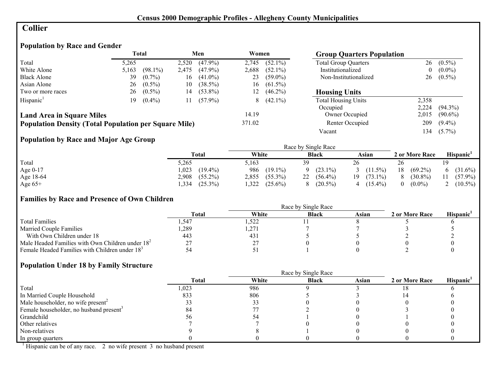# **Collier**

# **Population by Race and Gender**

|                                                              |       | <b>Total</b> |       | Men        | Women  |            | <b>Group Quarters Population</b> |                  |            |
|--------------------------------------------------------------|-------|--------------|-------|------------|--------|------------|----------------------------------|------------------|------------|
| Total                                                        | 5.265 |              | 2,520 | $(47.9\%)$ | 2,745  | $(52.1\%)$ | <b>Total Group Quarters</b>      | 26               | $(0.5\%)$  |
| White Alone                                                  | 5,163 | $(98.1\%)$   | 2,475 | $(47.9\%)$ | 2,688  | $(52.1\%)$ | Institutionalized                | $\boldsymbol{0}$ | $(0.0\%)$  |
| <b>Black Alone</b>                                           | 39    | $(0.7\%)$    | 16    | $(41.0\%)$ | 23     | $(59.0\%)$ | Non-Institutionalized            | 26               | $(0.5\%)$  |
| Asian Alone                                                  | 26    | $(0.5\%)$    | 10    | $(38.5\%)$ | 16     | $(61.5\%)$ |                                  |                  |            |
| Two or more races                                            | 26    | $(0.5\%)$    | 14    | $(53.8\%)$ | 12     | $(46.2\%)$ | <b>Housing Units</b>             |                  |            |
| Hispanic <sup>1</sup>                                        | 19.   | $(0.4\%)$    | 11    | $(57.9\%)$ | 8      | $(42.1\%)$ | <b>Total Housing Units</b>       | 2,358            |            |
|                                                              |       |              |       |            |        |            | Occupied                         | 2,224            | $(94.3\%)$ |
| <b>Land Area in Square Miles</b>                             |       |              |       |            | 14.19  |            | Owner Occupied                   | 2,015            | $(90.6\%)$ |
| <b>Population Density (Total Population per Square Mile)</b> |       |              |       |            | 371.02 |            | Renter Occupied                  | 209              | $(9.4\%)$  |
|                                                              |       |              |       |            |        |            | Vacant                           | l 34             | $(5.7\%)$  |

# **Population by Race and Major Age Group**

|           |                     |                     | Race by Single Race |                   |                       |                       |
|-----------|---------------------|---------------------|---------------------|-------------------|-----------------------|-----------------------|
|           | Total               | White               | <b>Black</b>        | Asian             | 2 or More Race        | Hispanic <sup>'</sup> |
| Total     | 5,265               | 5,163               | 39                  | 26                | 26                    |                       |
| Age 0-17  | $(19.4\%)$<br>,023  | 986<br>$(19.1\%)$   | $(23.1\%)$          | $(11.5\%)$        | 18<br>$(69.2\%)$      | $(31.6\%)$<br>6.      |
| Age 18-64 | $(55.2\%)$<br>2,908 | $(55.3\%)$<br>2,855 | 22<br>$(56.4\%)$    | $(73.1\%)$<br>19. | $(30.8\%)$<br>8       | $(57.9\%)$<br>11      |
| Age $65+$ | $(25.3\%)$<br>,334  | 322.<br>$(25.6\%)$  | $(20.5\%)$          | $(15.4\%)$        | $(0.0\%)$<br>$\theta$ | $(10.5\%)$            |

#### **Families by Race and Presence of Own Children**

|                                                            | Race by Single Race |       |              |       |                |                 |  |
|------------------------------------------------------------|---------------------|-------|--------------|-------|----------------|-----------------|--|
|                                                            | <b>Total</b>        | White | <b>Black</b> | Asian | 2 or More Race | <b>Hispanic</b> |  |
| <b>Total Families</b>                                      | .547                | ,522  |              |       |                |                 |  |
| <b>Married Couple Families</b>                             | ,289                | ,271  |              |       |                |                 |  |
| With Own Children under 18                                 | 443                 | 43)   |              |       |                |                 |  |
| Male Headed Families with Own Children under $182$         |                     | n.    |              |       |                |                 |  |
| Female Headed Families with Children under 18 <sup>3</sup> |                     |       |              |       |                |                 |  |

#### **Population Under 18 by Family Structure**

|                                                     |              | Race by Single Race |              |       |                |                       |
|-----------------------------------------------------|--------------|---------------------|--------------|-------|----------------|-----------------------|
|                                                     | <b>Total</b> | White               | <b>Black</b> | Asian | 2 or More Race | Hispanic <sup>1</sup> |
| Total                                               | 1,023        | 986                 |              |       |                |                       |
| In Married Couple Household                         | 833          | 806                 |              |       |                |                       |
| Male householder, no wife present <sup>2</sup>      |              |                     |              |       |                |                       |
| Female householder, no husband present <sup>3</sup> |              |                     |              |       |                |                       |
| Grandchild                                          |              |                     |              |       |                |                       |
| Other relatives                                     |              |                     |              |       |                |                       |
| Non-relatives                                       |              |                     |              |       |                |                       |
| In group quarters                                   |              |                     |              |       |                |                       |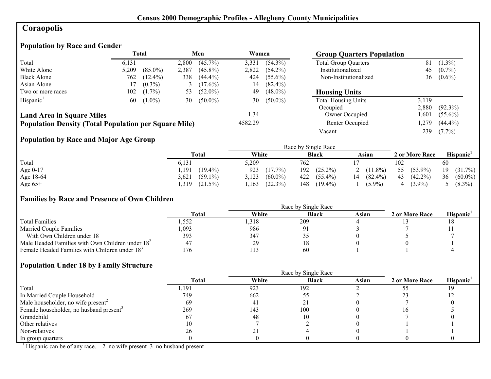# **Coraopolis**

# **Population by Race and Gender**

|                                                              |       | <b>Total</b> |       | Men        | Women   |            | <b>Group Quarters Population</b> |       |            |
|--------------------------------------------------------------|-------|--------------|-------|------------|---------|------------|----------------------------------|-------|------------|
| Total                                                        | 6,131 |              | 2,800 | $(45.7\%)$ | 3,331   | $(54.3\%)$ | <b>Total Group Quarters</b>      | 81    | $(1.3\%)$  |
| White Alone                                                  | 5,209 | $(85.0\%)$   | 2,387 | $(45.8\%)$ | 2,822   | $(54.2\%)$ | Institutionalized                | 45    | $(0.7\%)$  |
| <b>Black Alone</b>                                           | 762   | $(12.4\%)$   | 338   | $(44.4\%)$ | 424     | $(55.6\%)$ | Non-Institutionalized            | 36    | $(0.6\%)$  |
| Asian Alone                                                  |       | $(0.3\%)$    |       | $(17.6\%)$ | 14      | $(82.4\%)$ |                                  |       |            |
| Two or more races                                            | 102   | $(1.7\%)$    | 53    | $(52.0\%)$ | 49      | $(48.0\%)$ | <b>Housing Units</b>             |       |            |
| Hispanic <sup>1</sup>                                        | 60    | $(1.0\%)$    | 30    | $(50.0\%)$ | 30      | $(50.0\%)$ | <b>Total Housing Units</b>       | 3.119 |            |
|                                                              |       |              |       |            |         |            | Occupied                         | 2,880 | $(92.3\%)$ |
| <b>Land Area in Square Miles</b>                             |       |              |       |            | 1.34    |            | Owner Occupied                   | .601  | $(55.6\%)$ |
| <b>Population Density (Total Population per Square Mile)</b> |       |              |       |            | 4582.29 |            | Renter Occupied                  | ,279  | $(44.4\%)$ |
|                                                              |       |              |       |            |         |            | Vacant                           | 239   | $(7.7\%)$  |

# **Population by Race and Major Age Group**

|            |                     |                     | Race by Single Race |                  |                  |                       |
|------------|---------------------|---------------------|---------------------|------------------|------------------|-----------------------|
|            | <b>Total</b>        | White               | <b>Black</b>        | Asian            | 2 or More Race   | Hispanic <sup>1</sup> |
| Total      | 6,131               | 5,209               | 762                 |                  | 102              | 60                    |
| Age $0-17$ | $(19.4\%)$<br>,191  | 923<br>$(17.7\%)$   | $(25.2\%)$<br>192   | 2 $(11.8\%)$     | $(53.9\%)$<br>55 | $(31.7\%)$<br>19      |
| Age 18-64  | 3,621<br>$(59.1\%)$ | $(60.0\%)$<br>3,123 | 422<br>$(55.4\%)$   | 14<br>$(82.4\%)$ | 43<br>$(42.2\%)$ | 36<br>$(60.0\%)$      |
| Age $65+$  | .319<br>$(21.5\%)$  | (22.3%)<br>.163     | 148<br>$(19.4\%)$   | $(5.9\%)$        | $(3.9\%)$        | $(8.3\%)$             |

#### **Families by Race and Presence of Own Children**

|                                                            | <b>Total</b> | White | <b>Black</b> | Asian | 2 or More Race | Hispanic <sup>'</sup> |
|------------------------------------------------------------|--------------|-------|--------------|-------|----------------|-----------------------|
| <b>Total Families</b>                                      | .552         | ,318  | 209          |       |                |                       |
| <b>Married Couple Families</b>                             | 1,093        | 986   |              |       |                |                       |
| With Own Children under 18                                 | 393          | 347   |              |       |                |                       |
| Male Headed Families with Own Children under $182$         |              | 29    | 10           |       |                |                       |
| Female Headed Families with Children under 18 <sup>3</sup> | 176          |       | 60           |       |                |                       |

#### **Population Under 18 by Family Structure**

|                                                     |       |       | Race by Single Race |       |                |                       |
|-----------------------------------------------------|-------|-------|---------------------|-------|----------------|-----------------------|
|                                                     | Total | White | <b>Black</b>        | Asian | 2 or More Race | Hispanic <sup>1</sup> |
| Total                                               | ,191  | 923   | 192                 |       |                |                       |
| In Married Couple Household                         | 749   | 662   |                     |       |                |                       |
| Male householder, no wife present <sup>2</sup>      | 69    | 41    |                     |       |                |                       |
| Female householder, no husband present <sup>3</sup> | 269   | 143   | 100                 |       | ıо             |                       |
| Grandchild                                          | 67    | 48    |                     |       |                |                       |
| Other relatives                                     | l0    |       |                     |       |                |                       |
| Non-relatives                                       | 26    |       |                     |       |                |                       |
| In group quarters                                   |       |       |                     |       |                |                       |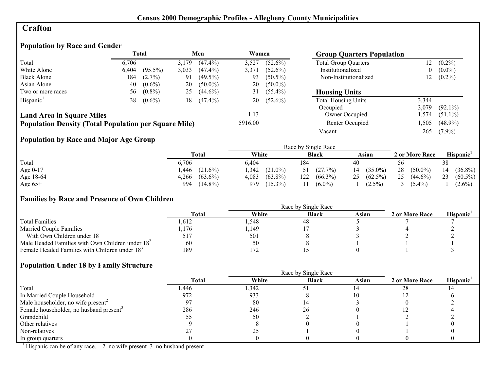# **Crafton**

# **Population by Race and Gender**

|                                                              |       | <b>Total</b> |       | Men        | Women   |            | <b>Group Quarters Population</b> |          |            |
|--------------------------------------------------------------|-------|--------------|-------|------------|---------|------------|----------------------------------|----------|------------|
| Total                                                        | 6.706 |              | 3,179 | $(47.4\%)$ | 3,527   | $(52.6\%)$ | <b>Total Group Quarters</b>      | 12       | $(0.2\%)$  |
| White Alone                                                  | 6.404 | $(95.5\%)$   | 3,033 | $(47.4\%)$ | 3,371   | $(52.6\%)$ | Institutionalized                | $\theta$ | $(0.0\%)$  |
| <b>Black Alone</b>                                           | 184   | $(2.7\%)$    | 91    | $(49.5\%)$ | 93      | $(50.5\%)$ | Non-Institutionalized            | 12       | $(0.2\%)$  |
| Asian Alone                                                  | 40    | $(0.6\%)$    | 20    | $(50.0\%)$ | 20      | $(50.0\%)$ |                                  |          |            |
| Two or more races                                            | 56    | $(0.8\%)$    | 25    | $(44.6\%)$ | 31      | $(55.4\%)$ | <b>Housing Units</b>             |          |            |
| Hispanic <sup>1</sup>                                        | 38    | $(0.6\%)$    | 18    | $(47.4\%)$ | 20      | $(52.6\%)$ | <b>Total Housing Units</b>       | 3,344    |            |
|                                                              |       |              |       |            |         |            | Occupied                         | 3,079    | $(92.1\%)$ |
| <b>Land Area in Square Miles</b>                             |       |              |       |            | 1.13    |            | Owner Occupied                   | .574     | $(51.1\%)$ |
| <b>Population Density (Total Population per Square Mile)</b> |       |              |       |            | 5916.00 |            | Renter Occupied                  | ,505     | $(48.9\%)$ |
|                                                              |       |              |       |            |         |            | Vacant                           | 265      | $(7.9\%)$  |

# **Population by Race and Major Age Group**

|           |                     |                          | Race by Single Race |                  |                  |                       |
|-----------|---------------------|--------------------------|---------------------|------------------|------------------|-----------------------|
|           | Total               | White                    | <b>Black</b>        | Asian            | 2 or More Race   | Hispanic <sup>'</sup> |
| Total     | 6,706               | 6.404                    | 184                 | 40               | 56               | 38                    |
| Age 0-17  | .446<br>$(21.6\%)$  | <b>342</b><br>$(21.0\%)$ | (27.7%)             | $(35.0\%)$<br>14 | 28<br>$(50.0\%)$ | $(36.8\%)$<br>14      |
| Age 18-64 | $(63.6\%)$<br>4,266 | 4,083<br>$(63.8\%)$      | $(66.3\%)$<br>122   | 25 $(62.5\%)$    | 25<br>$(44.6\%)$ | 23<br>$(60.5\%)$      |
| Age $65+$ | $(14.8\%)$<br>994   | $(15.3\%)$<br>979        | $(6.0\%)$           | $(2.5\%)$        | $(5.4\%)$        | $(2.6\%)$             |

#### **Families by Race and Presence of Own Children**

|                                                            | <b>Total</b> | White | <b>Black</b> | Asian | 2 or More Race | <b>Hispanic</b> |
|------------------------------------------------------------|--------------|-------|--------------|-------|----------------|-----------------|
| <b>Total Families</b>                                      | .612         | .548  | 48           |       |                |                 |
| <b>Married Couple Families</b>                             | ,176         | ,149  |              |       |                |                 |
| With Own Children under 18                                 |              | 501   |              |       |                |                 |
| Male Headed Families with Own Children under $182$         | 60           | 50    |              |       |                |                 |
| Female Headed Families with Children under 18 <sup>3</sup> | 189          | 172   |              |       |                |                 |

#### **Population Under 18 by Family Structure**

|                                                     |       |       | Race by Single Race |       |                |                       |
|-----------------------------------------------------|-------|-------|---------------------|-------|----------------|-----------------------|
|                                                     | Total | White | <b>Black</b>        | Asian | 2 or More Race | Hispanic <sup>1</sup> |
| Total                                               | ,446  | 342   |                     |       | 28             |                       |
| In Married Couple Household                         | 972   | 933   |                     |       |                |                       |
| Male householder, no wife present <sup>2</sup>      |       | 80    |                     |       |                |                       |
| Female householder, no husband present <sup>3</sup> | 286   | 246   | 26                  |       |                |                       |
| Grandchild                                          |       | 50    |                     |       |                |                       |
| Other relatives                                     |       |       |                     |       |                |                       |
| Non-relatives                                       |       |       |                     |       |                |                       |
| In group quarters                                   |       |       |                     |       |                |                       |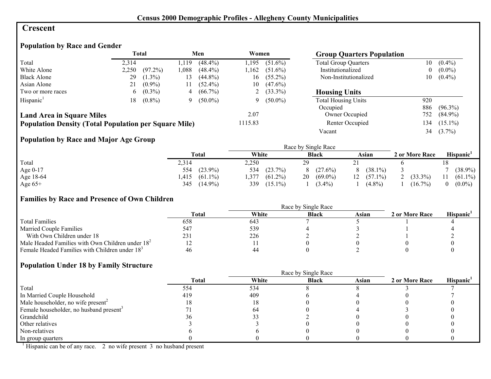#### **Crescent**

### **Population by Race and Gender**

|                                                              |       | <b>Total</b> |      | Men        | Women   |              | <b>Group Quarters Population</b> |          |            |
|--------------------------------------------------------------|-------|--------------|------|------------|---------|--------------|----------------------------------|----------|------------|
| Total                                                        | 2,314 |              | .119 | $(48.4\%)$ | 1.195   | $(51.6\%)$   | <b>Total Group Quarters</b>      | 10       | $(0.4\%)$  |
| White Alone                                                  | 2,250 | $(97.2\%)$   | .088 | $(48.4\%)$ | 1.162   | $(51.6\%)$   | Institutionalized                | $\bf{0}$ | $(0.0\%)$  |
| <b>Black Alone</b>                                           | 29    | $(1.3\%)$    | 13   | $(44.8\%)$ | 16      | $(55.2\%)$   | Non-Institutionalized            | 10       | $(0.4\%)$  |
| Asian Alone                                                  | 21    | $(0.9\%)$    | 11   | $(52.4\%)$ | 10      | $(47.6\%)$   |                                  |          |            |
| Two or more races                                            | 6.    | $(0.3\%)$    | 4    | $(66.7\%)$ |         | 2 $(33.3\%)$ | <b>Housing Units</b>             |          |            |
| Hispanic <sup>1</sup>                                        | 18.   | $(0.8\%)$    | 9    | $(50.0\%)$ |         | 9 $(50.0\%)$ | <b>Total Housing Units</b>       | 920      |            |
|                                                              |       |              |      |            |         |              | Occupied                         | 886      | $(96.3\%)$ |
| <b>Land Area in Square Miles</b>                             |       |              |      |            | 2.07    |              | Owner Occupied                   | 752      | $(84.9\%)$ |
| <b>Population Density (Total Population per Square Mile)</b> |       |              |      |            | 1115.83 |              | Renter Occupied                  | 134      | $(15.1\%)$ |
|                                                              |       |              |      |            |         |              | Vacant                           | 34       | $(3.7\%)$  |

# **Population by Race and Major Age Group**

|           |                    |                    | Race by Single Race |                  |                |            |
|-----------|--------------------|--------------------|---------------------|------------------|----------------|------------|
|           | <b>Total</b>       | White              | <b>Black</b>        | Asian            | 2 or More Race | Hispanic'  |
| Total     | 2,314              | 2,250              | 20                  |                  |                |            |
| Age 0-17  | $(23.9\%)$<br>554  | (23.7%)<br>534     | $(27.6\%)$          | $(38.1\%)$<br>8  |                | $(38.9\%)$ |
| Age 18-64 | $(61.1\%)$<br>.415 | $(61.2\%)$<br>.377 | $(69.0\%)$<br>20    | 12<br>$(57.1\%)$ | $(33.3\%)$     | $(61.1\%)$ |
| Age $65+$ | 345<br>$(14.9\%)$  | 339<br>$(15.1\%)$  | $(3.4\%)$           | $(4.8\%)$        | $(16.7\%)$     | $(0.0\%)$  |

#### **Families by Race and Presence of Own Children**

|                                                            | Race by Single Race |       |              |       |                |                 |  |  |
|------------------------------------------------------------|---------------------|-------|--------------|-------|----------------|-----------------|--|--|
|                                                            | <b>Total</b>        | White | <b>Black</b> | Asian | 2 or More Race | <b>Hispanic</b> |  |  |
| <b>Total Families</b>                                      | 658                 | 643   |              |       |                |                 |  |  |
| <b>Married Couple Families</b>                             | 547                 | 539   |              |       |                |                 |  |  |
| With Own Children under 18                                 | 231                 | 226   |              |       |                |                 |  |  |
| Male Headed Families with Own Children under $182$         |                     |       |              |       |                |                 |  |  |
| Female Headed Families with Children under 18 <sup>3</sup> | 46                  | 44    |              |       |                |                 |  |  |

#### **Population Under 18 by Family Structure**

|                                                     | <b>Total</b> | White | <b>Black</b> | Asian | 2 or More Race | Hispanic <sup>1</sup> |
|-----------------------------------------------------|--------------|-------|--------------|-------|----------------|-----------------------|
| Total                                               | 554          | 534   |              |       |                |                       |
| In Married Couple Household                         | 419          | 409   |              |       |                |                       |
| Male householder, no wife present <sup>2</sup>      | l 8          | Ιð    |              |       |                |                       |
| Female householder, no husband present <sup>3</sup> |              | 64    |              |       |                |                       |
| Grandchild                                          | эn           |       |              |       |                |                       |
| Other relatives                                     |              |       |              |       |                |                       |
| Non-relatives                                       |              |       |              |       |                |                       |
| In group quarters                                   |              |       |              |       |                |                       |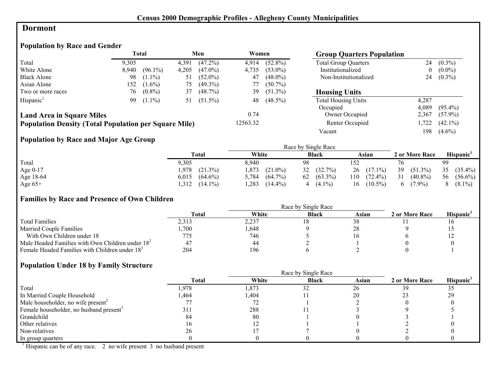#### **Dormont**

#### **Population by Race and Gender**

|                                                              |       | <b>Total</b> |       | Men        | Women    |            | <b>Group Quarters Population</b> |       |            |
|--------------------------------------------------------------|-------|--------------|-------|------------|----------|------------|----------------------------------|-------|------------|
| Total                                                        | 9,305 |              | 4,391 | $(47.2\%)$ | 4,914    | $(52.8\%)$ | <b>Total Group Quarters</b>      | 24    | $(0.3\%)$  |
| White Alone                                                  | 8.940 | $(96.1\%)$   | 4,205 | $(47.0\%)$ | 4,735    | $(53.0\%)$ | Institutionalized                | 0     | $(0.0\%)$  |
| <b>Black Alone</b>                                           | 98    | $(1.1\%)$    | 51    | $(52.0\%)$ | 47       | $(48.0\%)$ | Non-Institutionalized            | 24    | $(0.3\%)$  |
| Asian Alone                                                  | 152   | $(1.6\%)$    | 75    | $(49.3\%)$ | 77       | $(50.7\%)$ |                                  |       |            |
| Two or more races                                            | 76    | $(0.8\%)$    | 37    | $(48.7\%)$ | 39       | $(51.3\%)$ | <b>Housing Units</b>             |       |            |
| Hispanic <sup>1</sup>                                        | 99    | $(1.1\%)$    | 51    | $(51.5\%)$ | 48       | $(48.5\%)$ | <b>Total Housing Units</b>       | 4.287 |            |
|                                                              |       |              |       |            |          |            | Occupied                         | 4.089 | $(95.4\%)$ |
| <b>Land Area in Square Miles</b>                             |       |              |       |            | 0.74     |            | Owner Occupied                   | 2,367 | $(57.9\%)$ |
| <b>Population Density (Total Population per Square Mile)</b> |       |              |       |            | 12563.32 |            | Renter Occupied                  | ,722  | $(42.1\%)$ |
|                                                              |       |              |       |            |          |            | Vacant                           | 198   | $(4.6\%)$  |

# **Population by Race and Major Age Group**

|            |                     |                     | Race by Single Race |                   |                           |                  |
|------------|---------------------|---------------------|---------------------|-------------------|---------------------------|------------------|
|            | Total               | White               | <b>Black</b>        | Asian             | 2 or More Race            | <b>Hispanic</b>  |
| Total      | 9,305               | 8.940               | 98                  | 152               |                           | 99               |
| Age $0-17$ | 1.978<br>$(21.3\%)$ | .873<br>$(21.0\%)$  | $(32.7\%)$<br>32    | $(17.1\%)$<br>26  | 39<br>$(51.3\%)$          | 35<br>$(35.4\%)$ |
| Age 18-64  | 6,015<br>$(64.6\%)$ | $(64.7\%)$<br>5,784 | $(63.3\%)$<br>62    | 110<br>$(72.4\%)$ | 31<br>$(40.8\%)$          | 56<br>$(56.6\%)$ |
| Age $65+$  | .312<br>$(14.1\%)$  | ,283<br>$(14.4\%)$  | $(4.1\%)$<br>4      | $(10.5\%)$<br>16  | $(7.9\%)$<br><sub>0</sub> | $(8.1\%)$        |

#### **Families by Race and Presence of Own Children**

|                                                            | <b>Total</b> | White | <b>Black</b> | Asian      | 2 or More Race | <b>Hispanic</b> |
|------------------------------------------------------------|--------------|-------|--------------|------------|----------------|-----------------|
| <b>Total Families</b>                                      | 2.313        | 2,237 |              | 38         |                |                 |
| <b>Married Couple Families</b>                             | ,700         | .648  |              | $\angle 0$ |                |                 |
| With Own Children under 18                                 |              | 746   |              |            |                | $\overline{1}$  |
| Male Headed Families with Own Children under $182$         |              | 44    |              |            |                |                 |
| Female Headed Families with Children under 18 <sup>3</sup> | 204          | 196   |              |            |                |                 |

#### **Population Under 18 by Family Structure**

|                                                     |       |       | Race by Single Race |       |                |                       |
|-----------------------------------------------------|-------|-------|---------------------|-------|----------------|-----------------------|
|                                                     | Total | White | <b>Black</b>        | Asian | 2 or More Race | Hispanic <sup>1</sup> |
| Total                                               | .978  | 1,873 | 32                  | 26    | 39             | 35                    |
| In Married Couple Household                         | .464  | ,404  |                     | 20    |                | 29                    |
| Male householder, no wife present <sup>2</sup>      |       |       |                     |       |                |                       |
| Female householder, no husband present <sup>3</sup> | 311   | 288   |                     |       |                |                       |
| Grandchild                                          | 84    | 80    |                     |       |                |                       |
| Other relatives                                     | l 6   |       |                     |       |                |                       |
| Non-relatives                                       | 26    |       |                     |       |                |                       |
| In group quarters                                   |       |       |                     |       |                |                       |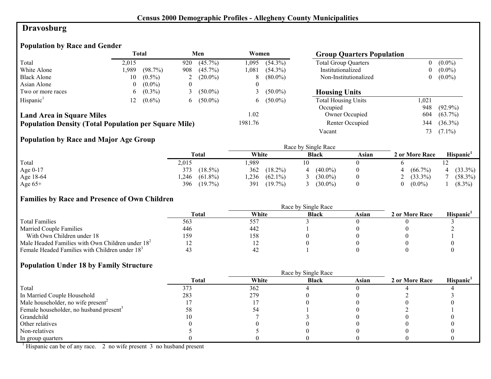# **Dravosburg**

# **Population by Race and Gender**

|                                                              |       | <b>Total</b> |          | Men          | Women   |              | <b>Group Quarters Population</b> |          |            |
|--------------------------------------------------------------|-------|--------------|----------|--------------|---------|--------------|----------------------------------|----------|------------|
| Total                                                        | 2,015 |              | 920      | $(45.7\%)$   | 1.095   | $(54.3\%)$   | <b>Total Group Quarters</b>      | 0        | $(0.0\%)$  |
| White Alone                                                  | 1,989 | (98.7%)      | 908      | $(45.7\%)$   | 1.081   | $(54.3\%)$   | Institutionalized                | $\bf{0}$ | $(0.0\%)$  |
| <b>Black Alone</b>                                           | 10    | $(0.5\%)$    |          | $(20.0\%)$   | 8       | $(80.0\%)$   | Non-Institutionalized            | $\theta$ | $(0.0\%)$  |
| Asian Alone                                                  | 0     | $(0.0\%)$    | $\theta$ |              |         |              |                                  |          |            |
| Two or more races                                            | 6.    | $(0.3\%)$    |          | $(50.0\%)$   |         | $(50.0\%)$   | <b>Housing Units</b>             |          |            |
| Hispanic <sup>1</sup>                                        |       | $(0.6\%)$    |          | 6 $(50.0\%)$ |         | 6 $(50.0\%)$ | <b>Total Housing Units</b>       | 0.021    |            |
|                                                              |       |              |          |              |         |              | Occupied                         | 948      | $(92.9\%)$ |
| <b>Land Area in Square Miles</b>                             |       |              |          |              | 1.02    |              | Owner Occupied                   | 604      | $(63.7\%)$ |
| <b>Population Density (Total Population per Square Mile)</b> |       |              |          |              | 1981.76 |              | Renter Occupied                  | 344      | $(36.3\%)$ |
|                                                              |       |              |          |              |         |              | Vacant                           | 73.      | $(7.1\%)$  |

# **Population by Race and Major Age Group**

|           |                    | Race by Single Race |              |       |                |            |  |  |
|-----------|--------------------|---------------------|--------------|-------|----------------|------------|--|--|
|           | <b>Total</b>       | White               | <b>Black</b> | Asian | 2 or More Race | Hispanic'  |  |  |
| Total     | 2,015              | ,989                |              |       |                |            |  |  |
| Age 0-17  | $(18.5\%)$<br>373  | 362<br>$(18.2\%)$   | $(40.0\%)$   |       | $(66.7\%)$     | $(33.3\%)$ |  |  |
| Age 18-64 | ,246<br>$(61.8\%)$ | ,236<br>$(62.1\%)$  | $(30.0\%)$   |       | $(33.3\%)$     | $(58.3\%)$ |  |  |
| Age $65+$ | 396<br>$(19.7\%)$  | 391<br>$(19.7\%)$   | $(30.0\%)$   |       | $(0.0\%)$      | $(8.3\%)$  |  |  |

#### **Families by Race and Presence of Own Children**

|                                                            | Total | White       | <b>Black</b> | Asian | 2 or More Race | <b>Hispanic</b> |
|------------------------------------------------------------|-------|-------------|--------------|-------|----------------|-----------------|
| <b>Total Families</b>                                      | 563   | 557         |              |       |                |                 |
| <b>Married Couple Families</b>                             | 446   | 442         |              |       |                |                 |
| With Own Children under 18                                 | 159   | 158         |              |       |                |                 |
| Male Headed Families with Own Children under $182$         |       |             |              |       |                |                 |
| Female Headed Families with Children under 18 <sup>3</sup> |       | $4'_{\sim}$ |              |       |                |                 |

#### **Population Under 18 by Family Structure**

|                                                     |       |       | Race by Single Race |       |                |                       |
|-----------------------------------------------------|-------|-------|---------------------|-------|----------------|-----------------------|
|                                                     | Total | White | <b>Black</b>        | Asian | 2 or More Race | Hispanic <sup>1</sup> |
| Total                                               | 373   | 362   |                     |       |                |                       |
| In Married Couple Household                         | 283   | 279   |                     |       |                |                       |
| Male householder, no wife present <sup>2</sup>      |       |       |                     |       |                |                       |
| Female householder, no husband present <sup>3</sup> |       |       |                     |       |                |                       |
| Grandchild                                          |       |       |                     |       |                |                       |
| Other relatives                                     |       |       |                     |       |                |                       |
| Non-relatives                                       |       |       |                     |       |                |                       |
| In group quarters                                   |       |       |                     |       |                |                       |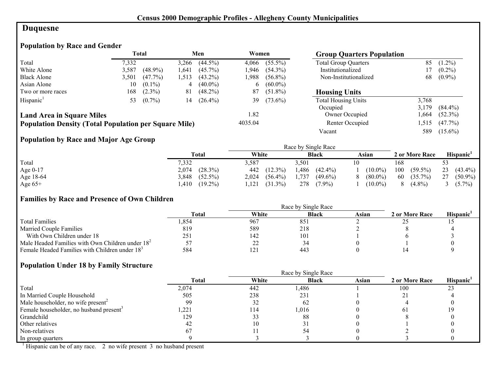# **Duquesne**

# **Population by Race and Gender**

|                                                              |       | Total      |       | Men        | Women   |            | <b>Group Quarters Population</b> |       |            |
|--------------------------------------------------------------|-------|------------|-------|------------|---------|------------|----------------------------------|-------|------------|
| Total                                                        | 7,332 |            | 3.266 | $(44.5\%)$ | 4,066   | $(55.5\%)$ | <b>Total Group Quarters</b>      | 85    | $(1.2\%)$  |
| White Alone                                                  | 3,587 | $(48.9\%)$ | .641  | $(45.7\%)$ | 1.946   | $(54.3\%)$ | Institutionalized                |       | $(0.2\%)$  |
| <b>Black Alone</b>                                           | 3.501 | $(47.7\%)$ | .513  | $(43.2\%)$ | l.988   | $(56.8\%)$ | Non-Institutionalized            | 68    | $(0.9\%)$  |
| Asian Alone                                                  | 10    | $(0.1\%)$  | 4     | $(40.0\%)$ | 6       | $(60.0\%)$ |                                  |       |            |
| Two or more races                                            | 168   | $(2.3\%)$  | 81    | $(48.2\%)$ | 87      | $(51.8\%)$ | <b>Housing Units</b>             |       |            |
| Hispanic <sup>1</sup>                                        | 53    | $(0.7\%)$  | 14    | $(26.4\%)$ | 39      | $(73.6\%)$ | <b>Total Housing Units</b>       | 3,768 |            |
|                                                              |       |            |       |            |         |            | Occupied                         | 3.179 | $(84.4\%)$ |
| <b>Land Area in Square Miles</b>                             |       |            |       |            | 1.82    |            | Owner Occupied                   | .,664 | $(52.3\%)$ |
| <b>Population Density (Total Population per Square Mile)</b> |       |            |       |            | 4035.04 |            | Renter Occupied                  | .515  | $(47.7\%)$ |
|                                                              |       |            |       |            |         |            | Vacant                           | 589   | $(15.6\%)$ |

# **Population by Race and Major Age Group**

|           |                     |                     | Race by Single Race |            |                   |                       |
|-----------|---------------------|---------------------|---------------------|------------|-------------------|-----------------------|
|           | Total               | White               | <b>Black</b>        | Asian      | 2 or More Race    | Hispanic <sup>1</sup> |
| Total     | 7,332               | 3,587               | 3.501               |            | 168               |                       |
| Age 0-17  | $(28.3\%)$<br>2,074 | $(12.3\%)$<br>442   | 1,486<br>$(42.4\%)$ | $(10.0\%)$ | 100<br>$(59.5\%)$ | 23<br>$(43.4\%)$      |
| Age 18-64 | 3,848<br>$(52.5\%)$ | 2,024<br>$(56.4\%)$ | 1,737<br>$(49.6\%)$ | $(80.0\%)$ | 60<br>$(35.7\%)$  | 27<br>$(50.9\%)$      |
| Age $65+$ | $(19.2\%)$<br>.410  | $(31.3\%)$<br>.121  | 278<br>$(7.9\%)$    | $(10.0\%)$ | $(4.8\%)$         | $(5.7\%)$             |

#### **Families by Race and Presence of Own Children**

|                                                            | <b>Total</b> | White | <b>Black</b>    | Asian | 2 or More Race | Hispanic <sup>'</sup> |
|------------------------------------------------------------|--------------|-------|-----------------|-------|----------------|-----------------------|
| <b>Total Families</b>                                      | .854         | 967   | 851             |       |                |                       |
| <b>Married Couple Families</b>                             | 819          | 589   | 218             |       |                |                       |
| With Own Children under 18                                 | 251          | 142   | 10 <sub>1</sub> |       |                |                       |
| Male Headed Families with Own Children under $182$         |              | 22    |                 |       |                |                       |
| Female Headed Families with Children under 18 <sup>3</sup> | 584          | 121   | 443             |       |                |                       |

#### **Population Under 18 by Family Structure**

|                                                     |              | Race by Single Race |              |       |                |                       |  |  |  |
|-----------------------------------------------------|--------------|---------------------|--------------|-------|----------------|-----------------------|--|--|--|
|                                                     | <b>Total</b> | White               | <b>Black</b> | Asian | 2 or More Race | Hispanic <sup>1</sup> |  |  |  |
| Total                                               | 2,074        | 442                 | .486         |       | 100            | 23                    |  |  |  |
| In Married Couple Household                         | 505          | 238                 | 231          |       |                |                       |  |  |  |
| Male householder, no wife present <sup>2</sup>      | 99           | 32                  | 62           |       |                |                       |  |  |  |
| Female householder, no husband present <sup>3</sup> | .221         | 114                 | 1,016        |       | 6 L            |                       |  |  |  |
| Grandchild                                          | 129          | 33                  | 88           |       |                |                       |  |  |  |
| Other relatives                                     |              |                     |              |       |                |                       |  |  |  |
| Non-relatives                                       | 67           |                     |              |       |                |                       |  |  |  |
| In group quarters                                   |              |                     |              |       |                |                       |  |  |  |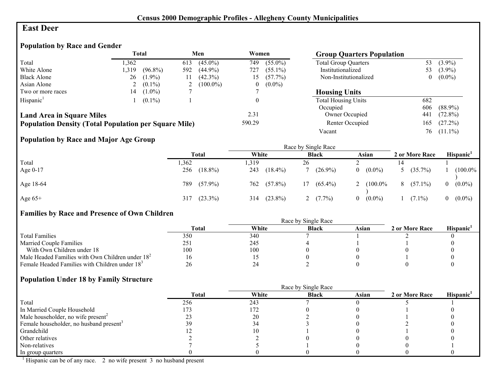## **East Deer**

# **Population by Race and Gender**

|                                                              | <b>Total</b> |            | Men            |             | Women  |            | <b>Group Quarters Population</b> |                |            |
|--------------------------------------------------------------|--------------|------------|----------------|-------------|--------|------------|----------------------------------|----------------|------------|
| Total                                                        | .362         |            | 613            | $(45.0\%)$  | 749    | $(55.0\%)$ | <b>Total Group Quarters</b>      | 53             | $(3.9\%)$  |
| White Alone                                                  | 1,319        | $(96.8\%)$ | 592            | $(44.9\%)$  | 727    | $(55.1\%)$ | Institutionalized                | 53             | $(3.9\%)$  |
| <b>Black Alone</b>                                           | 26           | $(1.9\%)$  |                | $(42.3\%)$  | 15     | $(57.7\%)$ | Non-Institutionalized            | $\overline{0}$ | $(0.0\%)$  |
| Asian Alone                                                  |              | $(0.1\%)$  | $\overline{ }$ | $(100.0\%)$ | U      | $(0.0\%)$  |                                  |                |            |
| Two or more races                                            | 14           | $(1.0\%)$  |                |             |        |            | <b>Housing Units</b>             |                |            |
| Hispanic <sup>1</sup>                                        |              | $(0.1\%)$  |                |             |        |            | <b>Total Housing Units</b>       | 682            |            |
|                                                              |              |            |                |             |        |            | Occupied                         | 606            | $(88.9\%)$ |
| <b>Land Area in Square Miles</b>                             |              |            |                |             | 2.31   |            | Owner Occupied                   | 441            | $(72.8\%)$ |
| <b>Population Density (Total Population per Square Mile)</b> |              |            |                |             | 590.29 |            | Renter Occupied                  | 165            | $(27.2\%)$ |
|                                                              |              |            |                |             |        |            | Vacant                           | 76             | $(11.1\%)$ |

# **Population by Race and Major Age Group**

|           |      | Race by Single Race |       |            |    |              |          |            |  |                |                       |
|-----------|------|---------------------|-------|------------|----|--------------|----------|------------|--|----------------|-----------------------|
|           |      | Total               | White |            |    | <b>Black</b> |          | Asian      |  | 2 or More Race | Hispanic <sup>1</sup> |
| Total     | ,362 |                     | . 319 |            | 26 |              |          |            |  |                |                       |
| Age 0-17  | 256  | $(18.8\%)$          | 243   | $(18.4\%)$ |    | $(26.9\%)$   | $\theta$ | $(0.0\%)$  |  | 5 $(35.7\%)$   | $(100.0\%$            |
| Age 18-64 | 789  | $(57.9\%)$          | 762   | $(57.8\%)$ | 17 | $(65.4\%)$   | 2        | $(100.0\%$ |  | $8(57.1\%)$    | $0 (0.0\%)$           |
| Age $65+$ |      | $317$ $(23.3\%)$    | 314   | $(23.8\%)$ |    | $(7.7\%)$    | $\Omega$ | $(0.0\%)$  |  | $(7.1\%)$      | $0 (0.0\%)$           |

#### **Families by Race and Presence of Own Children**

|                                                            | Total | White | <b>Black</b> | Asian | 2 or More Race | <b>Hispanic</b> |
|------------------------------------------------------------|-------|-------|--------------|-------|----------------|-----------------|
| <b>Total Families</b>                                      | 350   | 340   |              |       |                |                 |
| <b>Married Couple Families</b>                             | 251   | 245   |              |       |                |                 |
| With Own Children under 18                                 | 100   | 100   |              |       |                |                 |
| Male Headed Families with Own Children under $182$         |       |       |              |       |                |                 |
| Female Headed Families with Children under 18 <sup>3</sup> | 26    |       |              |       |                |                 |

#### **Population Under 18 by Family Structure**

|                                                     |              |       | Race by Single Race |       |                |                       |
|-----------------------------------------------------|--------------|-------|---------------------|-------|----------------|-----------------------|
|                                                     | <b>Total</b> | White | <b>Black</b>        | Asian | 2 or More Race | Hispanic <sup>1</sup> |
| Total                                               | 256          | 243   |                     |       |                |                       |
| In Married Couple Household                         |              | 172   |                     |       |                |                       |
| Male householder, no wife present <sup>2</sup>      |              | 20    |                     |       |                |                       |
| Female householder, no husband present <sup>3</sup> |              |       |                     |       |                |                       |
| Grandchild                                          |              | 10    |                     |       |                |                       |
| Other relatives                                     |              |       |                     |       |                |                       |
| Non-relatives                                       |              |       |                     |       |                |                       |
| In group quarters                                   |              |       |                     |       |                |                       |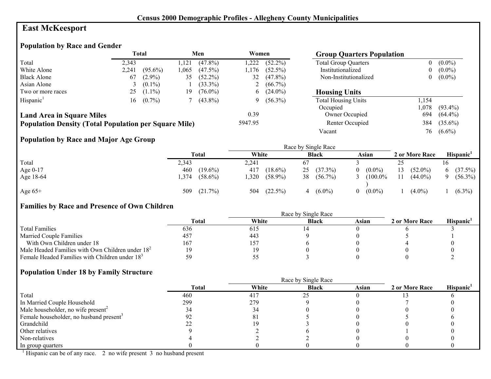# **East McKeesport**

#### **Population by Race and Gender**

|                                                              | <b>Total</b> |            |      |            |         |              | Men<br>Women                |      | <b>Group Quarters Population</b> |  |  |
|--------------------------------------------------------------|--------------|------------|------|------------|---------|--------------|-----------------------------|------|----------------------------------|--|--|
| Total                                                        | 2.343        |            | .121 | $(47.8\%)$ | 1.222   | $(52.2\%)$   | <b>Total Group Quarters</b> | 0    | $(0.0\%)$                        |  |  |
| White Alone                                                  | 2,241        | $(95.6\%)$ | .065 | $(47.5\%)$ | 1.176   | $(52.5\%)$   | Institutionalized           | 0    | $(0.0\%)$                        |  |  |
| <b>Black Alone</b>                                           | 67           | $(2.9\%)$  | 35   | $(52.2\%)$ | 32      | $(47.8\%)$   | Non-Institutionalized       | 0    | $(0.0\%)$                        |  |  |
| Asian Alone                                                  |              | $(0.1\%)$  |      | $(33.3\%)$ |         | 2 $(66.7\%)$ |                             |      |                                  |  |  |
| Two or more races                                            | 25           | $(1.1\%)$  | 19   | $(76.0\%)$ |         | $6(24.0\%)$  | <b>Housing Units</b>        |      |                                  |  |  |
| Hispanic <sup>1</sup>                                        | 16           | $(0.7\%)$  |      | $(43.8\%)$ | Q.      | $(56.3\%)$   | <b>Total Housing Units</b>  | ,154 |                                  |  |  |
|                                                              |              |            |      |            |         |              | Occupied                    | .078 | $(93.4\%)$                       |  |  |
| <b>Land Area in Square Miles</b>                             |              |            |      |            | 0.39    |              | Owner Occupied              | 694  | $(64.4\%)$                       |  |  |
| <b>Population Density (Total Population per Square Mile)</b> |              |            |      |            | 5947.95 |              | Renter Occupied             | 384  | $(35.6\%)$                       |  |  |
|                                                              |              |            |      |            |         |              | Vacant                      | 76   | $(6.6\%)$                        |  |  |

# **Population by Race and Major Age Group**

|            |       |            |       |            |    | Race by Single Race |          |            |     |                |    |                       |
|------------|-------|------------|-------|------------|----|---------------------|----------|------------|-----|----------------|----|-----------------------|
|            |       | Total      | White |            |    | <b>Black</b>        |          | Asian      |     | 2 or More Race |    | Hispanic <sup>1</sup> |
| Total      | 2,343 |            | 2,241 |            | 67 |                     |          |            | ر ب |                |    |                       |
| Age $0-17$ | 460   | $(19.6\%)$ | 417   | $(18.6\%)$ | 25 | $(37.3\%)$          | $\Omega$ | $(0.0\%)$  | 13  | $(52.0\%)$     | 6. | (37.5%)               |
| Age 18-64  | ,374  | $(58.6\%)$ | 1,320 | $(58.9\%)$ | 38 | $(56.7\%)$          | 3        | $(100.0\%$ | 11  | $(44.0\%)$     |    | $(56.3\%)$            |
| Age $65+$  | 509   | (21.7%)    | 504   | $(22.5\%)$ |    | $(6.0\%)$           | $\Omega$ | $(0.0\%)$  |     | $(4.0\%)$      |    | $(6.3\%)$             |

# **Families by Race and Presence of Own Children**

|                                                            | Total | White | <b>Black</b> | Asian | 2 or More Race | <b>Hispanic</b> |
|------------------------------------------------------------|-------|-------|--------------|-------|----------------|-----------------|
| <b>Total Families</b>                                      | 636   | 615   |              |       |                |                 |
| <b>Married Couple Families</b>                             | 457   | 443   |              |       |                |                 |
| With Own Children under 18                                 | 167   | 157   |              |       |                |                 |
| Male Headed Families with Own Children under $182$         |       | 19    |              |       |                |                 |
| Female Headed Families with Children under 18 <sup>3</sup> |       |       |              |       |                |                 |

# **Population Under 18 by Family Structure**

|                                                     |              |       | Race by Single Race |       |                |                       |
|-----------------------------------------------------|--------------|-------|---------------------|-------|----------------|-----------------------|
|                                                     | <b>Total</b> | White | <b>Black</b>        | Asian | 2 or More Race | Hispanic <sup>1</sup> |
| Total                                               | 460          | 417   | 25                  |       |                |                       |
| In Married Couple Household                         | 299          | 279   |                     |       |                |                       |
| Male householder, no wife present <sup>2</sup>      |              |       |                     |       |                |                       |
| Female householder, no husband present <sup>3</sup> |              | Õ.    |                     |       |                |                       |
| Grandchild                                          |              |       |                     |       |                |                       |
| Other relatives                                     |              |       |                     |       |                |                       |
| Non-relatives                                       |              |       |                     |       |                |                       |
| In group quarters                                   |              |       |                     |       |                |                       |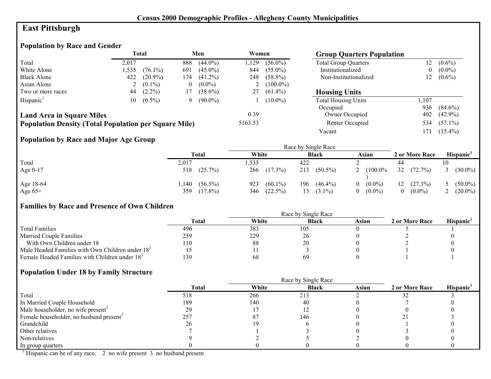# **East Pittsburgh**

# **Population by Race and Gender**

|                                                              | <b>Total</b> |            | Men      |            | Women          |             | <b>Group Quarters Population</b> |       |            |
|--------------------------------------------------------------|--------------|------------|----------|------------|----------------|-------------|----------------------------------|-------|------------|
| Total                                                        | 2.017        |            | 888      | $(44.0\%)$ | .129           | $(56.0\%)$  | <b>Total Group Quarters</b>      | 12    | $(0.6\%)$  |
| White Alone                                                  | .535         | $(76.1\%)$ | 691      | $(45.0\%)$ | 844            | $(55.0\%)$  | Institutionalized                | 0     | $(0.0\%)$  |
| <b>Black Alone</b>                                           | 422          | $(20.9\%)$ | l 74     | $(41.2\%)$ | 248            | $(58.8\%)$  | Non-Institutionalized            | 12    | $(0.6\%)$  |
| Asian Alone                                                  |              | $(0.1\%)$  | $\theta$ | $(0.0\%)$  | $\overline{a}$ | $(100.0\%)$ |                                  |       |            |
| Two or more races                                            | 44           | $(2.2\%)$  | 17       | $(38.6\%)$ | 27             | $(61.4\%)$  | <b>Housing Units</b>             |       |            |
| Hispanic <sup>1</sup>                                        | 10-          | $(0.5\%)$  | 9        | $(90.0\%)$ |                | $(10.0\%)$  | <b>Total Housing Units</b>       | 1,107 |            |
|                                                              |              |            |          |            |                |             | Occupied                         | 936   | $(84.6\%)$ |
| <b>Land Area in Square Miles</b>                             |              |            |          |            | 0.39           |             | Owner Occupied                   | 402   | $(42.9\%)$ |
| <b>Population Density (Total Population per Square Mile)</b> |              |            |          |            | 5163.53        |             | Renter Occupied                  | 534   | $(57.1\%)$ |
|                                                              |              |            |          |            |                |             | Vacant                           | 171   | $(15.4\%)$ |

# **Population by Race and Major Age Group**

|            |                    |                   | Race by Single Race |                       |                       |                       |
|------------|--------------------|-------------------|---------------------|-----------------------|-----------------------|-----------------------|
|            | <b>Total</b>       | White             | <b>Black</b>        | Asian                 | 2 or More Race        | Hispanic <sup>1</sup> |
| Total      | 2,017              | .535              | 422                 |                       | 44                    |                       |
| Age $0-17$ | $(25.7\%)$<br>518  | 266<br>$(17.3\%)$ | 213<br>$(50.5\%)$   | $(100.0\%$            | 32<br>$(72.7\%)$      | $(30.0\%)$            |
| Age 18-64  | $(56.5\%)$<br>.140 | $(60.1\%)$<br>923 | $(46.4\%)$<br>196   | $(0.0\%)$<br>$\theta$ | (27.3%)<br>12         | $(50.0\%)$            |
| Age $65+$  | 359<br>$(17.8\%)$  | $(22.5\%)$<br>346 | 13<br>$(3.1\%)$     | $(0.0\%)$             | $(0.0\%)$<br>$\Omega$ | $(20.0\%)$            |

# **Families by Race and Presence of Own Children**

|                                                            | Total | White | <b>Black</b> | Asian | 2 or More Race | <b>Hispanic</b> |
|------------------------------------------------------------|-------|-------|--------------|-------|----------------|-----------------|
| <b>Total Families</b>                                      | 496   | 383   | 105          |       |                |                 |
| <b>Married Couple Families</b>                             | 259   | 229   | 26           |       |                |                 |
| With Own Children under 18                                 | . 10  | -88   | 20           |       |                |                 |
| Male Headed Families with Own Children under $182$         |       |       |              |       |                |                 |
| Female Headed Families with Children under 18 <sup>3</sup> | 139   | 68    | 69           |       |                |                 |

# **Population Under 18 by Family Structure**

|                                                     |              |       | Race by Single Race |       |                |                       |
|-----------------------------------------------------|--------------|-------|---------------------|-------|----------------|-----------------------|
|                                                     | <b>Total</b> | White | <b>Black</b>        | Asian | 2 or More Race | Hispanic <sup>1</sup> |
| Total                                               | 518          | 266   | 213                 |       |                |                       |
| In Married Couple Household                         | 189          | 140   | 40                  |       |                |                       |
| Male householder, no wife present <sup>2</sup>      | 29           |       |                     |       |                |                       |
| Female householder, no husband present <sup>3</sup> | 257          | 87    | 146                 |       |                |                       |
| Grandchild                                          | 26           | 19    |                     |       |                |                       |
| Other relatives                                     |              |       |                     |       |                |                       |
| Non-relatives                                       |              |       |                     |       |                |                       |
| In group quarters                                   |              |       |                     |       |                |                       |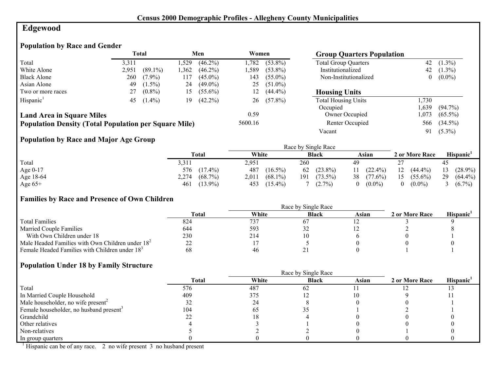# **Edgewood**

# **Population by Race and Gender**

|                                                              | Total |            |      | Men        | Women   |            | <b>Group Quarters Population</b> |          |            |
|--------------------------------------------------------------|-------|------------|------|------------|---------|------------|----------------------------------|----------|------------|
| Total                                                        | 3,311 |            | .529 | $(46.2\%)$ | 1.782   | $(53.8\%)$ | <b>Total Group Quarters</b>      | 42       | $(1.3\%)$  |
| White Alone                                                  | 2,951 | $(89.1\%)$ | .362 | $(46.2\%)$ | 1.589   | $(53.8\%)$ | Institutionalized                | 42       | $(1.3\%)$  |
| <b>Black Alone</b>                                           | 260   | $(7.9\%)$  | 117  | $(45.0\%)$ | 143     | $(55.0\%)$ | Non-Institutionalized            | $\bf{0}$ | $(0.0\%)$  |
| Asian Alone                                                  | 49    | $(1.5\%)$  | 24   | $(49.0\%)$ | 25      | $(51.0\%)$ |                                  |          |            |
| Two or more races                                            | 27    | $(0.8\%)$  | 15   | $(55.6\%)$ | 12.     | $(44.4\%)$ | <b>Housing Units</b>             |          |            |
| Hispanic <sup>1</sup>                                        | 45    | $(1.4\%)$  | 19   | $(42.2\%)$ | 26      | $(57.8\%)$ | <b>Total Housing Units</b>       | .730     |            |
|                                                              |       |            |      |            |         |            | Occupied                         | .639     | $(94.7\%)$ |
| <b>Land Area in Square Miles</b>                             |       |            |      |            | 0.59    |            | Owner Occupied                   | 1.073    | $(65.5\%)$ |
| <b>Population Density (Total Population per Square Mile)</b> |       |            |      |            | 5600.16 |            | Renter Occupied                  | 566      | $(34.5\%)$ |
|                                                              |       |            |      |            |         |            | Vacant                           | 91       | $(5.3\%)$  |

# **Population by Race and Major Age Group**

|           |                     | Race by Single Race |                   |                  |                  |                       |  |  |
|-----------|---------------------|---------------------|-------------------|------------------|------------------|-----------------------|--|--|
|           | Total               | White               | <b>Black</b>      | Asian            | 2 or More Race   | Hispanic <sup>1</sup> |  |  |
| Total     | 3,311               | 2,951               | 260               | 49               |                  | 45                    |  |  |
| Age 0-17  | 576<br>$(17.4\%)$   | 487<br>$(16.5\%)$   | $(23.8\%)$<br>62  | $(22.4\%)$<br>11 | 12<br>$(44.4\%)$ | $(28.9\%)$<br>13      |  |  |
| Age 18-64 | 2,274<br>$(68.7\%)$ | $(68.1\%)$<br>2,011 | 191<br>$(73.5\%)$ | 38<br>$(77.6\%)$ | $(55.6\%)$<br>15 | 29<br>$(64.4\%)$      |  |  |
| Age $65+$ | $(13.9\%)$<br>461   | 453<br>$(15.4\%)$   | $(2.7\%)$         | $(0.0\%)$        | $(0.0\%)$        | 3 $(6.7\%)$           |  |  |

#### **Families by Race and Presence of Own Children**

|                                                            | Race by Single Race |       |              |       |                |                 |
|------------------------------------------------------------|---------------------|-------|--------------|-------|----------------|-----------------|
|                                                            | <b>Total</b>        | White | <b>Black</b> | Asian | 2 or More Race | <b>Hispanic</b> |
| <b>Total Families</b>                                      | 824                 | 737   |              |       |                |                 |
| <b>Married Couple Families</b>                             | 644                 | 593   | ے ر          |       |                |                 |
| With Own Children under 18                                 | 230                 | 214   |              |       |                |                 |
| Male Headed Families with Own Children under $182$         |                     |       |              |       |                |                 |
| Female Headed Families with Children under 18 <sup>3</sup> | 68                  | 46    |              |       |                |                 |

#### **Population Under 18 by Family Structure**

|                                                     | Race by Single Race |       |              |       |                |                       |
|-----------------------------------------------------|---------------------|-------|--------------|-------|----------------|-----------------------|
|                                                     | Total               | White | <b>Black</b> | Asian | 2 or More Race | Hispanic <sup>1</sup> |
| Total                                               | 576                 | 487   | 62           |       |                |                       |
| In Married Couple Household                         | 409                 | 375   |              |       |                |                       |
| Male householder, no wife present <sup>2</sup>      | ےد                  | 24    |              |       |                |                       |
| Female householder, no husband present <sup>3</sup> | 104                 | 62    |              |       |                |                       |
| Grandchild                                          |                     |       |              |       |                |                       |
| Other relatives                                     |                     |       |              |       |                |                       |
| Non-relatives                                       |                     |       |              |       |                |                       |
| In group quarters                                   |                     |       |              |       |                |                       |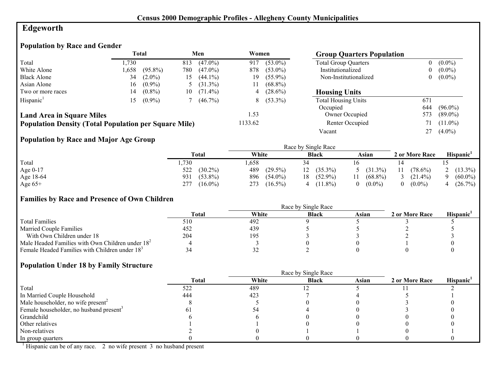# **Edgeworth**

# **Population by Race and Gender**

|                                                              |       | <b>Total</b> |     | Men        | Women   |             | <b>Group Quarters Population</b> |          |            |
|--------------------------------------------------------------|-------|--------------|-----|------------|---------|-------------|----------------------------------|----------|------------|
| Total                                                        | 1.730 |              | 813 | $(47.0\%)$ | 917     | $(53.0\%)$  | <b>Total Group Quarters</b>      | $\bf{0}$ | $(0.0\%)$  |
| White Alone                                                  | 1,658 | $(95.8\%)$   | 780 | $(47.0\%)$ | 878     | $(53.0\%)$  | Institutionalized                | $\bf{0}$ | $(0.0\%)$  |
| <b>Black Alone</b>                                           | 34    | $(2.0\%)$    | 15  | $(44.1\%)$ | 19      | $(55.9\%)$  | Non-Institutionalized            | $\theta$ | $(0.0\%)$  |
| Asian Alone                                                  | 16    | $(0.9\%)$    |     | $(31.3\%)$ |         | $(68.8\%)$  |                                  |          |            |
| Two or more races                                            | 14    | $(0.8\%)$    | 10  | $(71.4\%)$ | 4       | $(28.6\%)$  | <b>Housing Units</b>             |          |            |
| Hispanic <sup>1</sup>                                        | .5    | $(0.9\%)$    |     | $(46.7\%)$ |         | $8(53.3\%)$ | <b>Total Housing Units</b>       | 671      |            |
|                                                              |       |              |     |            |         |             | Occupied                         | 644      | $(96.0\%)$ |
| <b>Land Area in Square Miles</b>                             |       |              |     |            | 1.53    |             | Owner Occupied                   | 573      | $(89.0\%)$ |
| <b>Population Density (Total Population per Square Mile)</b> |       |              |     |            | 1133.62 |             | Renter Occupied                  | 71       | $(11.0\%)$ |
|                                                              |       |              |     |            |         |             | Vacant                           | 27       | $(4.0\%)$  |

## **Population by Race and Major Age Group**

|           |                   |                   | Race by Single Race |              |                  |                       |
|-----------|-------------------|-------------------|---------------------|--------------|------------------|-----------------------|
|           | Total             | White             | <b>Black</b>        | Asian        | 2 or More Race   | Hispanic <sup>1</sup> |
| Total     | ,730              | .658              |                     |              |                  |                       |
| Age 0-17  | $(30.2\%)$<br>522 | 489<br>$(29.5\%)$ | $(35.3\%)$<br>12    | 5 $(31.3\%)$ | $(78.6\%)$<br>11 | $(13.3\%)$            |
| Age 18-64 | $(53.8\%)$<br>931 | 896<br>$(54.0\%)$ | $(52.9\%)$<br>18    | $(68.8\%)$   | $(21.4\%)$       | $(60.0\%)$            |
| Age $65+$ | 277<br>$(16.0\%)$ | 273<br>$(16.5\%)$ | $(11.8\%)$          | $(0.0\%)$    | $(0.0\%)$        | (26.7%)               |

#### **Families by Race and Presence of Own Children**

|                                                            | <b>Total</b> | White | <b>Black</b> | Asian | 2 or More Race | Hispanic <sup>'</sup> |
|------------------------------------------------------------|--------------|-------|--------------|-------|----------------|-----------------------|
| <b>Total Families</b>                                      | 510          | 492   |              |       |                |                       |
| <b>Married Couple Families</b>                             | 452          | 439   |              |       |                |                       |
| With Own Children under 18                                 | 204          | 195   |              |       |                |                       |
| Male Headed Families with Own Children under $182$         |              |       |              |       |                |                       |
| Female Headed Families with Children under 18 <sup>3</sup> |              | ے ر   |              |       |                |                       |

#### **Population Under 18 by Family Structure**

|                                                     |       |       | Race by Single Race |       |                |                       |
|-----------------------------------------------------|-------|-------|---------------------|-------|----------------|-----------------------|
|                                                     | Total | White | <b>Black</b>        | Asian | 2 or More Race | Hispanic <sup>1</sup> |
| Total                                               | 522   | 489   |                     |       |                |                       |
| In Married Couple Household                         | 444   | 423   |                     |       |                |                       |
| Male householder, no wife present <sup>2</sup>      |       |       |                     |       |                |                       |
| Female householder, no husband present <sup>3</sup> |       |       |                     |       |                |                       |
| Grandchild                                          |       |       |                     |       |                |                       |
| Other relatives                                     |       |       |                     |       |                |                       |
| Non-relatives                                       |       |       |                     |       |                |                       |
| In group quarters                                   |       |       |                     |       |                |                       |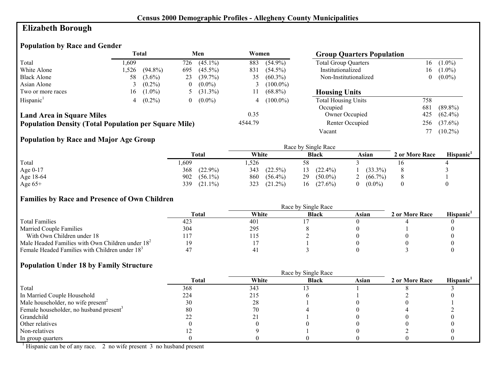# **Elizabeth Borough**

# **Population by Race and Gender**

|                                                              | <b>Total</b> |            | Men      |              | Women   |             | <b>Group Quarters Population</b> |     |            |
|--------------------------------------------------------------|--------------|------------|----------|--------------|---------|-------------|----------------------------------|-----|------------|
| Total                                                        | .609         |            | 726      | $(45.1\%)$   | 883     | $(54.9\%)$  | <b>Total Group Quarters</b>      | 16  | $(1.0\%)$  |
| White Alone                                                  | 1.526        | $(94.8\%)$ | 695      | $(45.5\%)$   | 831     | $(54.5\%)$  | Institutionalized                | 16  | $(1.0\%)$  |
| <b>Black Alone</b>                                           | 58           | $(3.6\%)$  | 23       | $(39.7\%)$   | 35      | $(60.3\%)$  | Non-Institutionalized            | 0   | $(0.0\%)$  |
| Asian Alone                                                  |              | $(0.2\%)$  | $\theta$ | $(0.0\%)$    |         | $(100.0\%)$ |                                  |     |            |
| Two or more races                                            | 16           | $(1.0\%)$  |          | 5 $(31.3\%)$ |         | $(68.8\%)$  | <b>Housing Units</b>             |     |            |
| Hispanic <sup>1</sup>                                        |              | $(0.2\%)$  | $\theta$ | $(0.0\%)$    | 4       | $(100.0\%)$ | <b>Total Housing Units</b>       | 758 |            |
|                                                              |              |            |          |              |         |             | Occupied                         | 681 | $(89.8\%)$ |
| <b>Land Area in Square Miles</b>                             |              |            |          |              | 0.35    |             | Owner Occupied                   | 425 | $(62.4\%)$ |
| <b>Population Density (Total Population per Square Mile)</b> |              |            |          |              | 4544.79 |             | Renter Occupied                  | 256 | $(37.6\%)$ |
|                                                              |              |            |          |              |         |             | Vacant                           |     | $(10.2\%)$ |

## **Population by Race and Major Age Group**

|           |                   |                   | Race by Single Race |                       |                |                 |
|-----------|-------------------|-------------------|---------------------|-----------------------|----------------|-----------------|
|           | <b>Total</b>      | White             | <b>Black</b>        | Asian                 | 2 or More Race | <b>Hispanic</b> |
| Total     | ,609              | ,526              | 58                  |                       | 16             |                 |
| Age 0-17  | $(22.9\%)$<br>368 | 343<br>$(22.5\%)$ | $(22.4\%)$          | $(33.3\%)$            |                |                 |
| Age 18-64 | 902<br>$(56.1\%)$ | $(56.4\%)$<br>860 | 29<br>$(50.0\%)$    | $(66.7\%)$            |                |                 |
| Age $65+$ | 339<br>$(21.1\%)$ | 323<br>$(21.2\%)$ | $(27.6\%)$<br>16    | $(0.0\%)$<br>$\Omega$ |                |                 |

## **Families by Race and Presence of Own Children**

|                                                    | <b>Total</b> | White | <b>Black</b> | Asian | 2 or More Race | <b>Hispanic</b> |
|----------------------------------------------------|--------------|-------|--------------|-------|----------------|-----------------|
| <b>Total Families</b>                              | 423          | 401   |              |       |                |                 |
| <b>Married Couple Families</b>                     | 304          | 295   |              |       |                |                 |
| With Own Children under 18                         |              | 15،   |              |       |                |                 |
| Male Headed Families with Own Children under $182$ |              |       |              |       |                |                 |
| Female Headed Families with Children under $183$   |              |       |              |       |                |                 |

#### **Population Under 18 by Family Structure**

|                                                     |       |       | Race by Single Race |       |                |                       |
|-----------------------------------------------------|-------|-------|---------------------|-------|----------------|-----------------------|
|                                                     | Total | White | <b>Black</b>        | Asian | 2 or More Race | Hispanic <sup>1</sup> |
| Total                                               | 368   | 343   |                     |       |                |                       |
| In Married Couple Household                         | 224   | 215   |                     |       |                |                       |
| Male householder, no wife present <sup>2</sup>      | 30    | 28    |                     |       |                |                       |
| Female householder, no husband present <sup>3</sup> | 80    | 70    |                     |       |                |                       |
| Grandchild                                          |       |       |                     |       |                |                       |
| Other relatives                                     |       |       |                     |       |                |                       |
| Non-relatives                                       |       |       |                     |       |                |                       |
| In group quarters                                   |       |       |                     |       |                |                       |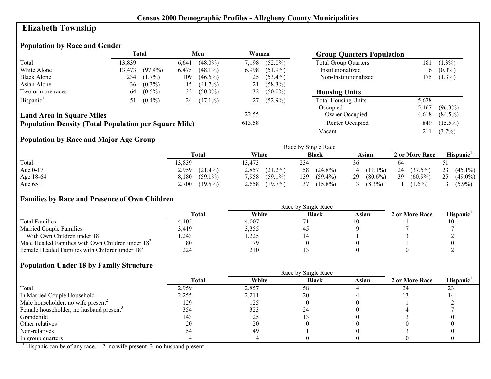# **Elizabeth Township**

# **Population by Race and Gender**

|                                                              |        | Total      |       | Men        | Women  |            | <b>Group Quarters Population</b> |       |            |
|--------------------------------------------------------------|--------|------------|-------|------------|--------|------------|----------------------------------|-------|------------|
| Total                                                        | 13.839 |            | 6.641 | $(48.0\%)$ | 7.198  | $(52.0\%)$ | <b>Total Group Quarters</b>      | 181   | $(1.3\%)$  |
| White Alone                                                  | 13,473 | $(97.4\%)$ | 6.475 | $(48.1\%)$ | 6,998  | $(51.9\%)$ | Institutionalized                | b     | $(0.0\%)$  |
| <b>Black Alone</b>                                           | 234    | $(1.7\%)$  | 109   | $(46.6\%)$ | 125    | $(53.4\%)$ | Non-Institutionalized            | 175   | $(1.3\%)$  |
| Asian Alone                                                  | 36     | $(0.3\%)$  | 15    | $(41.7\%)$ |        | $(58.3\%)$ |                                  |       |            |
| Two or more races                                            | 64     | $(0.5\%)$  | 32    | $(50.0\%)$ | 32     | $(50.0\%)$ | <b>Housing Units</b>             |       |            |
| Hispanic <sup>1</sup>                                        | 51     | $(0.4\%)$  | 24    | $(47.1\%)$ |        | $(52.9\%)$ | <b>Total Housing Units</b>       | 5,678 |            |
|                                                              |        |            |       |            |        |            | Occupied                         | 5.467 | $(96.3\%)$ |
| <b>Land Area in Square Miles</b>                             |        |            |       |            | 22.55  |            | Owner Occupied                   | 4,618 | $(84.5\%)$ |
| <b>Population Density (Total Population per Square Mile)</b> |        |            |       |            | 613.58 |            | Renter Occupied                  | 849   | $(15.5\%)$ |
|                                                              |        |            |       |            |        |            | Vacant                           | 211   | $(3.7\%)$  |

## **Population by Race and Major Age Group**

|            |                     |                     | Race by Single Race |                  |                  |                       |
|------------|---------------------|---------------------|---------------------|------------------|------------------|-----------------------|
|            | Total               | White               | <b>Black</b>        | Asian            | 2 or More Race   | Hispanic <sup>1</sup> |
| Total      | 13,839              | 13.473              | 234                 | 36               | 64               |                       |
| Age $0-17$ | 2,959<br>$(21.4\%)$ | 2,857<br>$(21.2\%)$ | $(24.8\%)$<br>58    | $4(11.1\%)$      | $(37.5\%)$<br>24 | 23<br>$(45.1\%)$      |
| Age 18-64  | $(59.1\%)$<br>8,180 | 7,958<br>$(59.1\%)$ | 139<br>$(59.4\%)$   | 29<br>$(80.6\%)$ | 39<br>$(60.9\%)$ | 25<br>$(49.0\%)$      |
| Age $65+$  | $2,700$ $(19.5\%)$  | $(19.7\%)$<br>2,658 | $(15.8\%)$          | $(8.3\%)$        | $(1.6\%)$        | $(5.9\%)$             |

## **Families by Race and Presence of Own Children**

|                                                            | <b>Total</b> | White | <b>Black</b> | Asian | 2 or More Race | Hispanic <sup>'</sup> |
|------------------------------------------------------------|--------------|-------|--------------|-------|----------------|-----------------------|
| <b>Total Families</b>                                      | 4.105        | 4.007 |              |       |                |                       |
| <b>Married Couple Families</b>                             | 3,419        | 3,355 |              |       |                |                       |
| With Own Children under 18                                 | .243         | ,225  |              |       |                |                       |
| Male Headed Families with Own Children under $182$         | 80           | 79    |              |       |                |                       |
| Female Headed Families with Children under 18 <sup>3</sup> | 224          | 210   |              |       |                |                       |

## **Population Under 18 by Family Structure**

|                                                     |              | Race by Single Race |              |       |                |                       |
|-----------------------------------------------------|--------------|---------------------|--------------|-------|----------------|-----------------------|
|                                                     | <b>Total</b> | White               | <b>Black</b> | Asian | 2 or More Race | Hispanic <sup>1</sup> |
| Total                                               | 2,959        | 2,857               | 58           |       |                | 23                    |
| In Married Couple Household                         | 2,255        | 2,211               | 20           |       |                |                       |
| Male householder, no wife present <sup>2</sup>      | 129          | 125                 |              |       |                |                       |
| Female householder, no husband present <sup>3</sup> | 354          | 323                 |              |       |                |                       |
| Grandchild                                          | 143          | 125                 |              |       |                |                       |
| Other relatives                                     | 20           | 20                  |              |       |                |                       |
| Non-relatives                                       |              | 49                  |              |       |                |                       |
| In group quarters                                   |              |                     |              |       |                |                       |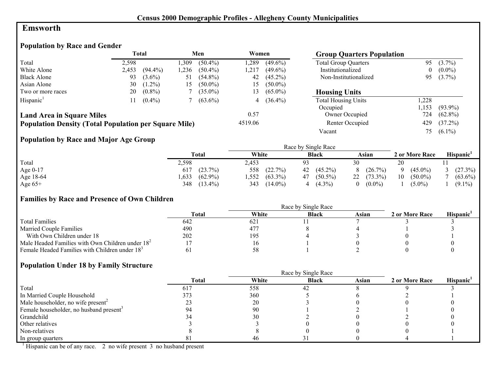## **Emsworth**

# **Population by Race and Gender**

|                                                              | <b>Total</b><br>Women<br>Men |            | <b>Group Quarters Population</b> |            |         |            |                             |          |            |
|--------------------------------------------------------------|------------------------------|------------|----------------------------------|------------|---------|------------|-----------------------------|----------|------------|
| Total                                                        | 2,598                        |            | .309                             | $(50.4\%)$ | ,289    | $(49.6\%)$ | <b>Total Group Quarters</b> | 95       | $(3.7\%)$  |
| White Alone                                                  | 2,453                        | $(94.4\%)$ | .236                             | $(50.4\%)$ | .217    | $(49.6\%)$ | Institutionalized           | $\bf{0}$ | $(0.0\%)$  |
| <b>Black Alone</b>                                           | 93                           | $(3.6\%)$  | 51                               | $(54.8\%)$ | 42      | $(45.2\%)$ | Non-Institutionalized       | 95       | $(3.7\%)$  |
| Asian Alone                                                  | 30                           | $(1.2\%)$  | 15                               | $(50.0\%)$ | 15      | $(50.0\%)$ |                             |          |            |
| Two or more races                                            | 20                           | $(0.8\%)$  |                                  | $(35.0\%)$ | 13      | $(65.0\%)$ | <b>Housing Units</b>        |          |            |
| Hispanic <sup>1</sup>                                        |                              | $(0.4\%)$  |                                  | $(63.6\%)$ |         | $(36.4\%)$ | <b>Total Housing Units</b>  | ,228     |            |
|                                                              |                              |            |                                  |            |         |            | Occupied                    | ,153     | $(93.9\%)$ |
| <b>Land Area in Square Miles</b>                             |                              |            |                                  |            | 0.57    |            | Owner Occupied              | 724      | $(62.8\%)$ |
| <b>Population Density (Total Population per Square Mile)</b> |                              |            |                                  |            | 4519.06 |            | Renter Occupied             | 429      | $(37.2\%)$ |
|                                                              |                              |            |                                  |            |         |            | Vacant                      | 75.      | $(6.1\%)$  |

## **Population by Race and Major Age Group**

|           |                    |                    | Race by Single Race |                 |                  |                       |
|-----------|--------------------|--------------------|---------------------|-----------------|------------------|-----------------------|
|           | Total              | White              | <b>Black</b>        | Asian           | 2 or More Race   | Hispanic <sup>1</sup> |
| Total     | 2,598              | 2,453              | 93                  | 30              | 20               |                       |
| Age 0-17  | $(23.7\%)$<br>617  | 558<br>(22.7%)     | $(45.2\%)$<br>42    | $(26.7\%)$<br>8 | $(45.0\%)$       | (27.3%)               |
| Age 18-64 | $(62.9\%)$<br>.633 | $(63.3\%)$<br>,552 | $(50.5\%)$<br>47    | $22(73.3\%)$    | 10<br>$(50.0\%)$ | $(63.6\%)$            |
| Age $65+$ | 348<br>$(13.4\%)$  | $(14.0\%)$<br>343  | $(4.3\%)$           | $(0.0\%)$       | $(5.0\%)$        | $(9.1\%)$             |

#### **Families by Race and Presence of Own Children**

|                                                            | Race by Single Race |       |              |       |                |                 |  |  |  |
|------------------------------------------------------------|---------------------|-------|--------------|-------|----------------|-----------------|--|--|--|
|                                                            | <b>Total</b>        | White | <b>Black</b> | Asian | 2 or More Race | <b>Hispanic</b> |  |  |  |
| <b>Total Families</b>                                      | 642                 | 621   |              |       |                |                 |  |  |  |
| <b>Married Couple Families</b>                             | 490                 | 477   |              |       |                |                 |  |  |  |
| With Own Children under 18                                 | 202                 | 195   |              |       |                |                 |  |  |  |
| Male Headed Families with Own Children under $182$         |                     |       |              |       |                |                 |  |  |  |
| Female Headed Families with Children under 18 <sup>3</sup> |                     |       |              |       |                |                 |  |  |  |

#### **Population Under 18 by Family Structure**

|                                                     | Race by Single Race |       |              |       |                |                       |  |  |  |  |
|-----------------------------------------------------|---------------------|-------|--------------|-------|----------------|-----------------------|--|--|--|--|
|                                                     | Total               | White | <b>Black</b> | Asian | 2 or More Race | Hispanic <sup>1</sup> |  |  |  |  |
| Total                                               | 617                 | 558   | 42           |       |                |                       |  |  |  |  |
| In Married Couple Household                         | 373                 | 360   |              |       |                |                       |  |  |  |  |
| Male householder, no wife present <sup>2</sup>      |                     | 20    |              |       |                |                       |  |  |  |  |
| Female householder, no husband present <sup>3</sup> |                     | 90    |              |       |                |                       |  |  |  |  |
| Grandchild                                          |                     | 30    |              |       |                |                       |  |  |  |  |
| Other relatives                                     |                     |       |              |       |                |                       |  |  |  |  |
| Non-relatives                                       |                     |       |              |       |                |                       |  |  |  |  |
| In group quarters                                   |                     | 46    |              |       |                |                       |  |  |  |  |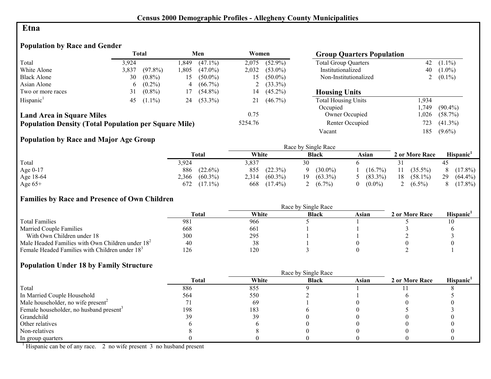#### **Etna**

# **Population by Race and Gender**

|                                                              |       | Total      |      | Men        | Women   |              | <b>Group Quarters Population</b> |      |             |
|--------------------------------------------------------------|-------|------------|------|------------|---------|--------------|----------------------------------|------|-------------|
| Total                                                        | 3.924 |            | .849 | $(47.1\%)$ | 2.075   | $(52.9\%)$   | <b>Total Group Quarters</b>      | 42   | $(1.1\%)$   |
| White Alone                                                  | 3.837 | $(97.8\%)$ | .805 | $(47.0\%)$ | 2,032   | $(53.0\%)$   | Institutionalized                | 40   | $(1.0\%)$   |
| <b>Black Alone</b>                                           | 30    | $(0.8\%)$  | 15   | $(50.0\%)$ | د،      | $(50.0\%)$   | Non-Institutionalized            |      | 2 $(0.1\%)$ |
| Asian Alone                                                  | 6     | $(0.2\%)$  | 4    | $(66.7\%)$ |         | 2 $(33.3\%)$ |                                  |      |             |
| Two or more races                                            | 31    | $(0.8\%)$  | 17   | $(54.8\%)$ | 14      | $(45.2\%)$   | <b>Housing Units</b>             |      |             |
| Hispanic <sup>1</sup>                                        | 45    | $(1.1\%)$  | 24   | $(53.3\%)$ |         | $(46.7\%)$   | <b>Total Housing Units</b>       | .934 |             |
|                                                              |       |            |      |            |         |              | Occupied                         | .749 | $(90.4\%)$  |
| <b>Land Area in Square Miles</b>                             |       |            |      |            | 0.75    |              | Owner Occupied                   | .026 | $(58.7\%)$  |
| <b>Population Density (Total Population per Square Mile)</b> |       |            |      |            | 5254.76 |              | Renter Occupied                  | 723  | $(41.3\%)$  |
|                                                              |       |            |      |            |         |              | Vacant                           | 185  | $(9.6\%)$   |

## **Population by Race and Major Age Group**

|           |                     |                     | Race by Single Race |                |                  |                       |
|-----------|---------------------|---------------------|---------------------|----------------|------------------|-----------------------|
|           | Total               | White               | <b>Black</b>        | Asian          | 2 or More Race   | Hispanic <sup>1</sup> |
| Total     | 3,924               | 3,837               | 30                  |                |                  | 45                    |
| Age 0-17  | 886<br>$(22.6\%)$   | $(22.3\%)$<br>855   | $(30.0\%)$          | $(16.7\%)$     | $(35.5\%)$<br>11 | $(17.8\%)$            |
| Age 18-64 | $(60.3\%)$<br>2,366 | $(60.3\%)$<br>2,314 | $(63.3\%)$<br>19    | 5 $(83.3\%)$   | 18<br>$(58.1\%)$ | 29<br>$(64.4\%)$      |
| Age $65+$ | $(17.1\%)$<br>672.  | $(17.4\%)$<br>668   | $(6.7\%)$           | $(0.0\%)$<br>0 | $(6.5\%)$        | $(17.8\%)$            |

## **Families by Race and Presence of Own Children**

|                                                            | Race by Single Race |       |              |       |                |                 |  |  |  |
|------------------------------------------------------------|---------------------|-------|--------------|-------|----------------|-----------------|--|--|--|
|                                                            | Total               | White | <b>Black</b> | Asian | 2 or More Race | <b>Hispanic</b> |  |  |  |
| <b>Total Families</b>                                      | 981                 | 966   |              |       |                |                 |  |  |  |
| <b>Married Couple Families</b>                             | 668                 | 661   |              |       |                |                 |  |  |  |
| With Own Children under 18                                 | 300                 | 295   |              |       |                |                 |  |  |  |
| Male Headed Families with Own Children under $182$         | 40                  | 38    |              |       |                |                 |  |  |  |
| Female Headed Families with Children under 18 <sup>3</sup> | 126                 | 120   |              |       |                |                 |  |  |  |

#### **Population Under 18 by Family Structure**

|                                                     | Race by Single Race |       |              |       |                |                       |  |  |  |
|-----------------------------------------------------|---------------------|-------|--------------|-------|----------------|-----------------------|--|--|--|
|                                                     | <b>Total</b>        | White | <b>Black</b> | Asian | 2 or More Race | Hispanic <sup>1</sup> |  |  |  |
| Total                                               | 886                 | 855   |              |       |                |                       |  |  |  |
| In Married Couple Household                         | 564                 | 550   |              |       |                |                       |  |  |  |
| Male householder, no wife present <sup>2</sup>      |                     | -69   |              |       |                |                       |  |  |  |
| Female householder, no husband present <sup>3</sup> | 198                 | 183   |              |       |                |                       |  |  |  |
| Grandchild                                          | 39                  | 39    |              |       |                |                       |  |  |  |
| Other relatives                                     |                     |       |              |       |                |                       |  |  |  |
| Non-relatives                                       |                     |       |              |       |                |                       |  |  |  |
| In group quarters                                   |                     |       |              |       |                |                       |  |  |  |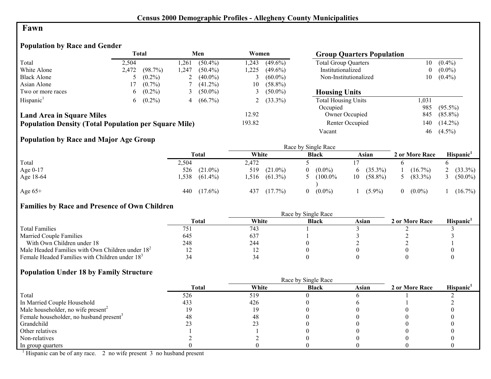#### **Fawn**

# **Population by Race and Gender**

|                                                              | <b>Total</b> |           |      | Men        | Women  |              | <b>Group Quarters Population</b> |                |            |
|--------------------------------------------------------------|--------------|-----------|------|------------|--------|--------------|----------------------------------|----------------|------------|
| Total                                                        | 2.504        |           | .261 | $(50.4\%)$ | 1,243  | $(49.6\%)$   | <b>Total Group Quarters</b>      | 10             | $(0.4\%)$  |
| White Alone                                                  | 2,472        | (98.7%)   | .247 | $(50.4\%)$ | 1,225  | $(49.6\%)$   | Institutionalized                | $\overline{0}$ | $(0.0\%)$  |
| <b>Black Alone</b>                                           |              | $(0.2\%)$ | ∠    | $(40.0\%)$ |        | $(60.0\%)$   | Non-Institutionalized            | 10             | $(0.4\%)$  |
| Asian Alone                                                  |              | $(0.7\%)$ |      | $(41.2\%)$ | 10     | $(58.8\%)$   |                                  |                |            |
| Two or more races                                            | 6            | $(0.2\%)$ |      | $(50.0\%)$ |        | $(50.0\%)$   | <b>Housing Units</b>             |                |            |
| Hispanic <sup>1</sup>                                        | 6            | $(0.2\%)$ | 4    | $(66.7\%)$ |        | 2 $(33.3\%)$ | <b>Total Housing Units</b>       | 1,031          |            |
|                                                              |              |           |      |            |        |              | Occupied                         | 985            | $(95.5\%)$ |
| <b>Land Area in Square Miles</b>                             |              |           |      |            | 12.92  |              | Owner Occupied                   | 845            | $(85.8\%)$ |
| <b>Population Density (Total Population per Square Mile)</b> |              |           |      |            | 193.82 |              | Renter Occupied                  | 140            | $(14.2\%)$ |
|                                                              |              |           |      |            |        |              | Vacant                           | 46             | $(4.5\%)$  |

## **Population by Race and Major Age Group**

|           |       |            |       |            |    | Race by Single Race |    |            |                |            |
|-----------|-------|------------|-------|------------|----|---------------------|----|------------|----------------|------------|
|           |       | Total      | White |            |    | <b>Black</b>        |    | Asian      | 2 or More Race | Hispanic'  |
| Total     | 2,504 |            | 2,472 |            |    |                     |    |            |                |            |
| Age 0-17  | 526   | $(21.0\%)$ | 519   | $(21.0\%)$ | 0. | $(0.0\%)$           |    | $(35.3\%)$ | $(16.7\%)$     | $(33.3\%)$ |
| Age 18-64 | .538  | $(61.4\%)$ | .516  | $(61.3\%)$ |    | $(100.0\%$          | 10 | $(58.8\%)$ | $(83.3\%)$     | $(50.0\%)$ |
| Age $65+$ | 440   | $(17.6\%)$ | 437   | $(17.7\%)$ | 0  | $(0.0\%)$           |    | $(5.9\%)$  | $(0.0\%)$      | $(16.7\%)$ |

## **Families by Race and Presence of Own Children**

|                                                            | Race by Single Race |       |              |       |                |                       |  |  |
|------------------------------------------------------------|---------------------|-------|--------------|-------|----------------|-----------------------|--|--|
|                                                            | Total               | White | <b>Black</b> | Asian | 2 or More Race | Hispanic <sup>'</sup> |  |  |
| <b>Total Families</b>                                      |                     | 743   |              |       |                |                       |  |  |
| <b>Married Couple Families</b>                             | 645                 | 637   |              |       |                |                       |  |  |
| With Own Children under 18                                 | 248                 | 244   |              |       |                |                       |  |  |
| Male Headed Families with Own Children under $182$         |                     | - 1   |              |       |                |                       |  |  |
| Female Headed Families with Children under 18 <sup>3</sup> |                     |       |              |       |                |                       |  |  |

#### **Population Under 18 by Family Structure**

|                                                     |              |       | Race by Single Race |       |                |                       |
|-----------------------------------------------------|--------------|-------|---------------------|-------|----------------|-----------------------|
|                                                     | <b>Total</b> | White | <b>Black</b>        | Asian | 2 or More Race | Hispanic <sup>1</sup> |
| Total                                               | 526          | 519   |                     |       |                |                       |
| In Married Couple Household                         | 433          | 426   |                     |       |                |                       |
| Male householder, no wife present <sup>2</sup>      |              |       |                     |       |                |                       |
| Female householder, no husband present <sup>3</sup> |              | 48    |                     |       |                |                       |
| Grandchild                                          |              |       |                     |       |                |                       |
| Other relatives                                     |              |       |                     |       |                |                       |
| Non-relatives                                       |              |       |                     |       |                |                       |
| In group quarters                                   |              |       |                     |       |                |                       |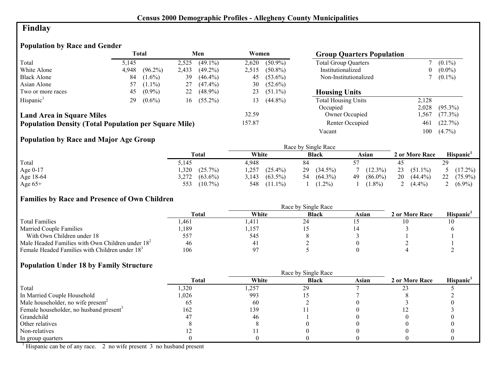# **Findlay**

# **Population by Race and Gender**

|                                                              |       | <b>Total</b> |       | Men          | Women  |            | <b>Group Quarters Population</b> |       |            |
|--------------------------------------------------------------|-------|--------------|-------|--------------|--------|------------|----------------------------------|-------|------------|
| Total                                                        | 5.145 |              | 2,525 | $(49.1\%)$   | 2,620  | $(50.9\%)$ | <b>Total Group Quarters</b>      |       | $(0.1\%)$  |
| White Alone                                                  | 4,948 | $(96.2\%)$   | 2,433 | $(49.2\%)$   | 2.515  | $(50.8\%)$ | Institutionalized                | 0     | $(0.0\%)$  |
| <b>Black Alone</b>                                           | 84    | $(1.6\%)$    | 39    | $(46.4\%)$   | 45     | $(53.6\%)$ | Non-Institutionalized            |       | $(0.1\%)$  |
| Asian Alone                                                  | 57    | $(1.1\%)$    | 27    | $(47.4\%)$   | 30     | $(52.6\%)$ |                                  |       |            |
| Two or more races                                            | 45    | $(0.9\%)$    | 22    | $(48.9\%)$   | 23     | $(51.1\%)$ | <b>Housing Units</b>             |       |            |
| Hispanic <sup>1</sup>                                        | 29    | $(0.6\%)$    |       | $16(55.2\%)$ | 13     | $(44.8\%)$ | <b>Total Housing Units</b>       | 2,128 |            |
|                                                              |       |              |       |              |        |            | Occupied                         | 2,028 | $(95.3\%)$ |
| <b>Land Area in Square Miles</b>                             |       |              |       |              | 32.59  |            | Owner Occupied                   | ,567  | $(77.3\%)$ |
| <b>Population Density (Total Population per Square Mile)</b> |       |              |       |              | 157.87 |            | Renter Occupied                  | 461   | (22.7%)    |
|                                                              |       |              |       |              |        |            | Vacant                           | 100   | $(4.7\%)$  |

# **Population by Race and Major Age Group**

|            |                     |                     | Race by Single Race |                  |                  |                  |
|------------|---------------------|---------------------|---------------------|------------------|------------------|------------------|
|            | Total               | White               | <b>Black</b>        | Asian            | 2 or More Race   | <b>Hispanic</b>  |
| Total      | 5,145               | 4.948               | 84                  |                  |                  | 29               |
| Age $0-17$ | ,320<br>(25.7%)     | ,257<br>$(25.4\%)$  | 29<br>$(34.5\%)$    | $(12.3\%)$       | 23<br>$(51.1\%)$ | $5(17.2\%)$      |
| Age 18-64  | 3,272<br>$(63.6\%)$ | $(63.5\%)$<br>3.143 | $(64.3\%)$<br>54    | 49<br>$(86.0\%)$ | 20<br>$(44.4\%)$ | 22<br>$(75.9\%)$ |
| Age $65+$  | $(10.7\%)$<br>553   | $(11.1\%)$<br>548   | $(1.2\%)$           | $(1.8\%)$        | $(4.4\%)$        | 2 $(6.9\%)$      |

## **Families by Race and Presence of Own Children**

|                                                            | Total | White          | <b>Black</b> | Asian | 2 or More Race | <b>Hispanic</b> |
|------------------------------------------------------------|-------|----------------|--------------|-------|----------------|-----------------|
| <b>Total Families</b>                                      | l.461 | .411           |              |       |                |                 |
| <b>Married Couple Families</b>                             | ,189  | ,157           |              |       |                |                 |
| With Own Children under 18                                 | 557   | 545            |              |       |                |                 |
| Male Headed Families with Own Children under $182$         | 46    | 4 <sub>1</sub> |              |       |                |                 |
| Female Headed Families with Children under 18 <sup>3</sup> | 106   | Q7             |              |       |                |                 |

## **Population Under 18 by Family Structure**

|                                                     | <b>Total</b> | White | <b>Black</b> | Asian | 2 or More Race | Hispanic <sup>1</sup> |
|-----------------------------------------------------|--------------|-------|--------------|-------|----------------|-----------------------|
| Total                                               | 1,320        | 1,257 | 29           |       |                |                       |
| In Married Couple Household                         | 1,026        | 993   |              |       |                |                       |
| Male householder, no wife present <sup>2</sup>      |              | 60    |              |       |                |                       |
| Female householder, no husband present <sup>3</sup> | 162          | 139   |              |       |                |                       |
| Grandchild                                          | 4.           | 46    |              |       |                |                       |
| Other relatives                                     |              |       |              |       |                |                       |
| Non-relatives                                       |              |       |              |       |                |                       |
| In group quarters                                   |              |       |              |       |                |                       |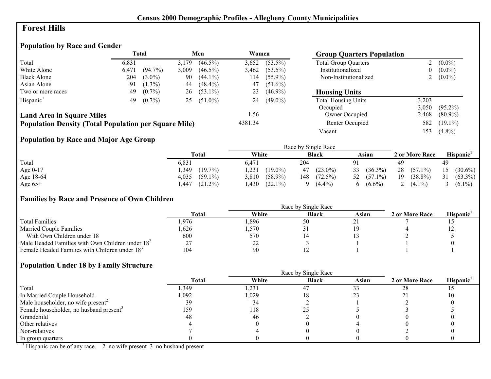## **Forest Hills**

# **Population by Race and Gender**

|                                                              | <b>Total</b> |            |       |            | Men<br>Women |            |                             | <b>Group Quarters Population</b> |            |  |
|--------------------------------------------------------------|--------------|------------|-------|------------|--------------|------------|-----------------------------|----------------------------------|------------|--|
| Total                                                        | 6.831        |            | 3,179 | $(46.5\%)$ | 3,652        | $(53.5\%)$ | <b>Total Group Quarters</b> |                                  | $(0.0\%)$  |  |
| White Alone                                                  | 6,471        | $(94.7\%)$ | 3,009 | $(46.5\%)$ | 3,462        | $(53.5\%)$ | Institutionalized           | 0                                | $(0.0\%)$  |  |
| <b>Black Alone</b>                                           | 204          | $(3.0\%)$  | 90    | $(44.1\%)$ | 114          | $(55.9\%)$ | Non-Institutionalized       | ∠                                | $(0.0\%)$  |  |
| Asian Alone                                                  | 91           | $(1.3\%)$  | 44    | $(48.4\%)$ | 47           | $(51.6\%)$ |                             |                                  |            |  |
| Two or more races                                            | 49           | $(0.7\%)$  | 26    | $(53.1\%)$ | 23           | $(46.9\%)$ | <b>Housing Units</b>        |                                  |            |  |
| Hispanic <sup>1</sup>                                        | 49           | $(0.7\%)$  | 25    | $(51.0\%)$ | 24           | $(49.0\%)$ | <b>Total Housing Units</b>  | 3,203                            |            |  |
|                                                              |              |            |       |            |              |            | Occupied                    | 3,050                            | $(95.2\%)$ |  |
| <b>Land Area in Square Miles</b>                             |              |            |       |            | 1.56         |            | Owner Occupied              | 2,468                            | $(80.9\%)$ |  |
| <b>Population Density (Total Population per Square Mile)</b> |              |            |       |            | 4381.34      |            | Renter Occupied             | 582                              | $(19.1\%)$ |  |
|                                                              |              |            |       |            |              |            | Vacant                      | 153                              | $(4.8\%)$  |  |

## **Population by Race and Major Age Group**

|           |                     |                     | Race by Single Race |                  |                  |                  |
|-----------|---------------------|---------------------|---------------------|------------------|------------------|------------------|
|           | Total               | White               | <b>Black</b>        | Asian            | 2 or More Race   | Hispanic'        |
| Total     | 6,831               | 6.471               | 204                 | Q <sub>1</sub>   | 49               | 49               |
| Age 0-17  | $(19.7\%)$<br>,349  | ,231<br>$(19.0\%)$  | $(23.0\%)$<br>47    | $(36.3\%)$<br>33 | 28<br>$(57.1\%)$ | 15<br>$(30.6\%)$ |
| Age 18-64 | $(59.1\%)$<br>4,035 | $(58.9\%)$<br>3,810 | $(72.5\%)$<br>148   | 52 $(57.1\%)$    | 19<br>$(38.8\%)$ | $(63.3\%)$<br>31 |
| Age $65+$ | $(21.2\%)$<br>,447  | ,430<br>$(22.1\%)$  | $(4.4\%)$           | $(6.6\%)$<br>6   | $(4.1\%)$<br>∸   | $(6.1\%)$        |

#### **Families by Race and Presence of Own Children**

|                                                            | <b>Total</b> | White    | <b>Black</b> | Asian | 2 or More Race | <b>Hispanic</b> |
|------------------------------------------------------------|--------------|----------|--------------|-------|----------------|-----------------|
| <b>Total Families</b>                                      | .976         | ,896     | 50           |       |                |                 |
| <b>Married Couple Families</b>                             | ,626         | .570     | <u>. ب</u>   |       |                | <b>I</b> 4      |
| With Own Children under 18                                 | 600          | 570      |              |       |                |                 |
| Male Headed Families with Own Children under $182$         | າາ           | າາ<br>∠∠ |              |       |                |                 |
| Female Headed Families with Children under 18 <sup>3</sup> | 104          | 90       |              |       |                |                 |

## **Population Under 18 by Family Structure**

|                                                     |       | Race by Single Race |              |       |                |          |
|-----------------------------------------------------|-------|---------------------|--------------|-------|----------------|----------|
|                                                     | Total | White               | <b>Black</b> | Asian | 2 or More Race | Hispanic |
| Total                                               | .349  | 1,231               | 47           |       | 28             |          |
| In Married Couple Household                         | 0.092 | 1,029               |              |       |                |          |
| Male householder, no wife present <sup>2</sup>      | 39    | 34                  |              |       |                |          |
| Female householder, no husband present <sup>3</sup> | 159   | 118                 |              |       |                |          |
| Grandchild                                          | 48    | 46                  |              |       |                |          |
| Other relatives                                     |       |                     |              |       |                |          |
| Non-relatives                                       |       |                     |              |       |                |          |
| In group quarters                                   |       |                     |              |       |                |          |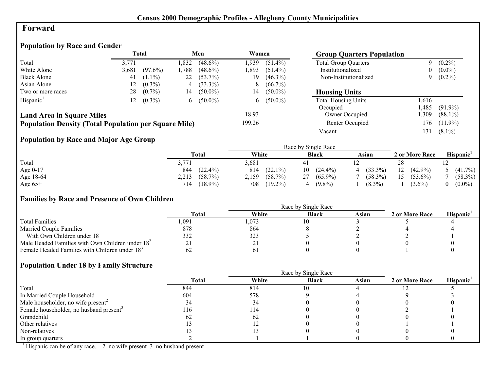## **Forward**

# **Population by Race and Gender**

|                                                              |          | <b>Total</b> |      | Men          | Women  |              | <b>Group Quarters Population</b> |      |            |
|--------------------------------------------------------------|----------|--------------|------|--------------|--------|--------------|----------------------------------|------|------------|
| Total                                                        | 3.771    |              | .832 | $(48.6\%)$   | 1.939  | $(51.4\%)$   | <b>Total Group Quarters</b>      |      | $(0.2\%)$  |
| White Alone                                                  | 3,681    | $(97.6\%)$   | .788 | $(48.6\%)$   | 1.893  | $(51.4\%)$   | Institutionalized                | 0    | $(0.0\%)$  |
| <b>Black Alone</b>                                           | 41       | $(1.1\%)$    | 22   | $(53.7\%)$   | 19     | $(46.3\%)$   | Non-Institutionalized            | 9    | $(0.2\%)$  |
| Asian Alone                                                  | <u>2</u> | $(0.3\%)$    | 4    | $(33.3\%)$   | 8      | $(66.7\%)$   |                                  |      |            |
| Two or more races                                            | 28       | $(0.7\%)$    | 14   | $(50.0\%)$   | 14     | $(50.0\%)$   | <b>Housing Units</b>             |      |            |
| Hispanic <sup>1</sup>                                        | 12       | $(0.3\%)$    |      | 6 $(50.0\%)$ |        | 6 $(50.0\%)$ | <b>Total Housing Units</b>       | .616 |            |
|                                                              |          |              |      |              |        |              | Occupied                         | .485 | $(91.9\%)$ |
| <b>Land Area in Square Miles</b>                             |          |              |      |              | 18.93  |              | Owner Occupied                   | ,309 | $(88.1\%)$ |
| <b>Population Density (Total Population per Square Mile)</b> |          |              |      |              | 199.26 |              | Renter Occupied                  | 76ء  | $(11.9\%)$ |
|                                                              |          |              |      |              |        |              | Vacant                           | 131  | $(8.1\%)$  |

## **Population by Race and Major Age Group**

|           |                   |                     | Race by Single Race |                 |                  |                       |
|-----------|-------------------|---------------------|---------------------|-----------------|------------------|-----------------------|
|           | <b>Total</b>      | White               | <b>Black</b>        | Asian           | 2 or More Race   | Hispanic <sup>1</sup> |
| Total     | 3,771             | 3,681               | 4                   |                 | 28               |                       |
| Age 0-17  | 844<br>$(22.4\%)$ | $(22.1\%)$<br>814   | $(24.4\%)$<br>10    | $(33.3\%)$<br>4 | $(42.9\%)$<br>12 | $(41.7\%)$            |
| Age 18-64 | 2,213<br>(58.7%)  | $(58.7\%)$<br>2,159 | $(65.9\%)$<br>27    | $(58.3\%)$      | $(53.6\%)$<br>15 | $(58.3\%)$            |
| Age $65+$ | $(18.9\%)$<br>714 | 708<br>$(19.2\%)$   | $(9.8\%)$           | $(8.3\%)$       | $(3.6\%)$        | $(0.0\%)$             |

#### **Families by Race and Presence of Own Children**

|                                                            | <b>Total</b> | White | <b>Black</b> | Asian | 2 or More Race | <b>Hispanic</b> |
|------------------------------------------------------------|--------------|-------|--------------|-------|----------------|-----------------|
| <b>Total Families</b>                                      | .091         | .073  |              |       |                |                 |
| <b>Married Couple Families</b>                             | 878          | 864   |              |       |                |                 |
| With Own Children under 18                                 | 332          | 323   |              |       |                |                 |
| Male Headed Families with Own Children under $182$         |              | ∸ -   |              |       |                |                 |
| Female Headed Families with Children under 18 <sup>3</sup> | 62           |       |              |       |                |                 |

#### **Population Under 18 by Family Structure**

|                                                     | Race by Single Race |       |              |       |                |                       |  |  |
|-----------------------------------------------------|---------------------|-------|--------------|-------|----------------|-----------------------|--|--|
|                                                     | Total               | White | <b>Black</b> | Asian | 2 or More Race | Hispanic <sup>1</sup> |  |  |
| Total                                               | 844                 | 814   | 10           |       |                |                       |  |  |
| In Married Couple Household                         | 604                 | 578   |              |       |                |                       |  |  |
| Male householder, no wife present <sup>2</sup>      |                     | 34    |              |       |                |                       |  |  |
| Female householder, no husband present <sup>3</sup> | 116                 | 114   |              |       |                |                       |  |  |
| Grandchild                                          | bΖ                  | 62    |              |       |                |                       |  |  |
| Other relatives                                     |                     |       |              |       |                |                       |  |  |
| Non-relatives                                       |                     |       |              |       |                |                       |  |  |
| In group quarters                                   |                     |       |              |       |                |                       |  |  |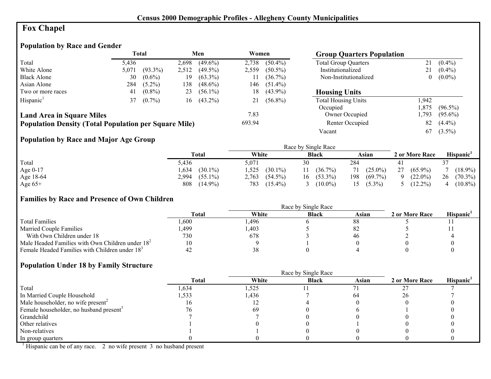# **Fox Chapel**

# **Population by Race and Gender**

|                                                              |       | <b>Total</b> |       | Men          | Women  |            | <b>Group Quarters Population</b> |          |            |
|--------------------------------------------------------------|-------|--------------|-------|--------------|--------|------------|----------------------------------|----------|------------|
| Total                                                        | 5,436 |              | 2,698 | $(49.6\%)$   | 2,738  | $(50.4\%)$ | <b>Total Group Quarters</b>      | 21       | $(0.4\%)$  |
| White Alone                                                  | 5,071 | $(93.3\%)$   | 2,512 | $(49.5\%)$   | 2,559  | $(50.5\%)$ | Institutionalized                | 21       | $(0.4\%)$  |
| <b>Black Alone</b>                                           | 30    | $(0.6\%)$    | 19    | $(63.3\%)$   |        | $(36.7\%)$ | Non-Institutionalized            | $\theta$ | $(0.0\%)$  |
| Asian Alone                                                  | 284   | $(5.2\%)$    | 138   | $(48.6\%)$   | 146-   | $(51.4\%)$ |                                  |          |            |
| Two or more races                                            | 41    | $(0.8\%)$    | 23    | $(56.1\%)$   | 18     | $(43.9\%)$ | <b>Housing Units</b>             |          |            |
| Hispanic <sup>1</sup>                                        | 37    | $(0.7\%)$    |       | $16(43.2\%)$ | 21     | $(56.8\%)$ | <b>Total Housing Units</b>       | .942     |            |
|                                                              |       |              |       |              |        |            | Occupied                         | .875     | $(96.5\%)$ |
| <b>Land Area in Square Miles</b>                             |       |              |       |              | 7.83   |            | Owner Occupied                   | ,793     | $(95.6\%)$ |
| <b>Population Density (Total Population per Square Mile)</b> |       |              |       |              | 693.94 |            | Renter Occupied                  | 82       | $(4.4\%)$  |
|                                                              |       |              |       |              |        |            | Vacant                           | 67       | $(3.5\%)$  |

## **Population by Race and Major Age Group**

|           |                     |                     | Race by Single Race |                   |                  |                  |
|-----------|---------------------|---------------------|---------------------|-------------------|------------------|------------------|
|           | <b>Total</b>        | White               | <b>Black</b>        | Asian             | 2 or More Race   | Hispanic'        |
| Total     | 5,436               | 5,071               | 30                  | 284               |                  |                  |
| Age 0-17  | $(30.1\%)$<br>.634  | .525<br>$(30.1\%)$  | $(36.7\%)$          | $(25.0\%)$<br>71  | 27<br>$(65.9\%)$ | $18.9\%$         |
| Age 18-64 | 2,994<br>$(55.1\%)$ | $(54.5\%)$<br>2,763 | $(53.3\%)$<br>16    | $(69.7\%)$<br>198 | $(22.0\%)$       | 26<br>$(70.3\%)$ |
| Age $65+$ | 808<br>$(14.9\%)$   | 783<br>$(15.4\%)$   | $(10.0\%)$          | $(5.3\%)$<br>15.  | $(12.2\%)$       | $(10.8\%)$       |

#### **Families by Race and Presence of Own Children**

|                                                            | <b>Total</b> | White | <b>Black</b> | Asian | 2 or More Race | <b>Hispanic</b> |
|------------------------------------------------------------|--------------|-------|--------------|-------|----------------|-----------------|
| <b>Total Families</b>                                      | .600         | .496  |              |       |                |                 |
| <b>Married Couple Families</b>                             | .499.        | .403  |              |       |                |                 |
| With Own Children under 18                                 | 730          | 678   |              | 40    |                |                 |
| Male Headed Families with Own Children under $182$         | 10           |       |              |       |                |                 |
| Female Headed Families with Children under 18 <sup>3</sup> |              | 38    |              |       |                |                 |

#### **Population Under 18 by Family Structure**

|                                                     | <b>Total</b> | White | <b>Black</b> | Asian | 2 or More Race | Hispanic <sup>1</sup> |
|-----------------------------------------------------|--------------|-------|--------------|-------|----------------|-----------------------|
| Total                                               | ,634         | 1,525 |              |       |                |                       |
| In Married Couple Household                         | l.533        | .436  |              | 64    | 26             |                       |
| Male householder, no wife present <sup>2</sup>      | ΙO           |       |              |       |                |                       |
| Female householder, no husband present <sup>3</sup> |              | 69    |              |       |                |                       |
| Grandchild                                          |              |       |              |       |                |                       |
| Other relatives                                     |              |       |              |       |                |                       |
| Non-relatives                                       |              |       |              |       |                |                       |
| In group quarters                                   |              |       |              |       |                |                       |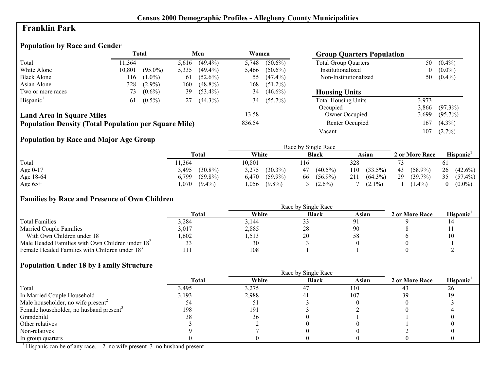## **Franklin Park**

# **Population by Race and Gender**

|                                                              |        | Total      |       | Men        | Women  |            | <b>Group Quarters Population</b> |                |            |
|--------------------------------------------------------------|--------|------------|-------|------------|--------|------------|----------------------------------|----------------|------------|
| Total                                                        | 11,364 |            | 5,616 | $(49.4\%)$ | 5,748  | $(50.6\%)$ | <b>Total Group Quarters</b>      | 50             | $(0.4\%)$  |
| White Alone                                                  | 10,801 | $(95.0\%)$ | 5,335 | $(49.4\%)$ | 5,466  | $(50.6\%)$ | Institutionalized                | $\overline{0}$ | $(0.0\%)$  |
| <b>Black Alone</b>                                           | 116    | $(1.0\%)$  | 61    | $(52.6\%)$ | 55     | $(47.4\%)$ | Non-Institutionalized            | 50             | $(0.4\%)$  |
| Asian Alone                                                  | 328    | $(2.9\%)$  | 160   | $(48.8\%)$ | 168    | $(51.2\%)$ |                                  |                |            |
| Two or more races                                            | 73     | $(0.6\%)$  | 39    | $(53.4\%)$ | 34     | $(46.6\%)$ | <b>Housing Units</b>             |                |            |
| Hispanic <sup>1</sup>                                        | 61     | $(0.5\%)$  | 27    | $(44.3\%)$ | 34     | $(55.7\%)$ | <b>Total Housing Units</b>       | 3,973          |            |
|                                                              |        |            |       |            |        |            | Occupied                         | 3,866          | $(97.3\%)$ |
| <b>Land Area in Square Miles</b>                             |        |            |       |            | 13.58  |            | Owner Occupied                   | 3,699          | $(95.7\%)$ |
| <b>Population Density (Total Population per Square Mile)</b> |        |            |       |            | 836.54 |            | Renter Occupied                  | 167            | $(4.3\%)$  |
|                                                              |        |            |       |            |        |            | Vacant                           | 107            | $(2.7\%)$  |

## **Population by Race and Major Age Group**

|           |                     |                     | Race by Single Race |                   |                  |                  |
|-----------|---------------------|---------------------|---------------------|-------------------|------------------|------------------|
|           | Total               | White               | <b>Black</b>        | Asian             | 2 or More Race   | <b>Hispanic</b>  |
| Total     | 1,364               | 10,801              | 116                 | 328               |                  | 61               |
| Age 0-17  | $(30.8\%)$<br>3,495 | 3,275<br>$(30.3\%)$ | $(40.5\%)$<br>47    | $(33.5\%)$<br>110 | $(58.9\%)$<br>43 | 26<br>$(42.6\%)$ |
| Age 18-64 | $(59.8\%)$<br>6,799 | $(59.9\%)$<br>6,470 | $(56.9\%)$<br>66    | $(64.3\%)$<br>211 | 29<br>$(39.7\%)$ | 35<br>$(57.4\%)$ |
| Age $65+$ | l.070-<br>$(9.4\%)$ | $(9.8\%)$<br>,056   | $(2.6\%)$           | $(2.1\%)$         | $(1.4\%)$        | $(0.0\%)$        |

#### **Families by Race and Presence of Own Children**

|                                                            | <b>Total</b> | White | <b>Black</b> | Asian | 2 or More Race | Hispanic <sup>'</sup> |
|------------------------------------------------------------|--------------|-------|--------------|-------|----------------|-----------------------|
| <b>Total Families</b>                                      | 3.284        | 3.144 |              |       |                |                       |
| <b>Married Couple Families</b>                             | 3,017        | 2,885 | 28           |       |                |                       |
| With Own Children under 18                                 | .602         | .513  | 20           |       |                | 10                    |
| Male Headed Families with Own Children under $182$         |              | 30    |              |       |                |                       |
| Female Headed Families with Children under 18 <sup>3</sup> |              | 108   |              |       |                |                       |

## **Population Under 18 by Family Structure**

|                                                     |       | Race by Single Race |              |       |                |          |
|-----------------------------------------------------|-------|---------------------|--------------|-------|----------------|----------|
|                                                     | Total | White               | <b>Black</b> | Asian | 2 or More Race | Hispanic |
| Total                                               | 3,495 | 3,275               | 47           | 110   | 43             | 26       |
| In Married Couple Household                         | 3,193 | 2,988               | 4 I          | 107   | 39             |          |
| Male householder, no wife present <sup>2</sup>      |       | υı                  |              |       |                |          |
| Female householder, no husband present <sup>3</sup> | 198   | 191                 |              |       |                |          |
| Grandchild                                          | 38    | 36                  |              |       |                |          |
| Other relatives                                     |       |                     |              |       |                |          |
| Non-relatives                                       |       |                     |              |       |                |          |
| In group quarters                                   |       |                     |              |       |                |          |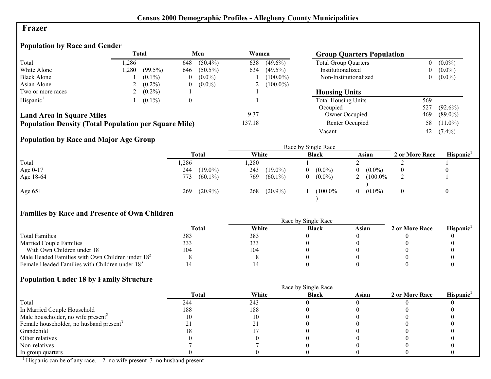#### **Frazer**

## **Population by Race and Gender**

|                                                              |       | <b>Total</b> |                  | Men        | Women  |             | <b>Group Quarters Population</b> |                |            |
|--------------------------------------------------------------|-------|--------------|------------------|------------|--------|-------------|----------------------------------|----------------|------------|
| Total                                                        | .286  |              | 648              | $(50.4\%)$ | 638    | $(49.6\%)$  | <b>Total Group Quarters</b>      | 0              | $(0.0\%)$  |
| White Alone                                                  | 1,280 | $(99.5\%)$   | 646              | $(50.5\%)$ | 634    | $(49.5\%)$  | Institutionalized                | $\overline{0}$ | $(0.0\%)$  |
| <b>Black Alone</b>                                           |       | $(0.1\%)$    | $\theta$         | $(0.0\%)$  |        | $(100.0\%)$ | Non-Institutionalized            | $\overline{0}$ | $(0.0\%)$  |
| Asian Alone                                                  |       | $(0.2\%)$    | $\theta$         | $(0.0\%)$  |        | $(100.0\%)$ |                                  |                |            |
| Two or more races                                            |       | $(0.2\%)$    |                  |            |        |             | <b>Housing Units</b>             |                |            |
| Hispanic <sup>1</sup>                                        |       | $(0.1\%)$    | $\boldsymbol{0}$ |            |        |             | <b>Total Housing Units</b>       | 569            |            |
|                                                              |       |              |                  |            |        |             | Occupied                         | 527            | $(92.6\%)$ |
| <b>Land Area in Square Miles</b>                             |       |              |                  |            | 9.37   |             | Owner Occupied                   | 469            | $(89.0\%)$ |
| <b>Population Density (Total Population per Square Mile)</b> |       |              |                  |            | 137.18 |             | Renter Occupied                  | 58             | $(11.0\%)$ |
|                                                              |       |              |                  |            |        |             | Vacant                           | 42             | $(7.4\%)$  |

# **Population by Race and Major Age Group**

|           | $\bullet$ |                   |                   |                |                       |                |                       |
|-----------|-----------|-------------------|-------------------|----------------|-----------------------|----------------|-----------------------|
|           |           | <b>Total</b>      | White             | <b>Black</b>   | Asian                 | 2 or More Race | Hispanic <sup>1</sup> |
| Total     |           | ,286              | ,280              |                |                       |                |                       |
| Age 0-17  |           | $(19.0\%)$<br>244 | 243<br>$(19.0\%)$ | $(0.0\%)$<br>0 | $(0.0\%)$<br>$\theta$ |                |                       |
| Age 18-64 |           | 773<br>$(60.1\%)$ | 769<br>$(60.1\%)$ | $(0.0\%)$<br>0 | $(100.0\%$<br>∠       |                |                       |
| Age $65+$ |           | $(20.9\%)$<br>269 | $(20.9\%)$<br>268 | $(100.0\%$     | $(0.0\%)$<br>$\theta$ |                |                       |

# **Families by Race and Presence of Own Children**

|                                                    | Race by Single Race |       |              |       |                |                 |  |
|----------------------------------------------------|---------------------|-------|--------------|-------|----------------|-----------------|--|
|                                                    | <b>Total</b>        | White | <b>Black</b> | Asian | 2 or More Race | <b>Hispanic</b> |  |
| <b>Total Families</b>                              | 383                 | 383   |              |       |                |                 |  |
| <b>Married Couple Families</b>                     | 333                 | 333   |              |       |                |                 |  |
| With Own Children under 18                         | 104                 | 104   |              |       |                |                 |  |
| Male Headed Families with Own Children under $182$ |                     |       |              |       |                |                 |  |
| Female Headed Families with Children under $183$   |                     |       |              |       |                |                 |  |

#### **Population Under 18 by Family Structure**

|                                                     |              |       | Race by Single Race |       |                |                       |
|-----------------------------------------------------|--------------|-------|---------------------|-------|----------------|-----------------------|
|                                                     | <b>Total</b> | White | <b>Black</b>        | Asian | 2 or More Race | Hispanic <sup>1</sup> |
| Total                                               | 244          | 243   |                     |       |                |                       |
| In Married Couple Household                         | 188          | 188   |                     |       |                |                       |
| Male householder, no wife present <sup>2</sup>      |              | 10    |                     |       |                |                       |
| Female householder, no husband present <sup>3</sup> |              |       |                     |       |                |                       |
| Grandchild                                          |              |       |                     |       |                |                       |
| Other relatives                                     |              |       |                     |       |                |                       |
| Non-relatives                                       |              |       |                     |       |                |                       |
| In group quarters                                   |              |       |                     |       |                |                       |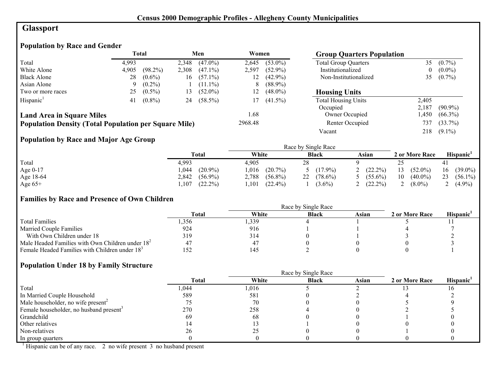# **Glassport**

# **Population by Race and Gender**

|                                                              |       | <b>Total</b> |       | Men        | Women   |            | <b>Group Quarters Population</b> |          |            |
|--------------------------------------------------------------|-------|--------------|-------|------------|---------|------------|----------------------------------|----------|------------|
| Total                                                        | 4.993 |              | 2,348 | $(47.0\%)$ | 2.645   | $(53.0\%)$ | <b>Total Group Quarters</b>      | 35       | $(0.7\%)$  |
| White Alone                                                  | 4,905 | $(98.2\%)$   | 2,308 | $(47.1\%)$ | 2,597   | $(52.9\%)$ | Institutionalized                | $\theta$ | $(0.0\%)$  |
| <b>Black Alone</b>                                           | 28    | $(0.6\%)$    | 16    | $(57.1\%)$ | 12      | $(42.9\%)$ | Non-Institutionalized            | 35       | $(0.7\%)$  |
| Asian Alone                                                  | 9     | $(0.2\%)$    |       | $(11.1\%)$ | 8       | $(88.9\%)$ |                                  |          |            |
| Two or more races                                            | 25    | $(0.5\%)$    | 13    | $(52.0\%)$ | 12      | $(48.0\%)$ | <b>Housing Units</b>             |          |            |
| Hispanic <sup>1</sup>                                        | 41    | $(0.8\%)$    | 24    | $(58.5\%)$ | 17      | $(41.5\%)$ | <b>Total Housing Units</b>       | 2,405    |            |
|                                                              |       |              |       |            |         |            | Occupied                         | 2,187    | $(90.9\%)$ |
| <b>Land Area in Square Miles</b>                             |       |              |       |            | 1.68    |            | Owner Occupied                   | .450     | $(66.3\%)$ |
| <b>Population Density (Total Population per Square Mile)</b> |       |              |       |            | 2968.48 |            | Renter Occupied                  | 737      | $(33.7\%)$ |
|                                                              |       |              |       |            |         |            | Vacant                           | 218      | $(9.1\%)$  |

## **Population by Race and Major Age Group**

|           |                     |                     | Race by Single Race |              |                  |                  |
|-----------|---------------------|---------------------|---------------------|--------------|------------------|------------------|
|           | Total               | White               | <b>Black</b>        | Asian        | 2 or More Race   | <b>Hispanic</b>  |
| Total     | 4,993               | 4.905               | 28                  |              |                  |                  |
| Age 0-17  | $(20.9\%)$<br>044   | 1,016<br>$(20.7\%)$ | 5 $(17.9\%)$        | 2 $(22.2\%)$ | $(52.0\%)$<br>13 | $(39.0\%)$<br>16 |
| Age 18-64 | 2,842<br>$(56.9\%)$ | 2,788<br>$(56.8\%)$ | 22<br>$(78.6\%)$    | $(55.6\%)$   | 10<br>$(40.0\%)$ | 23<br>$(56.1\%)$ |
| Age $65+$ | $(22.2\%)$<br>.107  | $(22.4\%)$<br>.101  | $(3.6\%)$           | $(22.2\%)$   | $(8.0\%)$        | $(4.9\%)$        |

#### **Families by Race and Presence of Own Children**

|                                                            | Race by Single Race |       |              |       |                |                       |  |  |
|------------------------------------------------------------|---------------------|-------|--------------|-------|----------------|-----------------------|--|--|
|                                                            | <b>Total</b>        | White | <b>Black</b> | Asian | 2 or More Race | Hispanic <sup>'</sup> |  |  |
| <b>Total Families</b>                                      | .356                | ,339  |              |       |                |                       |  |  |
| <b>Married Couple Families</b>                             | 924                 | 916   |              |       |                |                       |  |  |
| With Own Children under 18                                 | 319                 | 314   |              |       |                |                       |  |  |
| Male Headed Families with Own Children under $182$         |                     | 47    |              |       |                |                       |  |  |
| Female Headed Families with Children under 18 <sup>3</sup> | 152                 | 145   |              |       |                |                       |  |  |

## **Population Under 18 by Family Structure**

|                                                     |       |       | Race by Single Race |       |                |                       |
|-----------------------------------------------------|-------|-------|---------------------|-------|----------------|-----------------------|
|                                                     | Total | White | <b>Black</b>        | Asian | 2 or More Race | Hispanic <sup>1</sup> |
| Total                                               | ,044  | 1,016 |                     |       |                |                       |
| In Married Couple Household                         | 589   | 581   |                     |       |                |                       |
| Male householder, no wife present <sup>2</sup>      |       | 70    |                     |       |                |                       |
| Female householder, no husband present <sup>3</sup> | 270   | 258   |                     |       |                |                       |
| Grandchild                                          | 69    | 68    |                     |       |                |                       |
| Other relatives                                     |       |       |                     |       |                |                       |
| Non-relatives                                       | 26    | 25    |                     |       |                |                       |
| In group quarters                                   |       |       |                     |       |                |                       |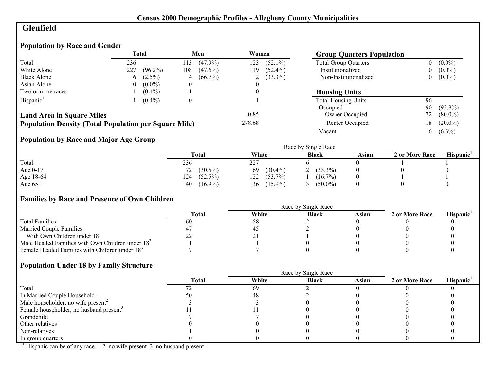## **Glenfield**

# **Population by Race and Gender**

|                                                              |     | <b>Total</b> |                  | Men        | Women  |              | <b>Group Quarters Population</b> |    |            |
|--------------------------------------------------------------|-----|--------------|------------------|------------|--------|--------------|----------------------------------|----|------------|
| Total                                                        | 236 |              | 113              | $(47.9\%)$ | 123    | $(52.1\%)$   | <b>Total Group Quarters</b>      |    | $(0.0\%)$  |
| White Alone                                                  | 227 | $(96.2\%)$   | 108              | $(47.6\%)$ | 119    | $(52.4\%)$   | Institutionalized                |    | $(0.0\%)$  |
| <b>Black Alone</b>                                           | 6   | $(2.5\%)$    | 4                | $(66.7\%)$ |        | 2 $(33.3\%)$ | Non-Institutionalized            | 0  | $(0.0\%)$  |
| Asian Alone                                                  | 0   | $(0.0\%)$    | $\left($         |            |        |              |                                  |    |            |
| Two or more races                                            |     | $(0.4\%)$    |                  |            |        |              | <b>Housing Units</b>             |    |            |
| Hispanic <sup>1</sup>                                        |     | $(0.4\%)$    | $\boldsymbol{0}$ |            |        |              | <b>Total Housing Units</b>       | 96 |            |
|                                                              |     |              |                  |            |        |              | Occupied                         | 90 | $(93.8\%)$ |
| <b>Land Area in Square Miles</b>                             |     |              |                  |            | 0.85   |              | Owner Occupied                   | 72 | $(80.0\%)$ |
| <b>Population Density (Total Population per Square Mile)</b> |     |              |                  |            | 278.68 |              | Renter Occupied                  | 18 | $(20.0\%)$ |
|                                                              |     |              |                  |            |        |              | Vacant                           | 6  | $(6.3\%)$  |

# **Population by Race and Major Age Group**

|           | <b>Total</b>      | White             | <b>Black</b> | Asian | 2 or More Race | Hispanic' |
|-----------|-------------------|-------------------|--------------|-------|----------------|-----------|
| Total     | 236               | 227               |              |       |                |           |
| Age 0-17  | $(30.5\%)$<br>72  | $(30.4\%)$<br>69  | $(33.3\%)$   |       |                |           |
| Age 18-64 | 124<br>$(52.5\%)$ | 122<br>$(53.7\%)$ | $(16.7\%)$   |       |                |           |
| Age $65+$ | $(16.9\%)$<br>40  | $(15.9\%)$<br>36  | $(50.0\%)$   |       |                |           |

#### **Families by Race and Presence of Own Children**

|                                                            | Race by Single Race |       |              |       |                |                 |  |  |
|------------------------------------------------------------|---------------------|-------|--------------|-------|----------------|-----------------|--|--|
|                                                            | <b>Total</b>        | White | <b>Black</b> | Asian | 2 or More Race | <b>Hispanic</b> |  |  |
| <b>Total Families</b>                                      | 60                  | 58    |              |       |                |                 |  |  |
| <b>Married Couple Families</b>                             |                     | -45   |              |       |                |                 |  |  |
| With Own Children under 18                                 | __                  | ∸ -   |              |       |                |                 |  |  |
| Male Headed Families with Own Children under $182$         |                     |       |              |       |                |                 |  |  |
| Female Headed Families with Children under 18 <sup>3</sup> |                     |       |              |       |                |                 |  |  |

#### **Population Under 18 by Family Structure**

|                                                     |       | Race by Single Race |              |       |                |                       |  |  |
|-----------------------------------------------------|-------|---------------------|--------------|-------|----------------|-----------------------|--|--|
|                                                     | Total | White               | <b>Black</b> | Asian | 2 or More Race | Hispanic <sup>1</sup> |  |  |
| Total                                               |       | 69                  |              |       |                |                       |  |  |
| In Married Couple Household                         |       | 4۲                  |              |       |                |                       |  |  |
| Male householder, no wife present <sup>2</sup>      |       |                     |              |       |                |                       |  |  |
| Female householder, no husband present <sup>3</sup> |       |                     |              |       |                |                       |  |  |
| Grandchild                                          |       |                     |              |       |                |                       |  |  |
| Other relatives                                     |       |                     |              |       |                |                       |  |  |
| Non-relatives                                       |       |                     |              |       |                |                       |  |  |
| In group quarters                                   |       |                     |              |       |                |                       |  |  |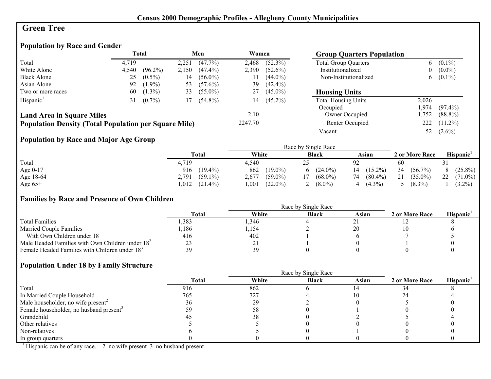## **Green Tree**

## **Population by Race and Gender**

|                                                              |       | <b>Total</b> |       | Men        | Women   |            | <b>Group Quarters Population</b> |          |            |
|--------------------------------------------------------------|-------|--------------|-------|------------|---------|------------|----------------------------------|----------|------------|
| Total                                                        | 4.719 |              | 2,251 | $(47.7\%)$ | 2,468   | $(52.3\%)$ | <b>Total Group Quarters</b>      | 6        | $(0.1\%)$  |
| White Alone                                                  | 4,540 | $(96.2\%)$   | 2,150 | $(47.4\%)$ | 2,390   | $(52.6\%)$ | Institutionalized                | $\bf{0}$ | $(0.0\%)$  |
| <b>Black Alone</b>                                           | 25    | $(0.5\%)$    | 14    | $(56.0\%)$ |         | $(44.0\%)$ | Non-Institutionalized            | 6        | $(0.1\%)$  |
| Asian Alone                                                  | 92    | $(1.9\%)$    | 53    | $(57.6\%)$ | 39      | $(42.4\%)$ |                                  |          |            |
| Two or more races                                            | 60    | $(1.3\%)$    | 33    | $(55.0\%)$ | 27      | $(45.0\%)$ | <b>Housing Units</b>             |          |            |
| Hispanic <sup>1</sup>                                        | 31    | $(0.7\%)$    | 17    | $(54.8\%)$ | 14      | $(45.2\%)$ | <b>Total Housing Units</b>       | 2,026    |            |
|                                                              |       |              |       |            |         |            | Occupied                         | .974     | $(97.4\%)$ |
| <b>Land Area in Square Miles</b>                             |       |              |       |            | 2.10    |            | Owner Occupied                   | ,752     | $(88.8\%)$ |
| <b>Population Density (Total Population per Square Mile)</b> |       |              |       |            | 2247.70 |            | Renter Occupied                  | 222      | $(11.2\%)$ |
|                                                              |       |              |       |            |         |            | Vacant                           | 52       | $(2.6\%)$  |

## **Population by Race and Major Age Group**

|           |                     |                     | Race by Single Race |                  |                  |                       |
|-----------|---------------------|---------------------|---------------------|------------------|------------------|-----------------------|
|           | Total               | White               | <b>Black</b>        | Asian            | 2 or More Race   | Hispanic <sup>1</sup> |
| Total     | 4,719               | 4.540               | ت                   | 92               | 60               |                       |
| Age 0-17  | $(19.4\%)$<br>916   | 862<br>$(19.0\%)$   | $(24.0\%)$<br>6     | $(15.2\%)$<br>14 | 34<br>$(56.7\%)$ | $(25.8\%)$            |
| Age 18-64 | $(59.1\%)$<br>2.791 | $(59.0\%)$<br>2.677 | $(68.0\%)$          | $(80.4\%)$<br>74 | 21<br>$(35.0\%)$ | 22<br>$(71.0\%)$      |
| Age $65+$ | $(21.4\%)$<br>012   | $(22.0\%)$<br>,001  | $(8.0\%)$           | $(4.3\%)$<br>4   | $(8.3\%)$        | $(3.2\%)$             |

## **Families by Race and Presence of Own Children**

|                                                            | <b>Total</b> | White | <b>Black</b> | Asian | 2 or More Race | <b>Hispanic</b> |
|------------------------------------------------------------|--------------|-------|--------------|-------|----------------|-----------------|
| <b>Total Families</b>                                      | ,383         | ,346  |              |       |                |                 |
| <b>Married Couple Families</b>                             | ,186         | ,154  |              |       |                |                 |
| With Own Children under 18                                 | 416          | 402   |              |       |                |                 |
| Male Headed Families with Own Children under $182$         |              | ∠ ⊥   |              |       |                |                 |
| Female Headed Families with Children under 18 <sup>3</sup> |              | 39    |              |       |                |                 |

## **Population Under 18 by Family Structure**

|                                                     | Race by Single Race |       |              |       |                |                       |  |
|-----------------------------------------------------|---------------------|-------|--------------|-------|----------------|-----------------------|--|
|                                                     | <b>Total</b>        | White | <b>Black</b> | Asian | 2 or More Race | Hispanic <sup>1</sup> |  |
| Total                                               | 916                 | 862   |              |       |                |                       |  |
| In Married Couple Household                         | 765                 | 727   |              |       |                |                       |  |
| Male householder, no wife present <sup>2</sup>      | 36                  | 29    |              |       |                |                       |  |
| Female householder, no husband present <sup>3</sup> |                     |       |              |       |                |                       |  |
| Grandchild                                          |                     | 38    |              |       |                |                       |  |
| Other relatives                                     |                     |       |              |       |                |                       |  |
| Non-relatives                                       |                     |       |              |       |                |                       |  |
| In group quarters                                   |                     |       |              |       |                |                       |  |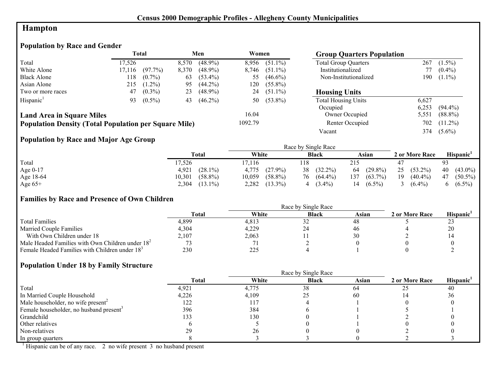# **Hampton**

# **Population by Race and Gender**

|                                                              | Total  |            | Men   |            | Women   |            |                             |       | <b>Group Quarters Population</b> |  |  |
|--------------------------------------------------------------|--------|------------|-------|------------|---------|------------|-----------------------------|-------|----------------------------------|--|--|
| Total                                                        | 17.526 |            | 8,570 | $(48.9\%)$ | 8,956   | $(51.1\%)$ | <b>Total Group Quarters</b> | 267   | $(1.5\%)$                        |  |  |
| White Alone                                                  | 17,116 | $(97.7\%)$ | 8,370 | $(48.9\%)$ | 8,746   | $(51.1\%)$ | Institutionalized           |       | $(0.4\%)$                        |  |  |
| <b>Black Alone</b>                                           | 118    | $(0.7\%)$  | 63    | $(53.4\%)$ | 55      | $(46.6\%)$ | Non-Institutionalized       | 190   | $(1.1\%)$                        |  |  |
| Asian Alone                                                  | 215    | $(1.2\%)$  | 95    | $(44.2\%)$ | 120     | $(55.8\%)$ |                             |       |                                  |  |  |
| Two or more races                                            | 47     | $(0.3\%)$  | 23    | $(48.9\%)$ | 24      | $(51.1\%)$ | <b>Housing Units</b>        |       |                                  |  |  |
| Hispanic <sup>1</sup>                                        | 93     | $(0.5\%)$  | 43    | $(46.2\%)$ | 50      | $(53.8\%)$ | <b>Total Housing Units</b>  | 6,627 |                                  |  |  |
|                                                              |        |            |       |            |         |            | Occupied                    | 6,253 | $(94.4\%)$                       |  |  |
| <b>Land Area in Square Miles</b>                             |        |            |       |            | 16.04   |            | Owner Occupied              | 5,551 | $(88.8\%)$                       |  |  |
| <b>Population Density (Total Population per Square Mile)</b> |        |            |       |            | 1092.79 |            | Renter Occupied             | 702   | $(11.2\%)$                       |  |  |
|                                                              |        |            |       |            |         |            | Vacant                      | 374   | $(5.6\%)$                        |  |  |

## **Population by Race and Major Age Group**

|           |                      |                      | Race by Single Race |                   |                  |                  |
|-----------|----------------------|----------------------|---------------------|-------------------|------------------|------------------|
|           | Total                | White                | <b>Black</b>        | Asian             | 2 or More Race   | Hispanic'        |
| Total     | 17,526               | 7,116                | 118                 | 215               |                  | 93               |
| Age 0-17  | $(28.1\%)$<br>4,921  | 4.775<br>$(27.9\%)$  | $(32.2\%)$<br>38    | $(29.8\%)$<br>64  | 25<br>$(53.2\%)$ | 40<br>$(43.0\%)$ |
| Age 18-64 | $(58.8\%)$<br>10,301 | $(58.8\%)$<br>10,059 | $(64.4\%)$<br>76    | $(63.7\%)$<br>137 | 19<br>$(40.4\%)$ | $(50.5\%)$<br>47 |
| Age $65+$ | $(13.1\%)$<br>2,304  | 2,282<br>$(13.3\%)$  | $(3.4\%)$           | $(6.5\%)$<br>14   | $(6.4\%)$        | $(6.5\%)$        |

#### **Families by Race and Presence of Own Children**

|                                                            | Race by Single Race |       |                             |       |                |                 |  |  |
|------------------------------------------------------------|---------------------|-------|-----------------------------|-------|----------------|-----------------|--|--|
|                                                            | <b>Total</b>        | White | <b>Black</b>                | Asian | 2 or More Race | <b>Hispanic</b> |  |  |
| <b>Total Families</b>                                      | 4.899               | 4.813 | ے ر                         |       |                | ر_ر             |  |  |
| <b>Married Couple Families</b>                             | 4,304               | 4,229 | $\mathcal{L}^{\mathcal{L}}$ | 40    |                | 20              |  |  |
| With Own Children under 18                                 | 2,107               | 2,063 |                             |       |                |                 |  |  |
| Male Headed Families with Own Children under $182$         |                     |       |                             |       |                |                 |  |  |
| Female Headed Families with Children under 18 <sup>3</sup> | 230                 | 225   |                             |       |                |                 |  |  |

## **Population Under 18 by Family Structure**

|                                                     | <b>Total</b> | White | <b>Black</b> | Asian | 2 or More Race | Hispanic |
|-----------------------------------------------------|--------------|-------|--------------|-------|----------------|----------|
| Total                                               | 4,921        | 4,775 | 38           | 64    |                | 40       |
| In Married Couple Household                         | 4,226        | 4,109 |              | 60    |                | 36       |
| Male householder, no wife present <sup>2</sup>      | 122          | 117   |              |       |                |          |
| Female householder, no husband present <sup>3</sup> | 396          | 384   |              |       |                |          |
| Grandchild                                          | 133          | 130   |              |       |                |          |
| Other relatives                                     |              |       |              |       |                |          |
| Non-relatives                                       |              | 26    |              |       |                |          |
| In group quarters                                   |              |       |              |       |                |          |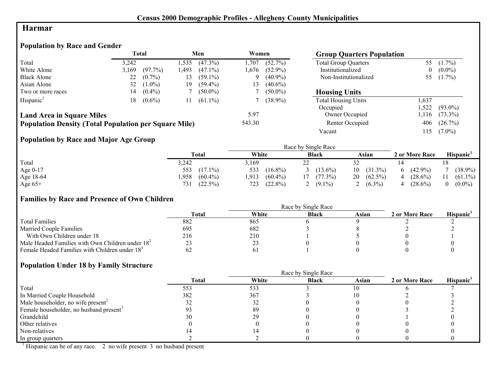## **Harmar**

## **Population by Race and Gender**

|                                                              |       | <b>Total</b> |       | Men        | Women  |            | <b>Group Quarters Population</b> |          |            |
|--------------------------------------------------------------|-------|--------------|-------|------------|--------|------------|----------------------------------|----------|------------|
| Total                                                        | 3.242 |              | l.535 | $(47.3\%)$ | .707   | $(52.7\%)$ | <b>Total Group Quarters</b>      | 55       | $(1.7\%)$  |
| White Alone                                                  | 3,169 | $(97.7\%)$   | 1.493 | $(47.1\%)$ | 1.676  | $(52.9\%)$ | Institutionalized                | $\theta$ | $(0.0\%)$  |
| <b>Black Alone</b>                                           | 22    | $(0.7\%)$    | 13    | $(59.1\%)$ | Q      | $(40.9\%)$ | Non-Institutionalized            | 55       | $(1.7\%)$  |
| Asian Alone                                                  | 32    | $(1.0\%)$    | 19    | $(59.4\%)$ | 13     | $(40.6\%)$ |                                  |          |            |
| Two or more races                                            | 14    | $(0.4\%)$    |       | $(50.0\%)$ |        | $(50.0\%)$ | <b>Housing Units</b>             |          |            |
| Hispanic <sup>1</sup>                                        | 18    | $(0.6\%)$    |       | $(61.1\%)$ |        | $(38.9\%)$ | <b>Total Housing Units</b>       | 1.637    |            |
|                                                              |       |              |       |            |        |            | Occupied                         | 1,522    | $(93.0\%)$ |
| <b>Land Area in Square Miles</b>                             |       |              |       |            | 5.97   |            | Owner Occupied                   | l, 116   | $(73.3\%)$ |
| <b>Population Density (Total Population per Square Mile)</b> |       |              |       |            | 543.30 |            | Renter Occupied                  | 406      | $(26.7\%)$ |
|                                                              |       |              |       |            |        |            | Vacant                           | 115      | $(7.0\%)$  |

## **Population by Race and Major Age Group**

|           |                    |                    | Race by Single Race |                  |                |                       |
|-----------|--------------------|--------------------|---------------------|------------------|----------------|-----------------------|
|           | <b>Total</b>       | White              | <b>Black</b>        | Asian            | 2 or More Race | Hispanic <sup>1</sup> |
| Total     | 3,242              | 3.169              | --                  |                  |                |                       |
| Age 0-17  | $(17.1\%)$<br>553  | 533<br>$(16.8\%)$  | $(13.6\%)$          | $(31.3\%)$<br>10 | $(42.9\%)$     | $(38.9\%)$            |
| Age 18-64 | $(60.4\%)$<br>,958 | .913<br>$(60.4\%)$ | $(77.3\%)$          | $(62.5\%)$<br>20 | $(28.6\%)$     | $(61.1\%)$            |
| Age $65+$ | $(22.5\%)$<br>731  | $(22.8\%)$<br>723  | $(9.1\%)$           | $(6.3\%)$        | $(28.6\%)$     | $(0.0\%)$             |

## **Families by Race and Presence of Own Children**

|                                                            | Race by Single Race |       |              |       |                |                       |  |  |
|------------------------------------------------------------|---------------------|-------|--------------|-------|----------------|-----------------------|--|--|
|                                                            | <b>Total</b>        | White | <b>Black</b> | Asian | 2 or More Race | Hispanic <sup>'</sup> |  |  |
| <b>Total Families</b>                                      | 882                 | 865   |              |       |                |                       |  |  |
| <b>Married Couple Families</b>                             | 695                 | 682   |              |       |                |                       |  |  |
| With Own Children under 18                                 | 216                 | 210   |              |       |                |                       |  |  |
| Male Headed Families with Own Children under $182$         |                     | ∠.    |              |       |                |                       |  |  |
| Female Headed Families with Children under 18 <sup>3</sup> |                     |       |              |       |                |                       |  |  |

## **Population Under 18 by Family Structure**

|                                                     |       | Race by Single Race |              |       |                |                       |
|-----------------------------------------------------|-------|---------------------|--------------|-------|----------------|-----------------------|
|                                                     | Total | White               | <b>Black</b> | Asian | 2 or More Race | Hispanic <sup>1</sup> |
| Total                                               | 553   | 533                 |              | l0    |                |                       |
| In Married Couple Household                         | 382   | 367                 |              |       |                |                       |
| Male householder, no wife present <sup>2</sup>      |       |                     |              |       |                |                       |
| Female householder, no husband present <sup>3</sup> |       | 89                  |              |       |                |                       |
| Grandchild                                          |       | 29                  |              |       |                |                       |
| Other relatives                                     |       |                     |              |       |                |                       |
| Non-relatives                                       |       |                     |              |       |                |                       |
| In group quarters                                   |       |                     |              |       |                |                       |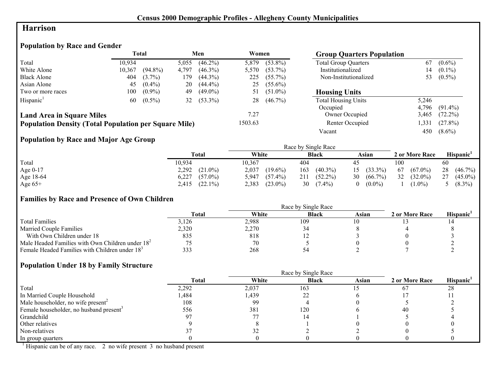## **Harrison**

## **Population by Race and Gender**

|                                                              |        | <b>Total</b> |       | Men        | Women   |            | <b>Group Quarters Population</b> |       |            |
|--------------------------------------------------------------|--------|--------------|-------|------------|---------|------------|----------------------------------|-------|------------|
| Total                                                        | 10.934 |              | 5,055 | $(46.2\%)$ | 5,879   | $(53.8\%)$ | <b>Total Group Quarters</b>      | 67    | $(0.6\%)$  |
| White Alone                                                  | 10,367 | $(94.8\%)$   | 4,797 | $(46.3\%)$ | 5,570   | $(53.7\%)$ | Institutionalized                | 14    | $(0.1\%)$  |
| <b>Black Alone</b>                                           | 404    | $(3.7\%)$    | 179   | $(44.3\%)$ | 225     | $(55.7\%)$ | Non-Institutionalized            | 53    | $(0.5\%)$  |
| Asian Alone                                                  | 45     | $(0.4\%)$    | 20    | $(44.4\%)$ | 25      | $(55.6\%)$ |                                  |       |            |
| Two or more races                                            | 100    | $(0.9\%)$    | 49    | $(49.0\%)$ | 51      | $(51.0\%)$ | <b>Housing Units</b>             |       |            |
| Hispanic <sup>1</sup>                                        | 60     | $(0.5\%)$    | 32    | $(53.3\%)$ | 28      | $(46.7\%)$ | <b>Total Housing Units</b>       | 5,246 |            |
|                                                              |        |              |       |            |         |            | Occupied                         | 4.796 | $(91.4\%)$ |
| <b>Land Area in Square Miles</b>                             |        |              |       |            | 7.27    |            | Owner Occupied                   | 3,465 | $(72.2\%)$ |
| <b>Population Density (Total Population per Square Mile)</b> |        |              |       |            | 1503.63 |            | Renter Occupied                  | ,331  | $(27.8\%)$ |
|                                                              |        |              |       |            |         |            | Vacant                           | 450   | $(8.6\%)$  |

## **Population by Race and Major Age Group**

|            |                     |                     | Race by Single Race |                       |                  |                  |
|------------|---------------------|---------------------|---------------------|-----------------------|------------------|------------------|
|            | Total               | White               | <b>Black</b>        | Asian                 | 2 or More Race   | <b>Hispanic</b>  |
| Total      | 10.934              | 10,367              | 404                 | $4^{\sim}$            | 100              | 60               |
| Age $0-17$ | 2,292<br>$(21.0\%)$ | 2,037<br>$(19.6\%)$ | $(40.3\%)$<br>163   | $15(33.3\%)$          | $(67.0\%)$<br>67 | 28<br>$(46.7\%)$ |
| Age 18-64  | 6.227<br>$(57.0\%)$ | $(57.4\%)$<br>5.947 | 211<br>$(52.2\%)$   | $(66.7\%)$<br>30      | 32<br>$(32.0\%)$ | $(45.0\%)$<br>27 |
| Age $65+$  | $(22.1\%)$<br>2,415 | 2,383<br>$(23.0\%)$ | 30<br>$(7.4\%)$     | $(0.0\%)$<br>$\Omega$ | $(1.0\%)$        | 5 $(8.3\%)$      |

## **Families by Race and Presence of Own Children**

|                                                            | <b>Total</b> | White | <b>Black</b> | Asian | 2 or More Race | Hispanic <sup>'</sup> |
|------------------------------------------------------------|--------------|-------|--------------|-------|----------------|-----------------------|
| <b>Total Families</b>                                      | 3,126        | 2,988 | 109          |       |                |                       |
| <b>Married Couple Families</b>                             | 2,320        | 2,270 |              |       |                |                       |
| With Own Children under 18                                 | 835          | 818   |              |       |                |                       |
| Male Headed Families with Own Children under $182$         |              | 70    |              |       |                |                       |
| Female Headed Families with Children under 18 <sup>3</sup> | 333          | 268   |              |       |                |                       |

## **Population Under 18 by Family Structure**

|                                                     |         | Race by Single Race |              |       |                |                       |
|-----------------------------------------------------|---------|---------------------|--------------|-------|----------------|-----------------------|
|                                                     | Total   | White               | <b>Black</b> | Asian | 2 or More Race | Hispanic <sup>1</sup> |
| Total                                               | 2,292   | 2,037               | 163          |       |                | 28                    |
| In Married Couple Household                         | .484. ا | 1,439               | ∠∠           |       |                |                       |
| Male householder, no wife present <sup>2</sup>      | 108     | 99                  |              |       |                |                       |
| Female householder, no husband present <sup>3</sup> | 556     | 381                 | 120          |       | 40             |                       |
| Grandchild                                          |         |                     |              |       |                |                       |
| Other relatives                                     |         |                     |              |       |                |                       |
| Non-relatives                                       |         |                     |              |       |                |                       |
| In group quarters                                   |         |                     |              |       |                |                       |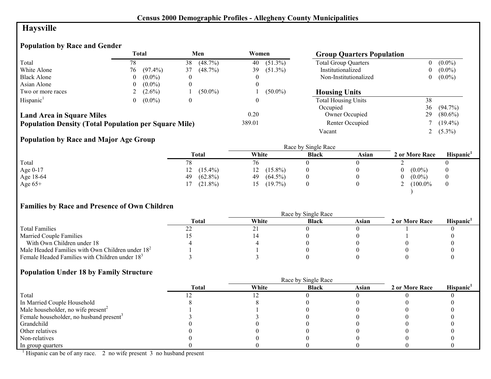# **Haysville**

# **Population by Race and Gender**

|                                                              |          | Total      |                  | Men        | Women  |            | <b>Group Quarters Population</b> |    |            |
|--------------------------------------------------------------|----------|------------|------------------|------------|--------|------------|----------------------------------|----|------------|
| Total                                                        | 78       |            | 38               | (48.7%)    | 40     | $(51.3\%)$ | <b>Total Group Quarters</b>      | 0  | $(0.0\%)$  |
| White Alone                                                  | 76.      | $(97.4\%)$ | 37               | (48.7%)    | 39     | $(51.3\%)$ | Institutionalized                |    | $(0.0\%)$  |
| <b>Black Alone</b>                                           | $\theta$ | $(0.0\%)$  |                  |            |        |            | Non-Institutionalized            | 0  | $(0.0\%)$  |
| Asian Alone                                                  | $\theta$ | $(0.0\%)$  |                  |            | 0      |            |                                  |    |            |
| Two or more races                                            |          | $(2.6\%)$  |                  | $(50.0\%)$ |        | $(50.0\%)$ | <b>Housing Units</b>             |    |            |
| Hispanic <sup>1</sup>                                        | 0        | $(0.0\%)$  | $\boldsymbol{0}$ |            | 0      |            | <b>Total Housing Units</b>       | 38 |            |
|                                                              |          |            |                  |            |        |            | Occupied                         | 36 | $(94.7\%)$ |
| <b>Land Area in Square Miles</b>                             |          |            |                  |            | 0.20   |            | Owner Occupied                   | 29 | $(80.6\%)$ |
| <b>Population Density (Total Population per Square Mile)</b> |          |            |                  |            | 389.01 |            | Renter Occupied                  |    | $(19.4\%)$ |
|                                                              |          |            |                  |            |        |            | Vacant                           |    | $(5.3\%)$  |

# **Population by Race and Major Age Group**

|            |                  |                  | Race by Single Race |       |                |                       |
|------------|------------------|------------------|---------------------|-------|----------------|-----------------------|
|            | Total            | White            | <b>Black</b>        | Asian | 2 or More Race | Hispanic <sup>1</sup> |
| Total      | 78               | 76               |                     |       |                |                       |
| Age $0-17$ | $(15.4\%)$<br>12 | $(15.8\%)$<br>12 |                     |       | $(0.0\%)$      |                       |
| Age 18-64  | $(62.8\%)$<br>49 | $(64.5\%)$<br>49 |                     |       | $(0.0\%)$      |                       |
| Age $65+$  | $(21.8\%)$       | $(19.7\%)$       |                     |       | $(100.0\%$     |                       |
|            |                  |                  |                     |       |                |                       |

## **Families by Race and Presence of Own Children**

|                                                    | Total | White | <b>Black</b> | Asian | 2 or More Race | Hispanic <sup>'</sup> |
|----------------------------------------------------|-------|-------|--------------|-------|----------------|-----------------------|
| <b>Total Families</b>                              |       |       |              |       |                |                       |
| <b>Married Couple Families</b>                     |       |       |              |       |                |                       |
| With Own Children under 18                         |       |       |              |       |                |                       |
| Male Headed Families with Own Children under $182$ |       |       |              |       |                |                       |
| Female Headed Families with Children under $183$   |       |       |              |       |                |                       |

#### **Population Under 18 by Family Structure**

|                                                     |              |       | Race by Single Race |       |                |                       |
|-----------------------------------------------------|--------------|-------|---------------------|-------|----------------|-----------------------|
|                                                     | <b>Total</b> | White | <b>Black</b>        | Asian | 2 or More Race | Hispanic <sup>1</sup> |
| Total                                               |              |       |                     |       |                |                       |
| In Married Couple Household                         |              |       |                     |       |                |                       |
| Male householder, no wife present <sup>2</sup>      |              |       |                     |       |                |                       |
| Female householder, no husband present <sup>3</sup> |              |       |                     |       |                |                       |
| Grandchild                                          |              |       |                     |       |                |                       |
| Other relatives                                     |              |       |                     |       |                |                       |
| Non-relatives                                       |              |       |                     |       |                |                       |
| In group quarters                                   |              |       |                     |       |                |                       |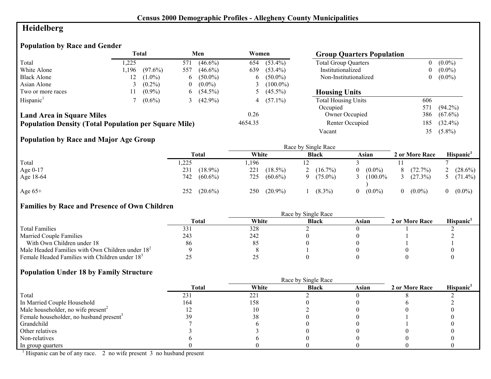# **Heidelberg**

# **Population by Race and Gender**

|                                                              |      | Total      |     | Men         | Women          |              | <b>Group Quarters Population</b> |     |            |
|--------------------------------------------------------------|------|------------|-----|-------------|----------------|--------------|----------------------------------|-----|------------|
| Total                                                        | .225 |            | 571 | $(46.6\%)$  | 654            | $(53.4\%)$   | <b>Total Group Quarters</b>      |     | $(0.0\%)$  |
| White Alone                                                  | .196 | $(97.6\%)$ | 557 | $(46.6\%)$  | 639            | $(53.4\%)$   | Institutionalized                |     | $(0.0\%)$  |
| <b>Black Alone</b>                                           | 12   | $(1.0\%)$  | 6   | $(50.0\%)$  |                | $6(50.0\%)$  | Non-Institutionalized            | 0   | $(0.0\%)$  |
| Asian Alone                                                  |      | $(0.2\%)$  | 0   | $(0.0\%)$   | $\mathfrak{I}$ | $(100.0\%)$  |                                  |     |            |
| Two or more races                                            |      | $(0.9\%)$  |     | $6(54.5\%)$ |                | 5 $(45.5\%)$ | <b>Housing Units</b>             |     |            |
| Hispanic <sup>1</sup>                                        |      | $(0.6\%)$  |     | $(42.9\%)$  |                | 4 $(57.1\%)$ | <b>Total Housing Units</b>       | 606 |            |
|                                                              |      |            |     |             |                |              | Occupied                         | 571 | $(94.2\%)$ |
| <b>Land Area in Square Miles</b>                             |      |            |     |             | 0.26           |              | Owner Occupied                   | 386 | $(67.6\%)$ |
| <b>Population Density (Total Population per Square Mile)</b> |      |            |     |             | 4654.35        |              | Renter Occupied                  | 185 | $(32.4\%)$ |
|                                                              |      |            |     |             |                |              | Vacant                           | 35  | $(5.8\%)$  |

## **Population by Race and Major Age Group**

|           |                   |                   | Race by Single Race    |                       |                |                       |
|-----------|-------------------|-------------------|------------------------|-----------------------|----------------|-----------------------|
|           | Total             | White             | <b>Black</b>           | Asian                 | 2 or More Race | Hispanic <sup>1</sup> |
| Total     | ,225              | .196              |                        |                       |                |                       |
| Age 0-17  | 231<br>$(18.9\%)$ | 221<br>$(18.5\%)$ | $(16.7\%)$             | $(0.0\%)$<br>$\Omega$ | (72.7%)        | $(28.6\%)$            |
| Age 18-64 | 742<br>$(60.6\%)$ | 725<br>$(60.6\%)$ | $(75.0\%)$<br>$\Omega$ | $(100.0\%$            | (27.3%)        | 5 $(71.4\%)$          |
| Age $65+$ | $(20.6\%)$<br>252 | $(20.9\%)$<br>250 | $(8.3\%)$              | $(0.0\%)$<br>$\Omega$ | $(0.0\%)$      | $(0.0\%)$             |

## **Families by Race and Presence of Own Children**

|                                                            | <b>Total</b> | White | <b>Black</b> | Asian | 2 or More Race | Hispanic <sup>'</sup> |
|------------------------------------------------------------|--------------|-------|--------------|-------|----------------|-----------------------|
| <b>Total Families</b>                                      |              | 328   |              |       |                |                       |
| <b>Married Couple Families</b>                             | 243          | 242   |              |       |                |                       |
| With Own Children under 18                                 | 86           | 85    |              |       |                |                       |
| Male Headed Families with Own Children under $182$         |              |       |              |       |                |                       |
| Female Headed Families with Children under 18 <sup>3</sup> |              |       |              |       |                |                       |

#### **Population Under 18 by Family Structure**

|                                                     |              |       | Race by Single Race |       |                |                       |
|-----------------------------------------------------|--------------|-------|---------------------|-------|----------------|-----------------------|
|                                                     | <b>Total</b> | White | <b>Black</b>        | Asian | 2 or More Race | Hispanic <sup>1</sup> |
| Total                                               | 231          | 221   |                     |       |                |                       |
| In Married Couple Household                         | 164          | 158   |                     |       |                |                       |
| Male householder, no wife present <sup>2</sup>      |              |       |                     |       |                |                       |
| Female householder, no husband present <sup>3</sup> |              | 38    |                     |       |                |                       |
| Grandchild                                          |              |       |                     |       |                |                       |
| Other relatives                                     |              |       |                     |       |                |                       |
| Non-relatives                                       |              |       |                     |       |                |                       |
| In group quarters                                   |              |       |                     |       |                |                       |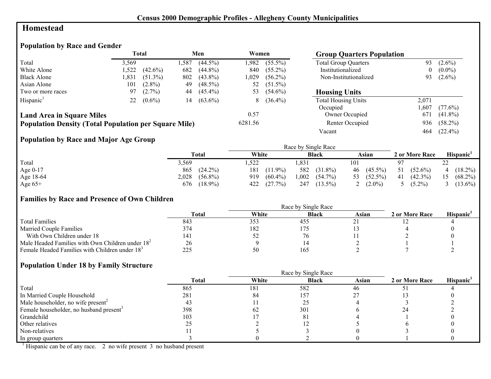## **Homestead**

## **Population by Race and Gender**

|                                                              |       | <b>Total</b> |      | Men        | Women   |             | <b>Group Quarters Population</b> |          |            |
|--------------------------------------------------------------|-------|--------------|------|------------|---------|-------------|----------------------------------|----------|------------|
| Total                                                        | 3.569 |              | .587 | $(44.5\%)$ | .982    | $(55.5\%)$  | <b>Total Group Quarters</b>      | 93       | $(2.6\%)$  |
| White Alone                                                  | 1,522 | $(42.6\%)$   | 682  | $(44.8\%)$ | 840     | $(55.2\%)$  | Institutionalized                | $\theta$ | $(0.0\%)$  |
| <b>Black Alone</b>                                           | 1.831 | $(51.3\%)$   | 802  | $(43.8\%)$ | 1,029   | $(56.2\%)$  | Non-Institutionalized            | 93       | $(2.6\%)$  |
| Asian Alone                                                  | 101   | $(2.8\%)$    | 49   | $(48.5\%)$ | 52      | $(51.5\%)$  |                                  |          |            |
| Two or more races                                            | 97    | $(2.7\%)$    | 44   | $(45.4\%)$ | 53      | $(54.6\%)$  | <b>Housing Units</b>             |          |            |
| Hispanic <sup>1</sup>                                        | 22    | $(0.6\%)$    | 14   | $(63.6\%)$ |         | $8(36.4\%)$ | <b>Total Housing Units</b>       | 2,071    |            |
|                                                              |       |              |      |            |         |             | Occupied                         | ,607     | $(77.6\%)$ |
| <b>Land Area in Square Miles</b>                             |       |              |      |            | 0.57    |             | Owner Occupied                   | 671      | $(41.8\%)$ |
| <b>Population Density (Total Population per Square Mile)</b> |       |              |      |            | 6281.56 |             | Renter Occupied                  | 936      | $(58.2\%)$ |
|                                                              |       |              |      |            |         |             | Vacant                           | 464      | $(22.4\%)$ |

## **Population by Race and Major Age Group**

|           |                     |                   | Race by Single Race |                  |                  |                  |
|-----------|---------------------|-------------------|---------------------|------------------|------------------|------------------|
|           | Total               | White             | <b>Black</b>        | Asian            | 2 or More Race   | <b>Hispanic</b>  |
| Total     | ۔ 569ء              | ,522              | 1,83                | 101              | 97               | ∠∠               |
| Age 0-17  | $(24.2\%)$<br>865   | 181<br>$(11.9\%)$ | 582<br>$(31.8\%)$   | $(45.5\%)$<br>46 | $(52.6\%)$<br>51 | $(18.2\%)$<br>4  |
| Age 18-64 | 2,028<br>$(56.8\%)$ | 919<br>$(60.4\%)$ | ,002<br>$(54.7\%)$  | $(52.5\%)$<br>53 | $(42.3\%)$<br>41 | $(68.2\%)$<br>15 |
| Age $65+$ | $(18.9\%)$<br>676   | (27.7%)<br>422    | 247<br>$(13.5\%)$   | $(2.0\%)$        | $(5.2\%)$        | $(13.6\%)$       |

#### **Families by Race and Presence of Own Children**

|                                                            | <b>Total</b> | White | <b>Black</b> | Asian | 2 or More Race | Hispanic <sup>'</sup> |
|------------------------------------------------------------|--------------|-------|--------------|-------|----------------|-----------------------|
| <b>Total Families</b>                                      | 843          | 353   | -455         |       |                |                       |
| <b>Married Couple Families</b>                             | 374          | 182   |              |       |                |                       |
| With Own Children under 18                                 | 141          | ے ر   | 76           |       |                |                       |
| Male Headed Families with Own Children under $182$         | 26           |       |              |       |                |                       |
| Female Headed Families with Children under 18 <sup>3</sup> | 225          | 50    | 165          |       |                |                       |

#### **Population Under 18 by Family Structure**

|                                                     |       |       | Race by Single Race |       |                |                       |
|-----------------------------------------------------|-------|-------|---------------------|-------|----------------|-----------------------|
|                                                     | Total | White | <b>Black</b>        | Asian | 2 or More Race | Hispanic <sup>1</sup> |
| Total                                               | 865   | 181   | 582                 | 46    |                |                       |
| In Married Couple Household                         | 281   | 84    | 157                 |       |                |                       |
| Male householder, no wife present <sup>2</sup>      |       |       |                     |       |                |                       |
| Female householder, no husband present <sup>3</sup> | 398   | 62    | 301                 |       |                |                       |
| Grandchild                                          | 103   |       |                     |       |                |                       |
| Other relatives                                     |       |       |                     |       |                |                       |
| Non-relatives                                       |       |       |                     |       |                |                       |
| In group quarters                                   |       |       |                     |       |                |                       |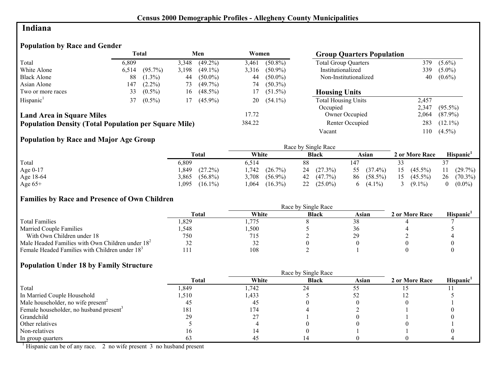## **Indiana**

# **Population by Race and Gender**

|                                                              |       | <b>Total</b> |       | Men        | Women  |            | <b>Group Quarters Population</b> |       |            |
|--------------------------------------------------------------|-------|--------------|-------|------------|--------|------------|----------------------------------|-------|------------|
| Total                                                        | 6,809 |              | 3,348 | $(49.2\%)$ | 3,461  | $(50.8\%)$ | <b>Total Group Quarters</b>      | 379   | $(5.6\%)$  |
| White Alone                                                  | 6,514 | $(95.7\%)$   | 3,198 | $(49.1\%)$ | 3,316  | $(50.9\%)$ | Institutionalized                | 339   | $(5.0\%)$  |
| <b>Black Alone</b>                                           | 88    | $(1.3\%)$    | 44    | $(50.0\%)$ | 44     | $(50.0\%)$ | Non-Institutionalized            | 40    | $(0.6\%)$  |
| Asian Alone                                                  | 147   | $(2.2\%)$    | 73    | $(49.7\%)$ | 74     | $(50.3\%)$ |                                  |       |            |
| Two or more races                                            | 33    | $(0.5\%)$    | 16    | $(48.5\%)$ | 17     | $(51.5\%)$ | <b>Housing Units</b>             |       |            |
| Hispanic <sup>1</sup>                                        | 37    | $(0.5\%)$    | 17    | $(45.9\%)$ | 20     | $(54.1\%)$ | <b>Total Housing Units</b>       | 2,457 |            |
|                                                              |       |              |       |            |        |            | Occupied                         | 2,347 | $(95.5\%)$ |
| <b>Land Area in Square Miles</b>                             |       |              |       |            | 17.72  |            | Owner Occupied                   | 2,064 | $(87.9\%)$ |
| <b>Population Density (Total Population per Square Mile)</b> |       |              |       |            | 384.22 |            | Renter Occupied                  | 283   | $(12.1\%)$ |
|                                                              |       |              |       |            |        |            | Vacant                           | .10   | $(4.5\%)$  |

## **Population by Race and Major Age Group**

|           |                     | Race by Single Race |                     |                  |                  |                       |  |  |
|-----------|---------------------|---------------------|---------------------|------------------|------------------|-----------------------|--|--|
|           | Total               | White               | <b>Black</b>        | Asian            | 2 or More Race   | Hispanic <sup>1</sup> |  |  |
| Total     | 6,809               | 6.514               | 88                  |                  |                  |                       |  |  |
| Age 0-17  | (27.2%)<br>.849     | .,742<br>(26.7%)    | (27.3%)<br>24       | $(37.4\%)$<br>55 | $(45.5\%)$<br>15 | $(29.7\%)$            |  |  |
| Age 18-64 | 3,865<br>$(56.8\%)$ | $(56.9\%)$<br>3.708 | $42 \quad (47.7\%)$ | 86 (58.5%)       | 15<br>$(45.5\%)$ | 26<br>$(70.3\%)$      |  |  |
| Age $65+$ | ,095<br>$(16.1\%)$  | $(16.3\%)$<br>.064  | $22(25.0\%)$        | $(4.1\%)$<br>6   | $(9.1\%)$        | $(0.0\%)$             |  |  |

## **Families by Race and Presence of Own Children**

|                                                            | Total | White | <b>Black</b> | Asian | 2 or More Race | <b>Hispanic</b> |
|------------------------------------------------------------|-------|-------|--------------|-------|----------------|-----------------|
| <b>Total Families</b>                                      | .329  | .775  |              |       |                |                 |
| <b>Married Couple Families</b>                             | .548  | ,500  |              |       |                |                 |
| With Own Children under 18                                 | 750   | 715   |              |       |                |                 |
| Male Headed Families with Own Children under $182$         | ے ر   | 32    |              |       |                |                 |
| Female Headed Families with Children under 18 <sup>3</sup> |       | 108   |              |       |                |                 |

## **Population Under 18 by Family Structure**

|                                                     |              | Race by Single Race |              |       |                |                       |  |
|-----------------------------------------------------|--------------|---------------------|--------------|-------|----------------|-----------------------|--|
|                                                     | <b>Total</b> | White               | <b>Black</b> | Asian | 2 or More Race | Hispanic <sup>1</sup> |  |
| Total                                               | ,849         | 1,742               | 24           |       |                |                       |  |
| In Married Couple Household                         | 1,510        | 1,433               |              |       |                |                       |  |
| Male householder, no wife present <sup>2</sup>      | 40           | 45                  |              |       |                |                       |  |
| Female householder, no husband present <sup>3</sup> | 181          | 174                 |              |       |                |                       |  |
| Grandchild                                          | 29           |                     |              |       |                |                       |  |
| Other relatives                                     |              |                     |              |       |                |                       |  |
| Non-relatives                                       |              |                     |              |       |                |                       |  |
| In group quarters                                   |              | 4.                  |              |       |                |                       |  |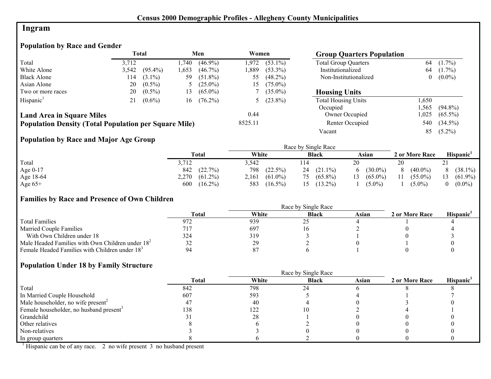# **Ingram**

# **Population by Race and Gender**

|                                                              | <b>Total</b> |            |       | Men        | Women   |              | <b>Group Quarters Population</b> |          |            |
|--------------------------------------------------------------|--------------|------------|-------|------------|---------|--------------|----------------------------------|----------|------------|
| Total                                                        | 3.712        |            | .740  | $(46.9\%)$ | 1.972   | $(53.1\%)$   | <b>Total Group Quarters</b>      | 64       | $(1.7\%)$  |
| White Alone                                                  | 3,542        | $(95.4\%)$ | 1.653 | $(46.7\%)$ | 1.889   | $(53.3\%)$   | Institutionalized                | 64       | $(1.7\%)$  |
| <b>Black Alone</b>                                           | 114          | $(3.1\%)$  | 59    | $(51.8\%)$ | 55      | $(48.2\%)$   | Non-Institutionalized            | $\theta$ | $(0.0\%)$  |
| Asian Alone                                                  | 20           | $(0.5\%)$  |       | $(25.0\%)$ | 15      | $(75.0\%)$   |                                  |          |            |
| Two or more races                                            | 20           | $(0.5\%)$  | 13    | $(65.0\%)$ |         | $(35.0\%)$   | <b>Housing Units</b>             |          |            |
| Hispanic <sup>1</sup>                                        | 21           | $(0.6\%)$  | 16    | $(76.2\%)$ |         | 5 $(23.8\%)$ | <b>Total Housing Units</b>       | .650     |            |
|                                                              |              |            |       |            |         |              | Occupied                         | .565     | $(94.8\%)$ |
| <b>Land Area in Square Miles</b>                             |              |            |       |            | 0.44    |              | Owner Occupied                   | .025     | $(65.5\%)$ |
| <b>Population Density (Total Population per Square Mile)</b> |              |            |       |            | 8525.11 |              | Renter Occupied                  | 540      | $(34.5\%)$ |
|                                                              |              |            |       |            |         |              | Vacant                           | 85       | $(5.2\%)$  |

# **Population by Race and Major Age Group**

|           |                     |                     | Race by Single Race |                  |                  |                       |
|-----------|---------------------|---------------------|---------------------|------------------|------------------|-----------------------|
|           | Total               | White               | <b>Black</b>        | Asian            | 2 or More Race   | Hispanic <sup>'</sup> |
| Total     | 3,712               | 3.542               | 114                 | 20               | 20               | $\angle$ 1            |
| Age 0-17  | (22.7%)<br>842      | 798<br>$(22.5\%)$   | $(21.1\%)$<br>24    | $(30.0\%)$<br>6  | $(40.0\%)$<br>8  | $(38.1\%)$            |
| Age 18-64 | 2,270<br>$(61.2\%)$ | $(61.0\%)$<br>2,161 | $(65.8\%)$<br>75    | $(65.0\%)$<br>13 | $(55.0\%)$<br>11 | $(61.9\%)$<br>13      |
| Age $65+$ | $(16.2\%)$<br>600   | 583<br>$(16.5\%)$   | $(13.2\%)$          | $(5.0\%)$        | $(5.0\%)$        | $(0.0\%)$             |

## **Families by Race and Presence of Own Children**

|                                                            | Race by Single Race |       |              |       |                |                 |  |
|------------------------------------------------------------|---------------------|-------|--------------|-------|----------------|-----------------|--|
|                                                            | <b>Total</b>        | White | <b>Black</b> | Asian | 2 or More Race | <b>Hispanic</b> |  |
| <b>Total Families</b>                                      | 972                 | 939   |              |       |                |                 |  |
| <b>Married Couple Families</b>                             | 717                 | 697   |              |       |                |                 |  |
| With Own Children under 18                                 | 324                 | 319   |              |       |                |                 |  |
| Male Headed Families with Own Children under $182$         | 32                  | 29    |              |       |                |                 |  |
| Female Headed Families with Children under 18 <sup>3</sup> | 94                  |       |              |       |                |                 |  |

## **Population Under 18 by Family Structure**

|                                                     | Race by Single Race |       |              |       |                |                       |  |
|-----------------------------------------------------|---------------------|-------|--------------|-------|----------------|-----------------------|--|
|                                                     | <b>Total</b>        | White | <b>Black</b> | Asian | 2 or More Race | Hispanic <sup>1</sup> |  |
| Total                                               | 842                 | 798   | 24           |       |                |                       |  |
| In Married Couple Household                         | 607                 | 593   |              |       |                |                       |  |
| Male householder, no wife present <sup>2</sup>      | 4.                  | 40    |              |       |                |                       |  |
| Female householder, no husband present <sup>3</sup> | 138                 | 122   |              |       |                |                       |  |
| Grandchild                                          |                     | 28    |              |       |                |                       |  |
| Other relatives                                     |                     |       |              |       |                |                       |  |
| Non-relatives                                       |                     |       |              |       |                |                       |  |
| In group quarters                                   |                     |       |              |       |                |                       |  |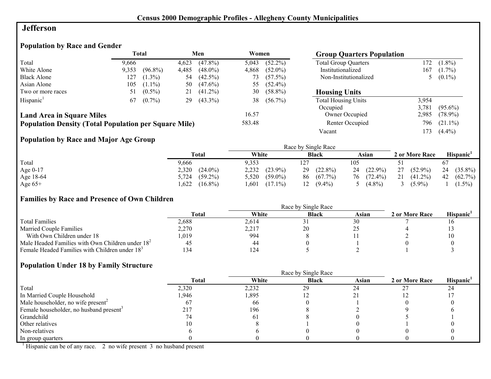## **Jefferson**

# **Population by Race and Gender**

|                                                              | Total<br>Men<br>Women<br><b>Group Quarters Population</b> |            |       |            |        |            |                             |       |            |
|--------------------------------------------------------------|-----------------------------------------------------------|------------|-------|------------|--------|------------|-----------------------------|-------|------------|
| Total                                                        | 9.666                                                     |            | 4,623 | $(47.8\%)$ | 5,043  | $(52.2\%)$ | <b>Total Group Quarters</b> | 172   | $(1.8\%)$  |
| White Alone                                                  | 9,353                                                     | $(96.8\%)$ | 4,485 | $(48.0\%)$ | 4,868  | $(52.0\%)$ | Institutionalized           | 167   | $(1.7\%)$  |
| <b>Black Alone</b>                                           | 127                                                       | $(1.3\%)$  | 54    | $(42.5\%)$ | 73     | $(57.5\%)$ | Non-Institutionalized       |       | $(0.1\%)$  |
| Asian Alone                                                  | 105                                                       | $(1.1\%)$  | 50    | $(47.6\%)$ | 55     | $(52.4\%)$ |                             |       |            |
| Two or more races                                            | 51                                                        | $(0.5\%)$  | 21    | $(41.2\%)$ | 30     | $(58.8\%)$ | <b>Housing Units</b>        |       |            |
| Hispanic <sup>1</sup>                                        | 67                                                        | $(0.7\%)$  | 29    | $(43.3\%)$ | 38     | $(56.7\%)$ | <b>Total Housing Units</b>  | 3,954 |            |
|                                                              |                                                           |            |       |            |        |            | Occupied                    | 3.781 | $(95.6\%)$ |
| <b>Land Area in Square Miles</b>                             |                                                           |            |       |            | 16.57  |            | Owner Occupied              | 2,985 | $(78.9\%)$ |
| <b>Population Density (Total Population per Square Mile)</b> |                                                           |            |       |            | 583.48 |            | Renter Occupied             | 796   | $(21.1\%)$ |
|                                                              |                                                           |            |       |            |        |            | Vacant                      | .73   | $(4.4\%)$  |

# **Population by Race and Major Age Group**

|           |                     |                     | Race by Single Race |              |                  |                  |
|-----------|---------------------|---------------------|---------------------|--------------|------------------|------------------|
|           | Total               | White               | <b>Black</b>        | Asian        | 2 or More Race   | <b>Hispanic</b>  |
| Total     | 9,666               | 9.353               | 127                 | 105          |                  |                  |
| Age 0-17  | 2,320<br>$(24.0\%)$ | 2,232<br>$(23.9\%)$ | $(22.8\%)$<br>29    | $24(22.9\%)$ | $(52.9\%)$<br>27 | 24<br>$(35.8\%)$ |
| Age 18-64 | $(59.2\%)$<br>5,724 | $(59.0\%)$<br>5,520 | $(67.7\%)$<br>86    | 76 (72.4%)   | 21<br>$(41.2\%)$ | $(62.7\%)$<br>42 |
| Age $65+$ | .622<br>$(16.8\%)$  | $(17.1\%)$<br>.601  | $(9.4\%)$           | $(4.8\%)$    | $(5.9\%)$        | $(1.5\%)$        |

## **Families by Race and Presence of Own Children**

|                                                            | <b>Total</b> | White | <b>Black</b> | Asian | 2 or More Race | Hispanic <sup>'</sup> |
|------------------------------------------------------------|--------------|-------|--------------|-------|----------------|-----------------------|
| <b>Total Families</b>                                      | 2.688        | 2.614 |              | 30    |                |                       |
| <b>Married Couple Families</b>                             | 2,270        | 2,217 | 20           |       |                |                       |
| With Own Children under 18                                 | 0.019        | 994   |              |       |                |                       |
| Male Headed Families with Own Children under $182$         | 45           | 44    |              |       |                |                       |
| Female Headed Families with Children under 18 <sup>3</sup> | 134          | 124   |              |       |                |                       |

## **Population Under 18 by Family Structure**

|                                                     |              | Race by Single Race |              |       |                |                       |  |
|-----------------------------------------------------|--------------|---------------------|--------------|-------|----------------|-----------------------|--|
|                                                     | <b>Total</b> | White               | <b>Black</b> | Asian | 2 or More Race | Hispanic <sup>1</sup> |  |
| Total                                               | 2,320        | 2,232               | 29           | 24    |                | 24                    |  |
| In Married Couple Household                         | l.946        | 1,895               |              |       |                |                       |  |
| Male householder, no wife present <sup>2</sup>      | n.           | 66                  |              |       |                |                       |  |
| Female householder, no husband present <sup>3</sup> | 217          | 196                 |              |       |                |                       |  |
| Grandchild                                          |              | $\theta$            |              |       |                |                       |  |
| Other relatives                                     |              |                     |              |       |                |                       |  |
| Non-relatives                                       |              |                     |              |       |                |                       |  |
| In group quarters                                   |              |                     |              |       |                |                       |  |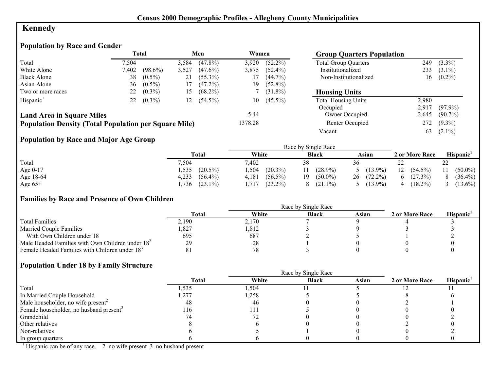# **Kennedy**

# **Population by Race and Gender**

|                                                              |       | <b>Total</b> |       | Men        | Women   |            | <b>Group Quarters Population</b> |       |            |
|--------------------------------------------------------------|-------|--------------|-------|------------|---------|------------|----------------------------------|-------|------------|
| Total                                                        | 7.504 |              | 3,584 | $(47.8\%)$ | 3,920   | $(52.2\%)$ | <b>Total Group Quarters</b>      | 249   | $(3.3\%)$  |
| White Alone                                                  | 7,402 | $(98.6\%)$   | 3,527 | $(47.6\%)$ | 3,875   | $(52.4\%)$ | Institutionalized                | 233   | $(3.1\%)$  |
| <b>Black Alone</b>                                           | 38    | $(0.5\%)$    | 21    | $(55.3\%)$ |         | $(44.7\%)$ | Non-Institutionalized            | 16    | $(0.2\%)$  |
| Asian Alone                                                  | 36    | $(0.5\%)$    | 17    | $(47.2\%)$ | 19      | $(52.8\%)$ |                                  |       |            |
| Two or more races                                            | 22    | $(0.3\%)$    | 15    | $(68.2\%)$ |         | $(31.8\%)$ | <b>Housing Units</b>             |       |            |
| Hispanic <sup>1</sup>                                        | 22    | $(0.3\%)$    | 12    | $(54.5\%)$ | 10      | $(45.5\%)$ | <b>Total Housing Units</b>       | 2.980 |            |
|                                                              |       |              |       |            |         |            | Occupied                         | 2.917 | $(97.9\%)$ |
| <b>Land Area in Square Miles</b>                             |       |              |       |            | 5.44    |            | Owner Occupied                   | 2,645 | $(90.7\%)$ |
| <b>Population Density (Total Population per Square Mile)</b> |       |              |       |            | 1378.28 |            | Renter Occupied                  | 272   | $(9.3\%)$  |
|                                                              |       |              |       |            |         |            | Vacant                           | 63    | $(2.1\%)$  |

## **Population by Race and Major Age Group**

|           |                     |                     | Race by Single Race |                  |                  |                  |
|-----------|---------------------|---------------------|---------------------|------------------|------------------|------------------|
|           | Total               | White               | <b>Black</b>        | Asian            | 2 or More Race   | Hispanic'        |
| Total     | 7,504               | 7,402               | 38                  | 36               | --               | າາ<br>44         |
| Age 0-17  | $(20.5\%)$<br>.535  | .504<br>$(20.3\%)$  | $(28.9\%)$          | $(13.9\%)$       | $(54.5\%)$<br>12 | $(50.0\%)$<br>11 |
| Age 18-64 | 4,233<br>$(56.4\%)$ | $(56.5\%)$<br>4,181 | $(50.0\%)$<br>19    | $(72.2\%)$<br>26 | (27.3%)          | $(36.4\%)$<br>8  |
| Age $65+$ | $(23.1\%)$<br>,736  | $(23.2\%)$<br>.717  | $(21.1\%)$          | $(13.9\%)$       | $(18.2\%)$<br>4  | $(13.6\%)$       |

#### **Families by Race and Presence of Own Children**

|                                                            | <b>Total</b> | White | <b>Black</b> | Asian | 2 or More Race | <b>Hispanic</b> |
|------------------------------------------------------------|--------------|-------|--------------|-------|----------------|-----------------|
| <b>Total Families</b>                                      | 2,190        | 2,170 |              |       |                |                 |
| <b>Married Couple Families</b>                             | ,827         | ,812  |              |       |                |                 |
| With Own Children under 18                                 | 695          | 687   |              |       |                |                 |
| Male Headed Families with Own Children under $182$         | 29           | 28    |              |       |                |                 |
| Female Headed Families with Children under 18 <sup>3</sup> |              | 78    |              |       |                |                 |

## **Population Under 18 by Family Structure**

|                                                     |       |       | Race by Single Race |       |                |                       |
|-----------------------------------------------------|-------|-------|---------------------|-------|----------------|-----------------------|
|                                                     | Total | White | <b>Black</b>        | Asian | 2 or More Race | Hispanic <sup>1</sup> |
| Total                                               | 1,535 | 1,504 |                     |       |                |                       |
| In Married Couple Household                         | ,277  | 1,258 |                     |       |                |                       |
| Male householder, no wife present <sup>2</sup>      | 48    | 46    |                     |       |                |                       |
| Female householder, no husband present <sup>3</sup> | 116   | 111   |                     |       |                |                       |
| Grandchild                                          |       |       |                     |       |                |                       |
| Other relatives                                     |       |       |                     |       |                |                       |
| Non-relatives                                       |       |       |                     |       |                |                       |
| In group quarters                                   |       |       |                     |       |                |                       |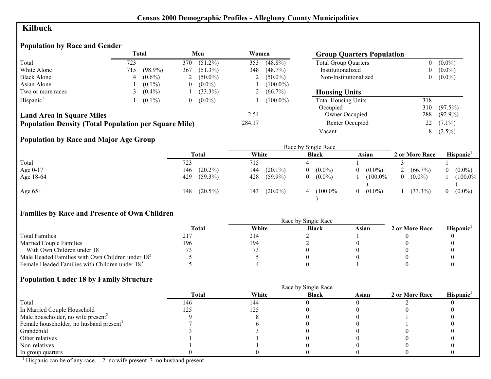# **Kilbuck**

## **Population by Race and Gender**

|                                                              | <b>Total</b> |            |                | Men        | Women  |             | <b>Group Quarters Population</b> |     |            |
|--------------------------------------------------------------|--------------|------------|----------------|------------|--------|-------------|----------------------------------|-----|------------|
| Total                                                        | 723          |            | 370            | $(51.2\%)$ | 353    | $(48.8\%)$  | <b>Total Group Quarters</b>      | 0   | $(0.0\%)$  |
| White Alone                                                  | 715          | $(98.9\%)$ | 367            | $(51.3\%)$ | 348    | $(48.7\%)$  | Institutionalized                |     | $(0.0\%)$  |
| <b>Black Alone</b>                                           |              | $(0.6\%)$  |                | $(50.0\%)$ |        | $(50.0\%)$  | Non-Institutionalized            |     | $(0.0\%)$  |
| Asian Alone                                                  |              | $(0.1\%)$  | $\theta$       | $(0.0\%)$  |        | $(100.0\%)$ |                                  |     |            |
| Two or more races                                            |              | $(0.4\%)$  |                | $(33.3\%)$ |        | $(66.7\%)$  | <b>Housing Units</b>             |     |            |
| Hispanic <sup>1</sup>                                        |              | $(0.1\%)$  | $\overline{0}$ | $(0.0\%)$  |        | $(100.0\%)$ | <b>Total Housing Units</b>       | 318 |            |
|                                                              |              |            |                |            |        |             | Occupied                         | 310 | $(97.5\%)$ |
| <b>Land Area in Square Miles</b>                             |              |            |                |            | 2.54   |             | Owner Occupied                   | 288 | $(92.9\%)$ |
| <b>Population Density (Total Population per Square Mile)</b> |              |            |                |            | 284.17 |             | Renter Occupied                  | 22  | $(7.1\%)$  |
|                                                              |              |            |                |            |        |             | Vacant                           | 8   | $(2.5\%)$  |

## **Population by Race and Major Age Group**

|            | $\bullet$ |                   |                   |                |                       |                       |                       |
|------------|-----------|-------------------|-------------------|----------------|-----------------------|-----------------------|-----------------------|
|            |           | <b>Total</b>      | White             | <b>Black</b>   | Asian                 | 2 or More Race        | Hispanic <sup>1</sup> |
| Total      |           | 723               | 715               |                |                       |                       |                       |
| Age $0-17$ |           | $(20.2\%)$<br>146 | 144<br>$(20.1\%)$ | $(0.0\%)$<br>0 | $(0.0\%)$             | $(66.7\%)$            | $(0.0\%)$             |
| Age 18-64  |           | 429<br>$(59.3\%)$ | 428<br>$(59.9\%)$ | $(0.0\%)$<br>0 | $(100.0\%$            | $(0.0\%)$<br>$\theta$ | $(100.0\%$            |
| Age $65+$  |           | $(20.5\%)$<br>148 | $(20.0\%)$<br>143 | $(100.0\%$     | $(0.0\%)$<br>$\Omega$ | $(33.3\%)$            | $(0.0\%)$<br>0        |

## **Families by Race and Presence of Own Children**

|                                                            | Race by Single Race |       |              |       |                |                 |  |
|------------------------------------------------------------|---------------------|-------|--------------|-------|----------------|-----------------|--|
|                                                            | Total               | White | <b>Black</b> | Asian | 2 or More Race | <b>Hispanic</b> |  |
| <b>Total Families</b>                                      |                     | 214   |              |       |                |                 |  |
| <b>Married Couple Families</b>                             | 196                 | 194   |              |       |                |                 |  |
| With Own Children under 18                                 |                     |       |              |       |                |                 |  |
| Male Headed Families with Own Children under $182$         |                     |       |              |       |                |                 |  |
| Female Headed Families with Children under 18 <sup>3</sup> |                     |       |              |       |                |                 |  |

#### **Population Under 18 by Family Structure**

|                                                     |              |       | Race by Single Race |       |                |                       |
|-----------------------------------------------------|--------------|-------|---------------------|-------|----------------|-----------------------|
|                                                     | <b>Total</b> | White | <b>Black</b>        | Asian | 2 or More Race | Hispanic <sup>1</sup> |
| Total                                               | 146          | 144   |                     |       |                |                       |
| In Married Couple Household                         | 125          | 125   |                     |       |                |                       |
| Male householder, no wife present <sup>2</sup>      |              |       |                     |       |                |                       |
| Female householder, no husband present <sup>3</sup> |              |       |                     |       |                |                       |
| Grandchild                                          |              |       |                     |       |                |                       |
| Other relatives                                     |              |       |                     |       |                |                       |
| Non-relatives                                       |              |       |                     |       |                |                       |
| In group quarters                                   |              |       |                     |       |                |                       |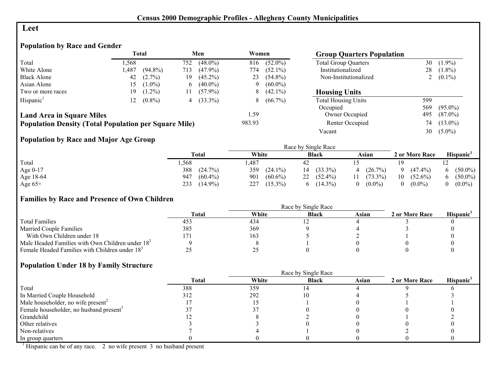#### **Leet**

# **Population by Race and Gender**

|                                                              |             | <b>Total</b> |             | Men        | Women  |            | <b>Group Quarters Population</b> |     |            |
|--------------------------------------------------------------|-------------|--------------|-------------|------------|--------|------------|----------------------------------|-----|------------|
| Total                                                        | .568        |              | 752         | $(48.0\%)$ | 816    | $(52.0\%)$ | <b>Total Group Quarters</b>      | 30  | $(1.9\%)$  |
| White Alone                                                  | ,487        | $(94.8\%)$   | 713         | $(47.9\%)$ | 774    | $(52.1\%)$ | Institutionalized                | 28  | $(1.8\%)$  |
| <b>Black Alone</b>                                           | 42          | $(2.7\%)$    | 19          | $(45.2\%)$ | 23     | $(54.8\%)$ | Non-Institutionalized            |     | $(0.1\%)$  |
| Asian Alone                                                  | 15.         | $(1.0\%)$    | $\mathbf b$ | $(40.0\%)$ | 9      | $(60.0\%)$ |                                  |     |            |
| Two or more races                                            | 19.         | $(1.2\%)$    | 11          | $(57.9\%)$ | 8      | $(42.1\%)$ | <b>Housing Units</b>             |     |            |
| Hispanic <sup>1</sup>                                        | $2^{\circ}$ | $(0.8\%)$    | 4           | $(33.3\%)$ | 8      | $(66.7\%)$ | <b>Total Housing Units</b>       | 599 |            |
|                                                              |             |              |             |            |        |            | Occupied                         | 569 | $(95.0\%)$ |
| <b>Land Area in Square Miles</b>                             |             |              |             |            | 1.59   |            | Owner Occupied                   | 495 | $(87.0\%)$ |
| <b>Population Density (Total Population per Square Mile)</b> |             |              |             |            | 983.93 |            | Renter Occupied                  | 74  | $(13.0\%)$ |
|                                                              |             |              |             |            |        |            | Vacant                           | 30  | $(5.0\%)$  |

## **Population by Race and Major Age Group**

|           |                   |                   | Race by Single Race          |                 |                  |            |
|-----------|-------------------|-------------------|------------------------------|-----------------|------------------|------------|
|           | Total             | White             | <b>Black</b>                 | Asian           | 2 or More Race   | Hispanic'  |
| Total     | .568              | ,487              | 42                           |                 |                  |            |
| Age 0-17  | 388<br>(24.7%)    | 359<br>$(24.1\%)$ | $(33.3\%)$<br>$\overline{4}$ | $(26.7\%)$<br>4 | $(47.4\%)$       | $(50.0\%)$ |
| Age 18-64 | $(60.4\%)$<br>947 | 901<br>$(60.6\%)$ | 22 $(52.4\%)$                | $(73.3\%)$      | 10<br>$(52.6\%)$ | $(50.0\%)$ |
| Age $65+$ | 233<br>$(14.9\%)$ | $(15.3\%)$<br>227 | $(14.3\%)$                   | $(0.0\%)$<br>0  | $(0.0\%)$        | $(0.0\%)$  |

#### **Families by Race and Presence of Own Children**

|                                                            | Race by Single Race |       |              |       |                |                 |  |  |
|------------------------------------------------------------|---------------------|-------|--------------|-------|----------------|-----------------|--|--|
|                                                            | <b>Total</b>        | White | <b>Black</b> | Asian | 2 or More Race | <b>Hispanic</b> |  |  |
| <b>Total Families</b>                                      | 453                 | 434   |              |       |                |                 |  |  |
| <b>Married Couple Families</b>                             | 385                 | 369   |              |       |                |                 |  |  |
| With Own Children under 18                                 |                     | 163   |              |       |                |                 |  |  |
| Male Headed Families with Own Children under $182$         |                     |       |              |       |                |                 |  |  |
| Female Headed Families with Children under 18 <sup>3</sup> | ر ت                 | ں کے  |              |       |                |                 |  |  |

#### **Population Under 18 by Family Structure**

|                                                     |              | Race by Single Race |              |       |                |                       |  |  |  |
|-----------------------------------------------------|--------------|---------------------|--------------|-------|----------------|-----------------------|--|--|--|
|                                                     | <b>Total</b> | White               | <b>Black</b> | Asian | 2 or More Race | Hispanic <sup>1</sup> |  |  |  |
| Total                                               | 388          | 359                 |              |       |                |                       |  |  |  |
| In Married Couple Household                         | 312          | 292                 |              |       |                |                       |  |  |  |
| Male householder, no wife present <sup>2</sup>      |              |                     |              |       |                |                       |  |  |  |
| Female householder, no husband present <sup>3</sup> |              |                     |              |       |                |                       |  |  |  |
| Grandchild                                          |              |                     |              |       |                |                       |  |  |  |
| Other relatives                                     |              |                     |              |       |                |                       |  |  |  |
| Non-relatives                                       |              |                     |              |       |                |                       |  |  |  |
| In group quarters                                   |              |                     |              |       |                |                       |  |  |  |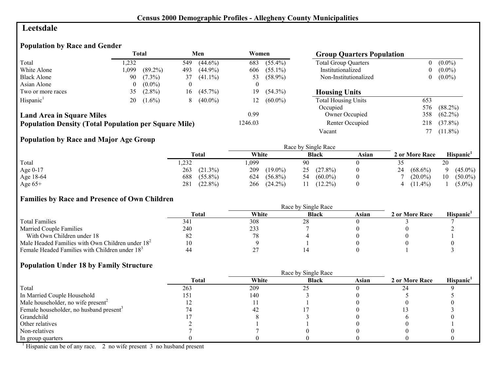## **Leetsdale**

# **Population by Race and Gender**

|                                                              |          | <b>Total</b> |          | Men        | Women   |            | <b>Group Quarters Population</b> |     |            |
|--------------------------------------------------------------|----------|--------------|----------|------------|---------|------------|----------------------------------|-----|------------|
| Total                                                        | .232     |              | 549      | $(44.6\%)$ | 683     | $(55.4\%)$ | <b>Total Group Quarters</b>      |     | $(0.0\%)$  |
| White Alone                                                  | ,099     | $(89.2\%)$   | 493      | $(44.9\%)$ | 606     | $(55.1\%)$ | Institutionalized                | 0   | $(0.0\%)$  |
| <b>Black Alone</b>                                           | 90       | $(7.3\%)$    | 37       | $(41.1\%)$ | 53      | $(58.9\%)$ | Non-Institutionalized            | 0   | $(0.0\%)$  |
| Asian Alone                                                  | $\theta$ | $(0.0\%)$    | $\theta$ |            |         |            |                                  |     |            |
| Two or more races                                            | 35       | $(2.8\%)$    | 16       | $(45.7\%)$ | 19      | $(54.3\%)$ | <b>Housing Units</b>             |     |            |
| Hispanic <sup>1</sup>                                        | 20       | $(1.6\%)$    | 8        | $(40.0\%)$ | 12      | $(60.0\%)$ | <b>Total Housing Units</b>       | 653 |            |
|                                                              |          |              |          |            |         |            | Occupied                         | 576 | $(88.2\%)$ |
| <b>Land Area in Square Miles</b>                             |          |              |          |            | 0.99    |            | Owner Occupied                   | 358 | $(62.2\%)$ |
| <b>Population Density (Total Population per Square Mile)</b> |          |              |          |            | 1246.03 |            | Renter Occupied                  | 218 | $(37.8\%)$ |
|                                                              |          |              |          |            |         |            | Vacant                           |     | $(11.8\%)$ |

# **Population by Race and Major Age Group**

|           |                   |                   | Race by Single Race |       |                  |                  |
|-----------|-------------------|-------------------|---------------------|-------|------------------|------------------|
|           | <b>Total</b>      | White             | <b>Black</b>        | Asian | 2 or More Race   | Hispanic'        |
| Total     | ,232              | ,099              | 90                  |       | ں ر              | 20               |
| Age 0-17  | 263<br>$(21.3\%)$ | 209<br>$(19.0\%)$ | $(27.8\%)$<br>25    |       | 24<br>$(68.6\%)$ | $(45.0\%)$       |
| Age 18-64 | 688<br>$(55.8\%)$ | $(56.8\%)$<br>624 | $(60.0\%)$<br>54    |       | $(20.0\%)$       | $(50.0\%)$<br>10 |
| Age $65+$ | $(22.8\%)$<br>281 | $(24.2\%)$<br>266 | $(12.2\%)$          |       | $(11.4\%)$       | $(5.0\%)$        |

## **Families by Race and Presence of Own Children**

|                                                            | Race by Single Race |          |              |       |                |                       |  |  |  |
|------------------------------------------------------------|---------------------|----------|--------------|-------|----------------|-----------------------|--|--|--|
|                                                            | Total               | White    | <b>Black</b> | Asian | 2 or More Race | Hispanic <sup>'</sup> |  |  |  |
| <b>Total Families</b>                                      | 341                 | 308      | 28           |       |                |                       |  |  |  |
| <b>Married Couple Families</b>                             | 240                 | 233      |              |       |                |                       |  |  |  |
| With Own Children under 18                                 | ٥۷                  |          |              |       |                |                       |  |  |  |
| Male Headed Families with Own Children under $182$         | 10                  |          |              |       |                |                       |  |  |  |
| Female Headed Families with Children under 18 <sup>3</sup> | 44                  | <u>.</u> |              |       |                |                       |  |  |  |

#### **Population Under 18 by Family Structure**

|                                                     |       |       | Race by Single Race |       |                |                       |
|-----------------------------------------------------|-------|-------|---------------------|-------|----------------|-----------------------|
|                                                     | Total | White | <b>Black</b>        | Asian | 2 or More Race | Hispanic <sup>1</sup> |
| Total                                               | 263   | 209   | ን ና                 |       |                |                       |
| In Married Couple Household                         | 151   | 140   |                     |       |                |                       |
| Male householder, no wife present <sup>2</sup>      |       |       |                     |       |                |                       |
| Female householder, no husband present <sup>3</sup> |       | -42   |                     |       |                |                       |
| Grandchild                                          |       |       |                     |       |                |                       |
| Other relatives                                     |       |       |                     |       |                |                       |
| Non-relatives                                       |       |       |                     |       |                |                       |
| In group quarters                                   |       |       |                     |       |                |                       |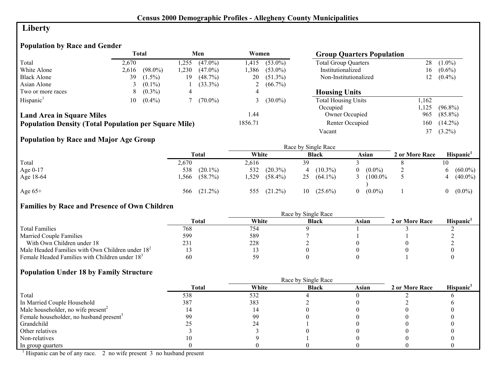# **Liberty**

# **Population by Race and Gender**

|                                                              |       | Total      |      | Men        | Women   |              | <b>Group Quarters Population</b> |       |            |
|--------------------------------------------------------------|-------|------------|------|------------|---------|--------------|----------------------------------|-------|------------|
| Total                                                        | 2.670 |            | .255 | $(47.0\%)$ | 1.415   | $(53.0\%)$   | <b>Total Group Quarters</b>      | 28    | $(1.0\%)$  |
| White Alone                                                  | 2.616 | $(98.0\%)$ | .230 | $(47.0\%)$ | .386    | $(53.0\%)$   | Institutionalized                | 16    | $(0.6\%)$  |
| <b>Black Alone</b>                                           | 39    | $(1.5\%)$  | 19   | (48.7%)    | 20      | $(51.3\%)$   | Non-Institutionalized            | 12    | $(0.4\%)$  |
| Asian Alone                                                  |       | $(0.1\%)$  |      | $(33.3\%)$ |         | 2 $(66.7\%)$ |                                  |       |            |
| Two or more races                                            | 8.    | $(0.3\%)$  | 4    |            |         |              | <b>Housing Units</b>             |       |            |
| Hispanic <sup>1</sup>                                        | 10    | $(0.4\%)$  |      | $(70.0\%)$ |         | 3 $(30.0\%)$ | <b>Total Housing Units</b>       | 1,162 |            |
|                                                              |       |            |      |            |         |              | Occupied                         | .125  | $(96.8\%)$ |
| <b>Land Area in Square Miles</b>                             |       |            |      |            | 1.44    |              | Owner Occupied                   | 965   | $(85.8\%)$ |
| <b>Population Density (Total Population per Square Mile)</b> |       |            |      |            | 1856.71 |              | Renter Occupied                  | 160   | $(14.2\%)$ |
|                                                              |       |            |      |            |         |              | Vacant                           |       | $(3.2\%)$  |

## **Population by Race and Major Age Group**

|            |       |            |       |            |    | Race by Single Race |          |            |                |                       |
|------------|-------|------------|-------|------------|----|---------------------|----------|------------|----------------|-----------------------|
|            |       | Total      | White |            |    | <b>Black</b>        |          | Asian      | 2 or More Race | Hispanic <sup>1</sup> |
| Total      | 2,670 |            | 2,616 |            | 39 |                     |          |            |                |                       |
| Age $0-17$ | 538   | $(20.1\%)$ | 532   | $(20.3\%)$ |    | $(10.3\%)$          | 0        | $(0.0\%)$  |                | $(60.0\%)$            |
| Age 18-64  | .566  | $(58.7\%)$ | .529  | $(58.4\%)$ | 25 | $(64.1\%)$          |          | $(100.0\%$ |                | $(40.0\%)$            |
| Age $65+$  | 566   | $(21.2\%)$ | 555   | $(21.2\%)$ | 10 | $(25.6\%)$          | $\Omega$ | $(0.0\%)$  |                | $(0.0\%)$             |

## **Families by Race and Presence of Own Children**

|                                                            | <b>Total</b> | White | <b>Black</b> | Asian | 2 or More Race | Hispanic' |
|------------------------------------------------------------|--------------|-------|--------------|-------|----------------|-----------|
| <b>Total Families</b>                                      | 768          | 754   |              |       |                |           |
| <b>Married Couple Families</b>                             | 599          | 589   |              |       |                |           |
| With Own Children under 18                                 | 231          | 228   |              |       |                |           |
| Male Headed Families with Own Children under $182$         |              |       |              |       |                |           |
| Female Headed Families with Children under 18 <sup>3</sup> | 60           | 59    |              |       |                |           |

#### **Population Under 18 by Family Structure**

|                                                     |              |       | Race by Single Race |       |                |                       |
|-----------------------------------------------------|--------------|-------|---------------------|-------|----------------|-----------------------|
|                                                     | <b>Total</b> | White | <b>Black</b>        | Asian | 2 or More Race | Hispanic <sup>1</sup> |
| Total                                               | 538          | 532   |                     |       |                |                       |
| In Married Couple Household                         | 387          | 383   |                     |       |                |                       |
| Male householder, no wife present <sup>2</sup>      |              |       |                     |       |                |                       |
| Female householder, no husband present <sup>3</sup> | 99           | 99    |                     |       |                |                       |
| Grandchild                                          |              | 24    |                     |       |                |                       |
| Other relatives                                     |              |       |                     |       |                |                       |
| Non-relatives                                       |              |       |                     |       |                |                       |
| In group quarters                                   |              |       |                     |       |                |                       |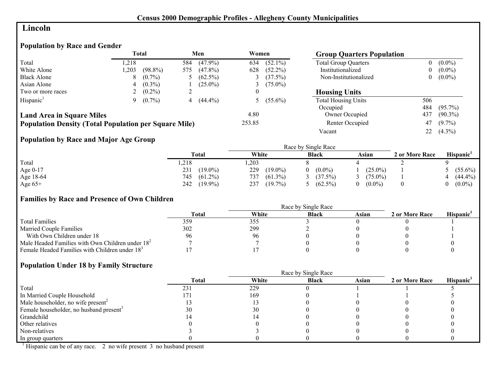## **Lincoln**

# **Population by Race and Gender**

|                                                              |       | <b>Total</b> |     | Men        | Women  |              | <b>Group Quarters Population</b> |          |            |
|--------------------------------------------------------------|-------|--------------|-----|------------|--------|--------------|----------------------------------|----------|------------|
| Total                                                        | 1.218 |              | 584 | $(47.9\%)$ | 634    | $(52.1\%)$   | <b>Total Group Quarters</b>      | 0        | $(0.0\%)$  |
| White Alone                                                  | 1,203 | $(98.8\%)$   | 575 | $(47.8\%)$ | 628    | $(52.2\%)$   | Institutionalized                | $\bf{0}$ | $(0.0\%)$  |
| <b>Black Alone</b>                                           | 8     | $(0.7\%)$    |     | $(62.5\%)$ |        | (37.5%)      | Non-Institutionalized            | $\theta$ | $(0.0\%)$  |
| Asian Alone                                                  |       | $(0.3\%)$    |     | $(25.0\%)$ |        | $(75.0\%)$   |                                  |          |            |
| Two or more races                                            |       | $(0.2\%)$    |     |            |        |              | <b>Housing Units</b>             |          |            |
| Hispanic <sup>1</sup>                                        |       | $(0.7\%)$    | 4   | $(44.4\%)$ |        | 5 $(55.6\%)$ | <b>Total Housing Units</b>       | 506      |            |
|                                                              |       |              |     |            |        |              | Occupied                         | 484      | $(95.7\%)$ |
| <b>Land Area in Square Miles</b>                             |       |              |     |            | 4.80   |              | Owner Occupied                   | 437      | $(90.3\%)$ |
| <b>Population Density (Total Population per Square Mile)</b> |       |              |     |            | 253.85 |              | Renter Occupied                  | 47       | $(9.7\%)$  |
|                                                              |       |              |     |            |        |              | Vacant                           | 22       | $(4.3\%)$  |

## **Population by Race and Major Age Group**

|           |                   | Race by Single Race |              |            |                |                       |  |  |  |
|-----------|-------------------|---------------------|--------------|------------|----------------|-----------------------|--|--|--|
|           | <b>Total</b>      | White               | <b>Black</b> | Asian      | 2 or More Race | Hispanic <sup>1</sup> |  |  |  |
| Total     | ,218              | ,203                |              |            |                |                       |  |  |  |
| Age 0-17  | $(19.0\%)$<br>231 | 229<br>$(19.0\%)$   | $(0.0\%)$    | $(25.0\%)$ |                | $(55.6\%)$            |  |  |  |
| Age 18-64 | $(61.2\%)$<br>745 | 737<br>$(61.3\%)$   | (37.5%)      | $(75.0\%)$ |                | $(44.4\%)$            |  |  |  |
| Age $65+$ | 242<br>$(19.9\%)$ | 237<br>$(19.7\%)$   | $(62.5\%)$   | $(0.0\%)$  |                | $(0.0\%)$             |  |  |  |

## **Families by Race and Presence of Own Children**

|                                                            | Race by Single Race |       |              |       |                |                       |  |  |
|------------------------------------------------------------|---------------------|-------|--------------|-------|----------------|-----------------------|--|--|
|                                                            | Total               | White | <b>Black</b> | Asian | 2 or More Race | Hispanic <sup>'</sup> |  |  |
| <b>Total Families</b>                                      | 359                 | 355   |              |       |                |                       |  |  |
| <b>Married Couple Families</b>                             | 302                 | 299   |              |       |                |                       |  |  |
| With Own Children under 18                                 |                     | 96    |              |       |                |                       |  |  |
| Male Headed Families with Own Children under $182$         |                     |       |              |       |                |                       |  |  |
| Female Headed Families with Children under 18 <sup>3</sup> |                     |       |              |       |                |                       |  |  |

#### **Population Under 18 by Family Structure**

|                                                     |       |       | Race by Single Race |       |                |                       |
|-----------------------------------------------------|-------|-------|---------------------|-------|----------------|-----------------------|
|                                                     | Total | White | <b>Black</b>        | Asian | 2 or More Race | Hispanic <sup>1</sup> |
| Total                                               | 231   | 229   |                     |       |                |                       |
| In Married Couple Household                         |       | 169   |                     |       |                |                       |
| Male householder, no wife present <sup>2</sup>      |       |       |                     |       |                |                       |
| Female householder, no husband present <sup>3</sup> | 30    | 30    |                     |       |                |                       |
| Grandchild                                          |       |       |                     |       |                |                       |
| Other relatives                                     |       |       |                     |       |                |                       |
| Non-relatives                                       |       |       |                     |       |                |                       |
| In group quarters                                   |       |       |                     |       |                |                       |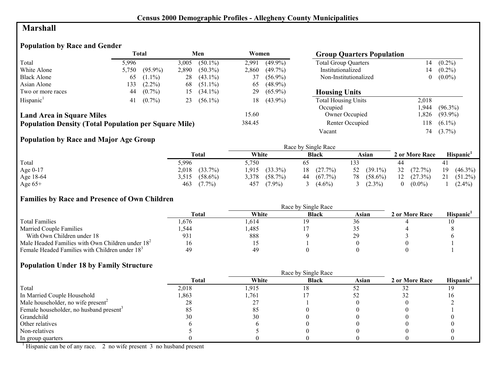## **Marshall**

# **Population by Race and Gender**

|                                                              |       | <b>Total</b> |       | Men        | Women  |            | <b>Group Quarters Population</b> |       |            |
|--------------------------------------------------------------|-------|--------------|-------|------------|--------|------------|----------------------------------|-------|------------|
| Total                                                        | 5.996 |              | 3,005 | $(50.1\%)$ | 2,991  | $(49.9\%)$ | <b>Total Group Quarters</b>      | 14    | $(0.2\%)$  |
| White Alone                                                  | 5,750 | $(95.9\%)$   | 2,890 | $(50.3\%)$ | 2,860  | $(49.7\%)$ | Institutionalized                | 14    | $(0.2\%)$  |
| <b>Black Alone</b>                                           | 65    | $(1.1\%)$    | 28    | $(43.1\%)$ | 37     | $(56.9\%)$ | Non-Institutionalized            | 0     | $(0.0\%)$  |
| Asian Alone                                                  | 133   | $(2.2\%)$    | 68    | $(51.1\%)$ | 65     | $(48.9\%)$ |                                  |       |            |
| Two or more races                                            | 44    | $(0.7\%)$    | 15    | $(34.1\%)$ | 29     | $(65.9\%)$ | <b>Housing Units</b>             |       |            |
| Hispanic <sup>1</sup>                                        | 41    | $(0.7\%)$    | 23    | $(56.1\%)$ | 18     | $(43.9\%)$ | <b>Total Housing Units</b>       | 2.018 |            |
|                                                              |       |              |       |            |        |            | Occupied                         | .944  | $(96.3\%)$ |
| <b>Land Area in Square Miles</b>                             |       |              |       |            | 15.60  |            | Owner Occupied                   | ,826  | $(93.9\%)$ |
| <b>Population Density (Total Population per Square Mile)</b> |       |              |       |            | 384.45 |            | Renter Occupied                  | 118   | $(6.1\%)$  |
|                                                              |       |              |       |            |        |            | Vacant                           | 74    | $(3.7\%)$  |

# **Population by Race and Major Age Group**

|            |                     |                     | Race by Single Race |                  |                       |                  |
|------------|---------------------|---------------------|---------------------|------------------|-----------------------|------------------|
|            | Total               | White               | <b>Black</b>        | Asian            | 2 or More Race        | <b>Hispanic</b>  |
| Total      | 5,996               | 5.750               | 65                  | 133              | 44                    |                  |
| Age $0-17$ | $(33.7\%)$<br>2,018 | $(33.3\%)$<br>1,915 | (27.7%)<br>18       | $52$ $(39.1\%)$  | 32<br>$(72.7\%)$      | $(46.3\%)$<br>19 |
| Age 18-64  | $(58.6\%)$<br>3.515 | $(58.7\%)$<br>3,378 | $(67.7\%)$<br>44    | $(58.6\%)$<br>78 | 12<br>$(27.3\%)$      | $(51.2\%)$<br>21 |
| Age $65+$  | 463<br>$(7.7\%)$    | $(7.9\%)$<br>457    | $(4.6\%)$           | $(2.3\%)$        | $(0.0\%)$<br>$\theta$ | $(2.4\%)$        |

## **Families by Race and Presence of Own Children**

|                                                            | <b>Total</b> | White | <b>Black</b> | Asian | 2 or More Race | <b>Hispanic</b> |
|------------------------------------------------------------|--------------|-------|--------------|-------|----------------|-----------------|
| <b>Total Families</b>                                      | . .676       | .614  |              |       |                |                 |
| <b>Married Couple Families</b>                             | .544         | .485  |              |       |                |                 |
| With Own Children under 18                                 | 931          | 888   |              |       |                |                 |
| Male Headed Families with Own Children under $182$         | 16           |       |              |       |                |                 |
| Female Headed Families with Children under 18 <sup>3</sup> | 49           | -49   |              |       |                |                 |

#### **Population Under 18 by Family Structure**

|                                                     | <b>Total</b> | White | <b>Black</b> | Asian | 2 or More Race | Hispanic <sup>1</sup> |
|-----------------------------------------------------|--------------|-------|--------------|-------|----------------|-----------------------|
| Total                                               | 2,018        | 1,915 | 18           |       |                |                       |
| In Married Couple Household                         | .863         | 1,761 |              |       |                |                       |
| Male householder, no wife present <sup>2</sup>      | 28           | ، ک   |              |       |                |                       |
| Female householder, no husband present <sup>3</sup> |              | 81    |              |       |                |                       |
| Grandchild                                          | 30           | 30    |              |       |                |                       |
| Other relatives                                     |              |       |              |       |                |                       |
| Non-relatives                                       |              |       |              |       |                |                       |
| In group quarters                                   |              |       |              |       |                |                       |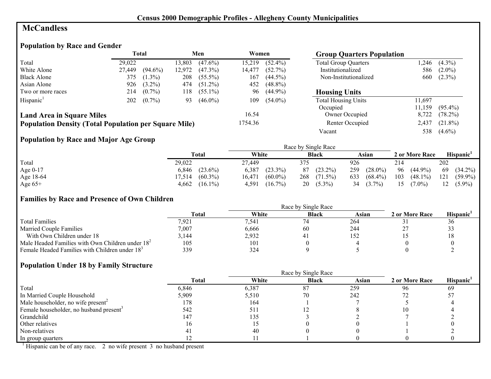## **McCandless**

# **Population by Race and Gender**

|                                                              | Total<br>Men |            |        | Women      |         |            |                             | <b>Group Quarters Population</b> |            |  |
|--------------------------------------------------------------|--------------|------------|--------|------------|---------|------------|-----------------------------|----------------------------------|------------|--|
| Total                                                        | 29,022       |            | 13.803 | $(47.6\%)$ | 15.219  | $(52.4\%)$ | <b>Total Group Quarters</b> | .246                             | $(4.3\%)$  |  |
| White Alone                                                  | 27.449       | $(94.6\%)$ | 12,972 | $(47.3\%)$ | 14,477  | $(52.7\%)$ | Institutionalized           | 586                              | $(2.0\%)$  |  |
| <b>Black Alone</b>                                           | 375          | $(1.3\%)$  | 208    | $(55.5\%)$ | 167     | $(44.5\%)$ | Non-Institutionalized       | 660                              | $(2.3\%)$  |  |
| Asian Alone                                                  | 926          | $(3.2\%)$  | 474    | $(51.2\%)$ | 452     | $(48.8\%)$ |                             |                                  |            |  |
| Two or more races                                            | 214          | $(0.7\%)$  | 118    | $(55.1\%)$ | 96      | $(44.9\%)$ | <b>Housing Units</b>        |                                  |            |  |
| Hispanic <sup>1</sup>                                        | 202          | $(0.7\%)$  | 93     | $(46.0\%)$ | 109     | $(54.0\%)$ | <b>Total Housing Units</b>  | 11,697                           |            |  |
|                                                              |              |            |        |            |         |            | Occupied                    | 11.159                           | $(95.4\%)$ |  |
| <b>Land Area in Square Miles</b>                             |              |            |        |            | 16.54   |            | Owner Occupied              | 8,722                            | $(78.2\%)$ |  |
| <b>Population Density (Total Population per Square Mile)</b> |              |            |        |            | 1754.36 |            | Renter Occupied             | 2,437                            | $(21.8\%)$ |  |
|                                                              |              |            |        |            |         |            | Vacant                      | 538                              | $(4.6\%)$  |  |

## **Population by Race and Major Age Group**

|            |            |            | Race by Single Race |            |                |                       |
|------------|------------|------------|---------------------|------------|----------------|-----------------------|
|            | Total      | White      | <b>Black</b>        | Asian      | 2 or More Race | Hispanic <sup>1</sup> |
| Total      | 29,022     | 27.449     | 375                 | 926        | 214            | 202                   |
| Age $0-17$ | $(23.6\%)$ | 6,387      | $(23.2\%)$          | $(28.0\%)$ | 96             | $(34.2\%)$            |
|            | 6.846      | $(23.3\%)$ | 87                  | 259        | $(44.9\%)$     | 69                    |
| Age 18-64  | $(60.3\%)$ | $(60.0\%)$ | 268                 | $(68.4\%)$ | 103            | 121                   |
|            | 17,514     | 16,471     | $(71.5\%)$          | 633        | $(48.1\%)$     | $(59.9\%)$            |
| Age $65+$  | 4,662      | 4,591      | 20                  | 34         | 15             | $(5.9\%)$             |
|            | $(16.1\%)$ | $(16.7\%)$ | $(5.3\%)$           | $(3.7\%)$  | $(7.0\%)$      | 12                    |

#### **Families by Race and Presence of Own Children**

|                                                            | <b>Total</b> | White | <b>Black</b> | Asian | 2 or More Race | Hispanic <sup>'</sup> |
|------------------------------------------------------------|--------------|-------|--------------|-------|----------------|-----------------------|
| <b>Total Families</b>                                      | 7,921        | 7,541 |              | 264   |                | 30                    |
| <b>Married Couple Families</b>                             | 7,007        | 6,666 | 60           | 244   |                | 33                    |
| With Own Children under 18                                 | 3,144        | 2,932 | -4.          | 152   |                |                       |
| Male Headed Families with Own Children under $182$         | 105          | 101   |              |       |                |                       |
| Female Headed Families with Children under 18 <sup>3</sup> | 339          | 324   |              |       |                |                       |

#### **Population Under 18 by Family Structure**

|                                                     |       |       | Race by Single Race |       |                |                       |
|-----------------------------------------------------|-------|-------|---------------------|-------|----------------|-----------------------|
|                                                     | Total | White | <b>Black</b>        | Asian | 2 or More Race | Hispanic <sup>1</sup> |
| Total                                               | 6,846 | 6,387 | 87                  | 259   | 96             | -69                   |
| In Married Couple Household                         | 5,909 | 5,510 | 70                  | 242   |                |                       |
| Male householder, no wife present <sup>2</sup>      | 178   | 164   |                     |       |                |                       |
| Female householder, no husband present <sup>3</sup> | 542   | 511   |                     |       | 10             |                       |
| Grandchild                                          | 147   | 135   |                     |       |                |                       |
| Other relatives                                     | l 6   |       |                     |       |                |                       |
| Non-relatives                                       |       | 40    |                     |       |                |                       |
| In group quarters                                   |       |       |                     |       |                |                       |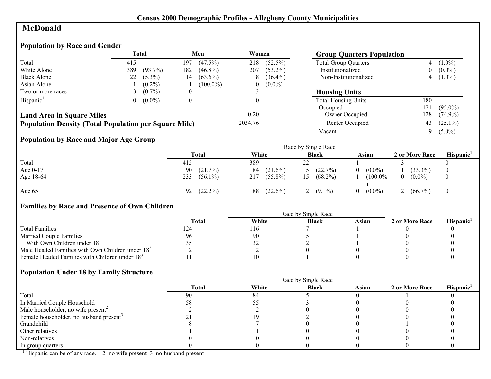# **McDonald**

# **Population by Race and Gender**

|                                                              |     | <b>Total</b> |                  | Men         | Women   |            | <b>Group Quarters Population</b> |                |            |
|--------------------------------------------------------------|-----|--------------|------------------|-------------|---------|------------|----------------------------------|----------------|------------|
| Total                                                        | 415 |              | 197              | $(47.5\%)$  | 218     | $(52.5\%)$ | <b>Total Group Quarters</b>      |                | $(1.0\%)$  |
| White Alone                                                  | 389 | $(93.7\%)$   | 182              | $(46.8\%)$  | 207     | $(53.2\%)$ | Institutionalized                | $\overline{0}$ | $(0.0\%)$  |
| <b>Black Alone</b>                                           | 22  | $(5.3\%)$    | 14               | $(63.6\%)$  | Ō       | $(36.4\%)$ | Non-Institutionalized            |                | $(1.0\%)$  |
| Asian Alone                                                  |     | $(0.2\%)$    |                  | $(100.0\%)$ | 0       | $(0.0\%)$  |                                  |                |            |
| Two or more races                                            |     | $(0.7\%)$    | $\boldsymbol{0}$ |             |         |            | <b>Housing Units</b>             |                |            |
| Hispanic <sup>1</sup>                                        |     | $(0.0\%)$    |                  |             |         |            | <b>Total Housing Units</b>       | 180            |            |
|                                                              |     |              |                  |             |         |            | Occupied                         | 171            | $(95.0\%)$ |
| <b>Land Area in Square Miles</b>                             |     |              |                  |             | 0.20    |            | Owner Occupied                   | 128            | $(74.9\%)$ |
| <b>Population Density (Total Population per Square Mile)</b> |     |              |                  |             | 2034.76 |            | Renter Occupied                  | 43             | $(25.1\%)$ |
|                                                              |     |              |                  |             |         |            | Vacant                           | 9.             | $(5.0\%)$  |

## **Population by Race and Major Age Group**

|           |                   |                   | Race by Single Race |                       |                       |          |
|-----------|-------------------|-------------------|---------------------|-----------------------|-----------------------|----------|
|           | <b>Total</b>      | White             | <b>Black</b>        | Asian                 | 2 or More Race        | Hispanic |
| Total     | 415               | 389               | $\mathcal{D}$<br>∠∠ |                       |                       |          |
| Age 0-17  | 90<br>$(21.7\%)$  | 84<br>$(21.6\%)$  | 5 $(22.7\%)$        | $(0.0\%)$<br>$\theta$ | $(33.3\%)$            | $\theta$ |
| Age 18-64 | 233<br>$(56.1\%)$ | $(55.8\%)$<br>217 | $(68.2\%)$          | $(100.0\%$            | $(0.0\%)$<br>$\theta$ | $\bf{0}$ |
| Age $65+$ | $(22.2\%)$<br>92  | 88<br>$(22.6\%)$  | $(9.1\%)$           | $(0.0\%)$<br>$\Omega$ | $(66.7\%)$<br>∸       | $\theta$ |

# **Families by Race and Presence of Own Children**

|                                                            |              | Race by Single Race |              |       |                |           |
|------------------------------------------------------------|--------------|---------------------|--------------|-------|----------------|-----------|
|                                                            | <b>Total</b> | White               | <b>Black</b> | Asian | 2 or More Race | Hispanic' |
| <b>Total Families</b>                                      |              | l I O               |              |       |                |           |
| <b>Married Couple Families</b>                             | 96           | 90                  |              |       |                |           |
| With Own Children under 18                                 |              | 32                  |              |       |                |           |
| Male Headed Families with Own Children under $182$         |              |                     |              |       |                |           |
| Female Headed Families with Children under 18 <sup>3</sup> |              |                     |              |       |                |           |

## **Population Under 18 by Family Structure**

|                                                     |              | Race by Single Race |              |       |                |                       |
|-----------------------------------------------------|--------------|---------------------|--------------|-------|----------------|-----------------------|
|                                                     | <b>Total</b> | White               | <b>Black</b> | Asian | 2 or More Race | Hispanic <sup>1</sup> |
| Total                                               | 90           | 84                  |              |       |                |                       |
| In Married Couple Household                         |              |                     |              |       |                |                       |
| Male householder, no wife present <sup>2</sup>      |              |                     |              |       |                |                       |
| Female householder, no husband present <sup>3</sup> |              |                     |              |       |                |                       |
| Grandchild                                          |              |                     |              |       |                |                       |
| Other relatives                                     |              |                     |              |       |                |                       |
| Non-relatives                                       |              |                     |              |       |                |                       |
| In group quarters                                   |              |                     |              |       |                |                       |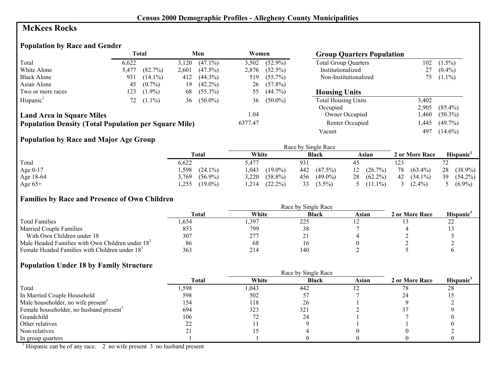## **McKees Rocks**

# **Population by Race and Gender**

|                                                              |       | Total      |       | Men        | Women   |            | <b>Group Quarters Population</b> |       |            |
|--------------------------------------------------------------|-------|------------|-------|------------|---------|------------|----------------------------------|-------|------------|
| Total                                                        | 6.622 |            | 3,120 | $(47.1\%)$ | 3,502   | $(52.9\%)$ | <b>Total Group Quarters</b>      | 102   | $(1.5\%)$  |
| White Alone                                                  | 5,477 | $(82.7\%)$ | 2,601 | $(47.5\%)$ | 2,876   | $(52.5\%)$ | Institutionalized                | 27    | $(0.4\%)$  |
| <b>Black Alone</b>                                           | 931   | $(14.1\%)$ | 412   | $(44.3\%)$ | 519     | $(55.7\%)$ | Non-Institutionalized            | 75.   | $(1.1\%)$  |
| Asian Alone                                                  | 45    | $(0.7\%)$  | 19    | $(42.2\%)$ | 26      | $(57.8\%)$ |                                  |       |            |
| Two or more races                                            | 123   | $(1.9\%)$  | 68    | $(55.3\%)$ | 55      | $(44.7\%)$ | <b>Housing Units</b>             |       |            |
| Hispanic <sup>1</sup>                                        | 72    | $(1.1\%)$  | 36    | $(50.0\%)$ | 36      | $(50.0\%)$ | <b>Total Housing Units</b>       | 3,402 |            |
|                                                              |       |            |       |            |         |            | Occupied                         | 2.905 | $(85.4\%)$ |
| <b>Land Area in Square Miles</b>                             |       |            |       |            | 1.04    |            | Owner Occupied                   | ,460  | $(50.3\%)$ |
| <b>Population Density (Total Population per Square Mile)</b> |       |            |       |            | 6377.47 |            | Renter Occupied                  | ,445  | $(49.7\%)$ |
|                                                              |       |            |       |            |         |            | Vacant                           | 497   | $(14.6\%)$ |

## **Population by Race and Major Age Group**

|           |                     |                     | Race by Single Race |                  |                  |                  |
|-----------|---------------------|---------------------|---------------------|------------------|------------------|------------------|
|           | <b>Total</b>        | White               | <b>Black</b>        | Asian            | 2 or More Race   | <b>Hispanic</b>  |
| Total     | 6,622               | 5.477               | 931                 | 45               | 123              | רד               |
| Age 0-17  | .598<br>$(24.1\%)$  | $(19.0\%)$<br>1,043 | 442<br>$(47.5\%)$   | $(26.7\%)$<br>12 | 78<br>$(63.4\%)$ | 28<br>$(38.9\%)$ |
| Age 18-64 | 3,769<br>$(56.9\%)$ | 3,220<br>$(58.8\%)$ | 456<br>$(49.0\%)$   | $(62.2\%)$<br>28 | $(34.1\%)$<br>42 | $(54.2\%)$<br>39 |
| Age $65+$ | $(19.0\%)$<br>,255  | $(22.2\%)$<br>1,214 | $(3.5\%)$<br>33     | 5 $(11.1\%)$     | $(2.4\%)$        | 5 $(6.9\%)$      |

## **Families by Race and Presence of Own Children**

|                                                            | <b>Total</b> | White | <b>Black</b> | Asian | 2 or More Race | <b>Hispanic</b> |
|------------------------------------------------------------|--------------|-------|--------------|-------|----------------|-----------------|
| <b>Total Families</b>                                      | .,654        | ,397  | 225          |       |                | ∠∠              |
| <b>Married Couple Families</b>                             | 853          | 799   | <b>JO</b>    |       |                |                 |
| With Own Children under 18                                 | 307          | 277   | 41           |       |                |                 |
| Male Headed Families with Own Children under $182$         | 86           | 68    |              |       |                |                 |
| Female Headed Families with Children under 18 <sup>3</sup> | 363          | 214   | 140          |       |                |                 |

## **Population Under 18 by Family Structure**

|                                                     |              |       | Race by Single Race |       |                |                       |
|-----------------------------------------------------|--------------|-------|---------------------|-------|----------------|-----------------------|
|                                                     | <b>Total</b> | White | <b>Black</b>        | Asian | 2 or More Race | Hispanic <sup>1</sup> |
| Total                                               | ,598         | 1,043 | 442                 |       | 78             | 28                    |
| In Married Couple Household                         | 598          | 502   |                     |       |                |                       |
| Male householder, no wife present <sup>2</sup>      | 154          | 118   | 26                  |       |                |                       |
| Female householder, no husband present <sup>3</sup> | 694          | 323   | 32 <sup>2</sup>     |       |                |                       |
| Grandchild                                          | 106          |       | 24                  |       |                |                       |
| Other relatives                                     |              |       |                     |       |                |                       |
| Non-relatives                                       |              |       |                     |       |                |                       |
| In group quarters                                   |              |       |                     |       |                |                       |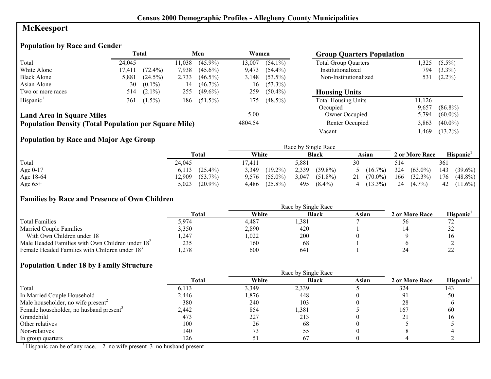# **McKeesport**

# **Population by Race and Gender**

|                                                              |        | Total      |        | Men            | Women   |            | <b>Group Quarters Population</b> |        |            |
|--------------------------------------------------------------|--------|------------|--------|----------------|---------|------------|----------------------------------|--------|------------|
| Total                                                        | 24.045 |            | 11,038 | $(45.9\%)$     | 13,007  | $(54.1\%)$ | <b>Total Group Quarters</b>      | ,325   | $(5.5\%)$  |
| White Alone                                                  | 17,411 | $(72.4\%)$ | 7,938  | $(45.6\%)$     | 9,473   | $(54.4\%)$ | Institutionalized                | 794    | $(3.3\%)$  |
| <b>Black Alone</b>                                           | 5,881  | $(24.5\%)$ | 2,733  | $(46.5\%)$     | 3,148   | $(53.5\%)$ | Non-Institutionalized            | 531    | $(2.2\%)$  |
| Asian Alone                                                  | 30     | $(0.1\%)$  | 14     | $(46.7\%)$     | 16      | $(53.3\%)$ |                                  |        |            |
| Two or more races                                            | 514    | $(2.1\%)$  | 255    | $(49.6\%)$     | 259     | $(50.4\%)$ | <b>Housing Units</b>             |        |            |
| Hispanic <sup>1</sup>                                        | 361    | $(1.5\%)$  |        | 186 $(51.5\%)$ | 175     | $(48.5\%)$ | <b>Total Housing Units</b>       | 11,126 |            |
|                                                              |        |            |        |                |         |            | Occupied                         | 9,657  | $(86.8\%)$ |
| <b>Land Area in Square Miles</b>                             |        |            |        |                | 5.00    |            | Owner Occupied                   | 5,794  | $(60.0\%)$ |
| <b>Population Density (Total Population per Square Mile)</b> |        |            |        |                | 4804.54 |            | Renter Occupied                  | 3,863  | $(40.0\%)$ |
|                                                              |        |            |        |                |         |            | Vacant                           | ,469   | $(13.2\%)$ |

## **Population by Race and Major Age Group**

|            |                      |                     | Race by Single Race |                     |                   |                       |
|------------|----------------------|---------------------|---------------------|---------------------|-------------------|-----------------------|
|            | Total                | White               | <b>Black</b>        | Asian               | 2 or More Race    | Hispanic <sup>1</sup> |
| Total      | 24,045               | 7,411               | 5,881               | 30                  | 514               | 361                   |
| Age $0-17$ | $(25.4\%)$<br>6.113  | $(19.2\%)$<br>3,349 | 2,339<br>$(39.8\%)$ | $5(16.7\%)$         | 324<br>$(63.0\%)$ | 143<br>$(39.6\%)$     |
| Age 18-64  | $(53.7\%)$<br>12,909 | $(55.0\%)$<br>9.576 | 3,047<br>$(51.8\%)$ | $21 \quad (70.0\%)$ | 166<br>$(32.3\%)$ | 176<br>$(48.8\%)$     |
| Age $65+$  | $(20.9\%)$<br>5,023  | $(25.8\%)$<br>4,486 | 495<br>$(8.4\%)$    | $(13.3\%)$<br>4     | 24<br>$(4.7\%)$   | 42<br>$(11.6\%)$      |

#### **Families by Race and Presence of Own Children**

|                                                            | <b>Total</b> | White | <b>Black</b> | Asian | 2 or More Race | <b>Hispanic</b>     |
|------------------------------------------------------------|--------------|-------|--------------|-------|----------------|---------------------|
| <b>Total Families</b>                                      | 5,974        | 4.487 | ,381         |       | $50^{\circ}$   |                     |
| <b>Married Couple Families</b>                             | 3,350        | 2,890 | 420          |       |                | $\Delta$            |
| With Own Children under 18                                 | ,247         | ,022  | 200          |       |                |                     |
| Male Headed Families with Own Children under $182$         | 235          | 160   | 68           |       |                |                     |
| Female Headed Families with Children under 18 <sup>3</sup> | .278         | 600   | 64           |       |                | $\mathcal{L}$<br>-- |

#### **Population Under 18 by Family Structure**

|                                                     |       |       | Race by Single Race |       |                |          |
|-----------------------------------------------------|-------|-------|---------------------|-------|----------------|----------|
|                                                     | Total | White | <b>Black</b>        | Asian | 2 or More Race | Hispanic |
| Total                                               | 6,113 | 3,349 | 2,339               |       | 324            | 143      |
| In Married Couple Household                         | 2,446 | 1,876 | 448                 |       |                | 50       |
| Male householder, no wife present <sup>2</sup>      | 380   | 240   | 103                 |       | 28             |          |
| Female householder, no husband present <sup>3</sup> | 2,442 | 854   | 1,381               |       | 167            | -60      |
| Grandchild                                          | 473   | 227   | 213                 |       |                | I h      |
| Other relatives                                     | 100   | 26    | 68                  |       |                |          |
| Non-relatives                                       | 140   |       |                     |       |                |          |
| In group quarters                                   | 126   |       |                     |       |                |          |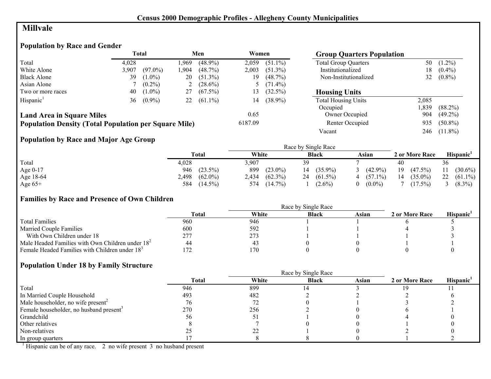# **Millvale**

## **Population by Race and Gender**

|                                                              |       | Total      |      | Men        | Women   |            | <b>Group Quarters Population</b> |       |            |
|--------------------------------------------------------------|-------|------------|------|------------|---------|------------|----------------------------------|-------|------------|
| Total                                                        | 4.028 |            | .969 | $(48.9\%)$ | 2,059   | $(51.1\%)$ | <b>Total Group Quarters</b>      | 50    | $(1.2\%)$  |
| White Alone                                                  | 3,907 | $(97.0\%)$ | .904 | $(48.7\%)$ | 2,003   | $(51.3\%)$ | Institutionalized                | 18    | $(0.4\%)$  |
| <b>Black Alone</b>                                           | 39    | $(1.0\%)$  | 20   | $(51.3\%)$ | 19      | $(48.7\%)$ | Non-Institutionalized            | 32    | $(0.8\%)$  |
| Asian Alone                                                  |       | $(0.2\%)$  | 2    | $(28.6\%)$ |         | $(71.4\%)$ |                                  |       |            |
| Two or more races                                            | 40    | $(1.0\%)$  | 27   | $(67.5\%)$ | 13.     | $(32.5\%)$ | <b>Housing Units</b>             |       |            |
| Hispanic <sup>1</sup>                                        | 36    | $(0.9\%)$  | 22   | $(61.1\%)$ | 14      | $(38.9\%)$ | <b>Total Housing Units</b>       | 2,085 |            |
|                                                              |       |            |      |            |         |            | Occupied                         | ,839  | $(88.2\%)$ |
| <b>Land Area in Square Miles</b>                             |       |            |      |            | 0.65    |            | Owner Occupied                   | 904   | $(49.2\%)$ |
| <b>Population Density (Total Population per Square Mile)</b> |       |            |      |            | 6187.09 |            | Renter Occupied                  | 935   | $(50.8\%)$ |
|                                                              |       |            |      |            |         |            | Vacant                           | 246   | $(11.8\%)$ |

## **Population by Race and Major Age Group**

|           |                     |                     | Race by Single Race           |                 |                  |                       |
|-----------|---------------------|---------------------|-------------------------------|-----------------|------------------|-----------------------|
|           | Total               | White               | <b>Black</b>                  | Asian           | 2 or More Race   | Hispanic <sup>1</sup> |
| Total     | 4,028               | 3,907               | 39                            |                 | 40               | 36                    |
| Age 0-17  | $(23.5\%)$<br>946   | 899<br>$(23.0\%)$   | $(35.9\%)$<br>$\vert 4 \vert$ | $(42.9\%)$<br>3 | 19<br>$(47.5\%)$ | $(30.6\%)$            |
| Age 18-64 | $(62.0\%)$<br>2,498 | $(62.3\%)$<br>2.434 | $(61.5\%)$<br>24              | $4(57.1\%)$     | $(35.0\%)$<br>14 | 22<br>$(61.1\%)$      |
| Age $65+$ | 584<br>$(14.5\%)$   | 574<br>$(14.7\%)$   | $(2.6\%)$                     | $(0.0\%)$<br>0  | $(17.5\%)$       | $(8.3\%)$             |

## **Families by Race and Presence of Own Children**

|                                                            | <b>Total</b> | White | <b>Black</b> | Asian | 2 or More Race | <b>Hispanic</b> |
|------------------------------------------------------------|--------------|-------|--------------|-------|----------------|-----------------|
| <b>Total Families</b>                                      | 960          | 946   |              |       |                |                 |
| <b>Married Couple Families</b>                             | 600          | 592   |              |       |                |                 |
| With Own Children under 18                                 | 277          | 273   |              |       |                |                 |
| Male Headed Families with Own Children under $182$         | 44           | 43    |              |       |                |                 |
| Female Headed Families with Children under 18 <sup>3</sup> |              | 170   |              |       |                |                 |

## **Population Under 18 by Family Structure**

|                                                     | Race by Single Race |       |              |       |                |                       |  |  |
|-----------------------------------------------------|---------------------|-------|--------------|-------|----------------|-----------------------|--|--|
|                                                     | <b>Total</b>        | White | <b>Black</b> | Asian | 2 or More Race | Hispanic <sup>1</sup> |  |  |
| Total                                               | 946                 | 899   |              |       | 19             |                       |  |  |
| In Married Couple Household                         | 493                 | 482   |              |       |                |                       |  |  |
| Male householder, no wife present <sup>2</sup>      | 76                  |       |              |       |                |                       |  |  |
| Female householder, no husband present <sup>3</sup> | 270                 | 256   |              |       |                |                       |  |  |
| Grandchild                                          | 56                  | J.    |              |       |                |                       |  |  |
| Other relatives                                     |                     |       |              |       |                |                       |  |  |
| Non-relatives                                       |                     | າາ    |              |       |                |                       |  |  |
| In group quarters                                   |                     |       |              |       |                |                       |  |  |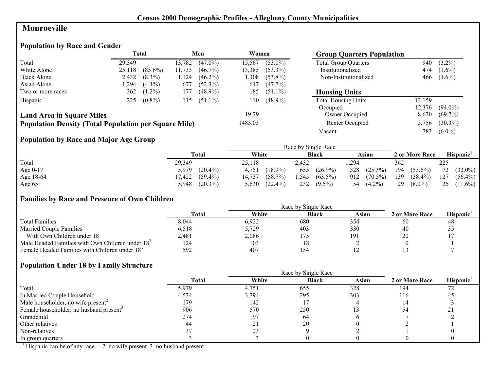## **Monroeville**

# **Population by Race and Gender**

|                                                              | Total  |            |        | Men        | Women   |            | <b>Group Quarters Population</b> |        |            |
|--------------------------------------------------------------|--------|------------|--------|------------|---------|------------|----------------------------------|--------|------------|
| Total                                                        | 29.349 |            | 13,782 | $(47.0\%)$ | 15,567  | $(53.0\%)$ | <b>Total Group Quarters</b>      | 940    | $(3.2\%)$  |
| White Alone                                                  | 25,118 | $(85.6\%)$ | 11,733 | $(46.7\%)$ | 13,385  | $(53.3\%)$ | Institutionalized                | 474    | $(1.6\%)$  |
| <b>Black Alone</b>                                           | 2,432  | $(8.3\%)$  | .124   | $(46.2\%)$ | 1.308   | $(53.8\%)$ | Non-Institutionalized            | 466    | $(1.6\%)$  |
| Asian Alone                                                  | .294   | $(4.4\%)$  | 677    | $(52.3\%)$ | 617     | $(47.7\%)$ |                                  |        |            |
| Two or more races                                            | 362    | $(1.2\%)$  | 177    | $(48.9\%)$ | 185     | $(51.1\%)$ | <b>Housing Units</b>             |        |            |
| Hispanic <sup>1</sup>                                        | 225    | $(0.8\%)$  | 115    | $(51.1\%)$ | 110     | $(48.9\%)$ | <b>Total Housing Units</b>       | 13,159 |            |
|                                                              |        |            |        |            |         |            | Occupied                         | 12,376 | $(94.0\%)$ |
| <b>Land Area in Square Miles</b>                             |        |            |        |            | 19.79   |            | Owner Occupied                   | 8,620  | $(69.7\%)$ |
| <b>Population Density (Total Population per Square Mile)</b> |        |            |        |            | 1483.03 |            | Renter Occupied                  | 3,756  | $(30.3\%)$ |
|                                                              |        |            |        |            |         |            | Vacant                           | 783    | $(6.0\%)$  |

## **Population by Race and Major Age Group**

|           |            |            | Race by Single Race |            |                |                       |
|-----------|------------|------------|---------------------|------------|----------------|-----------------------|
|           | Total      | White      | <b>Black</b>        | Asian      | 2 or More Race | Hispanic <sup>'</sup> |
| Total     | 29,349     | 25,118     | 2.432               | .294       | 362            | 225                   |
| Age 0-17  | $(20.4\%)$ | $(18.9\%)$ | 655                 | 328        | 194            | 72                    |
|           | 5.979      | 4,751      | $(26.9\%)$          | $(25.3\%)$ | $(53.6\%)$     | $(32.0\%)$            |
| Age 18-64 | $(59.4\%)$ | $(58.7\%)$ | 1.545               | 912        | 139            | 127                   |
|           | 17,422     | 14,737     | $(63.5\%)$          | $(70.5\%)$ | $(38.4\%)$     | $(56.4\%)$            |
| Age $65+$ | $(20.3\%)$ | $(22.4\%)$ | 232                 | $(4.2\%)$  | 29             | 26                    |
|           | 5,948      | 5,630      | $(9.5\%)$           | 54         | $(8.0\%)$      | $(11.6\%)$            |

#### **Families by Race and Presence of Own Children**

|                                                            | Race by Single Race |       |              |       |                |                 |  |
|------------------------------------------------------------|---------------------|-------|--------------|-------|----------------|-----------------|--|
|                                                            | <b>Total</b>        | White | <b>Black</b> | Asian | 2 or More Race | <b>Hispanic</b> |  |
| <b>Total Families</b>                                      | 8,044               | 6,922 | 680          | 354   | 60             | 48              |  |
| <b>Married Couple Families</b>                             | 6,518               | 5,729 | 403          | 330   | 40             | ں ر             |  |
| With Own Children under 18                                 | 2,481               | 2,086 |              | 191   | 20             |                 |  |
| Male Headed Families with Own Children under $182$         | 124                 | 103   |              |       |                |                 |  |
| Female Headed Families with Children under 18 <sup>3</sup> | 592                 | 407   | 154          |       |                |                 |  |

#### **Population Under 18 by Family Structure**

|                                                     |       |       | Race by Single Race |       |                |          |
|-----------------------------------------------------|-------|-------|---------------------|-------|----------------|----------|
|                                                     | Total | White | <b>Black</b>        | Asian | 2 or More Race | Hispanic |
| Total                                               | 5,979 | 4,751 | 655                 | 328   | 194            | 72       |
| In Married Couple Household                         | 4,534 | 3,794 | 295                 | 303   | 116            | 45       |
| Male householder, no wife present <sup>2</sup>      | 179   | 142   |                     |       |                |          |
| Female householder, no husband present <sup>3</sup> | 906   | 570   | 250                 |       |                |          |
| Grandchild                                          | 274   | 197   | 64                  |       |                |          |
| Other relatives                                     | 44    | 21    | 20                  |       |                |          |
| Non-relatives                                       |       | 23    |                     |       |                |          |
| In group quarters                                   |       |       |                     |       |                |          |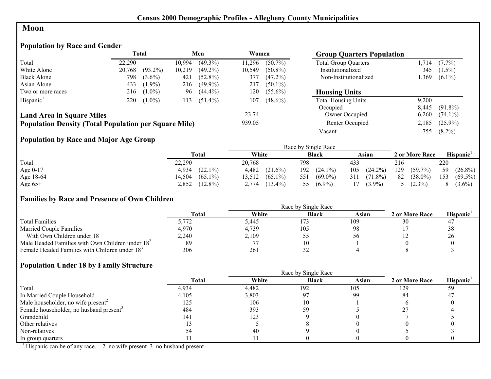#### **Moon**

# **Population by Race and Gender**

|                                                              |        | <b>Total</b> |        | Men        | Women  |            | <b>Group Quarters Population</b> |       |            |
|--------------------------------------------------------------|--------|--------------|--------|------------|--------|------------|----------------------------------|-------|------------|
| Total                                                        | 22.290 |              | 10.994 | $(49.3\%)$ | 11.296 | $(50.7\%)$ | <b>Total Group Quarters</b>      | .714  | $(7.7\%)$  |
| White Alone                                                  | 20,768 | $(93.2\%)$   | 10,219 | $(49.2\%)$ | 10,549 | $(50.8\%)$ | Institutionalized                | 345   | $(1.5\%)$  |
| <b>Black Alone</b>                                           | 798    | $(3.6\%)$    | 421    | $(52.8\%)$ | 377    | $(47.2\%)$ | Non-Institutionalized            | .369  | $(6.1\%)$  |
| Asian Alone                                                  | 433    | $(1.9\%)$    | 216    | $(49.9\%)$ | 217    | $(50.1\%)$ |                                  |       |            |
| Two or more races                                            | 216    | $(1.0\%)$    | 96     | $(44.4\%)$ | 120    | $(55.6\%)$ | <b>Housing Units</b>             |       |            |
| Hispanic <sup>1</sup>                                        | 220    | $(1.0\%)$    | 113    | $(51.4\%)$ | 107    | $(48.6\%)$ | <b>Total Housing Units</b>       | 9.200 |            |
|                                                              |        |              |        |            |        |            | Occupied                         | 8.445 | $(91.8\%)$ |
| <b>Land Area in Square Miles</b>                             |        |              |        |            | 23.74  |            | Owner Occupied                   | 6,260 | $(74.1\%)$ |
| <b>Population Density (Total Population per Square Mile)</b> |        |              |        |            | 939.05 |            | Renter Occupied                  | 2,185 | $(25.9\%)$ |
|                                                              |        |              |        |            |        |            | Vacant                           | 755   | $(8.2\%)$  |

## **Population by Race and Major Age Group**

|           |                      |                      | Race by Single Race |                   |                   |                       |
|-----------|----------------------|----------------------|---------------------|-------------------|-------------------|-----------------------|
|           | Total                | White                | <b>Black</b>        | Asian             | 2 or More Race    | Hispanic <sup>'</sup> |
| Total     | 22,290               | 20,768               | 798                 | 433               | 216               | 220                   |
| Age 0-17  | $(22.1\%)$<br>4,934  | 4,482<br>$(21.6\%)$  | 192<br>$(24.1\%)$   | $(24.2\%)$<br>105 | 129<br>$(59.7\%)$ | 59<br>$(26.8\%)$      |
| Age 18-64 | $(65.1\%)$<br>14,504 | $(65.1\%)$<br>13.512 | 551<br>$(69.0\%)$   | $(71.8\%)$<br>311 | 82<br>$(38.0\%)$  | 153<br>$(69.5\%)$     |
| Age $65+$ | $(12.8\%)$<br>2,852  | $(13.4\%)$<br>2,774  | 55<br>$(6.9\%)$     | $(3.9\%)$<br>17   | $(2.3\%)$         | $(3.6\%)$             |

## **Families by Race and Presence of Own Children**

|                                                            | <b>Total</b> | White | <b>Black</b> | Asian | 2 or More Race | <b>Hispanic</b> |
|------------------------------------------------------------|--------------|-------|--------------|-------|----------------|-----------------|
| <b>Total Families</b>                                      | 5.772        | 5.445 |              | 109   | 30             |                 |
| <b>Married Couple Families</b>                             | 4,970        | 4,739 | 105          | 98    |                | 38              |
| With Own Children under 18                                 | 2,240        | 2,109 |              |       |                | 26              |
| Male Headed Families with Own Children under $182$         | 89           |       | 10           |       |                |                 |
| Female Headed Families with Children under 18 <sup>3</sup> | 306          | 261   |              |       |                |                 |

#### **Population Under 18 by Family Structure**

|                                                     |              | Race by Single Race |              |       |                |                       |  |
|-----------------------------------------------------|--------------|---------------------|--------------|-------|----------------|-----------------------|--|
|                                                     | <b>Total</b> | White               | <b>Black</b> | Asian | 2 or More Race | Hispanic <sup>1</sup> |  |
| Total                                               | 4,934        | 4,482               | 192          | 105   | 129            | 59                    |  |
| In Married Couple Household                         | 4,105        | 3,803               | 97           | 99    | 84             | 47                    |  |
| Male householder, no wife present <sup>2</sup>      | 125          | 106                 |              |       |                |                       |  |
| Female householder, no husband present <sup>3</sup> | 484          | 393                 | 59           |       |                |                       |  |
| Grandchild                                          | 141          | 123                 |              |       |                |                       |  |
| Other relatives                                     |              |                     |              |       |                |                       |  |
| Non-relatives                                       |              | 40                  |              |       |                |                       |  |
| In group quarters                                   |              |                     |              |       |                |                       |  |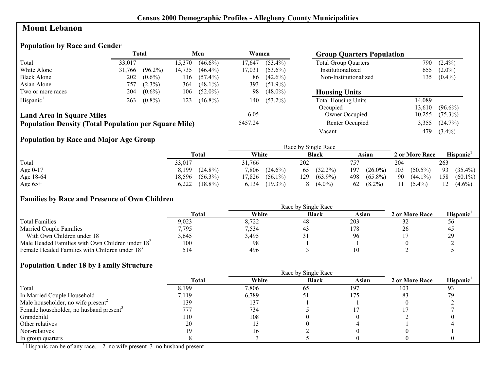## **Mount Lebanon**

# **Population by Race and Gender**

|                                                              |        | <b>Total</b> |         | Men        | Women           |            | <b>Group Quarters Population</b> |        |            |
|--------------------------------------------------------------|--------|--------------|---------|------------|-----------------|------------|----------------------------------|--------|------------|
| Total                                                        | 33.017 |              | 15,370  | $(46.6\%)$ | 17,647          | $(53.4\%)$ | <b>Total Group Quarters</b>      | 790    | $(2.4\%)$  |
| White Alone                                                  | 31,766 | $(96.2\%)$   | 14,735  | $(46.4\%)$ | 17.031          | $(53.6\%)$ | Institutionalized                | 655    | $(2.0\%)$  |
| <b>Black Alone</b>                                           | 202    | $(0.6\%)$    | 116     | $(57.4\%)$ | 86              | $(42.6\%)$ | Non-Institutionalized            | 135    | $(0.4\%)$  |
| Asian Alone                                                  | 757    | $(2.3\%)$    | 364     | $(48.1\%)$ | 393             | $(51.9\%)$ |                                  |        |            |
| Two or more races                                            | 204    | $(0.6\%)$    | 106     | $(52.0\%)$ | 98              | $(48.0\%)$ | <b>Housing Units</b>             |        |            |
| Hispanic <sup>1</sup>                                        | 263    | $(0.8\%)$    | 123     | $(46.8\%)$ | 140             | $(53.2\%)$ | <b>Total Housing Units</b>       | 14.089 |            |
|                                                              |        |              |         |            |                 |            | Occupied                         | 13,610 | $(96.6\%)$ |
| <b>Land Area in Square Miles</b>                             |        |              |         |            | 6.05            |            | Owner Occupied                   | 10,255 | $(75.3\%)$ |
| <b>Population Density (Total Population per Square Mile)</b> |        |              | 5457.24 |            | Renter Occupied | 3,355      | $(24.7\%)$                       |        |            |

Vacant 479 (3.4%)

## **Population by Race and Major Age Group**

|           |            |            | Race by Single Race |            |                |                       |
|-----------|------------|------------|---------------------|------------|----------------|-----------------------|
|           | Total      | White      | <b>Black</b>        | Asian      | 2 or More Race | Hispanic <sup>'</sup> |
| Total     | 33,017     | 31,766     | 202                 | 757        | 204            | 263                   |
| Age 0-17  | $(24.8\%)$ | 7,806      | $(32.2\%)$          | $(26.0\%)$ | 103            | 93                    |
|           | 8,199      | $(24.6\%)$ | 65                  | 197        | $(50.5\%)$     | $(35.4\%)$            |
| Age 18-64 | $(56.3\%)$ | $(56.1\%)$ | $(63.9\%)$          | $(65.8\%)$ | 90             | 158                   |
|           | 18,596     | 7,826      | 129                 | 498        | $(44.1\%)$     | $(60.1\%)$            |
| Age $65+$ | $(18.8\%)$ | $(19.3\%)$ | $(4.0\%)$           | $(8.2\%)$  | 11             | 12                    |
|           | 6,222      | 6,134      | 8                   | 62         | $(5.4\%)$      | $(4.6\%)$             |

#### **Families by Race and Presence of Own Children**

|                                                            | Race by Single Race |       |              |       |                |                 |  |  |
|------------------------------------------------------------|---------------------|-------|--------------|-------|----------------|-----------------|--|--|
|                                                            | <b>Total</b>        | White | <b>Black</b> | Asian | 2 or More Race | <b>Hispanic</b> |  |  |
| <b>Total Families</b>                                      | 9,023               | 8,722 | 48           | 203   | ے ر            | $_{\rm 50}$     |  |  |
| <b>Married Couple Families</b>                             | 7,795               | 7,534 |              | 178   |                | 45              |  |  |
| With Own Children under 18                                 | 3,645               | 3,495 |              | 96    |                | 29              |  |  |
| Male Headed Families with Own Children under $182$         | 100                 | 98    |              |       |                |                 |  |  |
| Female Headed Families with Children under 18 <sup>3</sup> | 514                 | 496   |              |       |                |                 |  |  |

#### **Population Under 18 by Family Structure**

|                                                     |       | Race by Single Race |              |       |                |                |
|-----------------------------------------------------|-------|---------------------|--------------|-------|----------------|----------------|
|                                                     | Total | White               | <b>Black</b> | Asian | 2 or More Race | Hispanic       |
| Total                                               | 8,199 | 7,806               | 65           | 197   | 103            | Q <sub>3</sub> |
| In Married Couple Household                         | 7.119 | 6,789               |              | 175   | 83             |                |
| Male householder, no wife present <sup>2</sup>      | 139   | 137                 |              |       |                |                |
| Female householder, no husband present <sup>3</sup> | 777   | 734                 |              |       |                |                |
| Grandchild                                          | 110   | 108                 |              |       |                |                |
| Other relatives                                     | 20    |                     |              |       |                |                |
| Non-relatives                                       | 1 Q   |                     |              |       |                |                |
| In group quarters                                   |       |                     |              |       |                |                |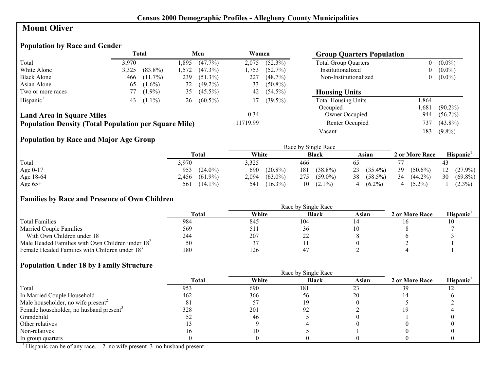## **Mount Oliver**

# **Population by Race and Gender**

|                                                              |       | <b>Total</b> |      | Men        | Women    |            | <b>Group Quarters Population</b> |                  |            |
|--------------------------------------------------------------|-------|--------------|------|------------|----------|------------|----------------------------------|------------------|------------|
| Total                                                        | 3,970 |              | .895 | $(47.7\%)$ | 2,075    | $(52.3\%)$ | <b>Total Group Quarters</b>      | 0                | $(0.0\%)$  |
| White Alone                                                  | 3,325 | $(83.8\%)$   | .572 | $(47.3\%)$ | l.753    | (52.7%)    | Institutionalized                | $\boldsymbol{0}$ | $(0.0\%)$  |
| <b>Black Alone</b>                                           | 466   | $(11.7\%)$   | 239  | $(51.3\%)$ | 227      | $(48.7\%)$ | Non-Institutionalized            | 0                | $(0.0\%)$  |
| Asian Alone                                                  | 65    | $(1.6\%)$    | 32   | $(49.2\%)$ | 33       | $(50.8\%)$ |                                  |                  |            |
| Two or more races                                            |       | $(1.9\%)$    | 35   | $(45.5\%)$ | 42       | $(54.5\%)$ | <b>Housing Units</b>             |                  |            |
| Hispanic <sup>1</sup>                                        | 43    | $(1.1\%)$    | 26   | $(60.5\%)$ | 17       | $(39.5\%)$ | <b>Total Housing Units</b>       | .864             |            |
|                                                              |       |              |      |            |          |            | Occupied                         | ,681             | $(90.2\%)$ |
| <b>Land Area in Square Miles</b>                             |       |              |      |            | 0.34     |            | Owner Occupied                   | 944              | $(56.2\%)$ |
| <b>Population Density (Total Population per Square Mile)</b> |       |              |      |            | 11719.99 |            | Renter Occupied                  | 737              | $(43.8\%)$ |
|                                                              |       |              |      |            |          |            | Vacant                           | 183              | $(9.8\%)$  |

# **Population by Race and Major Age Group**

|           |                     |                     | Race by Single Race |                  |                  |                  |
|-----------|---------------------|---------------------|---------------------|------------------|------------------|------------------|
|           | Total               | White               | <b>Black</b>        | Asian            | 2 or More Race   | Hispanic'        |
| Total     | 3,970               | 3,325               | 466                 |                  |                  | 43               |
| Age 0-17  | $(24.0\%)$<br>953   | 690<br>$(20.8\%)$   | $(38.8\%)$<br>181   | $(35.4\%)$<br>23 | 39<br>$(50.6\%)$ | $12(27.9\%)$     |
| Age 18-64 | $(61.9\%)$<br>2,456 | $(63.0\%)$<br>2,094 | $(59.0\%)$<br>275   | $(58.5\%)$<br>38 | 34<br>$(44.2\%)$ | 30<br>$(69.8\%)$ |
| Age $65+$ | $(14.1\%)$<br>561   | $(16.3\%)$<br>541   | $(2.1\%)$<br>10     | $(6.2\%)$        | $(5.2\%)$        | $(2.3\%)$        |

#### **Families by Race and Presence of Own Children**

|                                                            | <b>Total</b> | White | <b>Black</b> | Asian | 2 or More Race | Hispanic <sup>'</sup> |
|------------------------------------------------------------|--------------|-------|--------------|-------|----------------|-----------------------|
| <b>Total Families</b>                                      | 984          | 845   | 104          |       |                |                       |
| <b>Married Couple Families</b>                             | 569          | 511   | 36           |       |                |                       |
| With Own Children under 18                                 | 244          | 207   | ∠∠           |       |                |                       |
| Male Headed Families with Own Children under $182$         | 50           | -4 -  |              |       |                |                       |
| Female Headed Families with Children under 18 <sup>3</sup> | 180          | 126   | 4            |       |                |                       |

#### **Population Under 18 by Family Structure**

|                                                     |       | Race by Single Race |              |       |                |          |  |  |
|-----------------------------------------------------|-------|---------------------|--------------|-------|----------------|----------|--|--|
|                                                     | Total | White               | <b>Black</b> | Asian | 2 or More Race | Hispanic |  |  |
| Total                                               | 953   | 690                 | 181          |       | 39             |          |  |  |
| In Married Couple Household                         | 462   | 366                 | 56           | 20    |                |          |  |  |
| Male householder, no wife present <sup>2</sup>      | 81    |                     |              |       |                |          |  |  |
| Female householder, no husband present <sup>3</sup> | 328   | 201                 | 92           |       |                |          |  |  |
| Grandchild                                          |       | 46                  |              |       |                |          |  |  |
| Other relatives                                     |       |                     |              |       |                |          |  |  |
| Non-relatives                                       |       |                     |              |       |                |          |  |  |
| In group quarters                                   |       |                     |              |       |                |          |  |  |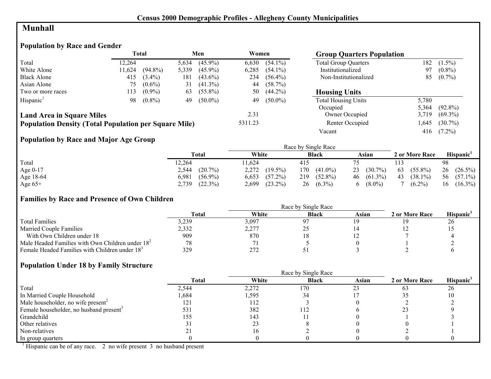## **Munhall**

## **Population by Race and Gender**

|                                                              | Total  |            | Men   |            | Women   |            | <b>Group Quarters Population</b> |       |            |
|--------------------------------------------------------------|--------|------------|-------|------------|---------|------------|----------------------------------|-------|------------|
| Total                                                        | 12.264 |            | 5,634 | $(45.9\%)$ | 6,630   | $(54.1\%)$ | <b>Total Group Quarters</b>      | 182   | $(1.5\%)$  |
| White Alone                                                  | 11,624 | $(94.8\%)$ | 5,339 | $(45.9\%)$ | 6,285   | $(54.1\%)$ | Institutionalized                | 97    | $(0.8\%)$  |
| <b>Black Alone</b>                                           | 415    | $(3.4\%)$  | 181   | $(43.6\%)$ | 234     | $(56.4\%)$ | Non-Institutionalized            | 85    | $(0.7\%)$  |
| Asian Alone                                                  | 75     | $(0.6\%)$  | 31    | $(41.3\%)$ | 44      | $(58.7\%)$ |                                  |       |            |
| Two or more races                                            | 113    | $(0.9\%)$  | 63    | $(55.8\%)$ | 50      | $(44.2\%)$ | <b>Housing Units</b>             |       |            |
| Hispanic <sup>1</sup>                                        | 98     | $(0.8\%)$  | 49    | $(50.0\%)$ | 49      | $(50.0\%)$ | <b>Total Housing Units</b>       | 5,780 |            |
|                                                              |        |            |       |            |         |            | Occupied                         | 5.364 | $(92.8\%)$ |
| <b>Land Area in Square Miles</b>                             |        |            |       |            | 2.31    |            | Owner Occupied                   | 3,719 | $(69.3\%)$ |
| <b>Population Density (Total Population per Square Mile)</b> |        |            |       |            | 5311.23 |            | Renter Occupied                  | .645  | $(30.7\%)$ |
|                                                              |        |            |       |            |         |            | Vacant                           | 416   | $(7.2\%)$  |

## **Population by Race and Major Age Group**

|            |                     |                     | Race by Single Race |                  |                  |                  |
|------------|---------------------|---------------------|---------------------|------------------|------------------|------------------|
|            | <b>Total</b>        | White               | <b>Black</b>        | Asian            | 2 or More Race   | Hispanic'        |
| Total      | 12,264              | 1,624               | 415                 |                  |                  | 98               |
| Age $0-17$ | $(20.7\%)$<br>2,544 | 2,272<br>$(19.5\%)$ | 170<br>$(41.0\%)$   | $(30.7\%)$<br>23 | $(55.8\%)$<br>63 | 26<br>$(26.5\%)$ |
| Age 18-64  | $(56.9\%)$<br>6,981 | $(57.2\%)$<br>6,653 | $(52.8\%)$<br>219   | $46(61.3\%)$     | 43<br>$(38.1\%)$ | 56<br>$(57.1\%)$ |
| Age $65+$  | (22.3%)<br>2,739    | $(23.2\%)$<br>2,699 | $(6.3\%)$<br>26     | $(8.0\%)$<br>6.  | $(6.2\%)$        | $(16.3\%)$<br>16 |

#### **Families by Race and Presence of Own Children**

|                                                            | <b>Total</b> | White | <b>Black</b> | Asian | 2 or More Race | Hispanic <sup>'</sup> |
|------------------------------------------------------------|--------------|-------|--------------|-------|----------------|-----------------------|
| <b>Total Families</b>                                      | 5,239        | 3,097 | ດ⊤           |       |                | 26                    |
| <b>Married Couple Families</b>                             | 2,332        | 2,277 | ∼            |       |                |                       |
| With Own Children under 18                                 | 909          | 870   | 10           |       |                |                       |
| Male Headed Families with Own Children under $182$         |              |       |              |       |                |                       |
| Female Headed Families with Children under 18 <sup>3</sup> | 329          | 272   |              |       |                |                       |

#### **Population Under 18 by Family Structure**

|                                                     |       |       | Race by Single Race |       |                |                       |
|-----------------------------------------------------|-------|-------|---------------------|-------|----------------|-----------------------|
|                                                     | Total | White | <b>Black</b>        | Asian | 2 or More Race | Hispanic <sup>1</sup> |
| Total                                               | 2,544 | 2,272 | 170                 |       | 63             | 26                    |
| In Married Couple Household                         | .684  | 1,595 |                     |       |                | ю                     |
| Male householder, no wife present <sup>2</sup>      | 121   | 112   |                     |       |                |                       |
| Female householder, no husband present <sup>3</sup> | 531   | 382   | 112                 |       |                |                       |
| Grandchild                                          | 155   | 143   |                     |       |                |                       |
| Other relatives                                     |       | 23    |                     |       |                |                       |
| Non-relatives                                       |       |       |                     |       |                |                       |
| In group quarters                                   |       |       |                     |       |                |                       |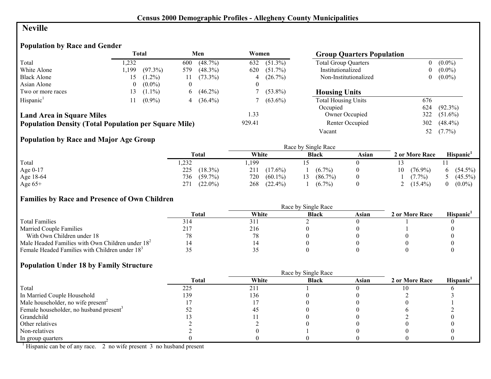## **Neville**

# **Population by Race and Gender**

|                                                              |                | <b>Total</b> |          | Men          | Women  |            | <b>Group Quarters Population</b> |          |            |
|--------------------------------------------------------------|----------------|--------------|----------|--------------|--------|------------|----------------------------------|----------|------------|
| Total                                                        | .232           |              | 600      | $(48.7\%)$   | 632    | $(51.3\%)$ | <b>Total Group Quarters</b>      | $\theta$ | $(0.0\%)$  |
| White Alone                                                  | .199           | $(97.3\%)$   | 579      | $(48.3\%)$   | 620    | $(51.7\%)$ | Institutionalized                | $\bf{0}$ | $(0.0\%)$  |
| <b>Black Alone</b>                                           | 15.            | $(1.2\%)$    |          | $(73.3\%)$   | 4      | $(26.7\%)$ | Non-Institutionalized            | $\theta$ | $(0.0\%)$  |
| Asian Alone                                                  | $\overline{0}$ | $(0.0\%)$    | $\theta$ |              |        |            |                                  |          |            |
| Two or more races                                            | l 3            | $(1.1\%)$    | 6        | $(46.2\%)$   |        | $(53.8\%)$ | <b>Housing Units</b>             |          |            |
| Hispanic <sup>1</sup>                                        |                | $(0.9\%)$    |          | 4 $(36.4\%)$ |        | $(63.6\%)$ | <b>Total Housing Units</b>       | 676      |            |
|                                                              |                |              |          |              |        |            | Occupied                         | 624      | $(92.3\%)$ |
| <b>Land Area in Square Miles</b>                             |                |              |          |              | 1.33   |            | Owner Occupied                   | 322      | $(51.6\%)$ |
| <b>Population Density (Total Population per Square Mile)</b> |                |              |          |              | 929.41 |            | Renter Occupied                  | 302      | $(48.4\%)$ |
|                                                              |                |              |          |              |        |            | Vacant                           | 52       | $(7.7\%)$  |

# **Population by Race and Major Age Group**

|           |                   | Race by Single Race |              |       |                |                       |  |  |
|-----------|-------------------|---------------------|--------------|-------|----------------|-----------------------|--|--|
|           | <b>Total</b>      | White               | <b>Black</b> | Asian | 2 or More Race | Hispanic <sup>1</sup> |  |  |
| Total     | ,232              | ,199                |              |       |                |                       |  |  |
| Age 0-17  | $(18.3\%)$<br>225 | $(17.6\%)$<br>211   | $(6.7\%)$    |       | (76.9%)<br>10  | $(54.5\%)$            |  |  |
| Age 18-64 | 736<br>$(59.7\%)$ | 720<br>$(60.1\%)$   | $(86.7\%)$   |       | $(7.7\%)$      | $(45.5\%)$            |  |  |
| Age $65+$ | $(22.0\%)$<br>271 | 268<br>$(22.4\%)$   | $(6.7\%)$    |       | $(15.4\%)$     | $(0.0\%)$             |  |  |

## **Families by Race and Presence of Own Children**

|                                                            | Total | White | <b>Black</b> | Asian | 2 or More Race | <b>Hispanic</b> |
|------------------------------------------------------------|-------|-------|--------------|-------|----------------|-----------------|
| <b>Total Families</b>                                      | 514   | 31.   |              |       |                |                 |
| <b>Married Couple Families</b>                             |       | 216   |              |       |                |                 |
| With Own Children under 18                                 |       |       |              |       |                |                 |
| Male Headed Families with Own Children under $182$         |       |       |              |       |                |                 |
| Female Headed Families with Children under 18 <sup>3</sup> |       | ں ر   |              |       |                |                 |

#### **Population Under 18 by Family Structure**

|                                                     | Race by Single Race |       |              |       |                |                       |  |
|-----------------------------------------------------|---------------------|-------|--------------|-------|----------------|-----------------------|--|
|                                                     | <b>Total</b>        | White | <b>Black</b> | Asian | 2 or More Race | Hispanic <sup>1</sup> |  |
| Total                                               | 225                 | 211   |              |       |                |                       |  |
| In Married Couple Household                         | 139                 | 136   |              |       |                |                       |  |
| Male householder, no wife present <sup>2</sup>      |                     |       |              |       |                |                       |  |
| Female householder, no husband present <sup>3</sup> |                     |       |              |       |                |                       |  |
| Grandchild                                          |                     |       |              |       |                |                       |  |
| Other relatives                                     |                     |       |              |       |                |                       |  |
| Non-relatives                                       |                     |       |              |       |                |                       |  |
| In group quarters                                   |                     |       |              |       |                |                       |  |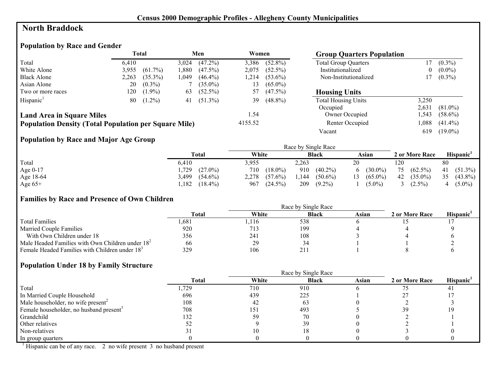## **North Braddock**

# **Population by Race and Gender**

|                                                              |       | Total      |       | Men        | Women   |            | <b>Group Quarters Population</b> |          |            |
|--------------------------------------------------------------|-------|------------|-------|------------|---------|------------|----------------------------------|----------|------------|
| Total                                                        | 6.410 |            | 3,024 | $(47.2\%)$ | 3,386   | $(52.8\%)$ | <b>Total Group Quarters</b>      |          | $(0.3\%)$  |
| White Alone                                                  | 3,955 | $(61.7\%)$ | .880  | $(47.5\%)$ | 2.075   | $(52.5\%)$ | Institutionalized                | $\theta$ | $(0.0\%)$  |
| <b>Black Alone</b>                                           | 2,263 | $(35.3\%)$ | .049  | $(46.4\%)$ | 1,214   | $(53.6\%)$ | Non-Institutionalized            |          | $(0.3\%)$  |
| Asian Alone                                                  | 20    | $(0.3\%)$  |       | $(35.0\%)$ | 13      | $(65.0\%)$ |                                  |          |            |
| Two or more races                                            | 120   | $(1.9\%)$  | 63    | $(52.5\%)$ | 57      | $(47.5\%)$ | <b>Housing Units</b>             |          |            |
| Hispanic <sup>1</sup>                                        | 80    | $(1.2\%)$  | 41    | $(51.3\%)$ | 39      | $(48.8\%)$ | <b>Total Housing Units</b>       | 3,250    |            |
|                                                              |       |            |       |            |         |            | Occupied                         | 2,631    | $(81.0\%)$ |
| <b>Land Area in Square Miles</b>                             |       |            |       |            | 1.54    |            | Owner Occupied                   | .543     | $(58.6\%)$ |
| <b>Population Density (Total Population per Square Mile)</b> |       |            |       |            | 4155.52 |            | Renter Occupied                  | ,088     | $(41.4\%)$ |
|                                                              |       |            |       |            |         |            | Vacant                           | 619      | $(19.0\%)$ |

## **Population by Race and Major Age Group**

|           |                     |                     | Race by Single Race |                   |                  |                       |
|-----------|---------------------|---------------------|---------------------|-------------------|------------------|-----------------------|
|           | <b>Total</b>        | White               | <b>Black</b>        | Asian             | 2 or More Race   | Hispanic <sup>1</sup> |
| Total     | 6.410               | 3,955               | 2,263               | 20                | 120              | 80                    |
| Age 0-17  | .729<br>$(27.0\%)$  | 710<br>$(18.0\%)$   | 910<br>$(40.2\%)$   | $(30.0\%)$<br>6   | $(62.5\%)$<br>75 | 41 $(51.3\%)$         |
| Age 18-64 | 3,499<br>$(54.6\%)$ | 2,278<br>$(57.6\%)$ | $(50.6\%)$<br>1.144 | $(65.0\%)$<br>13. | $(35.0\%)$<br>42 | 35<br>$(43.8\%)$      |
| Age $65+$ | $(18.4\%)$<br>,182  | 967<br>$(24.5\%)$   | 209<br>$(9.2\%)$    | $(5.0\%)$         | $(2.5\%)$        | $(5.0\%)$             |

#### **Families by Race and Presence of Own Children**

|                                                            | <b>Total</b> | White | <b>Black</b> | Asian | 2 or More Race | <b>Hispanic</b> |
|------------------------------------------------------------|--------------|-------|--------------|-------|----------------|-----------------|
| <b>Total Families</b>                                      | .681         | .116  | 538          |       |                |                 |
| <b>Married Couple Families</b>                             | 920          | 713   | 199          |       |                |                 |
| With Own Children under 18                                 | 356          | 241   | 108          |       |                |                 |
| Male Headed Families with Own Children under $182$         | 66           | 29    | 34           |       |                |                 |
| Female Headed Families with Children under 18 <sup>3</sup> | 329          | 106   | 211          |       |                |                 |

#### **Population Under 18 by Family Structure**

|                                                     | <b>Total</b> | White | <b>Black</b> | Asian | 2 or More Race | Hispanic <sup>1</sup> |
|-----------------------------------------------------|--------------|-------|--------------|-------|----------------|-----------------------|
| Total                                               | ,729         | 710   | 910          |       |                |                       |
| In Married Couple Household                         | 696          | 439   | 225          |       |                |                       |
| Male householder, no wife present <sup>2</sup>      | 108          | 42    | 63           |       |                |                       |
| Female householder, no husband present <sup>3</sup> | 708          | 151   | 493          |       |                |                       |
| Grandchild                                          | 132          | 59    | 70           |       |                |                       |
| Other relatives                                     |              |       | 39           |       |                |                       |
| Non-relatives                                       |              |       |              |       |                |                       |
| In group quarters                                   |              |       |              |       |                |                       |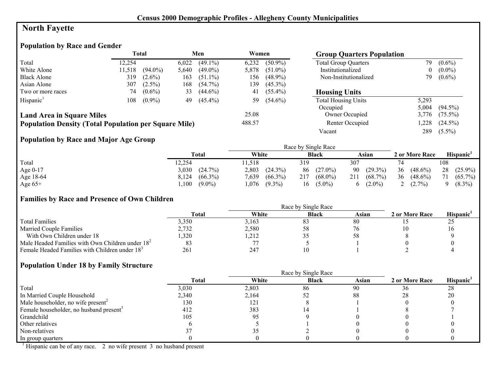# **North Fayette**

# **Population by Race and Gender**

|                                                              |        | Total      |       | Men        | Women  |            | <b>Group Quarters Population</b> |       |            |
|--------------------------------------------------------------|--------|------------|-------|------------|--------|------------|----------------------------------|-------|------------|
| Total                                                        | 12.254 |            | 6,022 | $(49.1\%)$ | 6,232  | $(50.9\%)$ | <b>Total Group Quarters</b>      | 79    | $(0.6\%)$  |
| White Alone                                                  | 11,518 | $(94.0\%)$ | 5,640 | $(49.0\%)$ | 5,878  | $(51.0\%)$ | Institutionalized                | 0     | $(0.0\%)$  |
| <b>Black Alone</b>                                           | 319    | $(2.6\%)$  | 163   | $(51.1\%)$ | 156    | $(48.9\%)$ | Non-Institutionalized            | 79    | $(0.6\%)$  |
| Asian Alone                                                  | 307    | $(2.5\%)$  | 168   | $(54.7\%)$ | 139    | $(45.3\%)$ |                                  |       |            |
| Two or more races                                            | 74     | $(0.6\%)$  | 33    | $(44.6\%)$ | 41     | $(55.4\%)$ | <b>Housing Units</b>             |       |            |
| Hispanic <sup>1</sup>                                        | 108    | $(0.9\%)$  | 49    | $(45.4\%)$ | 59     | $(54.6\%)$ | <b>Total Housing Units</b>       | 5,293 |            |
|                                                              |        |            |       |            |        |            | Occupied                         | 5.004 | $(94.5\%)$ |
| <b>Land Area in Square Miles</b>                             |        |            |       |            | 25.08  |            | Owner Occupied                   | 3,776 | $(75.5\%)$ |
| <b>Population Density (Total Population per Square Mile)</b> |        |            |       |            | 488.57 |            | Renter Occupied                  | ,228  | $(24.5\%)$ |
|                                                              |        |            |       |            |        |            | Vacant                           | 289   | $(5.5\%)$  |

## **Population by Race and Major Age Group**

|            |                     |                     | Race by Single Race |                   |                  |                  |
|------------|---------------------|---------------------|---------------------|-------------------|------------------|------------------|
|            | Total               | White               | <b>Black</b>        | Asian             | 2 or More Race   | <b>Hispanic</b>  |
| Total      | 12,254              | 1.518               | 319                 | 307               |                  | 108              |
| Age $0-17$ | 3,030<br>(24.7%)    | 2,803<br>$(24.3\%)$ | $(27.0\%)$<br>86    | 90 (29.3%)        | 36<br>$(48.6\%)$ | 28<br>$(25.9\%)$ |
| Age 18-64  | $(66.3\%)$<br>8,124 | $(66.3\%)$<br>7,639 | 217<br>$(68.0\%)$   | $(68.7\%)$<br>211 | 36<br>$(48.6\%)$ | $(65.7\%)$       |
| Age $65+$  | $(9.0\%)$<br>,100   | .076<br>$(9.3\%)$   | $(5.0\%)$<br>16     | $(2.0\%)$<br>6.   | $(2.7\%)$        | $(8.3\%)$        |

#### **Families by Race and Presence of Own Children**

|                                                            | <b>Total</b> | White | <b>Black</b> | Asian | 2 or More Race | <b>Hispanic</b> |
|------------------------------------------------------------|--------------|-------|--------------|-------|----------------|-----------------|
| <b>Total Families</b>                                      | 3.350        | 3.163 | 83           | 80    |                | ں گ             |
| <b>Married Couple Families</b>                             | 2,732        | 2,580 | 58           |       |                |                 |
| With Own Children under 18                                 | ,320         | ,212  |              |       |                |                 |
| Male Headed Families with Own Children under $182$         |              |       |              |       |                |                 |
| Female Headed Families with Children under 18 <sup>3</sup> | 261          | 247   |              |       |                |                 |

## **Population Under 18 by Family Structure**

|                                                     |              | Race by Single Race |              |       |                |          |  |
|-----------------------------------------------------|--------------|---------------------|--------------|-------|----------------|----------|--|
|                                                     | <b>Total</b> | White               | <b>Black</b> | Asian | 2 or More Race | Hispanic |  |
| Total                                               | 3,030        | 2,803               | 86           | 90    | 36             | 28       |  |
| In Married Couple Household                         | 2,340        | 2,164               |              | 88    | 28             | 20       |  |
| Male householder, no wife present <sup>2</sup>      | 130          | 121                 |              |       |                |          |  |
| Female householder, no husband present <sup>3</sup> | 412          | 383                 |              |       |                |          |  |
| Grandchild                                          | 105          | 95                  |              |       |                |          |  |
| Other relatives                                     |              |                     |              |       |                |          |  |
| Non-relatives                                       |              |                     |              |       |                |          |  |
| In group quarters                                   |              |                     |              |       |                |          |  |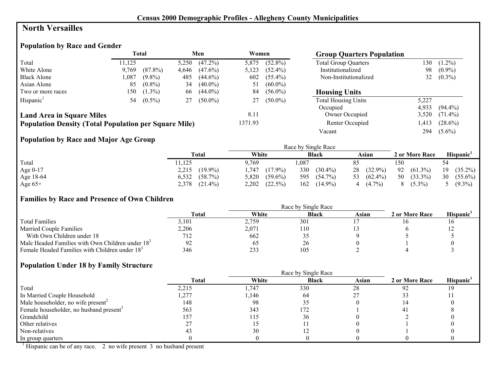# **North Versailles**

# **Population by Race and Gender**

|                                                              |        | <b>Total</b> |       | Men        | Women   |            | <b>Group Quarters Population</b> |       |            |
|--------------------------------------------------------------|--------|--------------|-------|------------|---------|------------|----------------------------------|-------|------------|
| Total                                                        | 11.125 |              | 5,250 | $(47.2\%)$ | 5,875   | $(52.8\%)$ | <b>Total Group Quarters</b>      | 130   | $(1.2\%)$  |
| White Alone                                                  | 9.769  | $(87.8\%)$   | 4,646 | $(47.6\%)$ | 5,123   | $(52.4\%)$ | Institutionalized                | 98    | $(0.9\%)$  |
| <b>Black Alone</b>                                           | ,087   | $(9.8\%)$    | 485   | $(44.6\%)$ | 602     | $(55.4\%)$ | Non-Institutionalized            | 32    | $(0.3\%)$  |
| Asian Alone                                                  | 85     | $(0.8\%)$    | 34    | $(40.0\%)$ | 51      | $(60.0\%)$ |                                  |       |            |
| Two or more races                                            | 150    | $(1.3\%)$    | 66    | $(44.0\%)$ | 84      | $(56.0\%)$ | <b>Housing Units</b>             |       |            |
| Hispanic <sup>1</sup>                                        | 54     | $(0.5\%)$    | 27    | $(50.0\%)$ |         | $(50.0\%)$ | <b>Total Housing Units</b>       | 5,227 |            |
|                                                              |        |              |       |            |         |            | Occupied                         | 4.933 | $(94.4\%)$ |
| <b>Land Area in Square Miles</b>                             |        |              |       |            | 8.11    |            | Owner Occupied                   | 3,520 | $(71.4\%)$ |
| <b>Population Density (Total Population per Square Mile)</b> |        |              |       |            | 1371.93 |            | Renter Occupied                  | ,413  | $(28.6\%)$ |
|                                                              |        |              |       |            |         |            | Vacant                           | 294   | $(5.6\%)$  |

## **Population by Race and Major Age Group**

|           |                     |                     | Race by Single Race |                          |                  |                  |
|-----------|---------------------|---------------------|---------------------|--------------------------|------------------|------------------|
|           | <b>Total</b>        | White               | <b>Black</b>        | Asian                    | 2 or More Race   | Hispanic'        |
| Total     | 1,125               | 9.769               | .087                | 85                       | 50ء              | 54               |
| Age 0-17  | $(19.9\%)$<br>2,215 | $(17.9\%)$<br>,747  | 330<br>$(30.4\%)$   | $(32.9\%)$<br>28         | 92<br>$(61.3\%)$ | $(35.2\%)$<br>19 |
| Age 18-64 | 6,532<br>$(58.7\%)$ | 5,820<br>$(59.6\%)$ | 595<br>$(54.7\%)$   | $(62.4\%)$<br>53         | 50<br>$(33.3\%)$ | 30<br>$(55.6\%)$ |
| Age $65+$ | 2,378<br>$(21.4\%)$ | 2,202<br>$(22.5\%)$ | $(14.9\%)$<br>162   | $(4.7\%)$<br>$\mathbf 4$ | $(5.3\%)$<br>8   | $5(9.3\%)$       |

#### **Families by Race and Presence of Own Children**

|                                                            | <b>Total</b> | White         | <b>Black</b>    | Asian | 2 or More Race | <b>Hispanic</b> |
|------------------------------------------------------------|--------------|---------------|-----------------|-------|----------------|-----------------|
| <b>Total Families</b>                                      | 3.101        | 2,759         | 30 <sup>°</sup> |       |                |                 |
| <b>Married Couple Families</b>                             | 2,206        | 2,071         | 110             |       |                |                 |
| With Own Children under 18                                 | 712.         | 662           |                 |       |                |                 |
| Male Headed Families with Own Children under $182$         |              | <sub>02</sub> | 26              |       |                |                 |
| Female Headed Families with Children under 18 <sup>3</sup> | 346          | 233           | 105             |       |                |                 |

#### **Population Under 18 by Family Structure**

|                                                     |       |        | Race by Single Race |       |                |          |
|-----------------------------------------------------|-------|--------|---------------------|-------|----------------|----------|
|                                                     | Total | White  | <b>Black</b>        | Asian | 2 or More Race | Hispanic |
| Total                                               | 2,215 | 1,747  | 330                 | 28    | 92             |          |
| In Married Couple Household                         | ,277  | l, 146 | 64                  |       |                |          |
| Male householder, no wife present <sup>2</sup>      | 148   | 98     |                     |       |                |          |
| Female householder, no husband present <sup>3</sup> | 563   | 343    | 172                 |       |                |          |
| Grandchild                                          | 157   | 115    |                     |       |                |          |
| Other relatives                                     |       |        |                     |       |                |          |
| Non-relatives                                       |       | 30     |                     |       |                |          |
| In group quarters                                   |       |        |                     |       |                |          |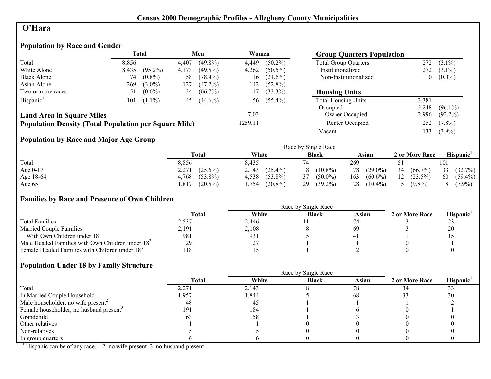# **O'Hara**

# **Population by Race and Gender**

|                                                              | <b>Total</b><br>Men<br>Women<br><b>Group Quarters Population</b> |            |       |            |         |            |                             |       |            |
|--------------------------------------------------------------|------------------------------------------------------------------|------------|-------|------------|---------|------------|-----------------------------|-------|------------|
| Total                                                        | 8,856                                                            |            | 4,407 | $(49.8\%)$ | 4,449   | $(50.2\%)$ | <b>Total Group Quarters</b> | 272.  | $(3.1\%)$  |
| White Alone                                                  | 8,435                                                            | $(95.2\%)$ | 4,173 | $(49.5\%)$ | 4,262   | $(50.5\%)$ | Institutionalized           | 272   | $(3.1\%)$  |
| <b>Black Alone</b>                                           | 74                                                               | $(0.8\%)$  | 58    | $(78.4\%)$ | 16      | $(21.6\%)$ | Non-Institutionalized       |       | $(0.0\%)$  |
| Asian Alone                                                  | 269                                                              | $(3.0\%)$  | 127   | $(47.2\%)$ | 142     | $(52.8\%)$ |                             |       |            |
| Two or more races                                            | 51                                                               | $(0.6\%)$  | 34    | $(66.7\%)$ | 17      | $(33.3\%)$ | <b>Housing Units</b>        |       |            |
| Hispanic <sup>1</sup>                                        | 101                                                              | $(1.1\%)$  | 45    | $(44.6\%)$ | 56      | $(55.4\%)$ | <b>Total Housing Units</b>  | 3,381 |            |
|                                                              |                                                                  |            |       |            |         |            | Occupied                    | 3,248 | $(96.1\%)$ |
| <b>Land Area in Square Miles</b>                             |                                                                  |            |       |            | 7.03    |            | Owner Occupied              | 2,996 | $(92.2\%)$ |
| <b>Population Density (Total Population per Square Mile)</b> |                                                                  |            |       |            | 1259.11 |            | Renter Occupied             | 252   | $(7.8\%)$  |
|                                                              |                                                                  |            |       |            |         |            | Vacant                      | 133   | $(3.9\%)$  |

# **Population by Race and Major Age Group**

|           |                     |                     | Race by Single Race |                   |                  |                  |
|-----------|---------------------|---------------------|---------------------|-------------------|------------------|------------------|
|           | <b>Total</b>        | White               | <b>Black</b>        | Asian             | 2 or More Race   | <b>Hispanic</b>  |
| Total     | 8,856               | 8,435               |                     | 269               |                  | 101              |
| Age 0-17  | 2,271<br>$(25.6\%)$ | $(25.4\%)$<br>2,143 | $(10.8\%)$          | $(29.0\%)$<br>78  | 34<br>$(66.7\%)$ | 33<br>(32.7%)    |
| Age 18-64 | $(53.8\%)$<br>4.768 | 4,538<br>$(53.8\%)$ | 37<br>$(50.0\%)$    | 163<br>$(60.6\%)$ | 12<br>$(23.5\%)$ | 60<br>$(59.4\%)$ |
| Age $65+$ | $(20.5\%)$<br>.817  | $(20.8\%)$<br>.754  | 29<br>$(39.2\%)$    | 28<br>$(10.4\%)$  | $(9.8\%)$        | $(7.9\%)$        |

## **Families by Race and Presence of Own Children**

|                                                            | <b>Total</b> | White     | <b>Black</b> | Asian | 2 or More Race | Hispanic <sup>'</sup> |
|------------------------------------------------------------|--------------|-----------|--------------|-------|----------------|-----------------------|
| <b>Total Families</b>                                      | 2,537        | 2.446     |              |       |                | ر ب                   |
| <b>Married Couple Families</b>                             | 2,191        | 2,108     |              | 69    |                | 20                    |
| With Own Children under 18                                 | 981          | 931       |              |       |                |                       |
| Male Headed Families with Own Children under $182$         | 29           | つつ<br>Ź., |              |       |                |                       |
| Female Headed Families with Children under 18 <sup>3</sup> | l 18         | 115       |              |       |                |                       |

## **Population Under 18 by Family Structure**

|                                                     | <b>Total</b> | White | <b>Black</b> | Asian | 2 or More Race | Hispanic <sup>1</sup> |
|-----------------------------------------------------|--------------|-------|--------------|-------|----------------|-----------------------|
| Total                                               | 2,271        | 2,143 |              | 78    |                | 33                    |
| In Married Couple Household                         | 1,957        | 1,844 |              | 68    |                | 30                    |
| Male householder, no wife present <sup>2</sup>      | 48           | 45    |              |       |                |                       |
| Female householder, no husband present <sup>3</sup> | 191          | 184   |              |       |                |                       |
| Grandchild                                          |              | 58    |              |       |                |                       |
| Other relatives                                     |              |       |              |       |                |                       |
| Non-relatives                                       |              |       |              |       |                |                       |
| In group quarters                                   |              |       |              |       |                |                       |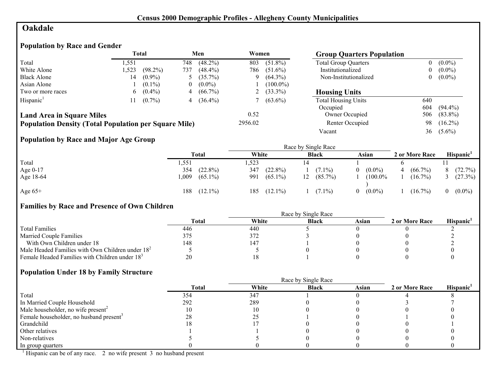# **Oakdale**

## **Population by Race and Gender**

|                                                              |       | Total      |     | Men          | Women   |              | <b>Group Quarters Population</b> |          |            |
|--------------------------------------------------------------|-------|------------|-----|--------------|---------|--------------|----------------------------------|----------|------------|
| Total                                                        | l.551 |            | 748 | $(48.2\%)$   | 803     | $(51.8\%)$   | <b>Total Group Quarters</b>      |          | $(0.0\%)$  |
| White Alone                                                  | ,523  | $(98.2\%)$ | 737 | $(48.4\%)$   | 786     | $(51.6\%)$   | Institutionalized                | $\theta$ | $(0.0\%)$  |
| <b>Black Alone</b>                                           | 14    | $(0.9\%)$  |     | $(35.7\%)$   | 9       | $(64.3\%)$   | Non-Institutionalized            | $\theta$ | $(0.0\%)$  |
| Asian Alone                                                  |       | $(0.1\%)$  | U   | $(0.0\%)$    |         | $(100.0\%)$  |                                  |          |            |
| Two or more races                                            | 6     | $(0.4\%)$  | 4   | $(66.7\%)$   |         | 2 $(33.3\%)$ | <b>Housing Units</b>             |          |            |
| Hispanic <sup>1</sup>                                        |       | $(0.7\%)$  |     | 4 $(36.4\%)$ |         | $(63.6\%)$   | <b>Total Housing Units</b>       | 640      |            |
|                                                              |       |            |     |              |         |              | Occupied                         | 604      | $(94.4\%)$ |
| <b>Land Area in Square Miles</b>                             |       |            |     |              | 0.52    |              | Owner Occupied                   | 506      | $(83.8\%)$ |
| <b>Population Density (Total Population per Square Mile)</b> |       |            |     |              | 2956.02 |              | Renter Occupied                  | 98       | $(16.2\%)$ |
|                                                              |       |            |     |              |         |              | Vacant                           | 36       | $(5.6\%)$  |

# **Population by Race and Major Age Group**

|           |      |            |       |            |    | Race by Single Race |          |            |                |          |                       |
|-----------|------|------------|-------|------------|----|---------------------|----------|------------|----------------|----------|-----------------------|
|           |      | Total      | White |            |    | <b>Black</b>        |          | Asian      | 2 or More Race |          | Hispanic <sup>1</sup> |
| Total     | .551 |            | .523  |            |    |                     |          |            |                |          |                       |
| Age 0-17  | 354  | $(22.8\%)$ | 347   | $(22.8\%)$ |    | $(7.1\%)$           | $\Omega$ | $(0.0\%)$  | $(66.7\%)$     | 8        | (72.7%)               |
| Age 18-64 | 009  | $(65.1\%)$ | 991   | $(65.1\%)$ | 12 | $(85.7\%)$          |          | $(100.0\%$ | $(16.7\%)$     |          | 3 $(27.3\%)$          |
| Age $65+$ | 188  | $(12.1\%)$ | 185   | $(12.1\%)$ |    | $(7.1\%)$           | $\theta$ | $(0.0\%)$  | $(16.7\%)$     | $\Omega$ | $(0.0\%)$             |

# **Families by Race and Presence of Own Children**

|                                                            | Total | White | <b>Black</b> | Asian | 2 or More Race | <b>Hispanic</b> |
|------------------------------------------------------------|-------|-------|--------------|-------|----------------|-----------------|
| <b>Total Families</b>                                      | 446   | 440   |              |       |                |                 |
| <b>Married Couple Families</b>                             | 375   | 372   |              |       |                |                 |
| With Own Children under 18                                 | 148   | 147   |              |       |                |                 |
| Male Headed Families with Own Children under $182$         |       |       |              |       |                |                 |
| Female Headed Families with Children under 18 <sup>3</sup> | 20    |       |              |       |                |                 |

# **Population Under 18 by Family Structure**

|                                                     |              |       | Race by Single Race |       |                |                       |
|-----------------------------------------------------|--------------|-------|---------------------|-------|----------------|-----------------------|
|                                                     | <b>Total</b> | White | <b>Black</b>        | Asian | 2 or More Race | Hispanic <sup>1</sup> |
| Total                                               | 354          | 347   |                     |       |                |                       |
| In Married Couple Household                         | 292          | 289   |                     |       |                |                       |
| Male householder, no wife present <sup>2</sup>      |              |       |                     |       |                |                       |
| Female householder, no husband present <sup>3</sup> | 28           | ل کے  |                     |       |                |                       |
| Grandchild                                          |              |       |                     |       |                |                       |
| Other relatives                                     |              |       |                     |       |                |                       |
| Non-relatives                                       |              |       |                     |       |                |                       |
| In group quarters                                   |              |       |                     |       |                |                       |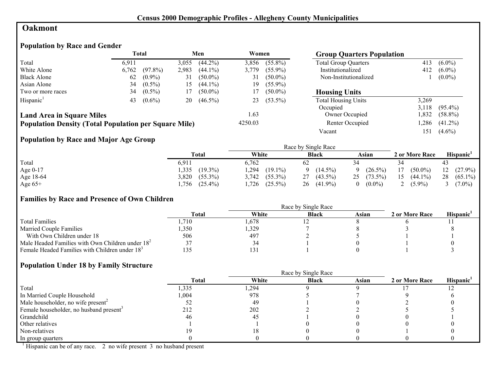## **Oakmont**

## **Population by Race and Gender**

|                                                              | Total |            | Men<br>Women |            |         | <b>Group Quarters Population</b> |                             |       |            |
|--------------------------------------------------------------|-------|------------|--------------|------------|---------|----------------------------------|-----------------------------|-------|------------|
| Total                                                        | 6,911 |            | 3,055        | $(44.2\%)$ | 3,856   | $(55.8\%)$                       | <b>Total Group Quarters</b> | 413   | $(6.0\%)$  |
| White Alone                                                  | 6,762 | $(97.8\%)$ | 2,983        | $(44.1\%)$ | 3,779   | $(55.9\%)$                       | Institutionalized           | 412   | $(6.0\%)$  |
| <b>Black Alone</b>                                           | 62    | $(0.9\%)$  | 31           | $(50.0\%)$ | 31      | $(50.0\%)$                       | Non-Institutionalized       |       | $(0.0\%)$  |
| Asian Alone                                                  | 34    | $(0.5\%)$  | 15           | $(44.1\%)$ | 19      | $(55.9\%)$                       |                             |       |            |
| Two or more races                                            | 34    | $(0.5\%)$  | 17           | $(50.0\%)$ | 17      | $(50.0\%)$                       | <b>Housing Units</b>        |       |            |
| Hispanic <sup>1</sup>                                        | 43    | $(0.6\%)$  | 20           | $(46.5\%)$ | 23      | $(53.5\%)$                       | <b>Total Housing Units</b>  | 3,269 |            |
|                                                              |       |            |              |            |         |                                  | Occupied                    | 3.118 | $(95.4\%)$ |
| <b>Land Area in Square Miles</b>                             |       |            |              |            | 1.63    |                                  | Owner Occupied              | .832  | $(58.8\%)$ |
| <b>Population Density (Total Population per Square Mile)</b> |       |            |              |            | 4250.03 |                                  | Renter Occupied             | ,286  | $(41.2\%)$ |
|                                                              |       |            |              |            |         |                                  | Vacant                      | 151   | $(4.6\%)$  |

# **Population by Race and Major Age Group**

|            |                     |                     | Race by Single Race |                        |                  |                       |
|------------|---------------------|---------------------|---------------------|------------------------|------------------|-----------------------|
|            | <b>Total</b>        | White               | <b>Black</b>        | Asian                  | 2 or More Race   | Hispanic <sup>1</sup> |
| Total      | 6.911               | 6.762               | 62                  |                        |                  | 43                    |
| Age $0-17$ | $(19.3\%)$<br>,335  | ,294<br>$(19.1\%)$  | $(14.5\%)$          | $(26.5\%)$<br>$\Omega$ | $(50.0\%)$<br>17 | $12(27.9\%)$          |
| Age 18-64  | 3,820<br>$(55.3\%)$ | $(55.3\%)$<br>3.742 | 27<br>$(43.5\%)$    | $25$ $(73.5\%)$        | 15<br>$(44.1\%)$ | 28<br>$(65.1\%)$      |
| Age $65+$  | $(25.4\%)$<br>.756  | $(25.5\%)$<br>,726  | $(41.9\%)$<br>26    | $(0.0\%)$<br>0         | $(5.9\%)$        | $(7.0\%)$             |

## **Families by Race and Presence of Own Children**

|                                                            | <b>Total</b> | White | <b>Black</b> | Asian | 2 or More Race | <b>Hispanic</b> |
|------------------------------------------------------------|--------------|-------|--------------|-------|----------------|-----------------|
| <b>Total Families</b>                                      | .710         | .678  |              |       |                |                 |
| <b>Married Couple Families</b>                             | ,350         | ,329  |              |       |                |                 |
| With Own Children under 18                                 | 506          | 497   |              |       |                |                 |
| Male Headed Families with Own Children under $182$         |              | 34    |              |       |                |                 |
| Female Headed Families with Children under 18 <sup>3</sup> |              | 31ء   |              |       |                |                 |

#### **Population Under 18 by Family Structure**

|                                                     |        |       | Race by Single Race |       |                |                       |
|-----------------------------------------------------|--------|-------|---------------------|-------|----------------|-----------------------|
|                                                     | Total  | White | <b>Black</b>        | Asian | 2 or More Race | Hispanic <sup>1</sup> |
| Total                                               | 1,335  | ,294  |                     |       |                |                       |
| In Married Couple Household                         | 004. ا | 978   |                     |       |                |                       |
| Male householder, no wife present <sup>2</sup>      |        | 49    |                     |       |                |                       |
| Female householder, no husband present <sup>3</sup> | 212    | 202   |                     |       |                |                       |
| Grandchild                                          | 46     | 45    |                     |       |                |                       |
| Other relatives                                     |        |       |                     |       |                |                       |
| Non-relatives                                       |        |       |                     |       |                |                       |
| In group quarters                                   |        |       |                     |       |                |                       |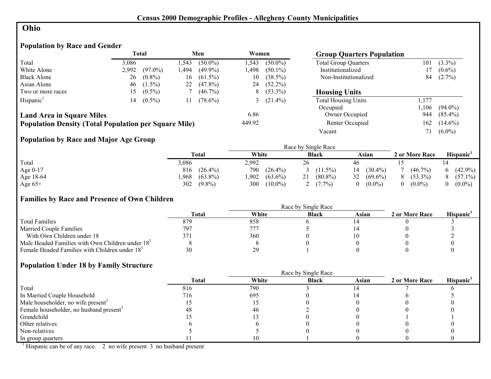## **Ohio**

## **Population by Race and Gender**

|                                                              |       | <b>Total</b> |      | Men        | Women  |              | <b>Group Quarters Population</b> |       |            |
|--------------------------------------------------------------|-------|--------------|------|------------|--------|--------------|----------------------------------|-------|------------|
| Total                                                        | 3.086 |              | .543 | $(50.0\%)$ | 1.543  | $(50.0\%)$   | <b>Total Group Quarters</b>      | 101   | $(3.3\%)$  |
| White Alone                                                  | 2,992 | $(97.0\%)$   | .494 | $(49.9\%)$ | l.498  | $(50.1\%)$   | Institutionalized                |       | $(0.6\%)$  |
| <b>Black Alone</b>                                           | 26    | $(0.8\%)$    | 16   | $(61.5\%)$ | 10     | $(38.5\%)$   | Non-Institutionalized            | 84    | $(2.7\%)$  |
| Asian Alone                                                  | 46    | $(1.5\%)$    | 22   | $(47.8\%)$ | 24     | $(52.2\%)$   |                                  |       |            |
| Two or more races                                            | 15.   | $(0.5\%)$    |      | $(46.7\%)$ | 8      | $(53.3\%)$   | <b>Housing Units</b>             |       |            |
| Hispanic <sup>1</sup>                                        | 14    | $(0.5\%)$    | 11   | $(78.6\%)$ |        | 3 $(21.4\%)$ | <b>Total Housing Units</b>       | , 177 |            |
|                                                              |       |              |      |            |        |              | Occupied                         | .106  | $(94.0\%)$ |
| <b>Land Area in Square Miles</b>                             |       |              |      |            | 6.86   |              | Owner Occupied                   | 944   | $(85.4\%)$ |
| <b>Population Density (Total Population per Square Mile)</b> |       |              |      |            | 449.92 |              | Renter Occupied                  | 162   | $(14.6\%)$ |
|                                                              |       |              |      |            |        |              | Vacant                           | 71    | $(6.0\%)$  |

## **Population by Race and Major Age Group**

|           |                    |                   | Race by Single Race |                  |                |            |
|-----------|--------------------|-------------------|---------------------|------------------|----------------|------------|
|           | Total              | White             | <b>Black</b>        | Asian            | 2 or More Race | Hispanic'  |
| Total     | 3,086              | 2,992             |                     | 46               |                |            |
| Age 0-17  | $(26.4\%)$<br>816  | 790<br>$(26.4\%)$ | $(11.5\%)$          | $(30.4\%)$<br>14 | $(46.7\%)$     | $(42.9\%)$ |
| Age 18-64 | $(63.8\%)$<br>.968 | 902<br>$(63.6\%)$ | $(80.8\%)$<br>21    | 32<br>$(69.6\%)$ | $(53.3\%)$     | $(57.1\%)$ |
| Age $65+$ | 302<br>$(9.8\%)$   | $(10.0\%)$<br>300 | $(7.7\%)$           | $(0.0\%)$        | $(0.0\%)$      | $(0.0\%)$  |

#### **Families by Race and Presence of Own Children**

|                                                            | Race by Single Race |       |              |       |                |                 |  |  |
|------------------------------------------------------------|---------------------|-------|--------------|-------|----------------|-----------------|--|--|
|                                                            | Total               | White | <b>Black</b> | Asian | 2 or More Race | <b>Hispanic</b> |  |  |
| <b>Total Families</b>                                      | 879                 | 858   |              |       |                |                 |  |  |
| <b>Married Couple Families</b>                             | 797                 | 777   |              |       |                |                 |  |  |
| With Own Children under 18                                 |                     | 360   |              |       |                |                 |  |  |
| Male Headed Families with Own Children under $182$         |                     |       |              |       |                |                 |  |  |
| Female Headed Families with Children under 18 <sup>3</sup> | 30                  | 29    |              |       |                |                 |  |  |

#### **Population Under 18 by Family Structure**

|                                                     | Race by Single Race |       |              |       |                |                       |  |
|-----------------------------------------------------|---------------------|-------|--------------|-------|----------------|-----------------------|--|
|                                                     | Total               | White | <b>Black</b> | Asian | 2 or More Race | Hispanic <sup>1</sup> |  |
| Total                                               | 816                 | 790   |              |       |                |                       |  |
| In Married Couple Household                         | 716                 | 695   |              |       |                |                       |  |
| Male householder, no wife present <sup>2</sup>      |                     |       |              |       |                |                       |  |
| Female householder, no husband present <sup>3</sup> | 48                  | 46    |              |       |                |                       |  |
| Grandchild                                          |                     |       |              |       |                |                       |  |
| Other relatives                                     |                     |       |              |       |                |                       |  |
| Non-relatives                                       |                     |       |              |       |                |                       |  |
| In group quarters                                   |                     |       |              |       |                |                       |  |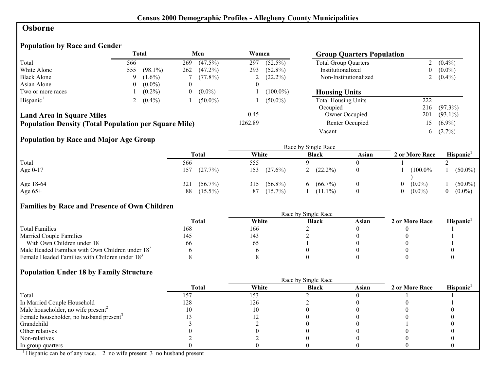## **Osborne**

# **Population by Race and Gender**

|                                                              |          | <b>Total</b> |     | Men        | Women   |              | <b>Group Quarters Population</b> |     |             |
|--------------------------------------------------------------|----------|--------------|-----|------------|---------|--------------|----------------------------------|-----|-------------|
| Total                                                        | 566      |              | 269 | $(47.5\%)$ | 297     | $(52.5\%)$   | <b>Total Group Quarters</b>      |     | $(0.4\%)$   |
| White Alone                                                  | 555      | $(98.1\%)$   | 262 | $(47.2\%)$ | 293     | $(52.8\%)$   | Institutionalized                | 0   | $(0.0\%)$   |
| <b>Black Alone</b>                                           | 9        | $(1.6\%)$    |     | $(77.8\%)$ |         | 2 $(22.2\%)$ | Non-Institutionalized            |     | 2 $(0.4\%)$ |
| Asian Alone                                                  | $\Omega$ | $(0.0\%)$    |     |            |         |              |                                  |     |             |
| Two or more races                                            |          | $(0.2\%)$    | U   | $(0.0\%)$  |         | $(100.0\%)$  | <b>Housing Units</b>             |     |             |
| Hispanic <sup>1</sup>                                        |          | $(0.4\%)$    |     | $(50.0\%)$ |         | $(50.0\%)$   | <b>Total Housing Units</b>       | 222 |             |
|                                                              |          |              |     |            |         |              | Occupied                         | 216 | (97.3%)     |
| <b>Land Area in Square Miles</b>                             |          |              |     |            | 0.45    |              | Owner Occupied                   | 201 | $(93.1\%)$  |
| <b>Population Density (Total Population per Square Mile)</b> |          |              |     |            | 1262.89 |              | Renter Occupied                  | 15  | $(6.9\%)$   |
|                                                              |          |              |     |            |         |              | Vacant                           | 6   | $(2.7\%)$   |

# **Population by Race and Major Age Group**

|           |                   | Race by Single Race |                  |       |                |            |  |  |
|-----------|-------------------|---------------------|------------------|-------|----------------|------------|--|--|
|           | <b>Total</b>      | White               | <b>Black</b>     | Asian | 2 or More Race | Hispanic'  |  |  |
| Total     | 566               | 555                 |                  |       |                |            |  |  |
| Age 0-17  | (27.7%)<br>157    | 153<br>$(27.6\%)$   | $(22.2\%)$       |       | (100.0%        | $(50.0\%)$ |  |  |
| Age 18-64 | $(56.7\%)$<br>321 | $(56.8\%)$<br>315   | $(66.7\%)$<br>6. |       | $(0.0\%)$      | $(50.0\%)$ |  |  |
| Age $65+$ | $(15.5\%)$<br>88  | $(15.7\%)$<br>87    | $(11.1\%)$       |       | $(0.0\%)$      | $(0.0\%)$  |  |  |

# **Families by Race and Presence of Own Children**

|                                                            | Race by Single Race |       |              |       |                |                 |  |
|------------------------------------------------------------|---------------------|-------|--------------|-------|----------------|-----------------|--|
|                                                            | <b>Total</b>        | White | <b>Black</b> | Asian | 2 or More Race | <b>Hispanic</b> |  |
| <b>Total Families</b>                                      | 168                 | 166   |              |       |                |                 |  |
| <b>Married Couple Families</b>                             | 145                 | 43    |              |       |                |                 |  |
| With Own Children under 18                                 | 66                  | 62    |              |       |                |                 |  |
| Male Headed Families with Own Children under $182$         |                     |       |              |       |                |                 |  |
| Female Headed Families with Children under 18 <sup>3</sup> |                     |       |              |       |                |                 |  |

#### **Population Under 18 by Family Structure**

|                                                     |              |       | Race by Single Race |       |                |                       |
|-----------------------------------------------------|--------------|-------|---------------------|-------|----------------|-----------------------|
|                                                     | <b>Total</b> | White | <b>Black</b>        | Asian | 2 or More Race | Hispanic <sup>1</sup> |
| Total                                               |              | 153   |                     |       |                |                       |
| In Married Couple Household                         | 128          | 126   |                     |       |                |                       |
| Male householder, no wife present <sup>2</sup>      |              |       |                     |       |                |                       |
| Female householder, no husband present <sup>3</sup> |              |       |                     |       |                |                       |
| Grandchild                                          |              |       |                     |       |                |                       |
| Other relatives                                     |              |       |                     |       |                |                       |
| Non-relatives                                       |              |       |                     |       |                |                       |
| In group quarters                                   |              |       |                     |       |                |                       |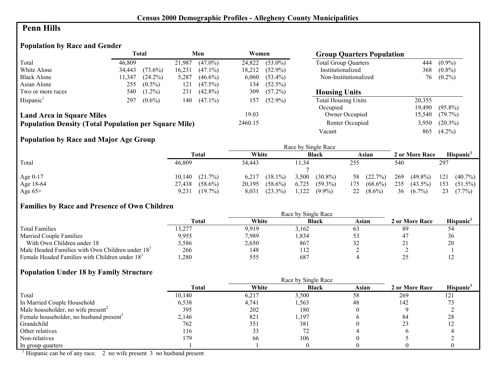## **Penn Hills**

## **Population by Race and Gender**

|                                                              | <b>Total</b> |            | Men    |            | Women   |            | <b>Group Quarters Population</b> |        |                |
|--------------------------------------------------------------|--------------|------------|--------|------------|---------|------------|----------------------------------|--------|----------------|
| Total                                                        | 46.809       |            | 21.987 | $(47.0\%)$ | 24,822  | $(53.0\%)$ | <b>Total Group Quarters</b>      | 444    | $(0.9\%)$      |
| White Alone                                                  | 34,443       | $(73.6\%)$ | 16,231 | $(47.1\%)$ | 18,212  | $(52.9\%)$ | Institutionalized                | 368    | $(0.8\%)$      |
| <b>Black Alone</b>                                           | 11,347       | $(24.2\%)$ | 5,287  | $(46.6\%)$ | 6,060   | $(53.4\%)$ | Non-Institutionalized            |        | $76$ $(0.2\%)$ |
| Asian Alone                                                  | 255          | $(0.5\%)$  | 121    | $(47.5\%)$ | 134     | $(52.5\%)$ |                                  |        |                |
| Two or more races                                            | 540          | $(1.2\%)$  | 231    | $(42.8\%)$ | 309     | $(57.2\%)$ | <b>Housing Units</b>             |        |                |
| Hispanic <sup>1</sup>                                        | 297          | $(0.6\%)$  | 140    | $(47.1\%)$ | 157     | $(52.9\%)$ | <b>Total Housing Units</b>       | 20,355 |                |
|                                                              |              |            |        |            |         |            | Occupied                         | 19.490 | $(95.8\%)$     |
| <b>Land Area in Square Miles</b>                             |              |            |        |            | 19.03   |            | Owner Occupied                   | 15,540 | $(79.7\%)$     |
| <b>Population Density (Total Population per Square Mile)</b> |              |            |        |            | 2460.15 |            | Renter Occupied                  | 3,950  | $(20.3\%)$     |
|                                                              |              |            |        |            |         |            | Vacant                           | 865    | $(4.2\%)$      |

# **Population by Race and Major Age Group**

|           |                      |                      | Race by Single Race |                   |                   |                   |
|-----------|----------------------|----------------------|---------------------|-------------------|-------------------|-------------------|
|           | <b>Total</b>         | White                | <b>Black</b>        | Asian             | 2 or More Race    | Hispanic          |
| Total     | 46,809               | 34,443               | 11,34               | 255               | 540               | 297               |
|           |                      |                      |                     |                   |                   |                   |
| Age 0-17  | $10,140$ $(21.7\%)$  | 6,217<br>$(18.1\%)$  | $(30.8\%)$<br>3,500 | 58 (22.7%)        | $(49.8\%)$<br>269 | $(40.7\%)$<br>121 |
| Age 18-64 | $(58.6\%)$<br>27,438 | $(58.6\%)$<br>20,195 | 6,725<br>$(59.3\%)$ | $(68.6\%)$<br>175 | 235<br>$(43.5\%)$ | 153<br>$(51.5\%)$ |
| Age $65+$ | $(19.7\%)$<br>9,231  | $(23.3\%)$<br>8.031  | 1,122<br>$(9.9\%)$  | $(8.6\%)$<br>22   | 36<br>$(6.7\%)$   | 23<br>$(7.7\%)$   |

# **Families by Race and Presence of Own Children**

|                                                            | Total  | White | <b>Black</b> | Asian | 2 or More Race | <b>Hispanic</b> |
|------------------------------------------------------------|--------|-------|--------------|-------|----------------|-----------------|
| <b>Total Families</b>                                      | 13,277 | 9.919 | 3.162        | 03    | 89             |                 |
| <b>Married Couple Families</b>                             | 9,955  | 7,989 | .834         |       |                | 36              |
| With Own Children under 18                                 | 3,586  | 2,650 | 867          | ے ر   | <u>Д</u>       | 20              |
| Male Headed Families with Own Children under $182$         | 266    | 148   | 112          |       |                |                 |
| Female Headed Families with Children under 18 <sup>3</sup> | .280   | 555   | 687          |       |                |                 |

#### **Population Under 18 by Family Structure**

|                                                     |        |       | Race by Single Race |       |                |          |
|-----------------------------------------------------|--------|-------|---------------------|-------|----------------|----------|
|                                                     | Total  | White | <b>Black</b>        | Asian | 2 or More Race | Hispanic |
| Total                                               | 10,140 | 6,217 | 3,500               | 58    | 269            | 121      |
| In Married Couple Household                         | 6,538  | 4,741 | 1,563               | 48    | 142            |          |
| Male householder, no wife present <sup>2</sup>      | 395    | 202   | 180                 |       |                |          |
| Female householder, no husband present <sup>3</sup> | 2,146  | 821   | 1,197               |       | 84             | 28       |
| Grandchild                                          | 762    | 351   | 381                 |       |                | 12       |
| Other relatives                                     | 116    | 33    |                     |       |                |          |
| Non-relatives                                       | 179    | 66    | 106                 |       |                |          |
| In group quarters                                   |        |       |                     |       |                |          |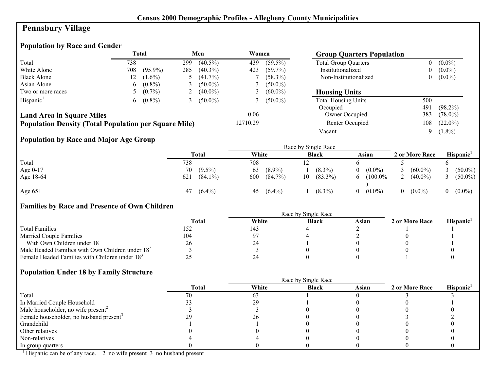# **Pennsbury Village**

# **Population by Race and Gender**

|                                                              |     | <b>Total</b> |     | Men        | Women          |              | <b>Group Quarters Population</b> |     |            |
|--------------------------------------------------------------|-----|--------------|-----|------------|----------------|--------------|----------------------------------|-----|------------|
| Total                                                        | 738 |              | 299 | $(40.5\%)$ | 439            | $(59.5\%)$   | <b>Total Group Quarters</b>      |     | $(0.0\%)$  |
| White Alone                                                  | 708 | $(95.9\%)$   | 285 | $(40.3\%)$ | 423            | $(59.7\%)$   | Institutionalized                |     | $(0.0\%)$  |
| <b>Black Alone</b>                                           | 12  | $(1.6\%)$    |     | $(41.7\%)$ |                | $(58.3\%)$   | Non-Institutionalized            | 0   | $(0.0\%)$  |
| Asian Alone                                                  | 6   | $(0.8\%)$    |     | $(50.0\%)$ | $\mathfrak{I}$ | $(50.0\%)$   |                                  |     |            |
| Two or more races                                            |     | $(0.7\%)$    |     | $(40.0\%)$ |                | 3 $(60.0\%)$ | <b>Housing Units</b>             |     |            |
| Hispanic <sup>1</sup>                                        | 6.  | $(0.8\%)$    |     | $(50.0\%)$ |                | 3 $(50.0\%)$ | <b>Total Housing Units</b>       | 500 |            |
|                                                              |     |              |     |            |                |              | Occupied                         | 491 | $(98.2\%)$ |
| <b>Land Area in Square Miles</b>                             |     |              |     |            | 0.06           |              | Owner Occupied                   | 383 | $(78.0\%)$ |
| <b>Population Density (Total Population per Square Mile)</b> |     |              |     |            | 12710.29       |              | Renter Occupied                  | 108 | $(22.0\%)$ |
|                                                              |     |              |     |            |                |              | Vacant                           | 9   | $(1.8\%)$  |

# **Population by Race and Major Age Group**

|           |     |            |       |            |    | Race by Single Race |          |            |   |                |            |
|-----------|-----|------------|-------|------------|----|---------------------|----------|------------|---|----------------|------------|
|           |     | Total      | White |            |    | <b>Black</b>        |          | Asian      |   | 2 or More Race | Hispanic'  |
| Total     | 738 |            | 708   |            |    |                     |          |            |   |                |            |
| Age 0-17  | 70  | $(9.5\%)$  | 63    | $(8.9\%)$  |    | $(8.3\%)$           |          | $(0.0\%)$  |   | $(60.0\%)$     | $(50.0\%)$ |
| Age 18-64 | 621 | $(84.1\%)$ | 600   | $(84.7\%)$ | 10 | $(83.3\%)$          | 6.       | $(100.0\%$ | ∸ | $(40.0\%)$     | $(50.0\%)$ |
| Age $65+$ | 47  | $(6.4\%)$  | 45    | $(6.4\%)$  |    | $(8.3\%)$           | $\Omega$ | $(0.0\%)$  |   | $(0.0\%)$      | $(0.0\%)$  |

# **Families by Race and Presence of Own Children**

|                                                            | <b>Total</b> | White | <b>Black</b> | Asian | 2 or More Race | <b>Hispanic</b> |
|------------------------------------------------------------|--------------|-------|--------------|-------|----------------|-----------------|
| <b>Total Families</b>                                      | 152          | 143   |              |       |                |                 |
| <b>Married Couple Families</b>                             | 104          | -97   |              |       |                |                 |
| With Own Children under 18                                 | 26           | 24    |              |       |                |                 |
| Male Headed Families with Own Children under $182$         |              |       |              |       |                |                 |
| Female Headed Families with Children under 18 <sup>3</sup> |              |       |              |       |                |                 |

# **Population Under 18 by Family Structure**

|                                                     |              | Race by Single Race |              |       |                |                       |
|-----------------------------------------------------|--------------|---------------------|--------------|-------|----------------|-----------------------|
|                                                     | <b>Total</b> | White               | <b>Black</b> | Asian | 2 or More Race | Hispanic <sup>1</sup> |
| Total                                               |              | 63                  |              |       |                |                       |
| In Married Couple Household                         |              | -29                 |              |       |                |                       |
| Male householder, no wife present <sup>2</sup>      |              |                     |              |       |                |                       |
| Female householder, no husband present <sup>3</sup> |              | 20                  |              |       |                |                       |
| Grandchild                                          |              |                     |              |       |                |                       |
| Other relatives                                     |              |                     |              |       |                |                       |
| Non-relatives                                       |              |                     |              |       |                |                       |
| In group quarters                                   |              |                     |              |       |                |                       |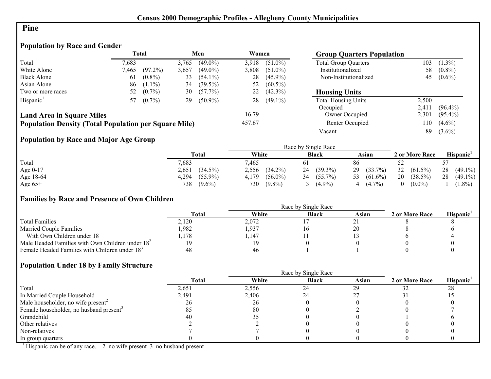#### **Pine**

# **Population by Race and Gender**

|                                                              |       | <b>Total</b> |       | Men        | Women  |            | <b>Group Quarters Population</b> |       |            |
|--------------------------------------------------------------|-------|--------------|-------|------------|--------|------------|----------------------------------|-------|------------|
| Total                                                        | 7,683 |              | 3.765 | $(49.0\%)$ | 3.918  | $(51.0\%)$ | <b>Total Group Quarters</b>      | 103   | $(1.3\%)$  |
| White Alone                                                  | 7.465 | $(97.2\%)$   | 3,657 | $(49.0\%)$ | 3,808  | $(51.0\%)$ | Institutionalized                | 58    | $(0.8\%)$  |
| <b>Black Alone</b>                                           | 61    | $(0.8\%)$    | 33    | $(54.1\%)$ | 28     | $(45.9\%)$ | Non-Institutionalized            | 45    | $(0.6\%)$  |
| Asian Alone                                                  | 86    | $(1.1\%)$    | 34    | $(39.5\%)$ | 52     | $(60.5\%)$ |                                  |       |            |
| Two or more races                                            | 52    | $(0.7\%)$    | 30    | $(57.7\%)$ | 22     | $(42.3\%)$ | <b>Housing Units</b>             |       |            |
| Hispanic <sup>1</sup>                                        | 57    | $(0.7\%)$    | 29    | $(50.9\%)$ | 28     | $(49.1\%)$ | <b>Total Housing Units</b>       | 2,500 |            |
|                                                              |       |              |       |            |        |            | Occupied                         | 2,411 | $(96.4\%)$ |
| <b>Land Area in Square Miles</b>                             |       |              |       |            | 16.79  |            | Owner Occupied                   | 2,301 | $(95.4\%)$ |
| <b>Population Density (Total Population per Square Mile)</b> |       |              |       |            | 457.67 |            | Renter Occupied                  | l 10  | $(4.6\%)$  |
|                                                              |       |              |       |            |        |            | Vacant                           | 89    | $(3.6\%)$  |

# **Population by Race and Major Age Group**

|           |                     |                     | Race by Single Race |                  |                  |                       |
|-----------|---------------------|---------------------|---------------------|------------------|------------------|-----------------------|
|           | Total               | White               | <b>Black</b>        | Asian            | 2 or More Race   | Hispanic <sup>1</sup> |
| Total     | 7,683               | 7,465               |                     | 86               |                  |                       |
| Age 0-17  | 2,651<br>$(34.5\%)$ | 2,556<br>$(34.2\%)$ | $(39.3\%)$<br>24    | $(33.7\%)$<br>29 | 32<br>$(61.5\%)$ | 28<br>$(49.1\%)$      |
| Age 18-64 | $(55.9\%)$<br>4,294 | $(56.0\%)$<br>4,179 | $(55.7\%)$<br>34    | 53 $(61.6\%)$    | 20<br>$(38.5\%)$ | 28<br>$(49.1\%)$      |
| Age $65+$ | 738<br>$(9.6\%)$    | $(9.8\%)$<br>730    | $(4.9\%)$           | $(4.7\%)$<br>4   | $(0.0\%)$        | $(1.8\%)$             |

## **Families by Race and Presence of Own Children**

|                                                            | <b>Total</b> | White | <b>Black</b> | Asian | 2 or More Race | <b>Hispanic</b> |
|------------------------------------------------------------|--------------|-------|--------------|-------|----------------|-----------------|
| <b>Total Families</b>                                      | 2,120        | 2,072 |              |       |                |                 |
| <b>Married Couple Families</b>                             | ,982         | 1,937 |              |       |                |                 |
| With Own Children under 18                                 | .178         | .147  |              |       |                |                 |
| Male Headed Families with Own Children under $182$         |              | 19    |              |       |                |                 |
| Female Headed Families with Children under 18 <sup>3</sup> | 48           | 46    |              |       |                |                 |

#### **Population Under 18 by Family Structure**

|                                                     |              | Race by Single Race |              |       |                |                       |  |  |  |
|-----------------------------------------------------|--------------|---------------------|--------------|-------|----------------|-----------------------|--|--|--|
|                                                     | <b>Total</b> | White               | <b>Black</b> | Asian | 2 or More Race | Hispanic <sup>1</sup> |  |  |  |
| Total                                               | 2,651        | 2,556               | 24           | 29    |                | 28                    |  |  |  |
| In Married Couple Household                         | 2,491        | 2,406               | 24           |       |                |                       |  |  |  |
| Male householder, no wife present <sup>2</sup>      | 26           | 26                  |              |       |                |                       |  |  |  |
| Female householder, no husband present <sup>3</sup> | 85           | 80                  |              |       |                |                       |  |  |  |
| Grandchild                                          | 40           |                     |              |       |                |                       |  |  |  |
| Other relatives                                     |              |                     |              |       |                |                       |  |  |  |
| Non-relatives                                       |              |                     |              |       |                |                       |  |  |  |
| In group quarters                                   |              |                     |              |       |                |                       |  |  |  |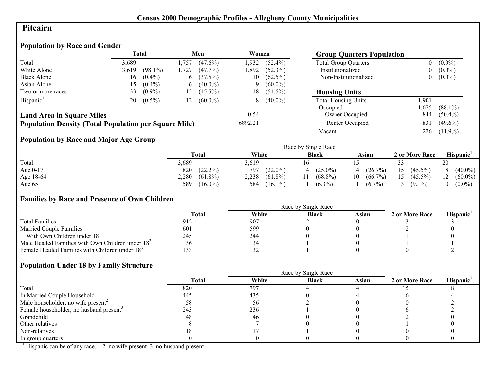## **Pitcairn**

## **Population by Race and Gender**

|                                                              |       | <b>Total</b> |             | Men        | Women   |            | <b>Group Quarters Population</b> |      |            |
|--------------------------------------------------------------|-------|--------------|-------------|------------|---------|------------|----------------------------------|------|------------|
| Total                                                        | 3.689 |              | .757        | $(47.6\%)$ | 1.932   | $(52.4\%)$ | <b>Total Group Quarters</b>      | 0    | $(0.0\%)$  |
| White Alone                                                  | 3,619 | $(98.1\%)$   | .727        | $(47.7\%)$ | .892    | $(52.3\%)$ | Institutionalized                | 0    | $(0.0\%)$  |
| <b>Black Alone</b>                                           | 16    | $(0.4\%)$    | $\mathbf b$ | $(37.5\%)$ | 10      | $(62.5\%)$ | Non-Institutionalized            | 0    | $(0.0\%)$  |
| Asian Alone                                                  | 5.    | $(0.4\%)$    | $\mathbf b$ | $(40.0\%)$ |         | $(60.0\%)$ |                                  |      |            |
| Two or more races                                            | 33    | $(0.9\%)$    | 15          | $(45.5\%)$ | 18      | $(54.5\%)$ | <b>Housing Units</b>             |      |            |
| Hispanic <sup>1</sup>                                        | 20    | $(0.5\%)$    | 12          | $(60.0\%)$ | 8       | $(40.0\%)$ | <b>Total Housing Units</b>       | .901 |            |
|                                                              |       |              |             |            |         |            | Occupied                         | ,675 | $(88.1\%)$ |
| <b>Land Area in Square Miles</b>                             |       |              |             |            | 0.54    |            | Owner Occupied                   | 844  | $(50.4\%)$ |
| <b>Population Density (Total Population per Square Mile)</b> |       |              |             |            | 6892.21 |            | Renter Occupied                  | 831  | $(49.6\%)$ |
|                                                              |       |              |             |            |         |            | Vacant                           | 226  | $(11.9\%)$ |

# **Population by Race and Major Age Group**

|           |                     |                     | Race by Single Race |                  |                  |                       |
|-----------|---------------------|---------------------|---------------------|------------------|------------------|-----------------------|
|           | <b>Total</b>        | White               | <b>Black</b>        | Asian            | 2 or More Race   | Hispanic <sup>1</sup> |
| Total     | 3,689               | 3.619               |                     |                  |                  | 20                    |
| Age 0-17  | 820<br>$(22.2\%)$   | 797<br>$(22.0\%)$   | $(25.0\%)$          | $(26.7\%)$<br>4  | $(45.5\%)$<br>15 | $(40.0\%)$            |
| Age 18-64 | 2,280<br>$(61.8\%)$ | 2,238<br>$(61.8\%)$ | $(68.8\%)$          | $(66.7\%)$<br>10 | 15<br>$(45.5\%)$ | $(60.0\%)$<br>12      |
| Age $65+$ | $(16.0\%)$<br>589   | $(16.1\%)$<br>584   | $(6.3\%)$           | $(6.7\%)$        | $(9.1\%)$        | $(0.0\%)$             |

## **Families by Race and Presence of Own Children**

|                                                            | Race by Single Race |       |              |       |                |                 |  |  |
|------------------------------------------------------------|---------------------|-------|--------------|-------|----------------|-----------------|--|--|
|                                                            | <b>Total</b>        | White | <b>Black</b> | Asian | 2 or More Race | <b>Hispanic</b> |  |  |
| <b>Total Families</b>                                      |                     | 907   |              |       |                |                 |  |  |
| <b>Married Couple Families</b>                             | 601                 | 599   |              |       |                |                 |  |  |
| With Own Children under 18                                 | 245                 | 244   |              |       |                |                 |  |  |
| Male Headed Families with Own Children under $182$         | 36                  | 34    |              |       |                |                 |  |  |
| Female Headed Families with Children under 18 <sup>3</sup> | 33                  | 132   |              |       |                |                 |  |  |

#### **Population Under 18 by Family Structure**

|                                                     | <b>Total</b> | White | <b>Black</b> | Asian | 2 or More Race | Hispanic <sup>1</sup> |
|-----------------------------------------------------|--------------|-------|--------------|-------|----------------|-----------------------|
| Total                                               | 820          | 797   |              |       |                |                       |
| In Married Couple Household                         | 445          | 435   |              |       |                |                       |
| Male householder, no wife present <sup>2</sup>      | 58           | 56    |              |       |                |                       |
| Female householder, no husband present <sup>3</sup> | 243          | 236   |              |       |                |                       |
| Grandchild                                          | 48           | 46    |              |       |                |                       |
| Other relatives                                     |              |       |              |       |                |                       |
| Non-relatives                                       |              |       |              |       |                |                       |
| In group quarters                                   |              |       |              |       |                |                       |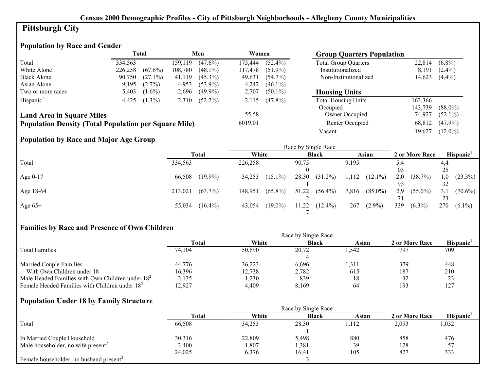# **Pittsburgh City**

# **Population by Race and Gender**

|                                                              |         | Total      |         | Men        | Women   |            | <b>Group Quarters Population</b> |         |            |
|--------------------------------------------------------------|---------|------------|---------|------------|---------|------------|----------------------------------|---------|------------|
| Total                                                        | 334.563 |            | 159.119 | $(47.6\%)$ | 175.444 | $(52.4\%)$ | <b>Total Group Quarters</b>      | 22.814  | $(6.8\%)$  |
| White Alone                                                  | 226,258 | $(67.6\%)$ | 108.780 | $(48.1\%)$ | 117,478 | $(51.9\%)$ | Institutionalized                | 8.191   | $(2.4\%)$  |
| <b>Black Alone</b>                                           | 90.750  | $(27.1\%)$ | 41.119  | $(45.3\%)$ | 49,631  | $(54.7\%)$ | Non-Institutionalized            | 14,623  | $(4.4\%)$  |
| Asian Alone                                                  | 9,195   | $(2.7\%)$  | 4,953   | $(53.9\%)$ | 4,242   | $(46.1\%)$ |                                  |         |            |
| Two or more races                                            | 5,403   | $(1.6\%)$  | 2,696   | $(49.9\%)$ | 2,707   | $(50.1\%)$ | <b>Housing Units</b>             |         |            |
| Hispanic <sup>1</sup>                                        | 4.425   | $(1.3\%)$  | 2.310   | $(52.2\%)$ | 2,115   | $(47.8\%)$ | <b>Total Housing Units</b>       | 163,366 |            |
|                                                              |         |            |         |            |         |            | Occupied                         | 143.739 | $(88.0\%)$ |
| <b>Land Area in Square Miles</b>                             |         |            |         |            | 55.58   |            | Owner Occupied                   | 74,927  | $(52.1\%)$ |
| <b>Population Density (Total Population per Square Mile)</b> |         |            |         |            | 6019.01 |            | Renter Occupied                  | 68,812  | $(47.9\%)$ |
|                                                              |         |            |         |            |         |            | Vacant                           | 19.627  | $(12.0\%)$ |

## **Population by Race and Major Age Group**

|            |                |            |         |            |       | Race by Single Race |       |            |     |                |     |                       |
|------------|----------------|------------|---------|------------|-------|---------------------|-------|------------|-----|----------------|-----|-----------------------|
|            | Total          |            | White   |            |       | <b>Black</b>        |       | Asian      |     | 2 or More Race |     | Hispanic <sup>1</sup> |
| Total      | 334,563        |            | 226,258 |            | 90,75 |                     | 9,195 |            | 5,4 |                | 4,4 |                       |
|            |                |            |         |            |       |                     |       |            | 03  |                | 25  |                       |
| Age $0-17$ | 66,508         | $(19.9\%)$ | 34,253  | $(15.1\%)$ | 28,30 | $(31.2\%)$          | 1,112 | $(12.1\%)$ | 2,0 | (38.7%)        | 1.0 | $(23.3\%)$            |
|            |                |            |         |            |       |                     |       |            | 93  |                | 32  |                       |
| Age 18-64  | 213,021        | $(63.7\%)$ | 148,951 | $(65.8\%)$ | 51,22 | $(56.4\%)$          | 7,816 | $(85.0\%)$ | 2,9 | $(55.0\%)$     | 3,1 | $(70.6\%)$            |
|            |                |            |         |            |       |                     |       |            |     |                | 23  |                       |
| Age $65+$  | 55,034 (16.4%) |            | 43,054  | $(19.0\%)$ | 11,22 | $(12.4\%)$          | 267   | $(2.9\%)$  | 339 | $(6.3\%)$      | 270 | $(6.1\%)$             |
|            |                |            |         |            |       |                     |       |            |     |                |     |                       |

## **Families by Race and Presence of Own Children**

|                                                            | <b>Total</b> | White  | <b>Black</b> | Asian | 2 or More Race | <b>Hispanic</b> |
|------------------------------------------------------------|--------------|--------|--------------|-------|----------------|-----------------|
| <b>Total Families</b>                                      | 74,104       | 50,690 | 20,72        | l.542 | 797            | 709             |
|                                                            |              |        |              |       |                |                 |
| <b>Married Couple Families</b>                             | 44,776       | 36,223 | 6.696        | .311  | 379            | 448             |
| With Own Children under 18                                 | 16,396       | 12,738 | 2,782        | 615   | 187            | 210             |
| Male Headed Families with Own Children under $182$         | 2,135        | 230    | 839          | 18    | ے ر            | 23              |
| Female Headed Families with Children under 18 <sup>3</sup> | 12.927       | 4.409  | 8,169        | 64    | 193            | 127             |

# **Population Under 18 by Family Structure**

|                                                     |              |        | Race by Single Race |       |                |                       |
|-----------------------------------------------------|--------------|--------|---------------------|-------|----------------|-----------------------|
|                                                     | <b>Total</b> | White  | <b>Black</b>        | Asian | 2 or More Race | Hispanic <sup>1</sup> |
| Total                                               | 66,508       | 34,253 | 28,30               | .112  | 2,093          | 1,032                 |
|                                                     |              |        |                     |       |                |                       |
| In Married Couple Household                         | 30,316       | 22,809 | 5,498               | 880   | 858            | 476                   |
| Male householder, no wife present <sup>2</sup>      | 3,400        | 1,807  | , 381               | 39    | 128            | 57                    |
|                                                     | 24,025       | 6,376  | 16,41               | 105   | 827            | 333                   |
| Female householder, no husband present <sup>3</sup> |              |        |                     |       |                |                       |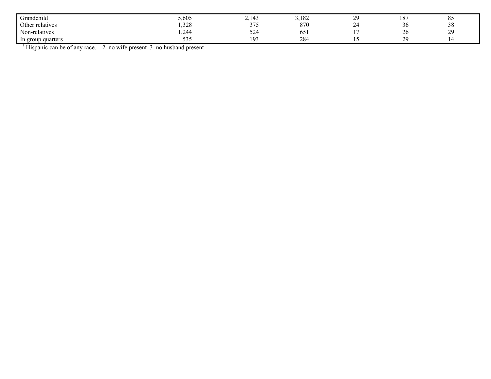| Grandchild        | 5,605       | $\sim$ 1.42<br>--             | 3,182                   | $\sim$<br>л. | 10 <sub>7</sub><br>Iδ | O <sub>L</sub><br>8J                 |
|-------------------|-------------|-------------------------------|-------------------------|--------------|-----------------------|--------------------------------------|
| Other relatives   | ,328        | $\sim$ $\sim$ $\sim$<br>- - - | 870                     | $\sim$<br>∼  | 30                    | $\Omega$<br>- 28                     |
| Non-relatives     | 244         | EO.<br>-22                    | . .<br>0.5 <sub>1</sub> |              | 26                    | $\gamma$<br>$\overline{\phantom{a}}$ |
| In group quarters | $ -$<br>υυυ | 193                           | 284                     |              | 20                    |                                      |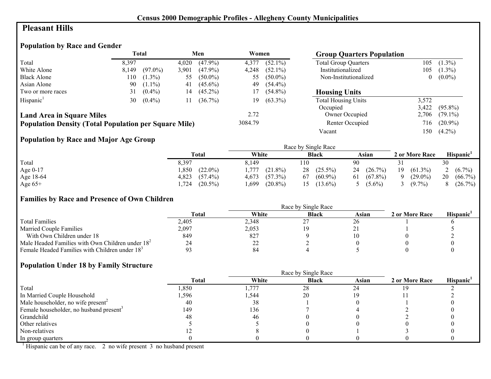## **Pleasant Hills**

# **Population by Race and Gender**

|                                                              |       | Total      |       | Men        | Women   |            | <b>Group Quarters Population</b> |       |            |
|--------------------------------------------------------------|-------|------------|-------|------------|---------|------------|----------------------------------|-------|------------|
| Total                                                        | 8,397 |            | 4.020 | $(47.9\%)$ | 4,377   | $(52.1\%)$ | <b>Total Group Quarters</b>      | 105   | $(1.3\%)$  |
| White Alone                                                  | 8,149 | $(97.0\%)$ | 3,901 | $(47.9\%)$ | 4,248   | $(52.1\%)$ | Institutionalized                | 105   | $(1.3\%)$  |
| <b>Black Alone</b>                                           | 110   | $(1.3\%)$  | 55    | $(50.0\%)$ | 55      | $(50.0\%)$ | Non-Institutionalized            | 0     | $(0.0\%)$  |
| Asian Alone                                                  | 90    | $(1.1\%)$  | 41    | $(45.6\%)$ | 49      | $(54.4\%)$ |                                  |       |            |
| Two or more races                                            | 31    | $(0.4\%)$  | 14    | $(45.2\%)$ | 17      | $(54.8\%)$ | <b>Housing Units</b>             |       |            |
| Hispanic <sup>1</sup>                                        | 30    | $(0.4\%)$  | 11    | $(36.7\%)$ | 19      | $(63.3\%)$ | <b>Total Housing Units</b>       | 3,572 |            |
|                                                              |       |            |       |            |         |            | Occupied                         | 3,422 | $(95.8\%)$ |
| <b>Land Area in Square Miles</b>                             |       |            |       |            | 2.72    |            | Owner Occupied                   | 2,706 | $(79.1\%)$ |
| <b>Population Density (Total Population per Square Mile)</b> |       |            |       |            | 3084.79 |            | Renter Occupied                  | 716   | $(20.9\%)$ |
|                                                              |       |            |       |            |         |            | Vacant                           | 150   | $(4.2\%)$  |

# **Population by Race and Major Age Group**

|           |                     |                       | Race by Single Race |                  |                  |                       |
|-----------|---------------------|-----------------------|---------------------|------------------|------------------|-----------------------|
|           | <b>Total</b>        | White                 | <b>Black</b>        | Asian            | 2 or More Race   | Hispanic <sup>'</sup> |
| Total     | 8,397               | 8.149                 | 110                 | 90               |                  | 30                    |
| Age 0-17  | $(22.0\%)$<br>,850  | . . 777<br>$(21.8\%)$ | $(25.5\%)$<br>28    | 24(26.7%)        | 19<br>$(61.3\%)$ | 2 $(6.7\%)$           |
| Age 18-64 | 4,823<br>$(57.4\%)$ | $(57.3\%)$<br>4,673   | $(60.9\%)$<br>67    | $(67.8\%)$<br>61 | $(29.0\%)$<br>Q  | 20<br>$(66.7\%)$      |
| Age $65+$ | $(20.5\%)$<br>,724  | $(20.8\%)$<br>,699    | $(13.6\%)$          | $(5.6\%)$        | $(9.7\%)$        | (26.7%)               |

## **Families by Race and Presence of Own Children**

|                                                            |              | Race by Single Race |              |            |                |                 |  |  |  |
|------------------------------------------------------------|--------------|---------------------|--------------|------------|----------------|-----------------|--|--|--|
|                                                            | <b>Total</b> | White               | <b>Black</b> | Asian      | 2 or More Race | <b>Hispanic</b> |  |  |  |
| <b>Total Families</b>                                      | 2,405        | 2,348               | ∼            | $\angle 0$ |                |                 |  |  |  |
| <b>Married Couple Families</b>                             | 2,097        | 2,053               |              |            |                |                 |  |  |  |
| With Own Children under 18                                 | 849          | 827                 |              |            |                |                 |  |  |  |
| Male Headed Families with Own Children under $182$         | 24           | າາ<br>∠∠            |              |            |                |                 |  |  |  |
| Female Headed Families with Children under 18 <sup>3</sup> |              | 84                  |              |            |                |                 |  |  |  |

## **Population Under 18 by Family Structure**

|                                                     | Race by Single Race |        |              |       |                |                       |  |  |
|-----------------------------------------------------|---------------------|--------|--------------|-------|----------------|-----------------------|--|--|
|                                                     | <b>Total</b>        | White  | <b>Black</b> | Asian | 2 or More Race | Hispanic <sup>1</sup> |  |  |
| Total                                               | 1,850               | .777   | 28           | 24    |                |                       |  |  |
| In Married Couple Household                         | .596                | 544. ا | 20           |       |                |                       |  |  |
| Male householder, no wife present <sup>2</sup>      | 40                  | 38     |              |       |                |                       |  |  |
| Female householder, no husband present <sup>3</sup> | 149                 | 136    |              |       |                |                       |  |  |
| Grandchild                                          | 48                  | 46     |              |       |                |                       |  |  |
| Other relatives                                     |                     |        |              |       |                |                       |  |  |
| Non-relatives                                       |                     |        |              |       |                |                       |  |  |
| In group quarters                                   |                     |        |              |       |                |                       |  |  |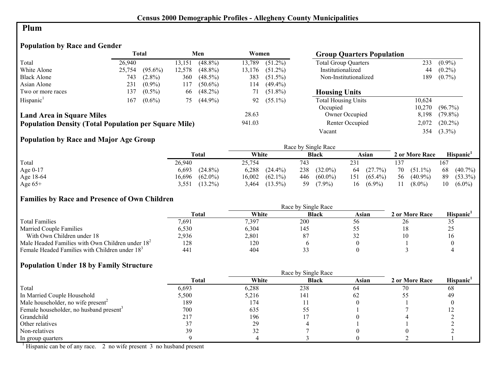#### **Plum**

## **Population by Race and Gender**

|                                                              |        | <b>Total</b> |        | Men        | Women  |            | <b>Group Quarters Population</b> |        |            |
|--------------------------------------------------------------|--------|--------------|--------|------------|--------|------------|----------------------------------|--------|------------|
| Total                                                        | 26.940 |              | 13,151 | $(48.8\%)$ | 13.789 | $(51.2\%)$ | <b>Total Group Quarters</b>      | 233    | $(0.9\%)$  |
| White Alone                                                  | 25,754 | $(95.6\%)$   | 12,578 | $(48.8\%)$ | 13,176 | $(51.2\%)$ | Institutionalized                | 44     | $(0.2\%)$  |
| <b>Black Alone</b>                                           | 743    | $(2.8\%)$    | 360    | $(48.5\%)$ | 383    | $(51.5\%)$ | Non-Institutionalized            | 189    | $(0.7\%)$  |
| Asian Alone                                                  | 231    | $(0.9\%)$    | 117    | $(50.6\%)$ | 114    | $(49.4\%)$ |                                  |        |            |
| Two or more races                                            | 137    | $(0.5\%)$    | 66     | $(48.2\%)$ | 71     | $(51.8\%)$ | <b>Housing Units</b>             |        |            |
| Hispanic <sup>1</sup>                                        | 167    | $(0.6\%)$    | 75.    | $(44.9\%)$ | 92     | $(55.1\%)$ | <b>Total Housing Units</b>       | 10.624 |            |
|                                                              |        |              |        |            |        |            | Occupied                         | 10.270 | $(96.7\%)$ |
| <b>Land Area in Square Miles</b>                             |        |              |        |            | 28.63  |            | Owner Occupied                   | 8,198  | $(79.8\%)$ |
| <b>Population Density (Total Population per Square Mile)</b> |        |              |        |            | 941.03 |            | Renter Occupied                  | 2,072  | $(20.2\%)$ |
|                                                              |        |              |        |            |        |            | Vacant                           | 354    | $(3.3\%)$  |

## **Population by Race and Major Age Group**

|            |                      |                      | Race by Single Race |                   |                  |                       |
|------------|----------------------|----------------------|---------------------|-------------------|------------------|-----------------------|
|            | <b>Total</b>         | White                | <b>Black</b>        | Asian             | 2 or More Race   | Hispanic <sup>1</sup> |
| Total      | 26.940               | 25.754               | 743                 | 231               |                  | 167                   |
| Age $0-17$ | $(24.8\%)$<br>6,693  | 6,288<br>$(24.4\%)$  | 238<br>$(32.0\%)$   | (27.7%)<br>64     | 70<br>$(51.1\%)$ | $(40.7\%)$<br>68      |
| Age 18-64  | $(62.0\%)$<br>16,696 | $(62.1\%)$<br>16,002 | 446<br>$(60.0\%)$   | $(65.4\%)$<br>151 | 56<br>$(40.9\%)$ | 89<br>$(53.3\%)$      |
| Age $65+$  | $(13.2\%)$<br>3.551  | $(13.5\%)$<br>3.464  | 59<br>$(7.9\%)$     | $(6.9\%)$<br>16   | $(8.0\%)$        | 10<br>$(6.0\%)$       |

#### **Families by Race and Presence of Own Children**

|                                                            | Race by Single Race |       |              |              |                |                       |  |  |
|------------------------------------------------------------|---------------------|-------|--------------|--------------|----------------|-----------------------|--|--|
|                                                            | <b>Total</b>        | White | <b>Black</b> | Asian        | 2 or More Race | Hispanic <sup>'</sup> |  |  |
| <b>Total Families</b>                                      | 7.691               | 7,397 | 200          | $50^{\circ}$ | -20            | ر ر                   |  |  |
| <b>Married Couple Families</b>                             | 6,530               | 6,304 | 145          |              |                | ر_ر                   |  |  |
| With Own Children under 18                                 | 2,936               | 2,801 | 87           | ے ر          |                | 10                    |  |  |
| Male Headed Families with Own Children under $182$         | 128                 | 120   |              |              |                |                       |  |  |
| Female Headed Families with Children under 18 <sup>3</sup> | 441                 | 404   |              |              |                |                       |  |  |

#### **Population Under 18 by Family Structure**

|                                                     |       |       | Race by Single Race |       |                |          |
|-----------------------------------------------------|-------|-------|---------------------|-------|----------------|----------|
|                                                     | Total | White | <b>Black</b>        | Asian | 2 or More Race | Hispanic |
| Total                                               | 6,693 | 6,288 | 238                 | 64    | 70             | 68       |
| In Married Couple Household                         | 5,500 | 5,216 | 141                 | 62    |                | 49       |
| Male householder, no wife present <sup>2</sup>      | 189   | 174   |                     |       |                |          |
| Female householder, no husband present <sup>3</sup> | 700   | 635   | υJ                  |       |                |          |
| Grandchild                                          | 217   | 196   |                     |       |                |          |
| Other relatives                                     |       | 29    |                     |       |                |          |
| Non-relatives                                       | 39    | 32    |                     |       |                |          |
| In group quarters                                   |       |       |                     |       |                |          |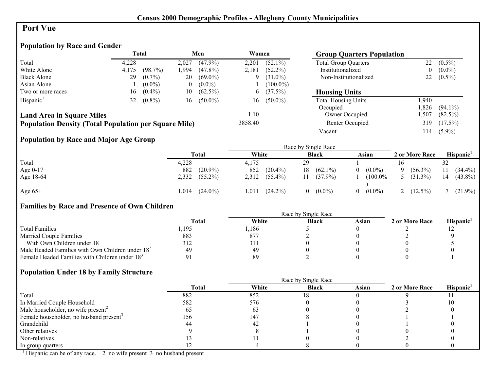## **Port Vue**

# **Population by Race and Gender**

|                                                              | <b>Total</b><br>Men |           | Women    |            | <b>Group Quarters Population</b> |             |                             |      |            |
|--------------------------------------------------------------|---------------------|-----------|----------|------------|----------------------------------|-------------|-----------------------------|------|------------|
| Total                                                        | 4.228               |           | 2,027    | $(47.9\%)$ | 2,201                            | $(52.1\%)$  | <b>Total Group Quarters</b> | 22   | $(0.5\%)$  |
| White Alone                                                  | 4,175               | (98.7%)   | 1.994    | $(47.8\%)$ | 2,181                            | $(52.2\%)$  | Institutionalized           | 0    | $(0.0\%)$  |
| <b>Black Alone</b>                                           | 29                  | $(0.7\%)$ | 20       | $(69.0\%)$ | 9                                | $(31.0\%)$  | Non-Institutionalized       | 22   | $(0.5\%)$  |
| Asian Alone                                                  |                     | $(0.0\%)$ | $\theta$ | $(0.0\%)$  |                                  | $(100.0\%)$ |                             |      |            |
| Two or more races                                            | 16                  | $(0.4\%)$ | 10       | $(62.5\%)$ |                                  | $6(37.5\%)$ | <b>Housing Units</b>        |      |            |
| Hispanic <sup>1</sup>                                        | 32                  | $(0.8\%)$ | 16       | $(50.0\%)$ | 16                               | $(50.0\%)$  | <b>Total Housing Units</b>  | .940 |            |
|                                                              |                     |           |          |            |                                  |             | Occupied                    | .826 | $(94.1\%)$ |
| <b>Land Area in Square Miles</b>                             |                     |           |          |            | 1.10                             |             | Owner Occupied              | .507 | $(82.5\%)$ |
| <b>Population Density (Total Population per Square Mile)</b> |                     |           |          |            | 3858.40                          |             | Renter Occupied             | 319  | $(17.5\%)$ |
|                                                              |                     |           |          |            |                                  |             | Vacant                      | l 14 | $(5.9\%)$  |

# **Population by Race and Major Age Group**

|           |                    |                     | Race by Single Race    |              |                       |    |                |    |                       |
|-----------|--------------------|---------------------|------------------------|--------------|-----------------------|----|----------------|----|-----------------------|
|           | Total              | White               |                        | <b>Black</b> | Asian                 |    | 2 or More Race |    | Hispanic <sup>1</sup> |
| Total     | 4,228              | 4.175               | 29                     |              |                       | 16 |                |    |                       |
| Age 0-17  | 882                | $(20.9\%)$<br>852   | $(20.4\%)$<br>18       | $(62.1\%)$   | $(0.0\%)$<br>$\Omega$ |    | $(56.3\%)$     |    | $(34.4\%)$            |
| Age 18-64 | $2,332$ $(55.2\%)$ | 2,312               | $(55.4\%)$             | $(37.9\%)$   | $(100.0\%$            |    | $(31.3\%)$     | 14 | $(43.8\%)$            |
| Age $65+$ | 1.014              | $(24.0\%)$<br>1,011 | $(24.2\%)$<br>$\theta$ | $(0.0\%)$    | $(0.0\%)$<br>$\Omega$ |    | 2 $(12.5\%)$   |    | $(21.9\%)$            |

# **Families by Race and Presence of Own Children**

|                                                            | Total | White | <b>Black</b> | Asian | 2 or More Race | <b>Hispanic</b> |
|------------------------------------------------------------|-------|-------|--------------|-------|----------------|-----------------|
| <b>Total Families</b>                                      | ,195  | .186  |              |       |                | - ⊥             |
| <b>Married Couple Families</b>                             | 883   | 877   |              |       |                |                 |
| With Own Children under 18                                 |       | 311   |              |       |                |                 |
| Male Headed Families with Own Children under $182$         | 49    | -49   |              |       |                |                 |
| Female Headed Families with Children under 18 <sup>3</sup> |       | 89    |              |       |                |                 |

#### **Population Under 18 by Family Structure**

|                                                     |              |       | Race by Single Race |       |                |                       |
|-----------------------------------------------------|--------------|-------|---------------------|-------|----------------|-----------------------|
|                                                     | <b>Total</b> | White | <b>Black</b>        | Asian | 2 or More Race | Hispanic <sup>1</sup> |
| Total                                               | 882          | 852   |                     |       |                |                       |
| In Married Couple Household                         | 582          | 576   |                     |       |                | 10                    |
| Male householder, no wife present <sup>2</sup>      | ხა           | 63    |                     |       |                |                       |
| Female householder, no husband present <sup>3</sup> | 156          | 147   |                     |       |                |                       |
| Grandchild                                          |              | -42   |                     |       |                |                       |
| Other relatives                                     |              |       |                     |       |                |                       |
| Non-relatives                                       |              |       |                     |       |                |                       |
| In group quarters                                   |              |       |                     |       |                |                       |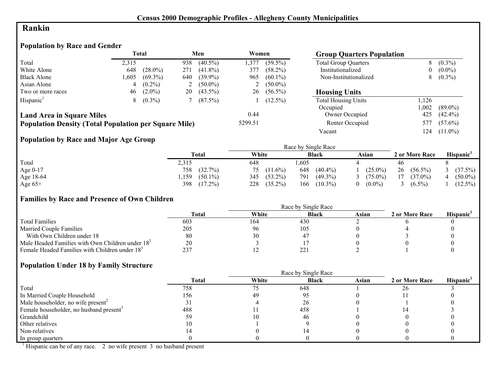## **Rankin**

## **Population by Race and Gender**

|                                                              |       | <b>Total</b> |     | Men        | Women   |              | <b>Group Quarters Population</b> |      |            |
|--------------------------------------------------------------|-------|--------------|-----|------------|---------|--------------|----------------------------------|------|------------|
| Total                                                        | 2.315 |              | 938 | $(40.5\%)$ | 1.377   | $(59.5\%)$   | <b>Total Group Quarters</b>      | 8    | $(0.3\%)$  |
| White Alone                                                  | 648   | $(28.0\%)$   | 271 | $(41.8\%)$ | 377     | $(58.2\%)$   | Institutionalized                | 0    | $(0.0\%)$  |
| <b>Black Alone</b>                                           | 1,605 | $(69.3\%)$   | 640 | $(39.9\%)$ | 965     | $(60.1\%)$   | Non-Institutionalized            | 8    | $(0.3\%)$  |
| Asian Alone                                                  |       | $(0.2\%)$    | 2   | $(50.0\%)$ |         | 2 $(50.0\%)$ |                                  |      |            |
| Two or more races                                            | 46    | $(2.0\%)$    | 20  | $(43.5\%)$ | 26      | $(56.5\%)$   | <b>Housing Units</b>             |      |            |
| Hispanic <sup>1</sup>                                        | 8     | $(0.3\%)$    |     | $(87.5\%)$ |         | $(12.5\%)$   | <b>Total Housing Units</b>       | 126  |            |
|                                                              |       |              |     |            |         |              | Occupied                         | .002 | $(89.0\%)$ |
| <b>Land Area in Square Miles</b>                             |       |              |     |            | 0.44    |              | Owner Occupied                   | 425  | $(42.4\%)$ |
| <b>Population Density (Total Population per Square Mile)</b> |       |              |     |            | 5299.51 |              | Renter Occupied                  | 577  | $(57.6\%)$ |
|                                                              |       |              |     |            |         |              | Vacant                           | 124  | $(11.0\%)$ |

# **Population by Race and Major Age Group**

|           |                    |                   | Race by Single Race |            |                  |            |
|-----------|--------------------|-------------------|---------------------|------------|------------------|------------|
|           | <b>Total</b>       | White             | <b>Black</b>        | Asian      | 2 or More Race   | Hispanic'  |
| Total     | 2,315              | 648               | ,605                |            | 46               |            |
| Age 0-17  | (32.7%)<br>758     | 75<br>$(11.6\%)$  | $(40.4\%)$<br>648   | $(25.0\%)$ | 26<br>$(56.5\%)$ | $(37.5\%)$ |
| Age 18-64 | ,159<br>$(50.1\%)$ | $(53.2\%)$<br>345 | $(49.3\%)$<br>791   | $(75.0\%)$ | $(37.0\%)$<br>17 | $(50.0\%)$ |
| Age $65+$ | 398<br>$(17.2\%)$  | 228<br>$(35.2\%)$ | 166<br>$(10.3\%)$   | $(0.0\%)$  | $(6.5\%)$        | $(12.5\%)$ |

## **Families by Race and Presence of Own Children**

|                                                            | Race by Single Race |       |              |       |                |                       |  |  |
|------------------------------------------------------------|---------------------|-------|--------------|-------|----------------|-----------------------|--|--|
|                                                            | Total               | White | <b>Black</b> | Asian | 2 or More Race | Hispanic <sup>'</sup> |  |  |
| <b>Total Families</b>                                      | 603                 | 164   | 430          |       |                |                       |  |  |
| <b>Married Couple Families</b>                             | 205                 | -96   | 105          |       |                |                       |  |  |
| With Own Children under 18                                 | 80                  | 30    |              |       |                |                       |  |  |
| Male Headed Families with Own Children under $182$         | 20                  |       |              |       |                |                       |  |  |
| Female Headed Families with Children under 18 <sup>3</sup> | 237                 |       | $22^{\circ}$ |       |                |                       |  |  |

## **Population Under 18 by Family Structure**

|                                                     |       | Race by Single Race |              |       |                |                       |
|-----------------------------------------------------|-------|---------------------|--------------|-------|----------------|-----------------------|
|                                                     | Total | White               | <b>Black</b> | Asian | 2 or More Race | Hispanic <sup>1</sup> |
| Total                                               | 758   |                     | 648          |       | 26             |                       |
| In Married Couple Household                         | 156   | 49                  | 95           |       |                |                       |
| Male householder, no wife present <sup>2</sup>      |       |                     | 26           |       |                |                       |
| Female householder, no husband present <sup>3</sup> | 488   |                     | 458          |       |                |                       |
| Grandchild                                          |       |                     | 46           |       |                |                       |
| Other relatives                                     |       |                     |              |       |                |                       |
| Non-relatives                                       |       |                     |              |       |                |                       |
| In group quarters                                   |       |                     |              |       |                |                       |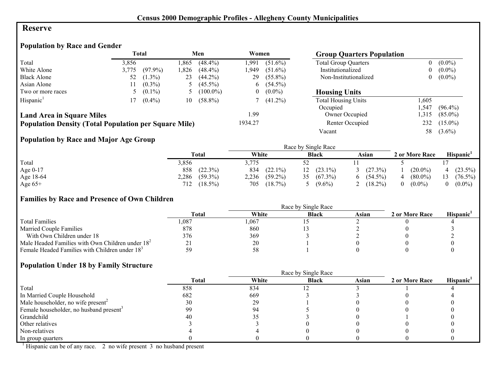#### **Reserve**

## **Population by Race and Gender**

|                                                              |       | Total      |      | Men         | Women   |            | <b>Group Quarters Population</b> |                |            |
|--------------------------------------------------------------|-------|------------|------|-------------|---------|------------|----------------------------------|----------------|------------|
| Total                                                        | 3,856 |            | .865 | $(48.4\%)$  | 1.991   | $(51.6\%)$ | <b>Total Group Quarters</b>      |                | $(0.0\%)$  |
| White Alone                                                  | 3,775 | $(97.9\%)$ | .826 | $(48.4\%)$  | 949. ا  | $(51.6\%)$ | Institutionalized                | $\overline{0}$ | $(0.0\%)$  |
| <b>Black Alone</b>                                           | 52    | $(1.3\%)$  | 23   | $(44.2\%)$  | 29      | $(55.8\%)$ | Non-Institutionalized            | 0              | $(0.0\%)$  |
| Asian Alone                                                  |       | $(0.3\%)$  |      | $(45.5\%)$  | 6       | $(54.5\%)$ |                                  |                |            |
| Two or more races                                            |       | $(0.1\%)$  |      | $(100.0\%)$ |         | $(0.0\%)$  | <b>Housing Units</b>             |                |            |
| Hispanic <sup>1</sup>                                        |       | $(0.4\%)$  | 10   | $(58.8\%)$  |         | $(41.2\%)$ | <b>Total Housing Units</b>       | .605           |            |
|                                                              |       |            |      |             |         |            | Occupied                         | .547           | $(96.4\%)$ |
| <b>Land Area in Square Miles</b>                             |       |            |      |             | 1.99    |            | Owner Occupied                   | .315           | $(85.0\%)$ |
| <b>Population Density (Total Population per Square Mile)</b> |       |            |      |             | 1934.27 |            | Renter Occupied                  | 232            | $(15.0\%)$ |
|                                                              |       |            |      |             |         |            | Vacant                           | 58             | $(3.6\%)$  |

# **Population by Race and Major Age Group**

|           |                     |                     | Race by Single Race |                 |                       |                  |
|-----------|---------------------|---------------------|---------------------|-----------------|-----------------------|------------------|
|           | Total               | White               | <b>Black</b>        | Asian           | 2 or More Race        | <b>Hispanic</b>  |
| Total     | 3,856               | 3.775               |                     |                 |                       |                  |
| Age 0-17  | $(22.3\%)$<br>858   | 834<br>$(22.1\%)$   | $12(23.1\%)$        | $(27.3\%)$<br>3 | $(20.0\%)$            | $4(23.5\%)$      |
| Age 18-64 | 2,286<br>$(59.3\%)$ | $(59.2\%)$<br>2,236 | $(67.3\%)$          | $6(54.5\%)$     | $(80.0\%)$            | $(76.5\%)$<br>13 |
| Age $65+$ | $(18.5\%)$<br>712   | 705<br>$(18.7\%)$   | $(9.6\%)$           | 2 $(18.2\%)$    | $(0.0\%)$<br>$\theta$ | $(0.0\%)$        |

## **Families by Race and Presence of Own Children**

|                                                            | Race by Single Race |       |              |       |                |                 |  |  |
|------------------------------------------------------------|---------------------|-------|--------------|-------|----------------|-----------------|--|--|
|                                                            | <b>Total</b>        | White | <b>Black</b> | Asian | 2 or More Race | <b>Hispanic</b> |  |  |
| <b>Total Families</b>                                      | .087                | ,067  |              |       |                |                 |  |  |
| <b>Married Couple Families</b>                             | 878                 | 860   |              |       |                |                 |  |  |
| With Own Children under 18                                 | 376                 | 369   |              |       |                |                 |  |  |
| Male Headed Families with Own Children under $182$         |                     | 20    |              |       |                |                 |  |  |
| Female Headed Families with Children under 18 <sup>3</sup> | 59                  | 58    |              |       |                |                 |  |  |

## **Population Under 18 by Family Structure**

|                                                     | Race by Single Race |       |              |       |                |                       |  |  |
|-----------------------------------------------------|---------------------|-------|--------------|-------|----------------|-----------------------|--|--|
|                                                     | <b>Total</b>        | White | <b>Black</b> | Asian | 2 or More Race | Hispanic <sup>1</sup> |  |  |
| Total                                               | 858                 | 834   |              |       |                |                       |  |  |
| In Married Couple Household                         | 682                 | 669   |              |       |                |                       |  |  |
| Male householder, no wife present <sup>2</sup>      | 30                  | 29    |              |       |                |                       |  |  |
| Female householder, no husband present <sup>3</sup> | 99                  | 94    |              |       |                |                       |  |  |
| Grandchild                                          | 40                  |       |              |       |                |                       |  |  |
| Other relatives                                     |                     |       |              |       |                |                       |  |  |
| Non-relatives                                       |                     |       |              |       |                |                       |  |  |
| In group quarters                                   |                     |       |              |       |                |                       |  |  |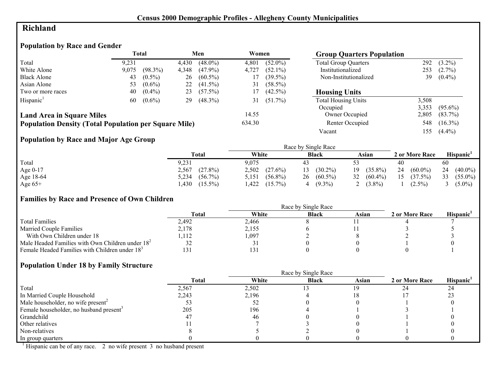# **Richland**

## **Population by Race and Gender**

|                                                              |       | Total      |       | Men        | Women  |            | <b>Group Quarters Population</b> |       |            |
|--------------------------------------------------------------|-------|------------|-------|------------|--------|------------|----------------------------------|-------|------------|
| Total                                                        | 9,231 |            | 4,430 | $(48.0\%)$ | 4,801  | $(52.0\%)$ | <b>Total Group Quarters</b>      | 292   | $(3.2\%)$  |
| White Alone                                                  | 9,075 | $(98.3\%)$ | 4,348 | $(47.9\%)$ | 4,727  | $(52.1\%)$ | Institutionalized                | 253   | $(2.7\%)$  |
| <b>Black Alone</b>                                           | 43    | $(0.5\%)$  | 26    | $(60.5\%)$ |        | $(39.5\%)$ | Non-Institutionalized            | 39    | $(0.4\%)$  |
| Asian Alone                                                  | 53    | $(0.6\%)$  | 22    | $(41.5\%)$ | 31     | $(58.5\%)$ |                                  |       |            |
| Two or more races                                            | 40    | $(0.4\%)$  | 23    | $(57.5\%)$ | 17     | $(42.5\%)$ | <b>Housing Units</b>             |       |            |
| Hispanic <sup>1</sup>                                        | 60    | $(0.6\%)$  | 29    | $(48.3\%)$ | 31     | $(51.7\%)$ | <b>Total Housing Units</b>       | 3,508 |            |
|                                                              |       |            |       |            |        |            | Occupied                         | 3,353 | $(95.6\%)$ |
| <b>Land Area in Square Miles</b>                             |       |            |       |            | 14.55  |            | Owner Occupied                   | 2,805 | $(83.7\%)$ |
| <b>Population Density (Total Population per Square Mile)</b> |       |            |       |            | 634.30 |            | Renter Occupied                  | 548   | $(16.3\%)$ |
|                                                              |       |            |       |            |        |            | Vacant                           | 155   | $(4.4\%)$  |

# **Population by Race and Major Age Group**

|           |                     | Race by Single Race |                  |                  |                  |                  |  |  |
|-----------|---------------------|---------------------|------------------|------------------|------------------|------------------|--|--|
|           | Total               | White               | <b>Black</b>     | Asian            | 2 or More Race   | <b>Hispanic</b>  |  |  |
| Total     | 9,231               | 9.075               |                  |                  | 40               | 60               |  |  |
| Age 0-17  | $(27.8\%)$<br>2,567 | 2,502<br>$(27.6\%)$ | $(30.2\%)$       | $(35.8\%)$<br>19 | 24<br>$(60.0\%)$ | 24<br>$(40.0\%)$ |  |  |
| Age 18-64 | 5,234<br>$(56.7\%)$ | $(56.8\%)$<br>5.151 | 26<br>$(60.5\%)$ | $32(60.4\%)$     | 15<br>(37.5%)    | $(55.0\%)$<br>33 |  |  |
| Age $65+$ | .430<br>$(15.5\%)$  | $(15.7\%)$<br>,422  | $(9.3\%)$        | $(3.8\%)$        | $(2.5\%)$        | $(5.0\%)$        |  |  |

#### **Families by Race and Presence of Own Children**

|                                                            | Race by Single Race |       |              |       |                |                 |  |  |
|------------------------------------------------------------|---------------------|-------|--------------|-------|----------------|-----------------|--|--|
|                                                            | <b>Total</b>        | White | <b>Black</b> | Asian | 2 or More Race | <b>Hispanic</b> |  |  |
| <b>Total Families</b>                                      | 2.492               | 2,466 |              |       |                |                 |  |  |
| <b>Married Couple Families</b>                             | 2,178               | 2,155 |              |       |                |                 |  |  |
| With Own Children under 18                                 | .112                | l,097 |              |       |                |                 |  |  |
| Male Headed Families with Own Children under $182$         | 32                  |       |              |       |                |                 |  |  |
| Female Headed Families with Children under 18 <sup>3</sup> | 131                 | 131   |              |       |                |                 |  |  |

## **Population Under 18 by Family Structure**

|                                                     |       | Race by Single Race |              |       |                |                       |
|-----------------------------------------------------|-------|---------------------|--------------|-------|----------------|-----------------------|
|                                                     | Total | White               | <b>Black</b> | Asian | 2 or More Race | Hispanic <sup>1</sup> |
| Total                                               | 2,567 | 2,502               |              | 19    |                | 24                    |
| In Married Couple Household                         | 2,243 | 2,196               |              |       |                | 23                    |
| Male householder, no wife present <sup>2</sup>      |       | 52                  |              |       |                |                       |
| Female householder, no husband present <sup>3</sup> | 205   | 196                 |              |       |                |                       |
| Grandchild                                          |       | 46                  |              |       |                |                       |
| Other relatives                                     |       |                     |              |       |                |                       |
| Non-relatives                                       |       |                     |              |       |                |                       |
| In group quarters                                   |       |                     |              |       |                |                       |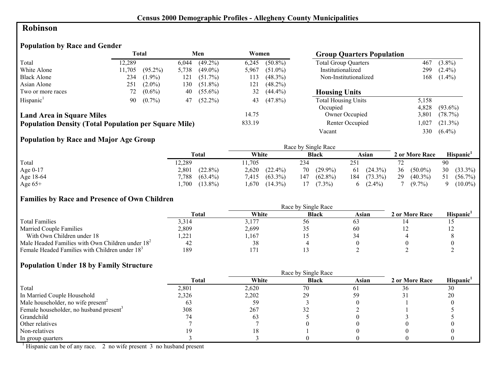## **Robinson**

## **Population by Race and Gender**

|                                                              |        | <b>Total</b> |       | Men        | Women  |            | <b>Group Quarters Population</b> |       |            |
|--------------------------------------------------------------|--------|--------------|-------|------------|--------|------------|----------------------------------|-------|------------|
| Total                                                        | 12.289 |              | 6,044 | $(49.2\%)$ | 6.245  | $(50.8\%)$ | <b>Total Group Quarters</b>      | 467   | $(3.8\%)$  |
| White Alone                                                  | 11,705 | $(95.2\%)$   | 5,738 | $(49.0\%)$ | 5,967  | $(51.0\%)$ | Institutionalized                | 299   | $(2.4\%)$  |
| <b>Black Alone</b>                                           | 234    | $(1.9\%)$    | 121   | $(51.7\%)$ | 113    | $(48.3\%)$ | Non-Institutionalized            | 168   | $(1.4\%)$  |
| Asian Alone                                                  | 251    | $(2.0\%)$    | 130   | $(51.8\%)$ | 121    | $(48.2\%)$ |                                  |       |            |
| Two or more races                                            | 72 -   | $(0.6\%)$    | 40    | $(55.6\%)$ | 32     | $(44.4\%)$ | <b>Housing Units</b>             |       |            |
| Hispanic <sup>1</sup>                                        | 90     | $(0.7\%)$    | 47    | $(52.2\%)$ | 43     | $(47.8\%)$ | <b>Total Housing Units</b>       | 5,158 |            |
|                                                              |        |              |       |            |        |            | Occupied                         | 4.828 | $(93.6\%)$ |
| <b>Land Area in Square Miles</b>                             |        |              |       |            | 14.75  |            | Owner Occupied                   | 3.801 | (78.7%)    |
| <b>Population Density (Total Population per Square Mile)</b> |        |              |       |            | 833.19 |            | Renter Occupied                  | ,027  | $(21.3\%)$ |
|                                                              |        |              |       |            |        |            | Vacant                           | 330   | $(6.4\%)$  |

# **Population by Race and Major Age Group**

|            |                     |                     | Race by Single Race |                   |                  |                  |
|------------|---------------------|---------------------|---------------------|-------------------|------------------|------------------|
|            | Total               | White               | <b>Black</b>        | Asian             | 2 or More Race   | <b>Hispanic</b>  |
| Total      | 12,289              | 1.705               | 234                 | 251               |                  | 90               |
| Age $0-17$ | $(22.8\%)$<br>2,801 | 2,620<br>$(22.4\%)$ | $(29.9\%)$<br>70    | $61(24.3\%)$      | 36<br>$(50.0\%)$ | 30<br>$(33.3\%)$ |
| Age 18-64  | 7,788<br>$(63.4\%)$ | $(63.3\%)$<br>7,415 | $(62.8\%)$<br>147   | $(73.3\%)$<br>184 | 29<br>$(40.3\%)$ | $(56.7\%)$<br>51 |
| Age $65+$  | $(13.8\%)$<br>,700  | $(14.3\%)$<br>.,670 | $(7.3\%)$           | $(2.4\%)$<br>6    | $(9.7\%)$        | $(10.0\%)$       |

## **Families by Race and Presence of Own Children**

|                                                            | Race by Single Race |       |              |       |                |                       |  |  |
|------------------------------------------------------------|---------------------|-------|--------------|-------|----------------|-----------------------|--|--|
|                                                            | <b>Total</b>        | White | <b>Black</b> | Asian | 2 or More Race | Hispanic <sup>'</sup> |  |  |
| <b>Total Families</b>                                      | 3.314               | 3.177 | $50^{\circ}$ |       |                |                       |  |  |
| <b>Married Couple Families</b>                             | 2,809               | 2,699 |              | 60    |                |                       |  |  |
| With Own Children under 18                                 | .221                | .167  |              |       |                |                       |  |  |
| Male Headed Families with Own Children under $182$         | 42                  | 38    |              |       |                |                       |  |  |
| Female Headed Families with Children under 18 <sup>3</sup> | 189                 |       |              |       |                |                       |  |  |

## **Population Under 18 by Family Structure**

|                                                     |       | Race by Single Race |              |       |                |                       |
|-----------------------------------------------------|-------|---------------------|--------------|-------|----------------|-----------------------|
|                                                     | Total | White               | <b>Black</b> | Asian | 2 or More Race | Hispanic <sup>1</sup> |
| Total                                               | 2,801 | 2,620               | 70           |       | 36             | 30                    |
| In Married Couple Household                         | 2,326 | 2,202               | 29           |       |                | 20                    |
| Male householder, no wife present <sup>2</sup>      | 03    | 59                  |              |       |                |                       |
| Female householder, no husband present <sup>3</sup> | 308   | 267                 |              |       |                |                       |
| Grandchild                                          |       | 63                  |              |       |                |                       |
| Other relatives                                     |       |                     |              |       |                |                       |
| Non-relatives                                       |       |                     |              |       |                |                       |
| In group quarters                                   |       |                     |              |       |                |                       |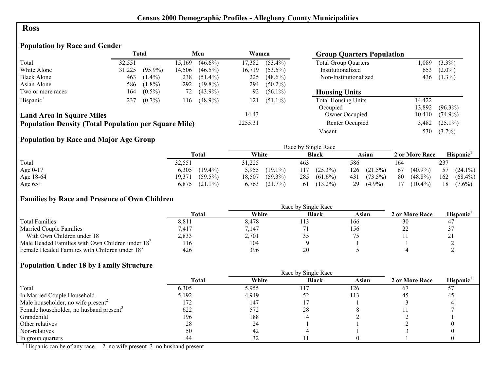#### **Ross**

# **Population by Race and Gender**

|                                                              |        | <b>Total</b> |        | Men        | Women   |            | <b>Group Quarters Population</b> |        |            |
|--------------------------------------------------------------|--------|--------------|--------|------------|---------|------------|----------------------------------|--------|------------|
| Total                                                        | 32,551 |              | 15.169 | $(46.6\%)$ | 17,382  | $(53.4\%)$ | <b>Total Group Quarters</b>      | ,089   | $(3.3\%)$  |
| White Alone                                                  | 31,225 | $(95.9\%)$   | 14,506 | $(46.5\%)$ | 16.719  | $(53.5\%)$ | Institutionalized                | 653    | $(2.0\%)$  |
| <b>Black Alone</b>                                           | 463    | $(1.4\%)$    | 238    | $(51.4\%)$ | 225     | $(48.6\%)$ | Non-Institutionalized            | 436    | $(1.3\%)$  |
| Asian Alone                                                  | 586    | $(1.8\%)$    | 292    | $(49.8\%)$ | 294     | $(50.2\%)$ |                                  |        |            |
| Two or more races                                            | 164    | $(0.5\%)$    | 72     | $(43.9\%)$ | 92      | $(56.1\%)$ | <b>Housing Units</b>             |        |            |
| Hispanic <sup>1</sup>                                        | 237    | $(0.7\%)$    | 116    | $(48.9\%)$ | 121     | $(51.1\%)$ | <b>Total Housing Units</b>       | 14.422 |            |
|                                                              |        |              |        |            |         |            | Occupied                         | 13.892 | $(96.3\%)$ |
| <b>Land Area in Square Miles</b>                             |        |              |        |            | 14.43   |            | Owner Occupied                   | 10,410 | $(74.9\%)$ |
| <b>Population Density (Total Population per Square Mile)</b> |        |              |        |            | 2255.31 |            | Renter Occupied                  | 3,482  | $(25.1\%)$ |
|                                                              |        |              |        |            |         |            | Vacant                           | 530    | $(3.7\%)$  |

## **Population by Race and Major Age Group**

|           |                      |                      | Race by Single Race |                   |                  |                       |
|-----------|----------------------|----------------------|---------------------|-------------------|------------------|-----------------------|
|           | <b>Total</b>         | White                | <b>Black</b>        | Asian             | 2 or More Race   | Hispanic <sup>1</sup> |
| Total     | 32,551               | 31,225               | 463                 | 586               | 164              | 237                   |
| Age 0-17  | $(19.4\%)$<br>6,305  | 5,955<br>$(19.1\%)$  | $(25.3\%)$<br>117   | 126<br>$(21.5\%)$ | $(40.9\%)$<br>67 | 57 $(24.1\%)$         |
| Age 18-64 | $(59.5\%)$<br>19.371 | $(59.3\%)$<br>18,507 | 285<br>$(61.6\%)$   | 431 (73.5%)       | 80<br>$(48.8\%)$ | 162<br>$(68.4\%)$     |
| Age $65+$ | 6,875<br>$(21.1\%)$  | 6.763<br>(21.7%)     | $(13.2\%)$<br>-61   | $(4.9\%)$<br>29   | 17<br>$(10.4\%)$ | 18<br>$(7.6\%)$       |

#### **Families by Race and Presence of Own Children**

|                                                            | Race by Single Race |       |              |       |                |                 |  |  |
|------------------------------------------------------------|---------------------|-------|--------------|-------|----------------|-----------------|--|--|
|                                                            | <b>Total</b>        | White | <b>Black</b> | Asian | 2 or More Race | <b>Hispanic</b> |  |  |
| <b>Total Families</b>                                      | 8,811               | 8,478 |              | 166   | 30             |                 |  |  |
| <b>Married Couple Families</b>                             | 7.417               | 7.147 |              | 156   | ىمى            |                 |  |  |
| With Own Children under 18                                 | 2,833               | 2,701 |              |       |                | $\sim$ 1        |  |  |
| Male Headed Families with Own Children under $182$         | 116                 | 104   |              |       |                |                 |  |  |
| Female Headed Families with Children under 18 <sup>3</sup> | 426                 | 396   | 20           |       |                |                 |  |  |

#### **Population Under 18 by Family Structure**

|                                                     |       |          | Race by Single Race |       |                |                       |
|-----------------------------------------------------|-------|----------|---------------------|-------|----------------|-----------------------|
|                                                     | Total | White    | <b>Black</b>        | Asian | 2 or More Race | Hispanic <sup>1</sup> |
| Total                                               | 6,305 | 5,955    |                     | 126   | 67             |                       |
| In Married Couple Household                         | 5,192 | 4,949    | 52                  |       | 40             | 45                    |
| Male householder, no wife present <sup>2</sup>      | 172   | 147      |                     |       |                |                       |
| Female householder, no husband present <sup>3</sup> | 622   | 572      | 28                  |       |                |                       |
| Grandchild                                          | 196   | 188      |                     |       |                |                       |
| Other relatives                                     | 28    | 24       |                     |       |                |                       |
| Non-relatives                                       | 50    | 42       |                     |       |                |                       |
| In group quarters                                   | 44    | $\Delta$ |                     |       |                |                       |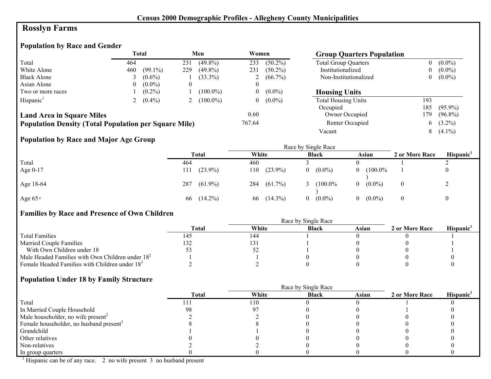# **Rosslyn Farms**

## **Population by Race and Gender**

|                                                              | <b>Total</b> |            |     | Men         | Women  |            | <b>Group Quarters Population</b> |                |            |
|--------------------------------------------------------------|--------------|------------|-----|-------------|--------|------------|----------------------------------|----------------|------------|
| Total                                                        | 464          |            | 231 | $(49.8\%)$  | 233    | $(50.2\%)$ | <b>Total Group Quarters</b>      | $\overline{0}$ | $(0.0\%)$  |
| White Alone                                                  | 460          | $(99.1\%)$ | 229 | $(49.8\%)$  | 231    | $(50.2\%)$ | Institutionalized                | 0              | $(0.0\%)$  |
| <b>Black Alone</b>                                           |              | $(0.6\%)$  |     | $(33.3\%)$  | ∠      | $(66.7\%)$ | Non-Institutionalized            | 0              | $(0.0\%)$  |
| Asian Alone                                                  |              | $(0.0\%)$  |     |             | 0      |            |                                  |                |            |
| Two or more races                                            |              | $(0.2\%)$  |     | $(100.0\%)$ | 0      | $(0.0\%)$  | <b>Housing Units</b>             |                |            |
| Hispanic <sup>1</sup>                                        |              | $(0.4\%)$  |     | $(100.0\%)$ | 0      | $(0.0\%)$  | <b>Total Housing Units</b>       | 193            |            |
|                                                              |              |            |     |             |        |            | Occupied                         | 185            | $(95.9\%)$ |
| <b>Land Area in Square Miles</b>                             |              |            |     |             | 0.60   |            | Owner Occupied                   | 179            | $(96.8\%)$ |
| <b>Population Density (Total Population per Square Mile)</b> |              |            |     |             | 767.64 |            | Renter Occupied                  | 6              | $(3.2\%)$  |
|                                                              |              |            |     |             |        |            | Vacant                           | 8              | $(4.1\%)$  |

## **Population by Race and Major Age Group**

|           | $\overline{\phantom{a}}$ |                   | Race by Single Race |                       |                       |                |                       |  |  |
|-----------|--------------------------|-------------------|---------------------|-----------------------|-----------------------|----------------|-----------------------|--|--|
|           |                          | Total             | White               | <b>Black</b>          | Asian                 | 2 or More Race | Hispanic <sup>1</sup> |  |  |
| Total     |                          | 464               | 460                 |                       |                       |                |                       |  |  |
| Age 0-17  |                          | $(23.9\%)$<br>111 | $(23.9\%)$<br>110   | $(0.0\%)$             | $(100.0\%$<br>0       |                | $\overline{0}$        |  |  |
| Age 18-64 |                          | $(61.9\%)$<br>287 | 284<br>$(61.7\%)$   | $(100.0\%$            | $(0.0\%)$<br>$\theta$ | $\overline{0}$ |                       |  |  |
| Age $65+$ |                          | $(14.2\%)$<br>66  | $(14.3\%)$<br>66    | $(0.0\%)$<br>$\theta$ | $(0.0\%)$<br>$\theta$ | $\overline{0}$ | $\bf{0}$              |  |  |

#### **Families by Race and Presence of Own Children**

|                                                            | Total | White | <b>Black</b> | Asian | 2 or More Race | Hispanic <sup>'</sup> |
|------------------------------------------------------------|-------|-------|--------------|-------|----------------|-----------------------|
| <b>Total Families</b>                                      | 145   | 144   |              |       |                |                       |
| <b>Married Couple Families</b>                             |       | 131   |              |       |                |                       |
| With Own Children under 18                                 |       | ΣŹ    |              |       |                |                       |
| Male Headed Families with Own Children under $182$         |       |       |              |       |                |                       |
| Female Headed Families with Children under 18 <sup>3</sup> |       |       |              |       |                |                       |

#### **Population Under 18 by Family Structure**

|                                                     |              | Race by Single Race |              |       |                |                       |
|-----------------------------------------------------|--------------|---------------------|--------------|-------|----------------|-----------------------|
|                                                     | <b>Total</b> | White               | <b>Black</b> | Asian | 2 or More Race | Hispanic <sup>1</sup> |
| Total                                               |              | 110                 |              |       |                |                       |
| In Married Couple Household                         | 98           |                     |              |       |                |                       |
| Male householder, no wife present <sup>2</sup>      |              |                     |              |       |                |                       |
| Female householder, no husband present <sup>3</sup> |              |                     |              |       |                |                       |
| Grandchild                                          |              |                     |              |       |                |                       |
| Other relatives                                     |              |                     |              |       |                |                       |
| Non-relatives                                       |              |                     |              |       |                |                       |
| In group quarters                                   |              |                     |              |       |                |                       |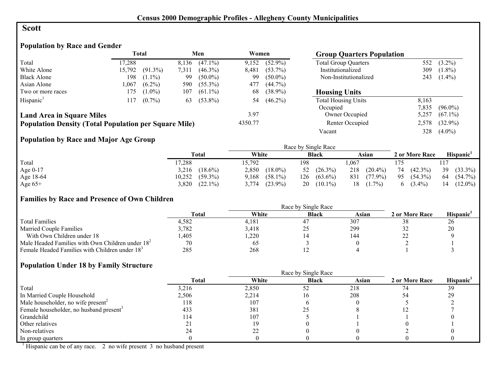### **Scott**

## **Population by Race and Gender**

|                                                              |        | <b>Total</b> |       | Men        | Women   |            | <b>Group Quarters Population</b> |       |            |
|--------------------------------------------------------------|--------|--------------|-------|------------|---------|------------|----------------------------------|-------|------------|
| Total                                                        | 17,288 |              | 8,136 | $(47.1\%)$ | 9,152   | $(52.9\%)$ | <b>Total Group Quarters</b>      | 552   | $(3.2\%)$  |
| White Alone                                                  | 15,792 | $(91.3\%)$   | 7,311 | $(46.3\%)$ | 8.481   | $(53.7\%)$ | Institutionalized                | 309   | $(1.8\%)$  |
| <b>Black Alone</b>                                           | 198    | $(1.1\%)$    | 99    | $(50.0\%)$ | 99      | $(50.0\%)$ | Non-Institutionalized            | 243   | $(1.4\%)$  |
| Asian Alone                                                  | 1.067  | $(6.2\%)$    | 590   | $(55.3\%)$ | 477     | $(44.7\%)$ |                                  |       |            |
| Two or more races                                            | 175    | $(1.0\%)$    | 107   | $(61.1\%)$ | 68      | $(38.9\%)$ | <b>Housing Units</b>             |       |            |
| Hispanic <sup>1</sup>                                        | 117    | $(0.7\%)$    | 63    | $(53.8\%)$ | 54      | $(46.2\%)$ | <b>Total Housing Units</b>       | 8.163 |            |
|                                                              |        |              |       |            |         |            | Occupied                         | 7,835 | $(96.0\%)$ |
| <b>Land Area in Square Miles</b>                             |        |              |       |            | 3.97    |            | Owner Occupied                   | 5.257 | $(67.1\%)$ |
| <b>Population Density (Total Population per Square Mile)</b> |        |              |       |            | 4350.77 |            | Renter Occupied                  | 2,578 | $(32.9\%)$ |
|                                                              |        |              |       |            |         |            | Vacant                           | 328   | $(4.0\%)$  |

## **Population by Race and Major Age Group**

|            |                      |                     | Race by Single Race |                   |                  |                   |
|------------|----------------------|---------------------|---------------------|-------------------|------------------|-------------------|
|            | Total                | White               | <b>Black</b>        | Asian             | 2 or More Race   | <b>Hispanic</b>   |
| Total      | 17,288               | 5,792               | 198                 | .067              |                  |                   |
| Age $0-17$ | $(18.6\%)$<br>3,216  | 2,850<br>$(18.0\%)$ | 52 $(26.3\%)$       | 218<br>$(20.4\%)$ | $(42.3\%)$<br>74 | 39<br>$(33.3\%)$  |
| Age 18-64  | 10,252<br>$(59.3\%)$ | $(58.1\%)$<br>9,168 | 126<br>$(63.6\%)$   | 831<br>$(77.9\%)$ | 95<br>$(54.3\%)$ | -64<br>$(54.7\%)$ |
| Age $65+$  | $(22.1\%)$<br>3,820  | $(23.9\%)$<br>3,774 | $(10.1\%)$<br>20    | $(1.7\%)$<br>18   | $(3.4\%)$        | $(12.0\%)$<br>14  |

## **Families by Race and Presence of Own Children**

|                                                            | <b>Total</b> | White | <b>Black</b> | Asian | 2 or More Race | <b>Hispanic</b> |
|------------------------------------------------------------|--------------|-------|--------------|-------|----------------|-----------------|
| <b>Total Families</b>                                      | 4,582        | 4.181 | 4            | 307   |                | 26              |
| <b>Married Couple Families</b>                             | 3,782        | 3,418 | ر _          | 299   |                | 20              |
| With Own Children under 18                                 | .405         | ,220  |              | 144   | ∠∠             |                 |
| Male Headed Families with Own Children under $182$         | 70           | - 65  |              |       |                |                 |
| Female Headed Families with Children under 18 <sup>3</sup> | 285          | 268   |              |       |                |                 |

#### **Population Under 18 by Family Structure**

|                                                     |       |       | Race by Single Race |       |                |                       |
|-----------------------------------------------------|-------|-------|---------------------|-------|----------------|-----------------------|
|                                                     | Total | White | <b>Black</b>        | Asian | 2 or More Race | Hispanic <sup>1</sup> |
| Total                                               | 3,216 | 2,850 | 52                  | 218   |                | 39                    |
| In Married Couple Household                         | 2,506 | 2,214 |                     | 208   |                | 29                    |
| Male householder, no wife present <sup>2</sup>      | 118   | 107   |                     |       |                |                       |
| Female householder, no husband present <sup>3</sup> | 433   | 381   | ن ڪ                 |       |                |                       |
| Grandchild                                          | 114   | 107   |                     |       |                |                       |
| Other relatives                                     |       |       |                     |       |                |                       |
| Non-relatives                                       |       |       |                     |       |                |                       |
| In group quarters                                   |       |       |                     |       |                |                       |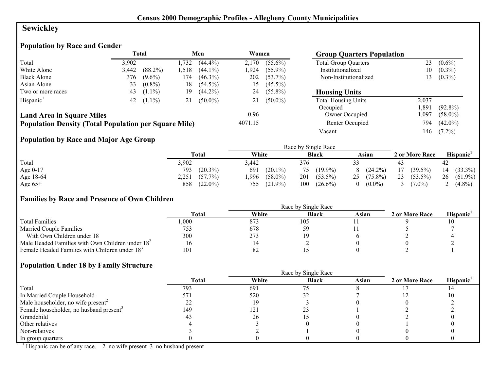# **Sewickley**

# **Population by Race and Gender**

|                                                              |       | Total      |      | Men        | Women   |            | <b>Group Quarters Population</b> |       |            |
|--------------------------------------------------------------|-------|------------|------|------------|---------|------------|----------------------------------|-------|------------|
| Total                                                        | 3.902 |            | .732 | $(44.4\%)$ | 2.170   | $(55.6\%)$ | <b>Total Group Quarters</b>      | 23    | $(0.6\%)$  |
| White Alone                                                  | 3,442 | $(88.2\%)$ | .518 | $(44.1\%)$ | 1.924   | $(55.9\%)$ | Institutionalized                | 10    | $(0.3\%)$  |
| <b>Black Alone</b>                                           | 376   | $(9.6\%)$  | .74  | $(46.3\%)$ | 202     | $(53.7\%)$ | Non-Institutionalized            | 13    | $(0.3\%)$  |
| Asian Alone                                                  | 33    | $(0.8\%)$  | 18   | $(54.5\%)$ | 15      | $(45.5\%)$ |                                  |       |            |
| Two or more races                                            | 43    | $(1.1\%)$  | 19   | $(44.2\%)$ | 24      | $(55.8\%)$ | <b>Housing Units</b>             |       |            |
| Hispanic <sup>1</sup>                                        | 42    | $(1.1\%)$  | 21   | $(50.0\%)$ |         | $(50.0\%)$ | <b>Total Housing Units</b>       | 2,037 |            |
|                                                              |       |            |      |            |         |            | Occupied                         | .891  | $(92.8\%)$ |
| <b>Land Area in Square Miles</b>                             |       |            |      |            | 0.96    |            | Owner Occupied                   | .097  | $(58.0\%)$ |
| <b>Population Density (Total Population per Square Mile)</b> |       |            |      |            | 4071.15 |            | Renter Occupied                  | 794   | $(42.0\%)$ |
|                                                              |       |            |      |            |         |            | Vacant                           | 146   | $(7.2\%)$  |

# **Population by Race and Major Age Group**

|           |                     |                    | Race by Single Race |                  |                  |                  |
|-----------|---------------------|--------------------|---------------------|------------------|------------------|------------------|
|           | <b>Total</b>        | White              | <b>Black</b>        | Asian            | 2 or More Race   | Hispanic'        |
| Total     | 3,902               | 442. ر             | 376                 |                  |                  | 42               |
| Age 0-17  | $(20.3\%)$<br>793   | 691<br>$(20.1\%)$  | $(19.9\%)$<br>75    | $(24.2\%)$<br>8  | $(39.5\%)$<br>17 | $(33.3\%)$<br>14 |
| Age 18-64 | 2,251<br>$(57.7\%)$ | $(58.0\%)$<br>,996 | 201<br>$(53.5\%)$   | 25<br>$(75.8\%)$ | 23<br>$(53.5\%)$ | 26<br>$(61.9\%)$ |
| Age $65+$ | $(22.0\%)$<br>858   | $(21.9\%)$<br>755  | 100<br>$(26.6\%)$   | $(0.0\%)$<br>0   | $7.0\%$          | $(4.8\%)$        |

## **Families by Race and Presence of Own Children**

|                                                            | Race by Single Race |       |              |       |                |                 |  |  |
|------------------------------------------------------------|---------------------|-------|--------------|-------|----------------|-----------------|--|--|
|                                                            | <b>Total</b>        | White | <b>Black</b> | Asian | 2 or More Race | <b>Hispanic</b> |  |  |
| <b>Total Families</b>                                      | 000                 | 873   | 105          |       |                |                 |  |  |
| <b>Married Couple Families</b>                             | 753                 | 678   |              |       |                |                 |  |  |
| With Own Children under 18                                 | 300                 | 273   |              |       |                |                 |  |  |
| Male Headed Families with Own Children under $182$         |                     |       |              |       |                |                 |  |  |
| Female Headed Families with Children under 18 <sup>3</sup> | 101                 | 82    |              |       |                |                 |  |  |

#### **Population Under 18 by Family Structure**

|                                                     |       |       | Race by Single Race |       |                |                       |
|-----------------------------------------------------|-------|-------|---------------------|-------|----------------|-----------------------|
|                                                     | Total | White | <b>Black</b>        | Asian | 2 or More Race | Hispanic <sup>1</sup> |
| Total                                               | 793   | 691   |                     |       |                |                       |
| In Married Couple Household                         | 571   | 520   |                     |       |                |                       |
| Male householder, no wife present <sup>2</sup>      |       |       |                     |       |                |                       |
| Female householder, no husband present <sup>3</sup> | 149   | 121   |                     |       |                |                       |
| Grandchild                                          |       | 26    |                     |       |                |                       |
| Other relatives                                     |       |       |                     |       |                |                       |
| Non-relatives                                       |       |       |                     |       |                |                       |
| In group quarters                                   |       |       |                     |       |                |                       |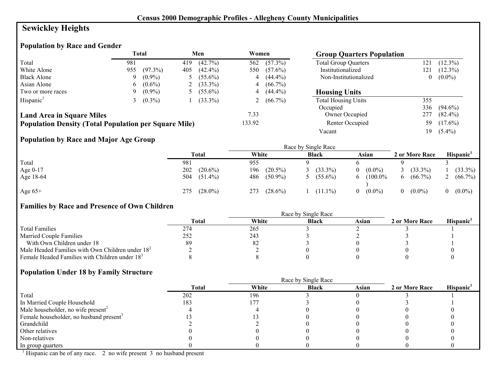# **Sewickley Heights**

## **Population by Race and Gender**

|                                                              |     | Total      |     | Men        | Women  |              | <b>Group Quarters Population</b> |          |            |
|--------------------------------------------------------------|-----|------------|-----|------------|--------|--------------|----------------------------------|----------|------------|
| Total                                                        | 981 |            | 419 | $(42.7\%)$ | 562    | $(57.3\%)$   | <b>Total Group Quarters</b>      | 121      | $(12.3\%)$ |
| White Alone                                                  | 955 | $(97.3\%)$ | 405 | $(42.4\%)$ | 550    | $(57.6\%)$   | Institutionalized                | 121      | $(12.3\%)$ |
| <b>Black Alone</b>                                           | 9   | $(0.9\%)$  |     | $(55.6\%)$ |        | $4(44.4\%)$  | Non-Institutionalized            | $\theta$ | $(0.0\%)$  |
| Asian Alone                                                  | 6.  | $(0.6\%)$  |     | $(33.3\%)$ |        | $4(66.7\%)$  |                                  |          |            |
| Two or more races                                            | 9.  | $(0.9\%)$  |     | $(55.6\%)$ |        | $4(44.4\%)$  | <b>Housing Units</b>             |          |            |
| Hispanic <sup>1</sup>                                        |     | $(0.3\%)$  |     | $(33.3\%)$ |        | 2 $(66.7\%)$ | <b>Total Housing Units</b>       | 355      |            |
|                                                              |     |            |     |            |        |              | Occupied                         | 336      | $(94.6\%)$ |
| <b>Land Area in Square Miles</b>                             |     |            |     |            | 7.33   |              | Owner Occupied                   | 277      | $(82.4\%)$ |
| <b>Population Density (Total Population per Square Mile)</b> |     |            |     |            | 133.92 |              | Renter Occupied                  | 59       | $(17.6\%)$ |
|                                                              |     |            |     |            |        |              | Vacant                           | 19       | $(5.4\%)$  |

## **Population by Race and Major Age Group**

|            |             |                   | Race by Single Race |              |                       |          |                |                       |
|------------|-------------|-------------------|---------------------|--------------|-----------------------|----------|----------------|-----------------------|
|            | Total       | White             |                     | <b>Black</b> | Asian                 |          | 2 or More Race | Hispanic <sup>1</sup> |
| Total      | 981         | 955               |                     |              |                       |          |                |                       |
| Age $0-17$ | 202         | $(20.6\%)$<br>196 | $(20.5\%)$          | $(33.3\%)$   | $(0.0\%)$<br>$\Omega$ |          | $(33.3\%)$     | $(33.3\%)$            |
| Age 18-64  | 504 (51.4%) | 486               | $(50.9\%)$          | $(55.6\%)$   | $(100.0\%$<br>6.      | $\sigma$ | $(66.7\%)$     | $(66.7\%)$            |
| Age $65+$  | 275         | $(28.0\%)$<br>273 | $(28.6\%)$          | $(11.1\%)$   | $(0.0\%)$<br>$\Omega$ |          | $(0.0\%)$      | $(0.0\%)$             |

# **Families by Race and Presence of Own Children**

|                                                            | <b>Total</b> | White | <b>Black</b> | Asian | 2 or More Race | <b>Hispanic</b> |
|------------------------------------------------------------|--------------|-------|--------------|-------|----------------|-----------------|
| <b>Total Families</b>                                      | 274          | 265   |              |       |                |                 |
| <b>Married Couple Families</b>                             | 252          | 243   |              |       |                |                 |
| With Own Children under 18                                 | 89           | 82    |              |       |                |                 |
| Male Headed Families with Own Children under $182$         |              |       |              |       |                |                 |
| Female Headed Families with Children under 18 <sup>3</sup> |              |       |              |       |                |                 |

# **Population Under 18 by Family Structure**

|                                                     |              |       | Race by Single Race |       |                |                       |
|-----------------------------------------------------|--------------|-------|---------------------|-------|----------------|-----------------------|
|                                                     | <b>Total</b> | White | <b>Black</b>        | Asian | 2 or More Race | Hispanic <sup>1</sup> |
| Total                                               | 202          | 196   |                     |       |                |                       |
| In Married Couple Household                         | 183          | 177   |                     |       |                |                       |
| Male householder, no wife present <sup>2</sup>      |              |       |                     |       |                |                       |
| Female householder, no husband present <sup>3</sup> |              |       |                     |       |                |                       |
| Grandchild                                          |              |       |                     |       |                |                       |
| Other relatives                                     |              |       |                     |       |                |                       |
| Non-relatives                                       |              |       |                     |       |                |                       |
| In group quarters                                   |              |       |                     |       |                |                       |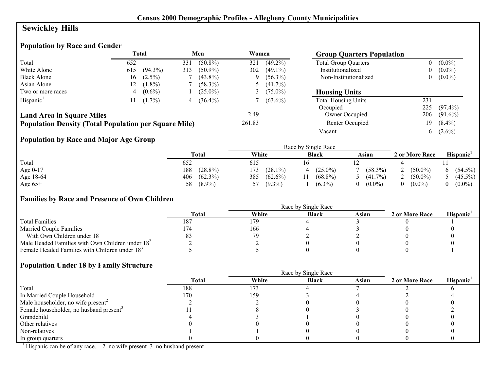# **Sewickley Hills**

# **Population by Race and Gender**

|                                                              |     | <b>Total</b> |     | Men        | Women  |             | <b>Group Quarters Population</b> |     |            |
|--------------------------------------------------------------|-----|--------------|-----|------------|--------|-------------|----------------------------------|-----|------------|
| Total                                                        | 652 |              | 331 | $(50.8\%)$ | 321    | $(49.2\%)$  | <b>Total Group Quarters</b>      | 0   | $(0.0\%)$  |
| White Alone                                                  | 615 | $(94.3\%)$   | 313 | $(50.9\%)$ | 302    | $(49.1\%)$  | Institutionalized                |     | $(0.0\%)$  |
| <b>Black Alone</b>                                           | 16  | $(2.5\%)$    |     | $(43.8\%)$ |        | $9(56.3\%)$ | Non-Institutionalized            | 0   | $(0.0\%)$  |
| Asian Alone                                                  |     | $(1.8\%)$    |     | $(58.3\%)$ |        | $(41.7\%)$  |                                  |     |            |
| Two or more races                                            |     | $(0.6\%)$    |     | $(25.0\%)$ |        | $(75.0\%)$  | <b>Housing Units</b>             |     |            |
| Hispanic <sup>1</sup>                                        |     | $(1.7\%)$    | 4   | $(36.4\%)$ |        | $(63.6\%)$  | <b>Total Housing Units</b>       | 231 |            |
|                                                              |     |              |     |            |        |             | Occupied                         | 225 | $(97.4\%)$ |
| <b>Land Area in Square Miles</b>                             |     |              |     |            | 2.49   |             | Owner Occupied                   | 206 | $(91.6\%)$ |
| <b>Population Density (Total Population per Square Mile)</b> |     |              |     |            | 261.83 |             | Renter Occupied                  | 19  | $(8.4\%)$  |
|                                                              |     |              |     |            |        |             | Vacant                           | 6.  | $(2.6\%)$  |

## **Population by Race and Major Age Group**

|           |                   |                   | Race by Single Race |            |                |            |
|-----------|-------------------|-------------------|---------------------|------------|----------------|------------|
|           | Total             | White             | <b>Black</b>        | Asian      | 2 or More Race | Hispanic'  |
| Total     | 652               | 615               |                     |            |                |            |
| Age 0-17  | $(28.8\%)$<br>188 | $(28.1\%)$<br>173 | $(25.0\%)$          | $(58.3\%)$ | $(50.0\%)$     | $(54.5\%)$ |
| Age 18-64 | 406<br>$(62.3\%)$ | 385<br>$(62.6\%)$ | $(68.8\%)$          | $(41.7\%)$ | $(50.0\%)$     | $(45.5\%)$ |
| Age $65+$ | $(8.9\%)$<br>58   | $(9.3\%)$         | $(6.3\%)$           | $(0.0\%)$  | $(0.0\%)$      | $(0.0\%)$  |

## **Families by Race and Presence of Own Children**

|                                                            | Race by Single Race |       |              |       |                |                 |  |  |
|------------------------------------------------------------|---------------------|-------|--------------|-------|----------------|-----------------|--|--|
|                                                            | <b>Total</b>        | White | <b>Black</b> | Asian | 2 or More Race | <b>Hispanic</b> |  |  |
| <b>Total Families</b>                                      | 187                 | 179   |              |       |                |                 |  |  |
| <b>Married Couple Families</b>                             | 174                 | 166   |              |       |                |                 |  |  |
| With Own Children under 18                                 |                     | 70    |              |       |                |                 |  |  |
| Male Headed Families with Own Children under $182$         |                     |       |              |       |                |                 |  |  |
| Female Headed Families with Children under 18 <sup>3</sup> |                     |       |              |       |                |                 |  |  |

#### **Population Under 18 by Family Structure**

|                                                     |       | Race by Single Race |              |       |                |                       |
|-----------------------------------------------------|-------|---------------------|--------------|-------|----------------|-----------------------|
|                                                     | Total | White               | <b>Black</b> | Asian | 2 or More Race | Hispanic <sup>1</sup> |
| Total                                               | 188   | 173                 |              |       |                |                       |
| In Married Couple Household                         | 170   | 159                 |              |       |                |                       |
| Male householder, no wife present <sup>2</sup>      |       |                     |              |       |                |                       |
| Female householder, no husband present <sup>3</sup> |       |                     |              |       |                |                       |
| Grandchild                                          |       |                     |              |       |                |                       |
| Other relatives                                     |       |                     |              |       |                |                       |
| Non-relatives                                       |       |                     |              |       |                |                       |
| In group quarters                                   |       |                     |              |       |                |                       |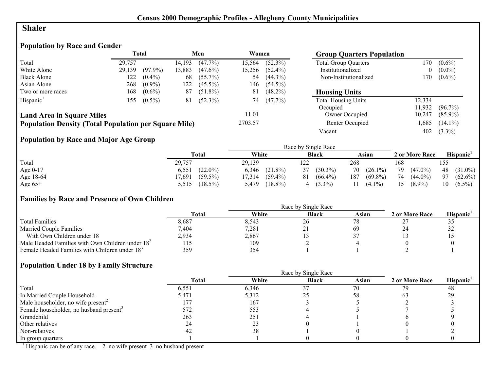## **Shaler**

# **Population by Race and Gender**

|                                                              |        | <b>Total</b> |        | Men        | Women   |            | <b>Group Quarters Population</b> |        |            |
|--------------------------------------------------------------|--------|--------------|--------|------------|---------|------------|----------------------------------|--------|------------|
| Total                                                        | 29.757 |              | 14,193 | $(47.7\%)$ | 15,564  | $(52.3\%)$ | <b>Total Group Quarters</b>      | l 70   | $(0.6\%)$  |
| White Alone                                                  | 29,139 | $(97.9\%)$   | 13,883 | $(47.6\%)$ | 15,256  | $(52.4\%)$ | Institutionalized                |        | $(0.0\%)$  |
| <b>Black Alone</b>                                           | 122    | $(0.4\%)$    | 68     | $(55.7\%)$ | 54      | $(44.3\%)$ | Non-Institutionalized            | 170    | $(0.6\%)$  |
| Asian Alone                                                  | 268    | $(0.9\%)$    | 122    | $(45.5\%)$ | 146     | $(54.5\%)$ |                                  |        |            |
| Two or more races                                            | 168    | $(0.6\%)$    | 87     | $(51.8\%)$ | 81      | $(48.2\%)$ | <b>Housing Units</b>             |        |            |
| Hispanic <sup>1</sup>                                        | 155    | $(0.5\%)$    | 81     | $(52.3\%)$ | 74      | $(47.7\%)$ | <b>Total Housing Units</b>       | 12.334 |            |
|                                                              |        |              |        |            |         |            | Occupied                         | 11.932 | $(96.7\%)$ |
| <b>Land Area in Square Miles</b>                             |        |              |        |            | 11.01   |            | Owner Occupied                   | 10,247 | $(85.9\%)$ |
| <b>Population Density (Total Population per Square Mile)</b> |        |              |        |            | 2703.57 |            | Renter Occupied                  | .685   | $(14.1\%)$ |
|                                                              |        |              |        |            |         |            | Vacant                           | 402    | $(3.3\%)$  |

## **Population by Race and Major Age Group**

|            |                      |                      | Race by Single Race |                   |                  |                  |
|------------|----------------------|----------------------|---------------------|-------------------|------------------|------------------|
|            | Total                | White                | <b>Black</b>        | Asian             | 2 or More Race   | <b>Hispanic</b>  |
| Total      | 29,757               | 29.139               | 122                 | 268               | 168              | 155              |
| Age $0-17$ | $(22.0\%)$<br>6,551  | $(21.8\%)$<br>6.346  | $(30.3\%)$<br>37    | $70(26.1\%)$      | 79<br>$(47.0\%)$ | 48 (31.0%)       |
| Age 18-64  | $(59.5\%)$<br>17,691 | $(59.4\%)$<br>17,314 | $(66.4\%)$<br>81    | 187<br>$(69.8\%)$ | 74<br>$(44.0\%)$ | 97<br>$(62.6\%)$ |
| Age $65+$  | $(18.5\%)$<br>5,515  | $(18.8\%)$<br>5,479  | $(3.3\%)$           | $(4.1\%)$         | $(8.9\%)$<br>15  | $(6.5\%)$<br>10  |

#### **Families by Race and Presence of Own Children**

|                                                            | <b>Total</b> | White | <b>Black</b>             | Asian | 2 or More Race | Hispanic <sup>'</sup> |
|------------------------------------------------------------|--------------|-------|--------------------------|-------|----------------|-----------------------|
| <b>Total Families</b>                                      | 8,687        | 8.543 | 26                       |       |                | ں ر                   |
| <b>Married Couple Families</b>                             | 7,404        | 7,281 | $\overline{\phantom{a}}$ | 69    |                | ے ر                   |
| With Own Children under 18                                 | 2,934        | 2,867 |                          |       |                |                       |
| Male Headed Families with Own Children under $182$         | LI5          | 109   |                          |       |                |                       |
| Female Headed Families with Children under 18 <sup>3</sup> | 359          | 354   |                          |       |                |                       |

## **Population Under 18 by Family Structure**

|                                                     |              | Race by Single Race |              |       |                |                       |
|-----------------------------------------------------|--------------|---------------------|--------------|-------|----------------|-----------------------|
|                                                     | <b>Total</b> | White               | <b>Black</b> | Asian | 2 or More Race | Hispanic <sup>1</sup> |
| Total                                               | 6,551        | 6,346               | 37           | 70    | 79             | -48                   |
| In Married Couple Household                         | 5,471        | 5,312               |              | 58    | 63             | 29                    |
| Male householder, no wife present <sup>2</sup>      | 177          | 167                 |              |       |                |                       |
| Female householder, no husband present <sup>3</sup> | 572          | 553                 |              |       |                |                       |
| Grandchild                                          | 263          | 251                 |              |       |                |                       |
| Other relatives                                     |              | 23                  |              |       |                |                       |
| Non-relatives                                       |              | 38                  |              |       |                |                       |
| In group quarters                                   |              |                     |              |       |                |                       |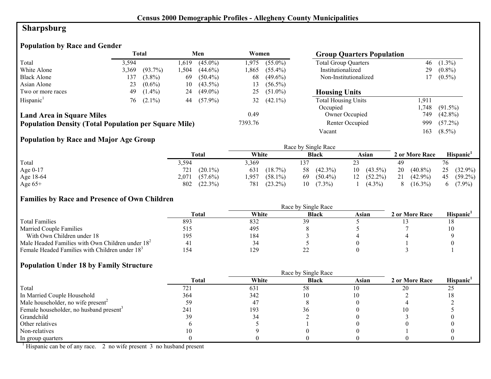# **Sharpsburg**

# **Population by Race and Gender**

|                                                              |       | Total          |      | Men        | Women   |            | <b>Group Quarters Population</b> |       |            |
|--------------------------------------------------------------|-------|----------------|------|------------|---------|------------|----------------------------------|-------|------------|
| Total                                                        | 3,594 |                | .619 | $(45.0\%)$ | 1.975   | $(55.0\%)$ | <b>Total Group Quarters</b>      | 46    | $(1.3\%)$  |
| White Alone                                                  | 3,369 | $(93.7\%)$     | .504 | $(44.6\%)$ | 1.865   | $(55.4\%)$ | Institutionalized                | 29    | $(0.8\%)$  |
| <b>Black Alone</b>                                           | 137   | $(3.8\%)$      | 69   | $(50.4\%)$ | 68      | $(49.6\%)$ | Non-Institutionalized            |       | $(0.5\%)$  |
| Asian Alone                                                  | 23    | $(0.6\%)$      | 10   | $(43.5\%)$ | 13      | $(56.5\%)$ |                                  |       |            |
| Two or more races                                            | 49    | $(1.4\%)$      | 24   | $(49.0\%)$ | 25      | $(51.0\%)$ | <b>Housing Units</b>             |       |            |
| Hispanic <sup>1</sup>                                        |       | $76$ $(2.1\%)$ | 44   | $(57.9\%)$ | 32      | $(42.1\%)$ | <b>Total Housing Units</b>       | 1,911 |            |
|                                                              |       |                |      |            |         |            | Occupied                         | .748  | $(91.5\%)$ |
| <b>Land Area in Square Miles</b>                             |       |                |      |            | 0.49    |            | Owner Occupied                   | 749   | $(42.8\%)$ |
| <b>Population Density (Total Population per Square Mile)</b> |       |                |      |            | 7393.76 |            | Renter Occupied                  | 999   | $(57.2\%)$ |
|                                                              |       |                |      |            |         |            | Vacant                           | 163   | $(8.5\%)$  |

# **Population by Race and Major Age Group**

|           |                     | Race by Single Race |                  |                  |                  |                  |  |  |
|-----------|---------------------|---------------------|------------------|------------------|------------------|------------------|--|--|
|           | Total               | White               | <b>Black</b>     | Asian            | 2 or More Race   | <b>Hispanic</b>  |  |  |
| Total     | 5,594               | 3,369               |                  |                  | 49               | 76               |  |  |
| Age 0-17  | $(20.1\%)$<br>721   | 631<br>$(18.7\%)$   | $(42.3\%)$<br>58 | $(43.5\%)$<br>10 | 20<br>$(40.8\%)$ | 25<br>$(32.9\%)$ |  |  |
| Age 18-64 | 2,071<br>$(57.6\%)$ | ,957<br>$(58.1\%)$  | 69<br>$(50.4\%)$ | $(52.2\%)$<br>12 | 21<br>$(42.9\%)$ | $(59.2\%)$<br>45 |  |  |
| Age $65+$ | $(22.3\%)$<br>802   | $(23.2\%)$<br>781   | $(7.3\%)$<br>10  | $(4.3\%)$        | $(16.3\%)$<br>8  | $(7.9\%)$        |  |  |

## **Families by Race and Presence of Own Children**

|                                                            | Race by Single Race |       |              |       |                |                       |  |
|------------------------------------------------------------|---------------------|-------|--------------|-------|----------------|-----------------------|--|
|                                                            | <b>Total</b>        | White | <b>Black</b> | Asian | 2 or More Race | Hispanic <sup>'</sup> |  |
| <b>Total Families</b>                                      | 893                 | 832   | 30           |       |                |                       |  |
| <b>Married Couple Families</b>                             |                     | 495   |              |       |                |                       |  |
| With Own Children under 18                                 | 195                 | 184   |              |       |                |                       |  |
| Male Headed Families with Own Children under $182$         |                     | 34    |              |       |                |                       |  |
| Female Headed Families with Children under 18 <sup>3</sup> | 154                 | 129   |              |       |                |                       |  |

## **Population Under 18 by Family Structure**

|                                                     | <b>Total</b> | White       | <b>Black</b> | Asian | 2 or More Race | Hispanic <sup>1</sup> |
|-----------------------------------------------------|--------------|-------------|--------------|-------|----------------|-----------------------|
| Total                                               | 721          | 631         | 58           | 10    | 20             | 25                    |
| In Married Couple Household                         | 364          | 342         | 10           |       |                |                       |
| Male householder, no wife present <sup>2</sup>      |              | $4^{\circ}$ |              |       |                |                       |
| Female householder, no husband present <sup>3</sup> | 241          | 193         | 36           |       |                |                       |
| Grandchild                                          | 39           |             |              |       |                |                       |
| Other relatives                                     |              |             |              |       |                |                       |
| Non-relatives                                       |              |             |              |       |                |                       |
| In group quarters                                   |              |             |              |       |                |                       |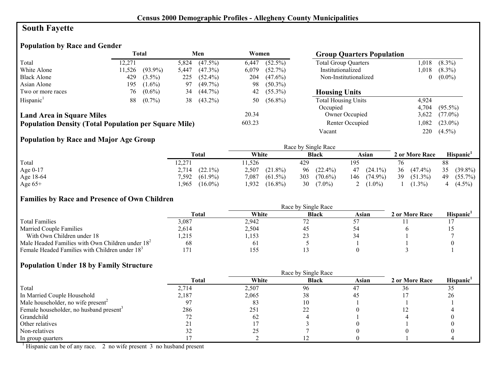# **South Fayette**

# **Population by Race and Gender**

|                                                              |        | <b>Total</b> |       | Men        | Women  |            | <b>Group Quarters Population</b> |       |            |
|--------------------------------------------------------------|--------|--------------|-------|------------|--------|------------|----------------------------------|-------|------------|
| Total                                                        | 12.271 |              | 5,824 | $(47.5\%)$ | 6,447  | $(52.5\%)$ | <b>Total Group Quarters</b>      | .018  | $(8.3\%)$  |
| White Alone                                                  | 11,526 | $(93.9\%)$   | 5,447 | $(47.3\%)$ | 6,079  | $(52.7\%)$ | Institutionalized                | .018  | $(8.3\%)$  |
| <b>Black Alone</b>                                           | 429    | $(3.5\%)$    | 225   | $(52.4\%)$ | 204    | $(47.6\%)$ | Non-Institutionalized            |       | $(0.0\%)$  |
| Asian Alone                                                  | 195    | $(1.6\%)$    | 97    | $(49.7\%)$ | 98     | $(50.3\%)$ |                                  |       |            |
| Two or more races                                            | 76     | $(0.6\%)$    | 34    | $(44.7\%)$ | 42     | $(55.3\%)$ | <b>Housing Units</b>             |       |            |
| Hispanic <sup>1</sup>                                        | 88     | $(0.7\%)$    | 38    | $(43.2\%)$ | 50     | $(56.8\%)$ | <b>Total Housing Units</b>       | 4.924 |            |
|                                                              |        |              |       |            |        |            | Occupied                         | 4.704 | $(95.5\%)$ |
| <b>Land Area in Square Miles</b>                             |        |              |       |            | 20.34  |            | Owner Occupied                   | 3,622 | $(77.0\%)$ |
| <b>Population Density (Total Population per Square Mile)</b> |        |              |       |            | 603.23 |            | Renter Occupied                  | .082  | $(23.0\%)$ |
|                                                              |        |              |       |            |        |            | Vacant                           | 220   | $(4.5\%)$  |

## **Population by Race and Major Age Group**

|            |                     | Race by Single Race |                   |              |                  |                  |  |  |
|------------|---------------------|---------------------|-------------------|--------------|------------------|------------------|--|--|
|            | Total               | White               | <b>Black</b>      | Asian        | 2 or More Race   | <b>Hispanic</b>  |  |  |
| Total      | 12,271              | 1,526               | 429               | 195          |                  | 88               |  |  |
| Age $0-17$ | $(22.1\%)$<br>2,714 | 2,507<br>$(21.8\%)$ | 96 (22.4%)        | $47(24.1\%)$ | 36<br>$(47.4\%)$ | 35<br>$(39.8\%)$ |  |  |
| Age 18-64  | 7,592<br>$(61.9\%)$ | 7,087<br>$(61.5\%)$ | 303<br>$(70.6\%)$ | 146 (74.9%)  | 39<br>$(51.3\%)$ | $(55.7\%)$<br>49 |  |  |
| Age $65+$  | $(16.0\%)$<br>965   | 1,932<br>$(16.8\%)$ | 30<br>$(7.0\%)$   | $(1.0\%)$    | $(1.3\%)$        | $(4.5\%)$<br>4   |  |  |

#### **Families by Race and Presence of Own Children**

|                                                            | <b>Total</b> | White          | <b>Black</b> | Asian | 2 or More Race | Hispanic <sup>'</sup> |
|------------------------------------------------------------|--------------|----------------|--------------|-------|----------------|-----------------------|
| <b>Total Families</b>                                      | 3.087        | 2,942          |              |       |                |                       |
| <b>Married Couple Families</b>                             | 2,614        | 2,504          |              |       |                |                       |
| With Own Children under 18                                 | .215         | ,153           | ت سے         |       |                |                       |
| Male Headed Families with Own Children under $182$         | 68           | 0 <sub>1</sub> |              |       |                |                       |
| Female Headed Families with Children under 18 <sup>3</sup> |              | 155            |              |       |                |                       |

#### **Population Under 18 by Family Structure**

|                                                     |       | Race by Single Race |              |       |                |                       |
|-----------------------------------------------------|-------|---------------------|--------------|-------|----------------|-----------------------|
|                                                     | Total | White               | <b>Black</b> | Asian | 2 or More Race | Hispanic <sup>1</sup> |
| Total                                               | 2,714 | 2,507               | 96           | 47    | 36             | 35                    |
| In Married Couple Household                         | 2,187 | 2,065               | 38           | 45    |                | 26                    |
| Male householder, no wife present <sup>2</sup>      |       | 83                  | 10           |       |                |                       |
| Female householder, no husband present <sup>3</sup> | 286   | 251                 |              |       | └              |                       |
| Grandchild                                          |       | 62                  |              |       |                |                       |
| Other relatives                                     |       |                     |              |       |                |                       |
| Non-relatives                                       |       | 25                  |              |       |                |                       |
| In group quarters                                   |       |                     |              |       |                |                       |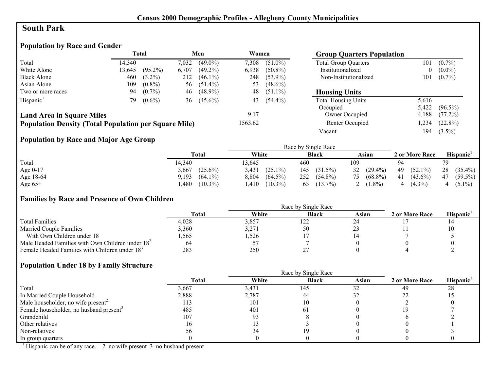## **South Park**

## **Population by Race and Gender**

|                                                              |        | Total      |       | Men           | Women   |            | <b>Group Quarters Population</b> |       |            |
|--------------------------------------------------------------|--------|------------|-------|---------------|---------|------------|----------------------------------|-------|------------|
| Total                                                        | 14.340 |            | 7,032 | $(49.0\%)$    | 7,308   | $(51.0\%)$ | <b>Total Group Quarters</b>      | 101   | $(0.7\%)$  |
| White Alone                                                  | 13,645 | $(95.2\%)$ | 6,707 | $(49.2\%)$    | 6,938   | $(50.8\%)$ | Institutionalized                | 0     | $(0.0\%)$  |
| <b>Black Alone</b>                                           | 460    | $(3.2\%)$  | 212   | $(46.1\%)$    | 248     | $(53.9\%)$ | Non-Institutionalized            | 101   | $(0.7\%)$  |
| Asian Alone                                                  | 109    | $(0.8\%)$  | 56    | $(51.4\%)$    | 53      | $(48.6\%)$ |                                  |       |            |
| Two or more races                                            | 94     | $(0.7\%)$  | 46    | $(48.9\%)$    | 48      | $(51.1\%)$ | <b>Housing Units</b>             |       |            |
| Hispanic <sup>1</sup>                                        | 79.    | $(0.6\%)$  |       | 36 $(45.6\%)$ | 43      | $(54.4\%)$ | <b>Total Housing Units</b>       | 5,616 |            |
|                                                              |        |            |       |               |         |            | Occupied                         | 5,422 | $(96.5\%)$ |
| <b>Land Area in Square Miles</b>                             |        |            |       |               | 9.17    |            | Owner Occupied                   | 4,188 | $(77.2\%)$ |
| <b>Population Density (Total Population per Square Mile)</b> |        |            |       |               | 1563.62 |            | Renter Occupied                  | ,234  | $(22.8\%)$ |
|                                                              |        |            |       |               |         |            | Vacant                           | 194   | $(3.5\%)$  |

## **Population by Race and Major Age Group**

|           |                     |                     | Race by Single Race |              |                  |                  |
|-----------|---------------------|---------------------|---------------------|--------------|------------------|------------------|
|           | Total               | White               | <b>Black</b>        | Asian        | 2 or More Race   | Hispanic'        |
| Total     | 14,340              | 3.645               | 460                 | 109          | 94               | 79               |
| Age 0-17  | $(25.6\%)$<br>3,667 | 3,431<br>$(25.1\%)$ | $(31.5\%)$<br>145   | $32(29.4\%)$ | $(52.1\%)$<br>49 | 28<br>$(35.4\%)$ |
| Age 18-64 | $(64.1\%)$<br>9,193 | 8,804<br>$(64.5\%)$ | 252<br>$(54.8\%)$   | 75 (68.8%)   | 41<br>$(43.6\%)$ | $(59.5\%)$<br>47 |
| Age $65+$ | $(10.3\%)$<br>.480  | $(10.3\%)$<br>.410  | $(13.7\%)$<br>63    | $(1.8\%)$    | $(4.3\%)$        | $(5.1\%)$<br>4   |

#### **Families by Race and Presence of Own Children**

|                                                            | Race by Single Race |       |              |       |                |                       |  |  |
|------------------------------------------------------------|---------------------|-------|--------------|-------|----------------|-----------------------|--|--|
|                                                            | <b>Total</b>        | White | <b>Black</b> | Asian | 2 or More Race | Hispanic <sup>'</sup> |  |  |
| <b>Total Families</b>                                      | 4,028               | 3,857 | 122          |       |                |                       |  |  |
| <b>Married Couple Families</b>                             | 3,360               | 3,271 | 50           |       |                |                       |  |  |
| With Own Children under 18                                 | .565                | .526  |              |       |                |                       |  |  |
| Male Headed Families with Own Children under $182$         | 64                  |       |              |       |                |                       |  |  |
| Female Headed Families with Children under 18 <sup>3</sup> | 283                 | 250   |              |       |                |                       |  |  |

#### **Population Under 18 by Family Structure**

|                                                     |       |       | Race by Single Race |           |                |                       |
|-----------------------------------------------------|-------|-------|---------------------|-----------|----------------|-----------------------|
|                                                     | Total | White | <b>Black</b>        | Asian     | 2 or More Race | Hispanic <sup>1</sup> |
| Total                                               | 3,667 | 3,431 | 145                 | 37<br>ے ر | 49             | 28                    |
| In Married Couple Household                         | 2,888 | 2,787 | 44                  |           |                |                       |
| Male householder, no wife present <sup>2</sup>      | 113   | 101   |                     |           |                |                       |
| Female householder, no husband present <sup>3</sup> | 485   | 401   | 0 I                 |           |                |                       |
| Grandchild                                          | 107   | 93    |                     |           |                |                       |
| Other relatives                                     | 16    |       |                     |           |                |                       |
| Non-relatives                                       | 56    | 34    |                     |           |                |                       |
| In group quarters                                   |       |       |                     |           |                |                       |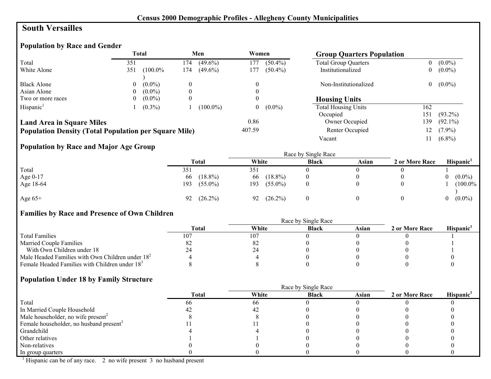#### **South Versailles**

## **Population by Race and Gender**

|                                                              |     | <b>Total</b> |                  | Men         | Women  |            | <b>Group Quarters Population</b> |                |            |
|--------------------------------------------------------------|-----|--------------|------------------|-------------|--------|------------|----------------------------------|----------------|------------|
| Total                                                        | 351 |              | 174              | $(49.6\%)$  | 177    | $(50.4\%)$ | <b>Total Group Quarters</b>      | 0              | $(0.0\%)$  |
| White Alone                                                  | 351 | $(100.0\%$   | 174              | $(49.6\%)$  | 177    | $(50.4\%)$ | Institutionalized                | $\overline{0}$ | $(0.0\%)$  |
| <b>Black Alone</b>                                           | 0   | $(0.0\%)$    | $\left($         |             |        |            | Non-Institutionalized            | $\overline{0}$ | $(0.0\%)$  |
| Asian Alone                                                  | 0   | $(0.0\%)$    |                  |             |        |            |                                  |                |            |
| Two or more races                                            | 0   | $(0.0\%)$    | $\boldsymbol{0}$ |             |        |            | <b>Housing Units</b>             |                |            |
| Hispanic <sup>1</sup>                                        |     | $(0.3\%)$    |                  | $(100.0\%)$ |        | $(0.0\%)$  | <b>Total Housing Units</b>       | 162            |            |
|                                                              |     |              |                  |             |        |            | Occupied                         | 151            | $(93.2\%)$ |
| <b>Land Area in Square Miles</b>                             |     |              |                  |             | 0.86   |            | Owner Occupied                   | 139            | $(92.1\%)$ |
| <b>Population Density (Total Population per Square Mile)</b> |     |              |                  |             | 407.59 |            | Renter Occupied                  |                | $(7.9\%)$  |
|                                                              |     |              |                  |             |        |            | Vacant                           |                | $(6.8\%)$  |

#### **Population by Race and Major Age Group**

|           |     | Race by Single Race |       |            |              |       |                |          |            |  |
|-----------|-----|---------------------|-------|------------|--------------|-------|----------------|----------|------------|--|
|           |     | <b>Total</b>        | White |            | <b>Black</b> | Asian | 2 or More Race |          | Hispanic   |  |
| Total     | 351 |                     | 351   |            |              |       |                |          |            |  |
| Age 0-17  | 66  | $(18.8\%)$          | 66    | $(18.8\%)$ |              |       |                |          | $(0.0\%)$  |  |
| Age 18-64 | 193 | $(55.0\%)$          | 193   | $(55.0\%)$ |              |       |                |          | $(100.0\%$ |  |
| Age $65+$ | 92  | $(26.2\%)$          | 92    | $(26.2\%)$ |              |       |                | $\theta$ | $(0.0\%)$  |  |

## **Families by Race and Presence of Own Children**

|                                                            | Total | White | <b>Black</b> | Asian | 2 or More Race | <b>Hispanic</b> |
|------------------------------------------------------------|-------|-------|--------------|-------|----------------|-----------------|
| <b>Total Families</b>                                      | 107   | 107   |              |       |                |                 |
| <b>Married Couple Families</b>                             | 82    | -82   |              |       |                |                 |
| With Own Children under 18                                 | 24    | 24    |              |       |                |                 |
| Male Headed Families with Own Children under $182$         |       |       |              |       |                |                 |
| Female Headed Families with Children under 18 <sup>3</sup> |       |       |              |       |                |                 |

#### **Population Under 18 by Family Structure**

|                                                     |              | Race by Single Race |              |       |                |                       |
|-----------------------------------------------------|--------------|---------------------|--------------|-------|----------------|-----------------------|
|                                                     | <b>Total</b> | White               | <b>Black</b> | Asian | 2 or More Race | Hispanic <sup>1</sup> |
| Total                                               | 66           | 66                  |              |       |                |                       |
| In Married Couple Household                         |              |                     |              |       |                |                       |
| Male householder, no wife present <sup>2</sup>      |              |                     |              |       |                |                       |
| Female householder, no husband present <sup>3</sup> |              |                     |              |       |                |                       |
| Grandchild                                          |              |                     |              |       |                |                       |
| Other relatives                                     |              |                     |              |       |                |                       |
| Non-relatives                                       |              |                     |              |       |                |                       |
| In group quarters                                   |              |                     |              |       |                |                       |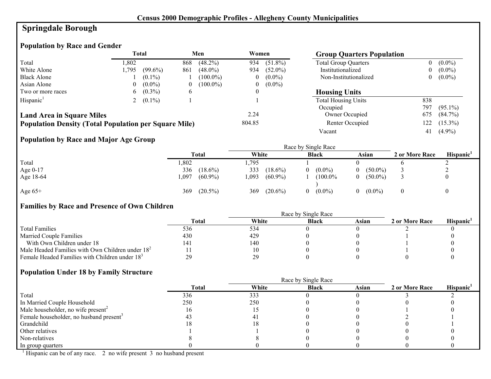## **Springdale Borough**

## **Population by Race and Gender**

|                                                              |       | <b>Total</b> |               | Men         | Women  |            | <b>Group Quarters Population</b> |     |            |
|--------------------------------------------------------------|-------|--------------|---------------|-------------|--------|------------|----------------------------------|-----|------------|
| Total                                                        | .802  |              | 868           | $(48.2\%)$  | 934    | $(51.8\%)$ | <b>Total Group Quarters</b>      | 0   | $(0.0\%)$  |
| White Alone                                                  | 1.795 | $(99.6\%)$   | 861           | $(48.0\%)$  | 934    | $(52.0\%)$ | Institutionalized                | 0   | $(0.0\%)$  |
| <b>Black Alone</b>                                           |       | $(0.1\%)$    |               | $(100.0\%)$ | 0      | $(0.0\%)$  | Non-Institutionalized            | 0   | $(0.0\%)$  |
| Asian Alone                                                  | 0     | $(0.0\%)$    |               | $(100.0\%)$ | 0      | $(0.0\%)$  |                                  |     |            |
| Two or more races                                            | 6     | $(0.3\%)$    | $\mathfrak b$ |             | 0      |            | <b>Housing Units</b>             |     |            |
| Hispanic <sup>1</sup>                                        |       | $(0.1\%)$    |               |             |        |            | <b>Total Housing Units</b>       | 838 |            |
|                                                              |       |              |               |             |        |            | Occupied                         | 797 | $(95.1\%)$ |
| <b>Land Area in Square Miles</b>                             |       |              |               |             | 2.24   |            | Owner Occupied                   | 675 | $(84.7\%)$ |
| <b>Population Density (Total Population per Square Mile)</b> |       |              |               |             | 804.85 |            | Renter Occupied                  | 122 | $(15.3\%)$ |
|                                                              |       |              |               |             |        |            | Vacant                           | 41  | $(4.9\%)$  |

## **Population by Race and Major Age Group**

|           |                    |                    | Race by Single Race |                 |                |           |
|-----------|--------------------|--------------------|---------------------|-----------------|----------------|-----------|
|           | Total              | White              | <b>Black</b>        | Asian           | 2 or More Race | Hispanic' |
| Total     | ,802               | .795               |                     |                 |                |           |
| Age 0-17  | 336<br>$(18.6\%)$  | 333<br>$(18.6\%)$  | $(0.0\%)$<br>0      | $(50.0\%)$      |                | ∠         |
| Age 18-64 | ,097<br>$(60.9\%)$ | ,093<br>$(60.9\%)$ | (100.0%             | $(50.0\%)$<br>0 |                |           |
| Age $65+$ | $(20.5\%)$<br>369  | $(20.6\%)$<br>369  | $(0.0\%)$<br>0      | $(0.0\%)$       |                |           |

## **Families by Race and Presence of Own Children**

|                                                            | <b>Total</b> | White | <b>Black</b> | Asian | 2 or More Race | <b>Hispanic</b> |
|------------------------------------------------------------|--------------|-------|--------------|-------|----------------|-----------------|
| <b>Total Families</b>                                      | 536          | 534   |              |       |                |                 |
| <b>Married Couple Families</b>                             | 430          | 429   |              |       |                |                 |
| With Own Children under 18                                 | 141          | 140   |              |       |                |                 |
| Male Headed Families with Own Children under $182$         |              | 10    |              |       |                |                 |
| Female Headed Families with Children under 18 <sup>3</sup> | 29           | 29    |              |       |                |                 |

## **Population Under 18 by Family Structure**

|                                                     |              |       | Race by Single Race |       |                |                       |
|-----------------------------------------------------|--------------|-------|---------------------|-------|----------------|-----------------------|
|                                                     | <b>Total</b> | White | <b>Black</b>        | Asian | 2 or More Race | Hispanic <sup>1</sup> |
| Total                                               | 336          | 333   |                     |       |                |                       |
| In Married Couple Household                         | 250          | 250   |                     |       |                |                       |
| Male householder, no wife present <sup>2</sup>      |              |       |                     |       |                |                       |
| Female householder, no husband present <sup>3</sup> |              |       |                     |       |                |                       |
| Grandchild                                          |              |       |                     |       |                |                       |
| Other relatives                                     |              |       |                     |       |                |                       |
| Non-relatives                                       |              |       |                     |       |                |                       |
| In group quarters                                   |              |       |                     |       |                |                       |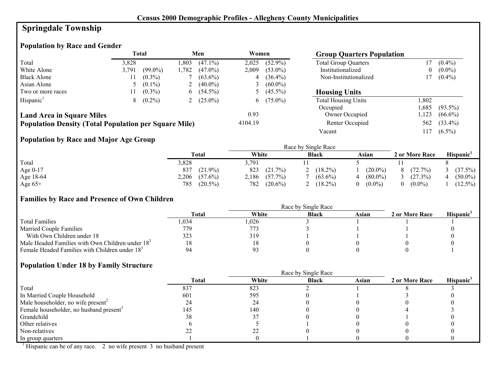# **Springdale Township**

## **Population by Race and Gender**

|                                                              |       | Total      |      | Men          | Women   |              | <b>Group Quarters Population</b> |          |            |
|--------------------------------------------------------------|-------|------------|------|--------------|---------|--------------|----------------------------------|----------|------------|
| Total                                                        | 3,828 |            | .803 | $(47.1\%)$   | 2,025   | $(52.9\%)$   | <b>Total Group Quarters</b>      |          | $(0.4\%)$  |
| White Alone                                                  | 3.791 | $(99.0\%)$ | .782 | $(47.0\%)$   | 2,009   | $(53.0\%)$   | Institutionalized                | $\theta$ | $(0.0\%)$  |
| <b>Black Alone</b>                                           |       | $(0.3\%)$  |      | $(63.6\%)$   |         | $(36.4\%)$   | Non-Institutionalized            |          | $(0.4\%)$  |
| Asian Alone                                                  |       | $(0.1\%)$  | ∠    | $(40.0\%)$   | Ć       | $(60.0\%)$   |                                  |          |            |
| Two or more races                                            |       | $(0.3\%)$  |      | $6(54.5\%)$  |         | 5 $(45.5\%)$ | <b>Housing Units</b>             |          |            |
| Hispanic <sup>1</sup>                                        | 8     | $(0.2\%)$  |      | 2 $(25.0\%)$ |         | 6 $(75.0\%)$ | <b>Total Housing Units</b>       | 1.802    |            |
|                                                              |       |            |      |              |         |              | Occupied                         | .685     | $(93.5\%)$ |
| <b>Land Area in Square Miles</b>                             |       |            |      |              | 0.93    |              | Owner Occupied                   | ,123     | $(66.6\%)$ |
| <b>Population Density (Total Population per Square Mile)</b> |       |            |      |              | 4104.19 |              | Renter Occupied                  | 562      | $(33.4\%)$ |
|                                                              |       |            |      |              |         |              | Vacant                           | 117      | $(6.5\%)$  |

## **Population by Race and Major Age Group**

|           |                     | Race by Single Race |              |            |                |            |  |
|-----------|---------------------|---------------------|--------------|------------|----------------|------------|--|
|           | Total               | White               | <b>Black</b> | Asian      | 2 or More Race | Hispanic'  |  |
| Total     | 3,828               | 3,791               |              |            |                |            |  |
| Age 0-17  | $(21.9\%)$<br>837   | 823<br>$(21.7\%)$   | $(18.2\%)$   | $(20.0\%)$ | (72.7%)        | (37.5%)    |  |
| Age 18-64 | 2,206<br>$(57.6\%)$ | $(57.7\%)$<br>2,186 | $(63.6\%)$   | $(80.0\%)$ | (27.3%)        | $(50.0\%)$ |  |
| Age $65+$ | 785<br>$(20.5\%)$   | 782<br>$(20.6\%)$   | $(18.2\%)$   | $(0.0\%)$  | $(0.0\%)$      | $(12.5\%)$ |  |

#### **Families by Race and Presence of Own Children**

|                                                            | <b>Total</b> | White | <b>Black</b> | Asian | 2 or More Race | <b>Hispanic</b> |
|------------------------------------------------------------|--------------|-------|--------------|-------|----------------|-----------------|
| <b>Total Families</b>                                      | .034         | .026  |              |       |                |                 |
| <b>Married Couple Families</b>                             | 779          | 773   |              |       |                |                 |
| With Own Children under 18                                 | 323          | 319   |              |       |                |                 |
| Male Headed Families with Own Children under $182$         |              |       |              |       |                |                 |
| Female Headed Families with Children under 18 <sup>3</sup> | 94           | Q2    |              |       |                |                 |

#### **Population Under 18 by Family Structure**

|                                                     | Race by Single Race |       |              |       |                |                       |  |
|-----------------------------------------------------|---------------------|-------|--------------|-------|----------------|-----------------------|--|
|                                                     | <b>Total</b>        | White | <b>Black</b> | Asian | 2 or More Race | Hispanic <sup>1</sup> |  |
| Total                                               | 837                 | 823   |              |       |                |                       |  |
| In Married Couple Household                         | 601                 | 595   |              |       |                |                       |  |
| Male householder, no wife present <sup>2</sup>      | 24                  | 24    |              |       |                |                       |  |
| Female householder, no husband present <sup>3</sup> | 145                 | 140   |              |       |                |                       |  |
| Grandchild                                          | 38                  |       |              |       |                |                       |  |
| Other relatives                                     |                     |       |              |       |                |                       |  |
| Non-relatives                                       |                     |       |              |       |                |                       |  |
| In group quarters                                   |                     |       |              |       |                |                       |  |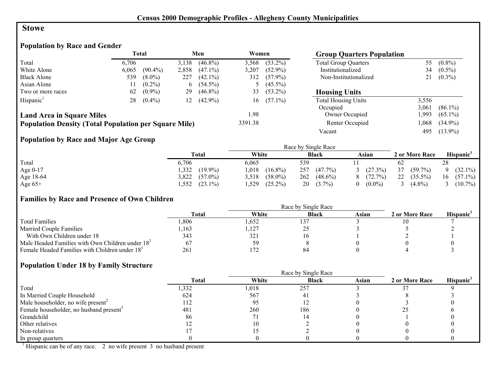#### **Stowe**

## **Population by Race and Gender**

|                                                              |       | <b>Total</b> |          | Men        | Women   |            | <b>Group Quarters Population</b> |       |            |
|--------------------------------------------------------------|-------|--------------|----------|------------|---------|------------|----------------------------------|-------|------------|
| Total                                                        | 6.706 |              | 3,138    | $(46.8\%)$ | 3.568   | $(53.2\%)$ | <b>Total Group Quarters</b>      | 55    | $(0.8\%)$  |
| White Alone                                                  | 6,065 | $(90.4\%)$   | 2,858    | $(47.1\%)$ | 3,207   | $(52.9\%)$ | Institutionalized                | 34    | $(0.5\%)$  |
| <b>Black Alone</b>                                           | 539   | $(8.0\%)$    | 227      | $(42.1\%)$ | 312     | $(57.9\%)$ | Non-Institutionalized            | 21    | $(0.3\%)$  |
| Asian Alone                                                  |       | $(0.2\%)$    | $\sigma$ | $(54.5\%)$ |         | $(45.5\%)$ |                                  |       |            |
| Two or more races                                            | 62    | $(0.9\%)$    | 29       | $(46.8\%)$ | 33      | $(53.2\%)$ | <b>Housing Units</b>             |       |            |
| Hispanic <sup>1</sup>                                        | 28    | $(0.4\%)$    | 12       | $(42.9\%)$ | 16      | $(57.1\%)$ | <b>Total Housing Units</b>       | 3,556 |            |
|                                                              |       |              |          |            |         |            | Occupied                         | 3.061 | $(86.1\%)$ |
| <b>Land Area in Square Miles</b>                             |       |              |          |            | 1.98    |            | Owner Occupied                   | .993  | $(65.1\%)$ |
| <b>Population Density (Total Population per Square Mile)</b> |       |              |          |            | 3391.38 |            | Renter Occupied                  | ,068  | $(34.9\%)$ |
|                                                              |       |              |          |            |         |            | Vacant                           | 495   | $(13.9\%)$ |

## **Population by Race and Major Age Group**

|            |                     |                     | Race by Single Race |                |                  |                       |
|------------|---------------------|---------------------|---------------------|----------------|------------------|-----------------------|
|            | Total               | White               | <b>Black</b>        | Asian          | 2 or More Race   | Hispanic <sup>'</sup> |
| Total      | 6.706               | 6.065               | 539                 |                | 62               | 28                    |
| Age $0-17$ | $(19.9\%)$<br>332   | $(16.8\%)$<br>1,018 | $(47.7\%)$<br>257   | 3 $(27.3\%)$   | 37<br>$(59.7\%)$ | $(32.1\%)$            |
| Age 18-64  | 3,822<br>$(57.0\%)$ | $(58.0\%)$<br>3.518 | 262<br>$(48.6\%)$   | $8(72.7\%)$    | 22<br>$(35.5\%)$ | $(57.1\%)$<br>16      |
| Age $65+$  | $(23.1\%)$<br>.552  | .529<br>$(25.2\%)$  | 20<br>$(3.7\%)$     | $(0.0\%)$<br>0 | $(4.8\%)$        | 3 $(10.7\%)$          |

#### **Families by Race and Presence of Own Children**

|                                                            | <b>Total</b> | White       | <b>Black</b> | Asian | 2 or More Race | Hispanic <sup>'</sup> |
|------------------------------------------------------------|--------------|-------------|--------------|-------|----------------|-----------------------|
| <b>Total Families</b>                                      | .806         | .652        | 31ء          |       |                |                       |
| <b>Married Couple Families</b>                             | ,163         | ,127        | ∼            |       |                |                       |
| With Own Children under 18                                 | 343          | 321         | 1 O          |       |                |                       |
| Male Headed Families with Own Children under $182$         | 67           | 59          |              |       |                |                       |
| Female Headed Families with Children under 18 <sup>3</sup> | 261          | 1.77<br>172 | 84           |       |                |                       |

#### **Population Under 18 by Family Structure**

|                                                     |       |       | Race by Single Race |       |                |                       |
|-----------------------------------------------------|-------|-------|---------------------|-------|----------------|-----------------------|
|                                                     | Total | White | <b>Black</b>        | Asian | 2 or More Race | Hispanic <sup>1</sup> |
| Total                                               | 1,332 | 1,018 | 257                 |       |                |                       |
| In Married Couple Household                         | 624   | 567   | 4                   |       |                |                       |
| Male householder, no wife present <sup>2</sup>      | 112   | 95    |                     |       |                |                       |
| Female householder, no husband present <sup>3</sup> | 481   | 260   | 186                 |       |                |                       |
| Grandchild                                          | 86    |       |                     |       |                |                       |
| Other relatives                                     |       |       |                     |       |                |                       |
| Non-relatives                                       |       |       |                     |       |                |                       |
| In group quarters                                   |       |       |                     |       |                |                       |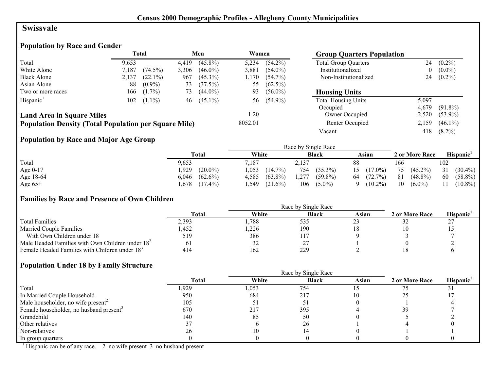#### **Swissvale**

## **Population by Race and Gender**

|                                                              |       | Total      |       | Men        | Women   |            | <b>Group Quarters Population</b> |       |            |
|--------------------------------------------------------------|-------|------------|-------|------------|---------|------------|----------------------------------|-------|------------|
| Total                                                        | 9.653 |            | 4.419 | $(45.8\%)$ | 5,234   | $(54.2\%)$ | <b>Total Group Quarters</b>      | 24    | $(0.2\%)$  |
| White Alone                                                  | 7,187 | $(74.5\%)$ | 3,306 | $(46.0\%)$ | 3.881   | $(54.0\%)$ | Institutionalized                |       | $(0.0\%)$  |
| <b>Black Alone</b>                                           | 2,137 | $(22.1\%)$ | 967   | $(45.3\%)$ | 1.170   | $(54.7\%)$ | Non-Institutionalized            | 24    | $(0.2\%)$  |
| Asian Alone                                                  | 88    | $(0.9\%)$  | 33    | (37.5%)    | 55      | $(62.5\%)$ |                                  |       |            |
| Two or more races                                            | 166   | $(1.7\%)$  | 73    | $(44.0\%)$ | 93      | $(56.0\%)$ | <b>Housing Units</b>             |       |            |
| Hispanic <sup>1</sup>                                        | 102   | $(1.1\%)$  | 46    | $(45.1\%)$ | 56      | $(54.9\%)$ | <b>Total Housing Units</b>       | 5,097 |            |
|                                                              |       |            |       |            |         |            | Occupied                         | 4.679 | $(91.8\%)$ |
| <b>Land Area in Square Miles</b>                             |       |            |       |            | .20     |            | Owner Occupied                   | 2,520 | $(53.9\%)$ |
| <b>Population Density (Total Population per Square Mile)</b> |       |            |       |            | 8052.01 |            | Renter Occupied                  | 2,159 | $(46.1\%)$ |
|                                                              |       |            |       |            |         |            | Vacant                           | 418   | $(8.2\%)$  |

## **Population by Race and Major Age Group**

|           |                     |                     | Race by Single Race |                        |                  |                   |
|-----------|---------------------|---------------------|---------------------|------------------------|------------------|-------------------|
|           | <b>Total</b>        | White               | <b>Black</b>        | Asian                  | 2 or More Race   | Hispanic'         |
| Total     | 9,653               | 7,187               | 2,137               | 88                     | 166              | 102               |
| Age 0-17  | $(20.0\%)$<br>,929  | 1,053<br>$(14.7\%)$ | 754<br>$(35.3\%)$   | $15(17.0\%)$           | $(45.2\%)$<br>75 | 31<br>$(30.4\%)$  |
| Age 18-64 | $(62.6\%)$<br>6,046 | $(63.8\%)$<br>4,585 | $(59.8\%)$<br>1,277 | 64<br>(72.7%)          | 81<br>$(48.8\%)$ | -60<br>$(58.8\%)$ |
| Age $65+$ | $(17.4\%)$<br>.678  | .549<br>$(21.6\%)$  | 106<br>$(5.0\%)$    | $(10.2\%)$<br>$\Omega$ | 10<br>$(6.0\%)$  | $(10.8\%)$<br>11  |

#### **Families by Race and Presence of Own Children**

|                                                            | <b>Total</b> | White | <b>Black</b> | Asian | 2 or More Race | <b>Hispanic</b> |
|------------------------------------------------------------|--------------|-------|--------------|-------|----------------|-----------------|
| <b>Total Families</b>                                      | 2.393        | ,788  | 535          |       | ے ر            |                 |
| <b>Married Couple Families</b>                             | ,452         | ,226  | 190          |       |                |                 |
| With Own Children under 18                                 | 519          | 386   | 117          |       |                |                 |
| Male Headed Families with Own Children under $182$         |              | 32    |              |       |                |                 |
| Female Headed Families with Children under 18 <sup>3</sup> | 414          | 162   | 229          |       |                |                 |

#### **Population Under 18 by Family Structure**

|                                                     |       |       | Race by Single Race |       |                |                       |
|-----------------------------------------------------|-------|-------|---------------------|-------|----------------|-----------------------|
|                                                     | Total | White | <b>Black</b>        | Asian | 2 or More Race | Hispanic <sup>1</sup> |
| Total                                               | .929  | 1,053 | 754                 |       |                |                       |
| In Married Couple Household                         | 950   | 684   | 217                 | 10    |                |                       |
| Male householder, no wife present <sup>2</sup>      | 105   |       |                     |       |                |                       |
| Female householder, no husband present <sup>3</sup> | 670   | 217   | 395                 |       | 39             |                       |
| Grandchild                                          | 140   | 85    | 50                  |       |                |                       |
| Other relatives                                     |       |       | 26                  |       |                |                       |
| Non-relatives                                       | 26    |       |                     |       |                |                       |
| In group quarters                                   |       |       |                     |       |                |                       |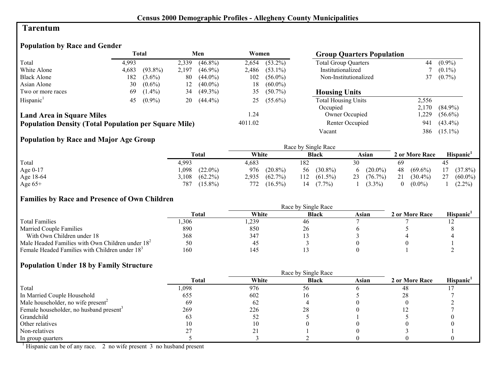#### **Tarentum**

### **Population by Race and Gender**

|                                                              | <b>Total</b> |            |       | Men        | Women   |            | <b>Group Quarters Population</b> |       |            |
|--------------------------------------------------------------|--------------|------------|-------|------------|---------|------------|----------------------------------|-------|------------|
| Total                                                        | 4.993        |            | 2,339 | $(46.8\%)$ | 2.654   | $(53.2\%)$ | <b>Total Group Quarters</b>      | 44    | $(0.9\%)$  |
| White Alone                                                  | 4,683        | $(93.8\%)$ | 2,197 | $(46.9\%)$ | 2,486   | $(53.1\%)$ | Institutionalized                |       | $(0.1\%)$  |
| <b>Black Alone</b>                                           | 182          | $(3.6\%)$  | 80    | $(44.0\%)$ | 102     | $(56.0\%)$ | Non-Institutionalized            | 37    | $(0.7\%)$  |
| Asian Alone                                                  | 30           | $(0.6\%)$  | 12    | $(40.0\%)$ | 18      | $(60.0\%)$ |                                  |       |            |
| Two or more races                                            | 69           | $(1.4\%)$  | 34    | $(49.3\%)$ | 35      | $(50.7\%)$ | <b>Housing Units</b>             |       |            |
| Hispanic <sup>1</sup>                                        | 45           | $(0.9\%)$  | 20    | $(44.4\%)$ | 25      | $(55.6\%)$ | <b>Total Housing Units</b>       | 2,556 |            |
|                                                              |              |            |       |            |         |            | Occupied                         | 2,170 | $(84.9\%)$ |
| <b>Land Area in Square Miles</b>                             |              |            |       |            | 1.24    |            | Owner Occupied                   | .229  | $(56.6\%)$ |
| <b>Population Density (Total Population per Square Mile)</b> |              |            |       |            | 4011.02 |            | Renter Occupied                  | 941   | $(43.4\%)$ |
|                                                              |              |            |       |            |         |            | Vacant                           | 386   | $(15.1\%)$ |

## **Population by Race and Major Age Group**

|           |                     |                     | Race by Single Race |                  |                       |                  |
|-----------|---------------------|---------------------|---------------------|------------------|-----------------------|------------------|
|           | Total               | White               | <b>Black</b>        | Asian            | 2 or More Race        | Hispanic'        |
| Total     | 4,993               | 4,683               | 182                 | 30               | 69                    | 45               |
| Age 0-17  | $(22.0\%)$<br>0.098 | $(20.8\%)$<br>976   | $(30.8\%)$<br>56    | $(20.0\%)$<br>6  | 48<br>$(69.6\%)$      | $(37.8\%)$<br>17 |
| Age 18-64 | $(62.2\%)$<br>5,108 | $(62.7\%)$<br>2,935 | $(61.5\%)$<br>112   | 23<br>$(76.7\%)$ | 21<br>$(30.4\%)$      | 27<br>$(60.0\%)$ |
| Age $65+$ | $(15.8\%)$<br>787   | 772<br>$(16.5\%)$   | $(7.7\%)$           | $(3.3\%)$        | $(0.0\%)$<br>$\theta$ | $(2.2\%)$        |

#### **Families by Race and Presence of Own Children**

|                                                            |              |       | Race by Single Race |       |                |                 |
|------------------------------------------------------------|--------------|-------|---------------------|-------|----------------|-----------------|
|                                                            | <b>Total</b> | White | <b>Black</b>        | Asian | 2 or More Race | <b>Hispanic</b> |
| <b>Total Families</b>                                      | .306         | ,239  | 46                  |       |                |                 |
| <b>Married Couple Families</b>                             | 890          | 850   | 26                  |       |                |                 |
| With Own Children under 18                                 | 368          | 347   |                     |       |                |                 |
| Male Headed Families with Own Children under $182$         | 50           | -45   |                     |       |                |                 |
| Female Headed Families with Children under 18 <sup>3</sup> | 160          | 145   |                     |       |                |                 |

#### **Population Under 18 by Family Structure**

|                                                     |       | Race by Single Race |              |       |                |                       |  |  |
|-----------------------------------------------------|-------|---------------------|--------------|-------|----------------|-----------------------|--|--|
|                                                     | Total | White               | <b>Black</b> | Asian | 2 or More Race | Hispanic <sup>1</sup> |  |  |
| Total                                               | 1,098 | 976                 | 56           |       | 48             |                       |  |  |
| In Married Couple Household                         | 655   | 602                 | I b          |       | 28             |                       |  |  |
| Male householder, no wife present <sup>2</sup>      | 69    | 62                  |              |       |                |                       |  |  |
| Female householder, no husband present <sup>3</sup> | 269   | 226                 | 28           |       |                |                       |  |  |
| Grandchild                                          |       | 52                  |              |       |                |                       |  |  |
| Other relatives                                     | 10    |                     |              |       |                |                       |  |  |
| Non-relatives                                       |       |                     |              |       |                |                       |  |  |
| In group quarters                                   |       |                     |              |       |                |                       |  |  |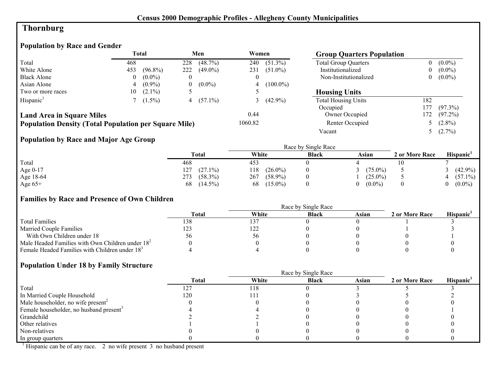## **Thornburg**

## **Population by Race and Gender**

|                                                              |     | <b>Total</b> |          | Men          | Women    |               | <b>Group Quarters Population</b> |     |             |
|--------------------------------------------------------------|-----|--------------|----------|--------------|----------|---------------|----------------------------------|-----|-------------|
| Total                                                        | 468 |              | 228      | $(48.7\%)$   | 240      | $(51.3\%)$    | <b>Total Group Quarters</b>      |     | $(0.0\%)$   |
| White Alone                                                  | 453 | $(96.8\%)$   | 222      | $(49.0\%)$   | 231      | $(51.0\%)$    | Institutionalized                |     | $(0.0\%)$   |
| <b>Black Alone</b>                                           | 0   | $(0.0\%)$    | $\theta$ |              | $\theta$ |               | Non-Institutionalized            |     | $0 (0.0\%)$ |
| Asian Alone                                                  | 4   | $(0.9\%)$    | 0        | $(0.0\%)$    |          | 4 $(100.0\%)$ |                                  |     |             |
| Two or more races                                            | 10  | $(2.1\%)$    |          |              |          |               | <b>Housing Units</b>             |     |             |
| Hispanic <sup>1</sup>                                        |     | $(1.5\%)$    |          | 4 $(57.1\%)$ |          | 3 $(42.9\%)$  | <b>Total Housing Units</b>       | 182 |             |
|                                                              |     |              |          |              |          |               | Occupied                         | 177 | $(97.3\%)$  |
| <b>Land Area in Square Miles</b>                             |     |              |          |              | 0.44     |               | Owner Occupied                   | 172 | $(97.2\%)$  |
| <b>Population Density (Total Population per Square Mile)</b> |     |              |          |              | 1060.82  |               | Renter Occupied                  |     | 5 $(2.8\%)$ |
|                                                              |     |              |          |              |          |               | Vacant                           |     | 5 $(2.7\%)$ |

## **Population by Race and Major Age Group**

|           |                   | Race by Single Race |              |            |                |                       |  |  |  |
|-----------|-------------------|---------------------|--------------|------------|----------------|-----------------------|--|--|--|
|           | <b>Total</b>      | White               | <b>Black</b> | Asian      | 2 or More Race | Hispanic <sup>1</sup> |  |  |  |
| Total     | 468               | 453                 |              |            |                |                       |  |  |  |
| Age 0-17  | $(27.1\%)$<br>127 | $(26.0\%)$<br>118   |              | $(75.0\%)$ |                | $(42.9\%)$            |  |  |  |
| Age 18-64 | 273<br>$(58.3\%)$ | 267<br>$(58.9\%)$   |              | $(25.0\%)$ |                | $(57.1\%)$            |  |  |  |
| Age $65+$ | $(14.5\%)$<br>68  | $(15.0\%)$<br>68    |              | $(0.0\%)$  |                | $(0.0\%)$             |  |  |  |

#### **Families by Race and Presence of Own Children**

|                                                            |       |       | Race by Single Race |       |                |                 |
|------------------------------------------------------------|-------|-------|---------------------|-------|----------------|-----------------|
|                                                            | Total | White | <b>Black</b>        | Asian | 2 or More Race | <b>Hispanic</b> |
| <b>Total Families</b>                                      | 138   | 137   |                     |       |                |                 |
| <b>Married Couple Families</b>                             | 123   | 122   |                     |       |                |                 |
| With Own Children under 18                                 |       | 56    |                     |       |                |                 |
| Male Headed Families with Own Children under $182$         |       |       |                     |       |                |                 |
| Female Headed Families with Children under 18 <sup>3</sup> |       |       |                     |       |                |                 |

#### **Population Under 18 by Family Structure**

|                                                     |              | Race by Single Race |              |       |                |                       |  |  |
|-----------------------------------------------------|--------------|---------------------|--------------|-------|----------------|-----------------------|--|--|
|                                                     | <b>Total</b> | White               | <b>Black</b> | Asian | 2 or More Race | Hispanic <sup>1</sup> |  |  |
| Total                                               | 127          | 118                 |              |       |                |                       |  |  |
| In Married Couple Household                         | 120          |                     |              |       |                |                       |  |  |
| Male householder, no wife present <sup>2</sup>      |              |                     |              |       |                |                       |  |  |
| Female householder, no husband present <sup>3</sup> |              |                     |              |       |                |                       |  |  |
| Grandchild                                          |              |                     |              |       |                |                       |  |  |
| Other relatives                                     |              |                     |              |       |                |                       |  |  |
| Non-relatives                                       |              |                     |              |       |                |                       |  |  |
| In group quarters                                   |              |                     |              |       |                |                       |  |  |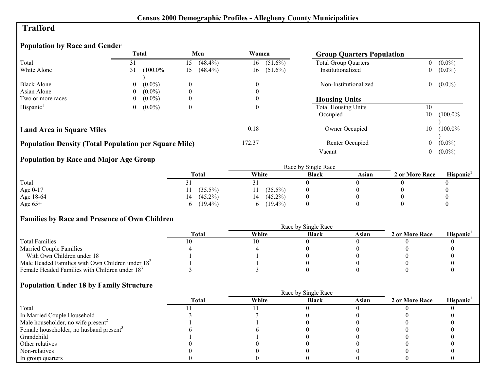## **Trafford**

## **Population by Race and Gender**

|                                                              |                | <b>Total</b> |                  | Men        | Women                     |            |                     | <b>Group Quarters Population</b> |                |                       |
|--------------------------------------------------------------|----------------|--------------|------------------|------------|---------------------------|------------|---------------------|----------------------------------|----------------|-----------------------|
| Total                                                        | 31             |              | 15               | $(48.4\%)$ | 16                        | $(51.6\%)$ |                     | <b>Total Group Quarters</b>      | 0              | $(0.0\%)$             |
| White Alone                                                  | 31             | $(100.0\%$   | 15               | $(48.4\%)$ | 16                        | $(51.6\%)$ |                     | Institutionalized                | 0              | $(0.0\%)$             |
|                                                              |                |              |                  |            |                           |            |                     |                                  |                |                       |
| <b>Black Alone</b>                                           | $\overline{0}$ | $(0.0\%)$    | $\boldsymbol{0}$ |            | 0                         |            |                     | Non-Institutionalized            | 0              | $(0.0\%)$             |
| Asian Alone                                                  |                | $(0.0\%)$    | $\overline{0}$   |            |                           |            |                     |                                  |                |                       |
| Two or more races                                            | 0              | $(0.0\%)$    | $\overline{0}$   |            |                           |            |                     | <b>Housing Units</b>             |                |                       |
| Hispanic <sup>1</sup>                                        | 0              | $(0.0\%)$    | $\boldsymbol{0}$ |            | 0                         |            |                     | <b>Total Housing Units</b>       | 10             |                       |
|                                                              |                |              |                  |            |                           |            | Occupied            |                                  | 10             | $(100.0\%$            |
|                                                              |                |              |                  |            |                           |            |                     |                                  |                |                       |
| <b>Land Area in Square Miles</b>                             |                |              |                  |            | 0.18                      |            |                     | Owner Occupied                   | 10             | $(100.0\%$            |
|                                                              |                |              |                  |            |                           |            |                     |                                  |                |                       |
| <b>Population Density (Total Population per Square Mile)</b> |                |              |                  |            | 172.37<br>Renter Occupied |            | $\boldsymbol{0}$    | $(0.0\%)$                        |                |                       |
|                                                              |                |              |                  |            | Vacant                    |            | $\boldsymbol{0}$    | $(0.0\%)$                        |                |                       |
| <b>Population by Race and Major Age Group</b>                |                |              |                  |            |                           |            |                     |                                  |                |                       |
|                                                              |                |              |                  |            |                           |            | Race by Single Race |                                  |                |                       |
|                                                              |                |              |                  | Total      | White                     |            | <b>Black</b>        | Asian                            | 2 or More Race | Hispanic <sup>1</sup> |
| Total                                                        |                |              | 31               |            | 31                        |            |                     |                                  |                |                       |
| Age 0-17                                                     |                |              |                  | $(35.5\%)$ | 11                        | $(35.5\%)$ |                     |                                  |                |                       |
| Age 18-64                                                    |                |              | 14               | $(45.2\%)$ | 14                        | $(45.2\%)$ |                     |                                  |                | $\theta$              |
| Age $65+$                                                    |                |              | 6                | $(19.4\%)$ | 6                         | $(19.4\%)$ | $\overline{0}$      | $\theta$                         |                | $\theta$              |

## **Families by Race and Presence of Own Children**

|                                                            |              |       | Race by Single Race |       |                |                       |
|------------------------------------------------------------|--------------|-------|---------------------|-------|----------------|-----------------------|
|                                                            | <b>Total</b> | White | Black               | Asian | 2 or More Race | Hispanic <sup>'</sup> |
| <b>Total Families</b>                                      |              |       |                     |       |                |                       |
| <b>Married Couple Families</b>                             |              |       |                     |       |                |                       |
| With Own Children under 18                                 |              |       |                     |       |                |                       |
| Male Headed Families with Own Children under $182$         |              |       |                     |       |                |                       |
| Female Headed Families with Children under 18 <sup>3</sup> |              |       |                     |       |                |                       |

## **Population Under 18 by Family Structure**

|                                                     | Race by Single Race |       |              |       |                |                       |  |  |  |  |
|-----------------------------------------------------|---------------------|-------|--------------|-------|----------------|-----------------------|--|--|--|--|
|                                                     | <b>Total</b>        | White | <b>Black</b> | Asian | 2 or More Race | Hispanic <sup>1</sup> |  |  |  |  |
| Total                                               |                     |       |              |       |                |                       |  |  |  |  |
| In Married Couple Household                         |                     |       |              |       |                |                       |  |  |  |  |
| Male householder, no wife present <sup>2</sup>      |                     |       |              |       |                |                       |  |  |  |  |
| Female householder, no husband present <sup>3</sup> |                     |       |              |       |                |                       |  |  |  |  |
| Grandchild                                          |                     |       |              |       |                |                       |  |  |  |  |
| Other relatives                                     |                     |       |              |       |                |                       |  |  |  |  |
| Non-relatives                                       |                     |       |              |       |                |                       |  |  |  |  |
| In group quarters                                   |                     |       |              |       |                |                       |  |  |  |  |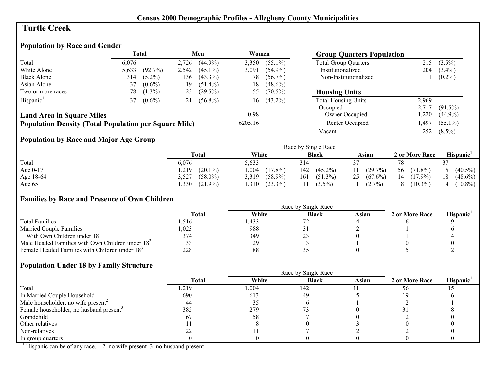## **Turtle Creek**

## **Population by Race and Gender**

|                                                              | <b>Total</b> |            | Men<br>Women |            |         | <b>Group Quarters Population</b> |                             |       |            |
|--------------------------------------------------------------|--------------|------------|--------------|------------|---------|----------------------------------|-----------------------------|-------|------------|
| Total                                                        | 6.076        |            | 2,726        | $(44.9\%)$ | 3,350   | $(55.1\%)$                       | <b>Total Group Quarters</b> | 215   | $(3.5\%)$  |
| White Alone                                                  | 5,633        | $(92.7\%)$ | 2,542        | $(45.1\%)$ | 3,091   | $(54.9\%)$                       | Institutionalized           | 204   | $(3.4\%)$  |
| <b>Black Alone</b>                                           | 314          | $(5.2\%)$  | 136          | $(43.3\%)$ | 178     | $(56.7\%)$                       | Non-Institutionalized       |       | $(0.2\%)$  |
| Asian Alone                                                  | 37           | $(0.6\%)$  | 19           | $(51.4\%)$ | 18      | $(48.6\%)$                       |                             |       |            |
| Two or more races                                            | 78.          | $(1.3\%)$  | 23           | $(29.5\%)$ | 55      | $(70.5\%)$                       | <b>Housing Units</b>        |       |            |
| Hispanic <sup>1</sup>                                        | 37           | $(0.6\%)$  | 21           | $(56.8\%)$ | 16      | $(43.2\%)$                       | <b>Total Housing Units</b>  | 2,969 |            |
|                                                              |              |            |              |            |         |                                  | Occupied                    | 2,717 | $(91.5\%)$ |
| <b>Land Area in Square Miles</b>                             |              |            |              |            | 0.98    |                                  | Owner Occupied              | ,220  | $(44.9\%)$ |
| <b>Population Density (Total Population per Square Mile)</b> |              |            |              |            | 6205.16 |                                  | Renter Occupied             | ,497  | $(55.1\%)$ |
|                                                              |              |            |              |            |         |                                  | Vacant                      | 252   | $(8.5\%)$  |

## **Population by Race and Major Age Group**

|            |                     |                     | Race by Single Race |                  |                  |                  |
|------------|---------------------|---------------------|---------------------|------------------|------------------|------------------|
|            | Total               | White               | <b>Black</b>        | Asian            | 2 or More Race   | <b>Hispanic</b>  |
| Total      | 6,076               | 5.633               | 314                 |                  |                  |                  |
| Age $0-17$ | $(20.1\%)$<br>,219  | $(17.8\%)$<br>,004  | $(45.2\%)$<br>142   | $(29.7\%)$<br>11 | 56<br>$(71.8\%)$ | $(40.5\%)$<br>15 |
| Age 18-64  | 3,527<br>$(58.0\%)$ | $(58.9\%)$<br>3.319 | 161<br>$(51.3\%)$   | 25(67.6%)        | 14<br>$(17.9\%)$ | $(48.6\%)$<br>18 |
| Age $65+$  | ,330<br>$(21.9\%)$  | .310<br>$(23.3\%)$  | $(3.5\%)$           | $(2.7\%)$        | $(10.3\%)$<br>8  | $(10.8\%)$<br>4  |

#### **Families by Race and Presence of Own Children**

|                                                            |              |       | Race by Single Race |       |                |                 |
|------------------------------------------------------------|--------------|-------|---------------------|-------|----------------|-----------------|
|                                                            | <b>Total</b> | White | <b>Black</b>        | Asian | 2 or More Race | <b>Hispanic</b> |
| <b>Total Families</b>                                      | .516         | .433  |                     |       |                |                 |
| <b>Married Couple Families</b>                             | 0.023        | 988   |                     |       |                |                 |
| With Own Children under 18                                 | 374          | 349   | ت سک                |       |                |                 |
| Male Headed Families with Own Children under $182$         |              | 29    |                     |       |                |                 |
| Female Headed Families with Children under 18 <sup>3</sup> | 228          | 188   |                     |       |                |                 |

#### **Population Under 18 by Family Structure**

|                                                     |              |       | Race by Single Race |       |                |                       |
|-----------------------------------------------------|--------------|-------|---------------------|-------|----------------|-----------------------|
|                                                     | <b>Total</b> | White | <b>Black</b>        | Asian | 2 or More Race | Hispanic <sup>1</sup> |
| Total                                               | ,219         | 1,004 | 142                 |       | 56             |                       |
| In Married Couple Household                         | 690          | 613   | 49                  |       |                |                       |
| Male householder, no wife present <sup>2</sup>      | 44           | 35    |                     |       |                |                       |
| Female householder, no husband present <sup>3</sup> | 385          | 279   |                     |       |                |                       |
| Grandchild                                          | 67           | 58    |                     |       |                |                       |
| Other relatives                                     |              |       |                     |       |                |                       |
| Non-relatives                                       |              |       |                     |       |                |                       |
| In group quarters                                   |              |       |                     |       |                |                       |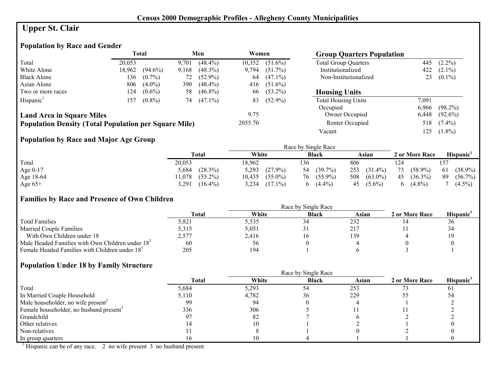# **Upper St. Clair**

## **Population by Race and Gender**

|                                                              |        | <b>Total</b> |       | Men        | Women   |            | <b>Group Quarters Population</b> |       |            |
|--------------------------------------------------------------|--------|--------------|-------|------------|---------|------------|----------------------------------|-------|------------|
| Total                                                        | 20.053 |              | 9.701 | $(48.4\%)$ | 10,352  | $(51.6\%)$ | <b>Total Group Quarters</b>      | 445   | $(2.2\%)$  |
| White Alone                                                  | 18,962 | $(94.6\%)$   | 9,168 | $(48.3\%)$ | 9.794   | $(51.7\%)$ | Institutionalized                | 422   | $(2.1\%)$  |
| <b>Black Alone</b>                                           | 136    | $(0.7\%)$    | 72    | $(52.9\%)$ | 64      | $(47.1\%)$ | Non-Institutionalized            | 23    | $(0.1\%)$  |
| Asian Alone                                                  | 806    | $(4.0\%)$    | 390   | $(48.4\%)$ | 416     | $(51.6\%)$ |                                  |       |            |
| Two or more races                                            | 124    | $(0.6\%)$    | 58    | $(46.8\%)$ | 66      | $(53.2\%)$ | <b>Housing Units</b>             |       |            |
| Hispanic <sup>1</sup>                                        | 157    | $(0.8\%)$    | 74    | $(47.1\%)$ | 83      | $(52.9\%)$ | <b>Total Housing Units</b>       | 7,091 |            |
|                                                              |        |              |       |            |         |            | Occupied                         | 6.966 | $(98.2\%)$ |
| <b>Land Area in Square Miles</b>                             |        |              |       |            | 9.75    |            | Owner Occupied                   | 6,448 | $(92.6\%)$ |
| <b>Population Density (Total Population per Square Mile)</b> |        |              |       |            | 2055.70 |            | Renter Occupied                  | 518   | $(7.4\%)$  |
|                                                              |        |              |       |            |         |            | Vacant                           | 125   | $(1.8\%)$  |

## **Population by Race and Major Age Group**

|           |                      | Race by Single Race  |                  |                   |                           |                  |  |  |
|-----------|----------------------|----------------------|------------------|-------------------|---------------------------|------------------|--|--|
|           | Total                | White                | <b>Black</b>     | Asian             | 2 or More Race            | Hispanic'        |  |  |
| Total     | 20,053               | 18,962               | 136              | 806               | 124                       | 157              |  |  |
| Age 0-17  | $(28.3\%)$<br>5,684  | 5,293<br>$(27.9\%)$  | $(39.7\%)$<br>54 | $(31.4\%)$<br>253 | $(58.9\%)$<br>73          | 61<br>$(38.9\%)$ |  |  |
| Age 18-64 | $(55.2\%)$<br>11,078 | $(55.0\%)$<br>10,435 | $(55.9\%)$<br>76 | $(63.0\%)$<br>508 | $(36.3\%)$<br>45          | 89<br>$(56.7\%)$ |  |  |
| Age $65+$ | 3.291<br>$(16.4\%)$  | 3,234<br>$(17.1\%)$  | $(4.4\%)$<br>h.  | $45(5.6\%)$       | $(4.8\%)$<br><sub>0</sub> | $(4.5\%)$        |  |  |

#### **Families by Race and Presence of Own Children**

|                                                            |              |       | Race by Single Race |       |                |                       |
|------------------------------------------------------------|--------------|-------|---------------------|-------|----------------|-----------------------|
|                                                            | <b>Total</b> | White | <b>Black</b>        | Asian | 2 or More Race | Hispanic <sup>'</sup> |
| <b>Total Families</b>                                      | 5,821        | 5.535 | 34                  | 232   |                | 50                    |
| <b>Married Couple Families</b>                             | 5.315        | 5,051 |                     | 217   |                |                       |
| With Own Children under 18                                 | 2,577        | 2,416 | 10                  | 139   |                |                       |
| Male Headed Families with Own Children under $182$         | 60           | 56    |                     |       |                |                       |
| Female Headed Families with Children under 18 <sup>3</sup> | 205          | 194   |                     |       |                |                       |

#### **Population Under 18 by Family Structure**

|                                                     |       |       | Race by Single Race |       |                |          |
|-----------------------------------------------------|-------|-------|---------------------|-------|----------------|----------|
|                                                     | Total | White | <b>Black</b>        | Asian | 2 or More Race | Hispanic |
| Total                                               | 5,684 | 5,293 | 54                  | 253   |                | $\sigma$ |
| In Married Couple Household                         | 5,110 | 4,782 | 36                  | 229   |                |          |
| Male householder, no wife present <sup>2</sup>      | 99    | 94    |                     |       |                |          |
| Female householder, no husband present <sup>3</sup> | 336   | 306   |                     |       |                |          |
| Grandchild                                          |       | 82    |                     |       |                |          |
| Other relatives                                     |       | 10    |                     |       |                |          |
| Non-relatives                                       |       |       |                     |       |                |          |
| In group quarters                                   | I O   |       |                     |       |                |          |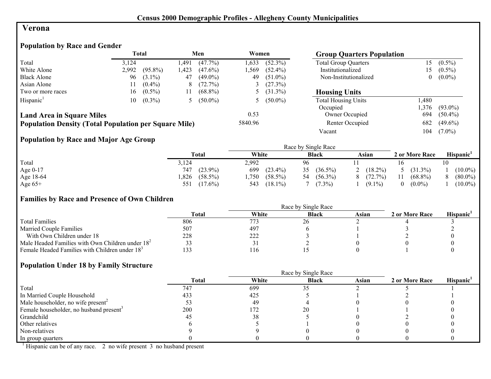#### **Verona**

## **Population by Race and Gender**

|                                                              |       | <b>Total</b> |      | Men        | Women   |              | <b>Group Quarters Population</b> |          |            |
|--------------------------------------------------------------|-------|--------------|------|------------|---------|--------------|----------------------------------|----------|------------|
| Total                                                        | 3.124 |              | .491 | $(47.7\%)$ | 1.633   | $(52.3\%)$   | <b>Total Group Quarters</b>      | 15       | $(0.5\%)$  |
| White Alone                                                  | 2,992 | $(95.8\%)$   | .423 | $(47.6\%)$ | l.569   | $(52.4\%)$   | Institutionalized                | 15       | $(0.5\%)$  |
| <b>Black Alone</b>                                           | 96    | $(3.1\%)$    | 47   | $(49.0\%)$ | 49      | $(51.0\%)$   | Non-Institutionalized            | $\theta$ | $(0.0\%)$  |
| Asian Alone                                                  |       | $(0.4\%)$    | 8    | (72.7%)    |         | (27.3%)      |                                  |          |            |
| Two or more races                                            | 16    | $(0.5\%)$    | 11   | $(68.8\%)$ |         | 5 $(31.3\%)$ | <b>Housing Units</b>             |          |            |
| Hispanic <sup>1</sup>                                        | 10    | $(0.3\%)$    |      | $(50.0\%)$ |         | 5 $(50.0\%)$ | <b>Total Housing Units</b>       | .480     |            |
|                                                              |       |              |      |            |         |              | Occupied                         | ,376     | $(93.0\%)$ |
| <b>Land Area in Square Miles</b>                             |       |              |      |            | 0.53    |              | Owner Occupied                   | 694      | $(50.4\%)$ |
| <b>Population Density (Total Population per Square Mile)</b> |       |              |      |            | 5840.96 |              | Renter Occupied                  | 682      | $(49.6\%)$ |
|                                                              |       |              |      |            |         |              | Vacant                           | 104      | $(7.0\%)$  |

## **Population by Race and Major Age Group**

|           |                     | Race by Single Race |                  |              |                |                       |  |  |  |
|-----------|---------------------|---------------------|------------------|--------------|----------------|-----------------------|--|--|--|
|           | <b>Total</b>        | White               | <b>Black</b>     | Asian        | 2 or More Race | Hispanic <sup>1</sup> |  |  |  |
| Total     | 3,124               | 2,992               | 96               |              |                |                       |  |  |  |
| Age 0-17  | $(23.9\%)$<br>747   | 699<br>$(23.4\%)$   | $(36.5\%)$<br>35 | 2 $(18.2\%)$ | 5 $(31.3\%)$   | $(10.0\%)$            |  |  |  |
| Age 18-64 | $(58.5\%)$<br>0.826 | $(58.5\%)$<br>.750  | $(56.3\%)$<br>54 | (72.7%)<br>8 | $(68.8\%)$     | $(80.0\%)$            |  |  |  |
| Age $65+$ | $(17.6\%)$<br>551   | 543<br>$(18.1\%)$   | $(7.3\%)$        | $(9.1\%)$    | $(0.0\%)$      | $(10.0\%)$            |  |  |  |

#### **Families by Race and Presence of Own Children**

|                                                            |                  |       | Race by Single Race |       |                |                 |
|------------------------------------------------------------|------------------|-------|---------------------|-------|----------------|-----------------|
|                                                            | <b>Total</b>     | White | <b>Black</b>        | Asian | 2 or More Race | <b>Hispanic</b> |
| <b>Total Families</b>                                      | 806              | 773   | 20                  |       |                |                 |
| <b>Married Couple Families</b>                             | 507              | 497   |                     |       |                |                 |
| With Own Children under 18                                 | 228              | 222   |                     |       |                |                 |
| Male Headed Families with Own Children under $182$         |                  |       |                     |       |                |                 |
| Female Headed Families with Children under 18 <sup>3</sup> | $\sqrt{2}$<br>33 | . 16  |                     |       |                |                 |

#### **Population Under 18 by Family Structure**

|                                                     |              |       | Race by Single Race |       |                |                       |
|-----------------------------------------------------|--------------|-------|---------------------|-------|----------------|-----------------------|
|                                                     | <b>Total</b> | White | <b>Black</b>        | Asian | 2 or More Race | Hispanic <sup>1</sup> |
| Total                                               | 747          | 699   |                     |       |                |                       |
| In Married Couple Household                         | 433          | 425   |                     |       |                |                       |
| Male householder, no wife present <sup>2</sup>      |              | -49   |                     |       |                |                       |
| Female householder, no husband present <sup>3</sup> | 200          | 172   | 20                  |       |                |                       |
| Grandchild                                          |              | 38    |                     |       |                |                       |
| Other relatives                                     |              |       |                     |       |                |                       |
| Non-relatives                                       |              |       |                     |       |                |                       |
| In group quarters                                   |              |       |                     |       |                |                       |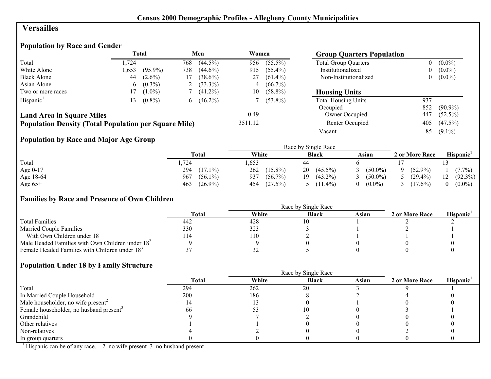## **Versailles**

## **Population by Race and Gender**

|                                                              |       | <b>Total</b> |     | Men        | Women   |            | <b>Group Quarters Population</b> |                |            |
|--------------------------------------------------------------|-------|--------------|-----|------------|---------|------------|----------------------------------|----------------|------------|
| Total                                                        | 1.724 |              | 768 | $(44.5\%)$ | 956     | $(55.5\%)$ | <b>Total Group Quarters</b>      | 0              | $(0.0\%)$  |
| White Alone                                                  | 1.653 | $(95.9\%)$   | 738 | $(44.6\%)$ | 915     | $(55.4\%)$ | Institutionalized                | $\overline{0}$ | $(0.0\%)$  |
| <b>Black Alone</b>                                           | 44    | $(2.6\%)$    | 17  | $(38.6\%)$ | 27      | $(61.4\%)$ | Non-Institutionalized            | 0              | $(0.0\%)$  |
| Asian Alone                                                  | 6     | $(0.3\%)$    |     | $(33.3\%)$ | 4       | $(66.7\%)$ |                                  |                |            |
| Two or more races                                            |       | $(1.0\%)$    |     | $(41.2\%)$ | 10      | $(58.8\%)$ | <b>Housing Units</b>             |                |            |
| Hispanic <sup>1</sup>                                        | l 3   | $(0.8\%)$    | 6.  | $(46.2\%)$ |         | $(53.8\%)$ | <b>Total Housing Units</b>       | 937            |            |
|                                                              |       |              |     |            |         |            | Occupied                         | 852            | $(90.9\%)$ |
| <b>Land Area in Square Miles</b>                             |       |              |     |            | 0.49    |            | Owner Occupied                   | 447            | $(52.5\%)$ |
| <b>Population Density (Total Population per Square Mile)</b> |       |              |     |            | 3511.12 |            | Renter Occupied                  | 405            | $(47.5\%)$ |
|                                                              |       |              |     |            |         |            | Vacant                           | 85             | $(9.1\%)$  |

## **Population by Race and Major Age Group**

|           |                   |                   | Race by Single Race |                       |                 |                  |
|-----------|-------------------|-------------------|---------------------|-----------------------|-----------------|------------------|
|           | Total             | White             | <b>Black</b>        | Asian                 | 2 or More Race  | <b>Hispanic</b>  |
| Total     | 724               | .653              | 44                  |                       |                 |                  |
| Age 0-17  | 294<br>$(17.1\%)$ | 262<br>$(15.8\%)$ | $(45.5\%)$<br>20    | $(50.0\%)$            | $(52.9\%)$<br>Q | $(7.7\%)$        |
| Age 18-64 | 967<br>$(56.1\%)$ | 937<br>$(56.7\%)$ | $(43.2\%)$<br>19    | $(50.0\%)$            | $(29.4\%)$      | $(92.3\%)$<br>12 |
| Age $65+$ | 463<br>$(26.9\%)$ | (27.5%)<br>454    | $(11.4\%)$          | $(0.0\%)$<br>$\Omega$ | $(17.6\%)$      | $(0.0\%)$        |

#### **Families by Race and Presence of Own Children**

|                                                            |              |       | Race by Single Race |       |                |                       |
|------------------------------------------------------------|--------------|-------|---------------------|-------|----------------|-----------------------|
|                                                            | <b>Total</b> | White | <b>Black</b>        | Asian | 2 or More Race | Hispanic <sup>'</sup> |
| <b>Total Families</b>                                      | 442          | 428   |                     |       |                |                       |
| <b>Married Couple Families</b>                             | 330          | 323   |                     |       |                |                       |
| With Own Children under 18                                 | 14،          | 110   |                     |       |                |                       |
| Male Headed Families with Own Children under $182$         |              |       |                     |       |                |                       |
| Female Headed Families with Children under 18 <sup>3</sup> |              | ے ر   |                     |       |                |                       |

#### **Population Under 18 by Family Structure**

|                                                     |       | Race by Single Race |              |       |                |                       |
|-----------------------------------------------------|-------|---------------------|--------------|-------|----------------|-----------------------|
|                                                     | Total | White               | <b>Black</b> | Asian | 2 or More Race | Hispanic <sup>1</sup> |
| Total                                               | 294   | 262                 | 20           |       |                |                       |
| In Married Couple Household                         | 200   | 186                 |              |       |                |                       |
| Male householder, no wife present <sup>2</sup>      | 14    |                     |              |       |                |                       |
| Female householder, no husband present <sup>3</sup> | nn    |                     |              |       |                |                       |
| Grandchild                                          |       |                     |              |       |                |                       |
| Other relatives                                     |       |                     |              |       |                |                       |
| Non-relatives                                       |       |                     |              |       |                |                       |
| In group quarters                                   |       |                     |              |       |                |                       |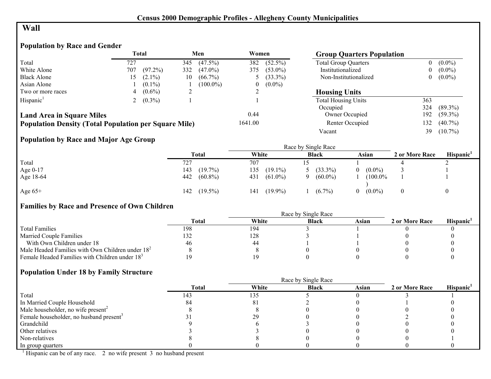## **Wall**

## **Population by Race and Gender**

|                                                              | <b>Total</b> |            |     | Men         | Women   |            | <b>Group Quarters Population</b> |                |            |
|--------------------------------------------------------------|--------------|------------|-----|-------------|---------|------------|----------------------------------|----------------|------------|
| Total                                                        | 727          |            | 345 | $(47.5\%)$  | 382     | $(52.5\%)$ | <b>Total Group Quarters</b>      | 0              | $(0.0\%)$  |
| White Alone                                                  | 707          | $(97.2\%)$ | 332 | $(47.0\%)$  | 375     | $(53.0\%)$ | Institutionalized                | $\overline{0}$ | $(0.0\%)$  |
| <b>Black Alone</b>                                           | .5           | $(2.1\%)$  | 10  | $(66.7\%)$  |         | $(33.3\%)$ | Non-Institutionalized            | $\overline{0}$ | $(0.0\%)$  |
| Asian Alone                                                  |              | $(0.1\%)$  |     | $(100.0\%)$ | 0       | $(0.0\%)$  |                                  |                |            |
| Two or more races                                            |              | $(0.6\%)$  |     |             |         |            | <b>Housing Units</b>             |                |            |
| Hispanic <sup>1</sup>                                        |              | $(0.3\%)$  |     |             |         |            | <b>Total Housing Units</b>       | 363            |            |
|                                                              |              |            |     |             |         |            | Occupied                         | 324            | $(89.3\%)$ |
| <b>Land Area in Square Miles</b>                             |              |            |     |             | 0.44    |            | Owner Occupied                   | 192            | $(59.3\%)$ |
| <b>Population Density (Total Population per Square Mile)</b> |              |            |     |             | 1641.00 |            | Renter Occupied                  | 132            | $(40.7\%)$ |
|                                                              |              |            |     |             |         |            | Vacant                           | 39             | $(10.7\%)$ |

## **Population by Race and Major Age Group**

|           | Total             | White             | <b>Black</b> | Asian                           | 2 or More Race | Hispanic' |
|-----------|-------------------|-------------------|--------------|---------------------------------|----------------|-----------|
| Total     | 727               | 707               |              |                                 |                |           |
| Age 0-17  | $(19.7\%)$<br>143 | 135<br>$(19.1\%)$ | $(33.3\%)$   | $(0.0\%)$<br>$\Omega$           |                |           |
| Age 18-64 | 442 (60.8%)       | $(61.0\%)$<br>431 | $(60.0\%)$   | $(100.0\%$                      |                |           |
| Age $65+$ | $(19.5\%)$<br>142 | $(19.9\%)$<br>141 | $(6.7\%)$    | $(0.0\%)$<br>$\left( 0 \right)$ |                |           |

## **Families by Race and Presence of Own Children**

|                                                            |              | Race by Single Race |              |       |                |           |  |  |  |  |
|------------------------------------------------------------|--------------|---------------------|--------------|-------|----------------|-----------|--|--|--|--|
|                                                            | <b>Total</b> | White               | <b>Black</b> | Asian | 2 or More Race | Hispanic' |  |  |  |  |
| <b>Total Families</b>                                      | 198          | 194                 |              |       |                |           |  |  |  |  |
| <b>Married Couple Families</b>                             |              | 128                 |              |       |                |           |  |  |  |  |
| With Own Children under 18                                 | 46           | 44                  |              |       |                |           |  |  |  |  |
| Male Headed Families with Own Children under $182$         |              |                     |              |       |                |           |  |  |  |  |
| Female Headed Families with Children under 18 <sup>3</sup> |              |                     |              |       |                |           |  |  |  |  |

#### **Population Under 18 by Family Structure**

|                                                     |              |          | Race by Single Race |       |                |                       |
|-----------------------------------------------------|--------------|----------|---------------------|-------|----------------|-----------------------|
|                                                     | <b>Total</b> | White    | <b>Black</b>        | Asian | 2 or More Race | Hispanic <sup>1</sup> |
| Total                                               | 143          | 135      |                     |       |                |                       |
| In Married Couple Household                         |              | $\delta$ |                     |       |                |                       |
| Male householder, no wife present <sup>2</sup>      |              |          |                     |       |                |                       |
| Female householder, no husband present <sup>3</sup> |              | 29       |                     |       |                |                       |
| Grandchild                                          |              |          |                     |       |                |                       |
| Other relatives                                     |              |          |                     |       |                |                       |
| Non-relatives                                       |              |          |                     |       |                |                       |
| In group quarters                                   |              |          |                     |       |                |                       |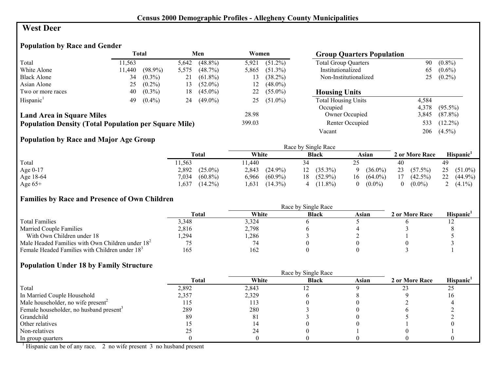#### **West Deer**

## **Population by Race and Gender**

|                                                              | <b>Total</b> |            | Men   |            | Women  |            | <b>Group Quarters Population</b> |       |            |
|--------------------------------------------------------------|--------------|------------|-------|------------|--------|------------|----------------------------------|-------|------------|
| Total                                                        | 11,563       |            | 5,642 | $(48.8\%)$ | 5.921  | $(51.2\%)$ | <b>Total Group Quarters</b>      | 90    | $(0.8\%)$  |
| White Alone                                                  | 11.440       | $(98.9\%)$ | 5,575 | $(48.7\%)$ | 5,865  | $(51.3\%)$ | Institutionalized                | 65    | $(0.6\%)$  |
| <b>Black Alone</b>                                           | 34           | $(0.3\%)$  | 21    | $(61.8\%)$ | 13     | $(38.2\%)$ | Non-Institutionalized            | 25    | $(0.2\%)$  |
| Asian Alone                                                  | 25           | $(0.2\%)$  | 13    | $(52.0\%)$ | 12     | $(48.0\%)$ |                                  |       |            |
| Two or more races                                            | 40           | $(0.3\%)$  | 18    | $(45.0\%)$ | 22     | $(55.0\%)$ | <b>Housing Units</b>             |       |            |
| Hispanic <sup>1</sup>                                        | 49           | $(0.4\%)$  | 24    | $(49.0\%)$ | 25     | $(51.0\%)$ | <b>Total Housing Units</b>       | 4,584 |            |
|                                                              |              |            |       |            |        |            | Occupied                         | 4.378 | $(95.5\%)$ |
| <b>Land Area in Square Miles</b>                             |              |            |       |            | 28.98  |            | Owner Occupied                   | 3,845 | $(87.8\%)$ |
| <b>Population Density (Total Population per Square Mile)</b> |              |            |       |            | 399.03 |            | Renter Occupied                  | 533   | $(12.2\%)$ |
|                                                              |              |            |       |            |        |            | Vacant                           | 206   | $(4.5\%)$  |

## **Population by Race and Major Age Group**

|           |                     |                     | Race by Single Race |                  |                       |                  |
|-----------|---------------------|---------------------|---------------------|------------------|-----------------------|------------------|
|           | <b>Total</b>        | White               | <b>Black</b>        | Asian            | 2 or More Race        | <b>Hispanic</b>  |
| Total     | 1,563               | 1.440               | 34                  |                  | 40                    | 49               |
| Age 0-17  | $(25.0\%)$<br>2,892 | 2,843<br>$(24.9\%)$ | $12(35.3\%)$        | $(36.0\%)$<br>Q  | 23<br>$(57.5\%)$      | 25<br>$(51.0\%)$ |
| Age 18-64 | 7,034<br>$(60.8\%)$ | $(60.9\%)$<br>6,966 | $(52.9\%)$<br>18    | $(64.0\%)$<br>16 | 17<br>$(42.5\%)$      | 22<br>$(44.9\%)$ |
| Age $65+$ | $(14.2\%)$<br>.637  | $(14.3\%)$<br>1.631 | $(11.8\%)$          | $(0.0\%)$<br>0   | $(0.0\%)$<br>$\theta$ | 2 $(4.1\%)$      |

#### **Families by Race and Presence of Own Children**

|                                                            |              |       | Race by Single Race |       |                |                 |
|------------------------------------------------------------|--------------|-------|---------------------|-------|----------------|-----------------|
|                                                            | <b>Total</b> | White | <b>Black</b>        | Asian | 2 or More Race | <b>Hispanic</b> |
| <b>Total Families</b>                                      | 3.348        | 3,324 |                     |       |                |                 |
| <b>Married Couple Families</b>                             | 2,816        | 2,798 |                     |       |                |                 |
| With Own Children under 18                                 | ,294         | ,286  |                     |       |                |                 |
| Male Headed Families with Own Children under $182$         |              | 74    |                     |       |                |                 |
| Female Headed Families with Children under 18 <sup>3</sup> | 165          | 162   |                     |       |                |                 |

#### **Population Under 18 by Family Structure**

|                                                     |              | Race by Single Race |              |       |                |                       |  |  |  |  |
|-----------------------------------------------------|--------------|---------------------|--------------|-------|----------------|-----------------------|--|--|--|--|
|                                                     | <b>Total</b> | White               | <b>Black</b> | Asian | 2 or More Race | Hispanic <sup>1</sup> |  |  |  |  |
| Total                                               | 2,892        | 2,843               |              |       |                | 25                    |  |  |  |  |
| In Married Couple Household                         | 2,357        | 2,329               |              |       |                |                       |  |  |  |  |
| Male householder, no wife present <sup>2</sup>      | 115          | 113                 |              |       |                |                       |  |  |  |  |
| Female householder, no husband present <sup>3</sup> | 289          | 280                 |              |       |                |                       |  |  |  |  |
| Grandchild                                          | 89           | 81                  |              |       |                |                       |  |  |  |  |
| Other relatives                                     |              |                     |              |       |                |                       |  |  |  |  |
| Non-relatives                                       |              |                     |              |       |                |                       |  |  |  |  |
| In group quarters                                   |              |                     |              |       |                |                       |  |  |  |  |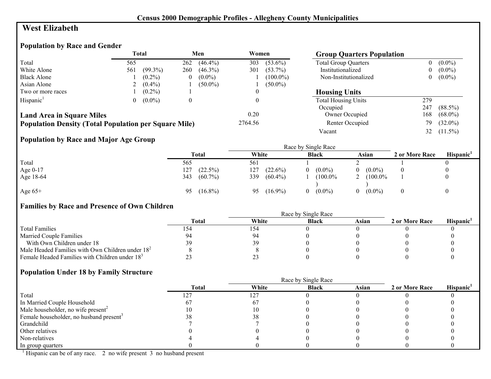#### **West Elizabeth**

#### **Population by Race and Gender**

|                                                              |     | <b>Total</b> |          | Men        | Women   |             | <b>Group Quarters Population</b> |     |            |
|--------------------------------------------------------------|-----|--------------|----------|------------|---------|-------------|----------------------------------|-----|------------|
| Total                                                        | 565 |              | 262      | $(46.4\%)$ | 303     | $(53.6\%)$  | <b>Total Group Quarters</b>      |     | $(0.0\%)$  |
| White Alone                                                  | 561 | $(99.3\%)$   | 260      | $(46.3\%)$ | 301     | $(53.7\%)$  | Institutionalized                |     | $(0.0\%)$  |
| <b>Black Alone</b>                                           |     | $(0.2\%)$    | $\theta$ | $(0.0\%)$  |         | $(100.0\%)$ | Non-Institutionalized            |     | $(0.0\%)$  |
| Asian Alone                                                  |     | $(0.4\%)$    |          | $(50.0\%)$ |         | $(50.0\%)$  |                                  |     |            |
| Two or more races                                            |     | $(0.2\%)$    |          |            |         |             | <b>Housing Units</b>             |     |            |
| Hispanic <sup>1</sup>                                        | 0   | $(0.0\%)$    | $\theta$ |            |         |             | <b>Total Housing Units</b>       | 279 |            |
|                                                              |     |              |          |            |         |             | Occupied                         | 247 | $(88.5\%)$ |
| <b>Land Area in Square Miles</b>                             |     |              |          |            | 0.20    |             | <b>Owner Occupied</b>            | 168 | $(68.0\%)$ |
| <b>Population Density (Total Population per Square Mile)</b> |     |              |          |            | 2764.56 |             | Renter Occupied                  | 79  | $(32.0\%)$ |
|                                                              |     |              |          |            |         |             | Vacant                           | 32  | $(11.5\%)$ |

## **Population by Race and Major Age Group**

|           |                   | Race by Single Race |                |            |                |           |
|-----------|-------------------|---------------------|----------------|------------|----------------|-----------|
|           | <b>Total</b>      | White               | <b>Black</b>   | Asian      | 2 or More Race | Hispanic' |
| Total     | 565               | 561                 |                |            |                |           |
| Age 0-17  | $(22.5\%)$<br>127 | 127<br>$(22.6\%)$   | $(0.0\%)$<br>0 | $(0.0\%)$  |                |           |
| Age 18-64 | 343<br>$(60.7\%)$ | 339<br>$(60.4\%)$   | $(100.0\%$     | $(100.0\%$ |                |           |
| Age $65+$ | $(16.8\%)$<br>95  | $(16.9\%)$<br>95    | $(0.0\%)$<br>0 | $(0.0\%)$  |                |           |

## **Families by Race and Presence of Own Children**

|                                                            |              | Race by Single Race |              |       |                |           |
|------------------------------------------------------------|--------------|---------------------|--------------|-------|----------------|-----------|
|                                                            | <b>Total</b> | White               | <b>Black</b> | Asian | 2 or More Race | Hispanic' |
| <b>Total Families</b>                                      | 154          | 154                 |              |       |                |           |
| <b>Married Couple Families</b>                             | 94           | 94                  |              |       |                |           |
| With Own Children under 18                                 | 39.          | 39                  |              |       |                |           |
| Male Headed Families with Own Children under $182$         |              |                     |              |       |                |           |
| Female Headed Families with Children under 18 <sup>3</sup> |              |                     |              |       |                |           |

## **Population Under 18 by Family Structure**

|                                                     |              | Race by Single Race |              |       |                |                       |  |
|-----------------------------------------------------|--------------|---------------------|--------------|-------|----------------|-----------------------|--|
|                                                     | <b>Total</b> | White               | <b>Black</b> | Asian | 2 or More Race | Hispanic <sup>1</sup> |  |
| Total                                               |              | .27                 |              |       |                |                       |  |
| In Married Couple Household                         |              |                     |              |       |                |                       |  |
| Male householder, no wife present <sup>2</sup>      |              |                     |              |       |                |                       |  |
| Female householder, no husband present <sup>3</sup> |              |                     |              |       |                |                       |  |
| Grandchild                                          |              |                     |              |       |                |                       |  |
| Other relatives                                     |              |                     |              |       |                |                       |  |
| Non-relatives                                       |              |                     |              |       |                |                       |  |
| In group quarters                                   |              |                     |              |       |                |                       |  |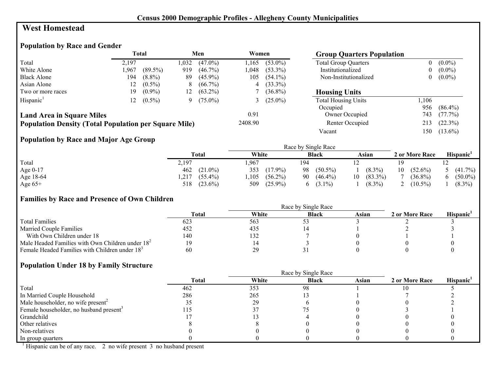#### **West Homestead**

#### **Population by Race and Gender**

|                                                              | <b>Total</b> |            | Men  |            | Women   |            | <b>Group Quarters Population</b> |          |            |
|--------------------------------------------------------------|--------------|------------|------|------------|---------|------------|----------------------------------|----------|------------|
| Total                                                        | 2.197        |            | .032 | $(47.0\%)$ | l.165   | $(53.0\%)$ | <b>Total Group Quarters</b>      | 0        | $(0.0\%)$  |
| White Alone                                                  | 1.967        | $(89.5\%)$ | 919  | $(46.7\%)$ | 1.048   | $(53.3\%)$ | Institutionalized                | $\bf{0}$ | $(0.0\%)$  |
| <b>Black Alone</b>                                           | 194          | $(8.8\%)$  | 89   | $(45.9\%)$ | 105     | $(54.1\%)$ | Non-Institutionalized            | $\theta$ | $(0.0\%)$  |
| Asian Alone                                                  | 2            | $(0.5\%)$  | 8    | $(66.7\%)$ | 4       | $(33.3\%)$ |                                  |          |            |
| Two or more races                                            | 19           | $(0.9\%)$  | 12   | $(63.2\%)$ |         | $(36.8\%)$ | <b>Housing Units</b>             |          |            |
| Hispanic <sup>1</sup>                                        | 12           | $(0.5\%)$  | 9    | $(75.0\%)$ |         | $(25.0\%)$ | <b>Total Housing Units</b>       | .106     |            |
|                                                              |              |            |      |            |         |            | Occupied                         | 956      | $(86.4\%)$ |
| <b>Land Area in Square Miles</b>                             |              |            |      |            | 0.91    |            | Owner Occupied                   | 743      | $(77.7\%)$ |
| <b>Population Density (Total Population per Square Mile)</b> |              |            |      |            | 2408.90 |            | Renter Occupied                  | 213      | $(22.3\%)$ |
|                                                              |              |            |      |            |         |            | Vacant                           | 150      | $(13.6\%)$ |

## **Population by Race and Major Age Group**

|           |                    |                    | Race by Single Race |                  |                  |                       |
|-----------|--------------------|--------------------|---------------------|------------------|------------------|-----------------------|
|           | Total              | White              | <b>Black</b>        | Asian            | 2 or More Race   | Hispanic <sup>1</sup> |
| Total     | 2,197              | ,967               | 194                 |                  |                  |                       |
| Age 0-17  | $462$ $(21.0\%)$   | 353<br>$(17.9\%)$  | 98<br>$(50.5\%)$    | $(8.3\%)$        | 10<br>$(52.6\%)$ | $(41.7\%)$            |
| Age 18-64 | $(55.4\%)$<br>.217 | $(56.2\%)$<br>.105 | $(46.4\%)$<br>90    | $(83.3\%)$<br>10 | $(36.8\%)$       | $(50.0\%)$            |
| Age $65+$ | $(23.6\%)$<br>518  | $(25.9\%)$<br>509  | $(3.1\%)$<br>h.     | $(8.3\%)$        | $(10.5\%)$       | $(8.3\%)$             |

#### **Families by Race and Presence of Own Children**

|                                                            |              |       | Race by Single Race |       |                |                       |
|------------------------------------------------------------|--------------|-------|---------------------|-------|----------------|-----------------------|
|                                                            | <b>Total</b> | White | <b>Black</b>        | Asian | 2 or More Race | Hispanic <sup>'</sup> |
| <b>Total Families</b>                                      | 623          | 563   |                     |       |                |                       |
| <b>Married Couple Families</b>                             | 452          | 435   |                     |       |                |                       |
| With Own Children under 18                                 | 140          | 132   |                     |       |                |                       |
| Male Headed Families with Own Children under $182$         |              |       |                     |       |                |                       |
| Female Headed Families with Children under 18 <sup>3</sup> | 60           | 29    |                     |       |                |                       |

#### **Population Under 18 by Family Structure**

|                                                     |              |       | Race by Single Race |       |                |                       |
|-----------------------------------------------------|--------------|-------|---------------------|-------|----------------|-----------------------|
|                                                     | <b>Total</b> | White | <b>Black</b>        | Asian | 2 or More Race | Hispanic <sup>1</sup> |
| Total                                               | 462          | 353   | 98                  |       |                |                       |
| In Married Couple Household                         | 286          | 265   |                     |       |                |                       |
| Male householder, no wife present <sup>2</sup>      | JJ           | 29    |                     |       |                |                       |
| Female householder, no husband present <sup>3</sup> |              |       |                     |       |                |                       |
| Grandchild                                          |              |       |                     |       |                |                       |
| Other relatives                                     |              |       |                     |       |                |                       |
| Non-relatives                                       |              |       |                     |       |                |                       |
| In group quarters                                   |              |       |                     |       |                |                       |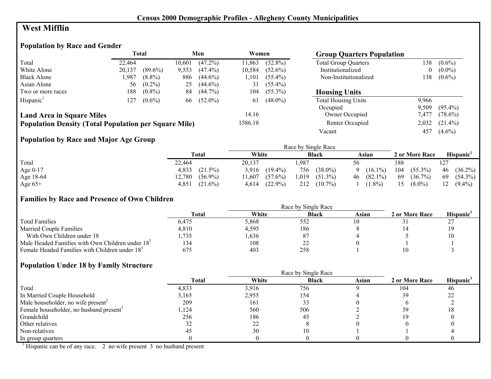## **West Mifflin**

## **Population by Race and Gender**

|                                                              | <b>Total</b> |            | Men    |            | Women   |            | <b>Group Quarters Population</b> |          |            |
|--------------------------------------------------------------|--------------|------------|--------|------------|---------|------------|----------------------------------|----------|------------|
| Total                                                        | 22.464       |            | 10.601 | $(47.2\%)$ | 11,863  | $(52.8\%)$ | <b>Total Group Quarters</b>      | 138      | $(0.6\%)$  |
| White Alone                                                  | 20,137       | $(89.6\%)$ | 9,553  | $(47.4\%)$ | 10,584  | $(52.6\%)$ | Institutionalized                | $\bf{0}$ | $(0.0\%)$  |
| <b>Black Alone</b>                                           | 1,987        | $(8.8\%)$  | 886    | $(44.6\%)$ | 1.101   | $(55.4\%)$ | Non-Institutionalized            | 138      | $(0.6\%)$  |
| Asian Alone                                                  | 56           | $(0.2\%)$  | 25     | $(44.6\%)$ | 31      | $(55.4\%)$ |                                  |          |            |
| Two or more races                                            | 188          | $(0.8\%)$  | 84     | $(44.7\%)$ | 104     | $(55.3\%)$ | <b>Housing Units</b>             |          |            |
| Hispanic <sup>1</sup>                                        | 127          | $(0.6\%)$  | 66     | $(52.0\%)$ | 61      | $(48.0\%)$ | <b>Total Housing Units</b>       | 9,966    |            |
|                                                              |              |            |        |            |         |            | Occupied                         | 9.509    | $(95.4\%)$ |
| <b>Land Area in Square Miles</b>                             |              |            |        |            | 14.16   |            | <b>Owner Occupied</b>            | 7.477    | $(78.6\%)$ |
| <b>Population Density (Total Population per Square Mile)</b> |              |            |        |            | 1586.18 |            | Renter Occupied                  | 2,032    | $(21.4\%)$ |
|                                                              |              |            |        |            |         |            | Vacant                           | 457      | $(4.6\%)$  |

## **Population by Race and Major Age Group**

|            |                      |                     | Race by Single Race |                 |                   |                  |
|------------|----------------------|---------------------|---------------------|-----------------|-------------------|------------------|
|            | Total                | White               | <b>Black</b>        | Asian           | 2 or More Race    | <b>Hispanic</b>  |
| Total      | 22,464               | 20.137              | . 987               | 56              | 188               |                  |
| Age $0-17$ | 4,833<br>$(21.5\%)$  | $(19.4\%)$<br>3.916 | 756<br>$(38.0\%)$   | $(16.1\%)$<br>Q | 104<br>$(55.3\%)$ | 46<br>$(36.2\%)$ |
| Age 18-64  | 12,780<br>$(56.9\%)$ | $(57.6\%)$<br>1,607 | 1,019<br>$(51.3\%)$ | $46(82.1\%)$    | 69<br>$(36.7\%)$  | $(54.3\%)$<br>69 |
| Age $65+$  | 4.851<br>$(21.6\%)$  | $(22.9\%)$<br>4,614 | 212<br>$(10.7\%)$   | $(1.8\%)$       | 15<br>$(8.0\%)$   | $(9.4\%)$<br>12  |

#### **Families by Race and Presence of Own Children**

|                                                            |              |       | Race by Single Race |       |                |                 |
|------------------------------------------------------------|--------------|-------|---------------------|-------|----------------|-----------------|
|                                                            | <b>Total</b> | White | <b>Black</b>        | Asian | 2 or More Race | <b>Hispanic</b> |
| <b>Total Families</b>                                      | 6,475        | 5,868 | 552                 |       |                |                 |
| <b>Married Couple Families</b>                             | 4,810        | 4,595 | 186                 |       |                |                 |
| With Own Children under 18                                 | .735         | .636  | 87                  |       |                |                 |
| Male Headed Families with Own Children under $182$         | 134          | 108   | <u>_</u>            |       |                |                 |
| Female Headed Families with Children under 18 <sup>3</sup> | 675          | 403   | 258                 |       |                |                 |

#### **Population Under 18 by Family Structure**

|                                                     |       | Race by Single Race |              |       |                |                       |  |
|-----------------------------------------------------|-------|---------------------|--------------|-------|----------------|-----------------------|--|
|                                                     | Total | White               | <b>Black</b> | Asian | 2 or More Race | Hispanic <sup>1</sup> |  |
| Total                                               | 4,833 | 3,916               | 756          |       | 104            | 46                    |  |
| In Married Couple Household                         | 3.165 | 2,955               | 154          |       | 39             | າາ                    |  |
| Male householder, no wife present <sup>2</sup>      | 209   | 161                 |              |       |                |                       |  |
| Female householder, no husband present <sup>3</sup> | ,124  | 560                 | 506          |       | 39             |                       |  |
| Grandchild                                          | 256   | 186                 | 45           |       |                |                       |  |
| Other relatives                                     |       | 22                  |              |       |                |                       |  |
| Non-relatives                                       |       | 30                  |              |       |                |                       |  |
| In group quarters                                   |       |                     |              |       |                |                       |  |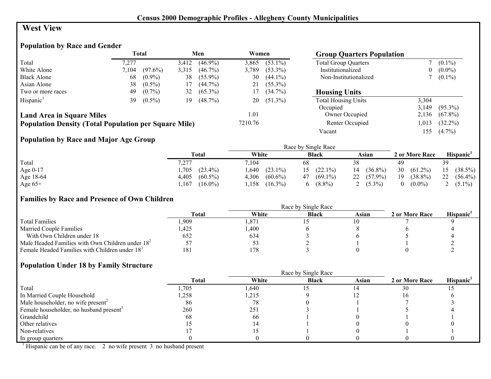## **West View**

## **Population by Race and Gender**

|                                                              |       | <b>Total</b> |       | Men        | Women   |            | <b>Group Quarters Population</b> |       |            |
|--------------------------------------------------------------|-------|--------------|-------|------------|---------|------------|----------------------------------|-------|------------|
| Total                                                        | 7.277 |              | 3,412 | $(46.9\%)$ | 3,865   | $(53.1\%)$ | <b>Total Group Quarters</b>      |       | $(0.1\%)$  |
| White Alone                                                  | 7.104 | $(97.6\%)$   | 3,315 | $(46.7\%)$ | 3,789   | $(53.3\%)$ | Institutionalized                | 0     | $(0.0\%)$  |
| <b>Black Alone</b>                                           | 68    | $(0.9\%)$    | 38    | $(55.9\%)$ | 30      | $(44.1\%)$ | Non-Institutionalized            |       | $(0.1\%)$  |
| Asian Alone                                                  | 38    | $(0.5\%)$    | 17    | $(44.7\%)$ |         | $(55.3\%)$ |                                  |       |            |
| Two or more races                                            | 49    | $(0.7\%)$    | 32    | $(65.3\%)$ | 17      | $(34.7\%)$ | <b>Housing Units</b>             |       |            |
| Hispanic <sup>1</sup>                                        | 39    | $(0.5\%)$    | 19    | $(48.7\%)$ | 20      | $(51.3\%)$ | <b>Total Housing Units</b>       | 3,304 |            |
|                                                              |       |              |       |            |         |            | Occupied                         | 3.149 | $(95.3\%)$ |
| <b>Land Area in Square Miles</b>                             |       |              |       |            | 1.01    |            | Owner Occupied                   | 2,136 | $(67.8\%)$ |
| <b>Population Density (Total Population per Square Mile)</b> |       |              |       |            | 7210.76 |            | Renter Occupied                  | 1,013 | $(32.2\%)$ |
|                                                              |       |              |       |            |         |            | Vacant                           | 155   | $(4.7\%)$  |

## **Population by Race and Major Age Group**

|            |                     |                     | Race by Single Race |                  |                       |                  |
|------------|---------------------|---------------------|---------------------|------------------|-----------------------|------------------|
|            | Total               | White               | <b>Black</b>        | Asian            | 2 or More Race        | <b>Hispanic</b>  |
| Total      | 7,277               | 7.104               | 68                  |                  | 49                    |                  |
| Age $0-17$ | $(23.4\%)$<br>,705  | ,640<br>$(23.1\%)$  | $(22.1\%)$          | $(36.8\%)$<br>14 | 30<br>$(61.2\%)$      | $(38.5\%)$<br>15 |
| Age 18-64  | $(60.5\%)$<br>4,405 | 4,306<br>$(60.6\%)$ | $(69.1\%)$<br>47    | $22(57.9\%)$     | 19<br>$(38.8\%)$      | 22<br>$(56.4\%)$ |
| Age $65+$  | $(16.0\%)$<br>.167  | $(16.3\%)$<br>.158  | $(8.8\%)$           | $(5.3\%)$        | $(0.0\%)$<br>$\theta$ | 2 $(5.1\%)$      |

#### **Families by Race and Presence of Own Children**

|                                                            |              |       | Race by Single Race |       |                |                 |
|------------------------------------------------------------|--------------|-------|---------------------|-------|----------------|-----------------|
|                                                            | <b>Total</b> | White | <b>Black</b>        | Asian | 2 or More Race | <b>Hispanic</b> |
| <b>Total Families</b>                                      | .909         | .871  |                     |       |                |                 |
| <b>Married Couple Families</b>                             | .425         | ,400  |                     |       |                |                 |
| With Own Children under 18                                 | 652          | 634   |                     |       |                |                 |
| Male Headed Families with Own Children under $182$         |              | Эź    |                     |       |                |                 |
| Female Headed Families with Children under 18 <sup>3</sup> | 181          | 178   |                     |       |                |                 |

#### **Population Under 18 by Family Structure**

|                                                     |       |       | Race by Single Race |       |                |                       |
|-----------------------------------------------------|-------|-------|---------------------|-------|----------------|-----------------------|
|                                                     | Total | White | <b>Black</b>        | Asian | 2 or More Race | Hispanic <sup>1</sup> |
| Total                                               | ,705  | .640  |                     |       | 30             |                       |
| In Married Couple Household                         | .258  | 1,215 |                     |       |                |                       |
| Male householder, no wife present <sup>2</sup>      | 86    | 78    |                     |       |                |                       |
| Female householder, no husband present <sup>3</sup> | 260   | 251   |                     |       |                |                       |
| Grandchild                                          | 68    | -66   |                     |       |                |                       |
| Other relatives                                     |       |       |                     |       |                |                       |
| Non-relatives                                       |       |       |                     |       |                |                       |
| In group quarters                                   |       |       |                     |       |                |                       |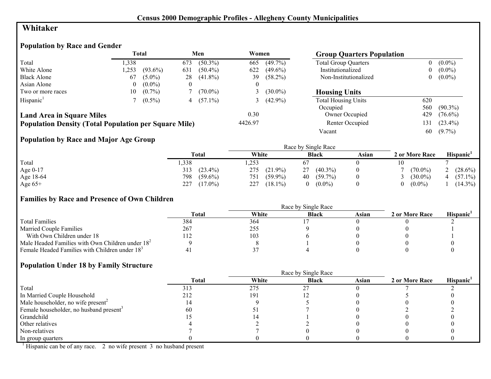## **Whitaker**

## **Population by Race and Gender**

|                                                              |          | <b>Total</b> |     | Men          | Women   |              | <b>Group Quarters Population</b> |          |            |
|--------------------------------------------------------------|----------|--------------|-----|--------------|---------|--------------|----------------------------------|----------|------------|
| Total                                                        | ,338     |              | 673 | $(50.3\%)$   | 665     | $(49.7\%)$   | <b>Total Group Quarters</b>      | 0        | $(0.0\%)$  |
| White Alone                                                  | .253     | $(93.6\%)$   | 631 | $(50.4\%)$   | 622     | $(49.6\%)$   | Institutionalized                | $\bf{0}$ | $(0.0\%)$  |
| <b>Black Alone</b>                                           | 67       | $(5.0\%)$    | 28  | $(41.8\%)$   | 39      | $(58.2\%)$   | Non-Institutionalized            | $\bf{0}$ | $(0.0\%)$  |
| Asian Alone                                                  | $\theta$ | $(0.0\%)$    |     |              |         |              |                                  |          |            |
| Two or more races                                            | 10-      | $(0.7\%)$    |     | $(70.0\%)$   |         | $(30.0\%)$   | <b>Housing Units</b>             |          |            |
| Hispanic <sup>1</sup>                                        |          | $(0.5\%)$    |     | 4 $(57.1\%)$ |         | 3 $(42.9\%)$ | <b>Total Housing Units</b>       | 620      |            |
|                                                              |          |              |     |              |         |              | Occupied                         | 560      | $(90.3\%)$ |
| <b>Land Area in Square Miles</b>                             |          |              |     |              | 0.30    |              | Owner Occupied                   | 429      | $(76.6\%)$ |
| <b>Population Density (Total Population per Square Mile)</b> |          |              |     |              | 4426.97 |              | Renter Occupied                  | 131      | $(23.4\%)$ |
|                                                              |          |              |     |              |         |              | Vacant                           | 60       | $(9.7\%)$  |

## **Population by Race and Major Age Group**

|           |                   | Race by Single Race |                  |       |                |                       |  |  |
|-----------|-------------------|---------------------|------------------|-------|----------------|-----------------------|--|--|
|           | <b>Total</b>      | White               | <b>Black</b>     | Asian | 2 or More Race | Hispanic <sup>1</sup> |  |  |
| Total     | ,338              | ,253                |                  |       |                |                       |  |  |
| Age 0-17  | $(23.4\%)$<br>313 | 275<br>$(21.9\%)$   | $(40.3\%)$<br>27 |       | $(70.0\%)$     | $(28.6\%)$            |  |  |
| Age 18-64 | 798<br>$(59.6\%)$ | $(59.9\%)$<br>751   | $(59.7\%)$<br>40 |       | $(30.0\%)$     | $(57.1\%)$            |  |  |
| Age $65+$ | 227<br>$(17.0\%)$ | 227<br>$(18.1\%)$   | $(0.0\%)$        |       | $(0.0\%)$      | $(14.3\%)$            |  |  |

#### **Families by Race and Presence of Own Children**

|                                                            |       |       | Race by Single Race |       |                |                 |
|------------------------------------------------------------|-------|-------|---------------------|-------|----------------|-----------------|
|                                                            | Total | White | <b>Black</b>        | Asian | 2 or More Race | <b>Hispanic</b> |
| <b>Total Families</b>                                      | 384   | 364   |                     |       |                |                 |
| <b>Married Couple Families</b>                             | 267   | 255   |                     |       |                |                 |
| With Own Children under 18                                 | 112   | 103   |                     |       |                |                 |
| Male Headed Families with Own Children under $182$         |       |       |                     |       |                |                 |
| Female Headed Families with Children under 18 <sup>3</sup> |       |       |                     |       |                |                 |

#### **Population Under 18 by Family Structure**

|                                                     |              |       | Race by Single Race |       |                |                       |
|-----------------------------------------------------|--------------|-------|---------------------|-------|----------------|-----------------------|
|                                                     | <b>Total</b> | White | <b>Black</b>        | Asian | 2 or More Race | Hispanic <sup>1</sup> |
| Total                                               | 313          | 275   | 27                  |       |                |                       |
| In Married Couple Household                         | 212          | 191   |                     |       |                |                       |
| Male householder, no wife present <sup>2</sup>      |              |       |                     |       |                |                       |
| Female householder, no husband present <sup>3</sup> | 60           |       |                     |       |                |                       |
| Grandchild                                          |              |       |                     |       |                |                       |
| Other relatives                                     |              |       |                     |       |                |                       |
| Non-relatives                                       |              |       |                     |       |                |                       |
| In group quarters                                   |              |       |                     |       |                |                       |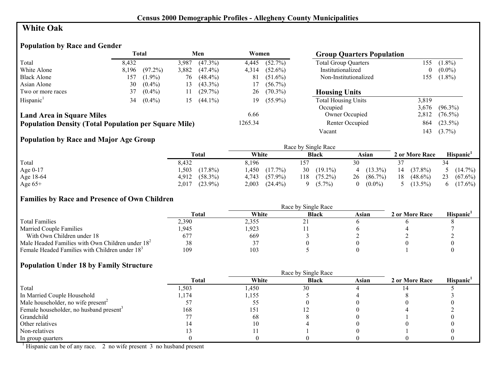## **White Oak**

## **Population by Race and Gender**

|                                                              | <b>Total</b> |            |       | Men        |         | Women      | <b>Group Quarters Population</b> |          |            |
|--------------------------------------------------------------|--------------|------------|-------|------------|---------|------------|----------------------------------|----------|------------|
| Total                                                        | 8.432        |            | 3.987 | $(47.3\%)$ | 4,445   | $(52.7\%)$ | <b>Total Group Quarters</b>      | 155      | $(1.8\%)$  |
| White Alone                                                  | 8,196        | $(97.2\%)$ | 3,882 | $(47.4\%)$ | 4,314   | $(52.6\%)$ | Institutionalized                | $\bf{0}$ | $(0.0\%)$  |
| <b>Black Alone</b>                                           | 157          | $(1.9\%)$  | 76    | $(48.4\%)$ | 81      | $(51.6\%)$ | Non-Institutionalized            | 155      | $(1.8\%)$  |
| Asian Alone                                                  | 30           | $(0.4\%)$  | 13    | $(43.3\%)$ | 17      | $(56.7\%)$ |                                  |          |            |
| Two or more races                                            | 37           | $(0.4\%)$  | 11    | (29.7%)    | 26      | $(70.3\%)$ | <b>Housing Units</b>             |          |            |
| Hispanic <sup>1</sup>                                        | 34           | $(0.4\%)$  | 15    | $(44.1\%)$ | 19.     | $(55.9\%)$ | <b>Total Housing Units</b>       | 3,819    |            |
|                                                              |              |            |       |            |         |            | Occupied                         | 3,676    | $(96.3\%)$ |
| <b>Land Area in Square Miles</b>                             |              |            |       |            | 6.66    |            | Owner Occupied                   | 2,812    | $(76.5\%)$ |
| <b>Population Density (Total Population per Square Mile)</b> |              |            |       |            | 1265.34 |            | Renter Occupied                  | 864      | $(23.5\%)$ |
|                                                              |              |            |       |            |         |            | Vacant                           | 143      | $(3.7\%)$  |

## **Population by Race and Major Age Group**

|           |                     |                     | Race by Single Race |                           |                  |                              |
|-----------|---------------------|---------------------|---------------------|---------------------------|------------------|------------------------------|
|           | Total               | White               | <b>Black</b>        | Asian                     | 2 or More Race   | Hispanic'                    |
| Total     | 8,432               | 8,196               |                     | 30                        |                  | 34                           |
| Age 0-17  | $(17.8\%)$<br>,503  | .450<br>$(17.7\%)$  | $(19.1\%)$<br>30    | $(13.3\%)$<br>$\mathbf 4$ | $(37.8\%)$<br>14 | 5 $(14.7\%)$                 |
| Age 18-64 | $(58.3\%)$<br>4,912 | $(57.9\%)$<br>4,743 | $(75.2\%)$<br>118   | $(86.7\%)$<br>26          | 18<br>$(48.6\%)$ | 23 $(67.6\%)$                |
| Age $65+$ | $(23.9\%)$<br>2,017 | 2,003<br>$(24.4\%)$ | $(5.7\%)$           | $(0.0\%)$<br>$\Omega$     | $(13.5\%)$       | $(17.6\%)$<br>$\mathfrak{b}$ |

#### **Families by Race and Presence of Own Children**

|                                                            |       |       | Race by Single Race |       |                |                 |
|------------------------------------------------------------|-------|-------|---------------------|-------|----------------|-----------------|
|                                                            | Total | White | <b>Black</b>        | Asian | 2 or More Race | <b>Hispanic</b> |
| <b>Total Families</b>                                      | 2,390 | 2,355 |                     |       |                |                 |
| <b>Married Couple Families</b>                             | ,945  | .923  |                     |       |                |                 |
| With Own Children under 18                                 | 677   | 669   |                     |       |                |                 |
| Male Headed Families with Own Children under $182$         |       |       |                     |       |                |                 |
| Female Headed Families with Children under 18 <sup>3</sup> | 109   | 103   |                     |       |                |                 |

#### **Population Under 18 by Family Structure**

|                                                     |       |       | Race by Single Race |       |                |                       |
|-----------------------------------------------------|-------|-------|---------------------|-------|----------------|-----------------------|
|                                                     | Total | White | <b>Black</b>        | Asian | 2 or More Race | Hispanic <sup>1</sup> |
| Total                                               | ,503  | .450  | 30                  |       |                |                       |
| In Married Couple Household                         | .174  | .155  |                     |       |                |                       |
| Male householder, no wife present <sup>2</sup>      |       |       |                     |       |                |                       |
| Female householder, no husband present <sup>3</sup> | 168   | 151   |                     |       |                |                       |
| Grandchild                                          |       | 68    |                     |       |                |                       |
| Other relatives                                     |       |       |                     |       |                |                       |
| Non-relatives                                       |       |       |                     |       |                |                       |
| In group quarters                                   |       |       |                     |       |                |                       |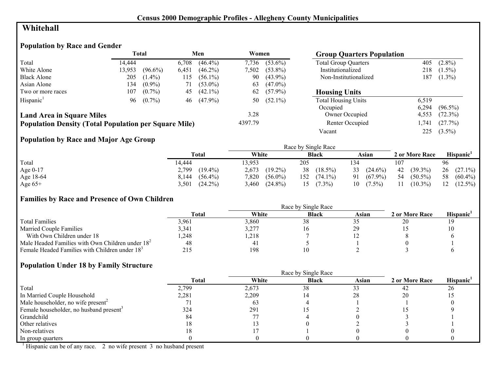## **Whitehall**

## **Population by Race and Gender**

|                                                              |        | <b>Total</b> |       | Men        | Women   |            | <b>Group Quarters Population</b> |       |            |
|--------------------------------------------------------------|--------|--------------|-------|------------|---------|------------|----------------------------------|-------|------------|
| Total                                                        | 14.444 |              | 6,708 | $(46.4\%)$ | 7.736   | $(53.6\%)$ | <b>Total Group Quarters</b>      | 405   | $(2.8\%)$  |
| White Alone                                                  | 13,953 | $(96.6\%)$   | 6,451 | $(46.2\%)$ | 7.502   | $(53.8\%)$ | Institutionalized                | 218   | $(1.5\%)$  |
| <b>Black Alone</b>                                           | 205    | $(1.4\%)$    | 115   | $(56.1\%)$ | 90      | $(43.9\%)$ | Non-Institutionalized            | 187   | $(1.3\%)$  |
| Asian Alone                                                  | 134    | $(0.9\%)$    | 71    | $(53.0\%)$ | 63      | $(47.0\%)$ |                                  |       |            |
| Two or more races                                            | 107    | $(0.7\%)$    | 45    | $(42.1\%)$ | 62      | $(57.9\%)$ | <b>Housing Units</b>             |       |            |
| Hispanic <sup>1</sup>                                        |        | $96 (0.7\%)$ | 46    | $(47.9\%)$ | 50      | $(52.1\%)$ | <b>Total Housing Units</b>       | 6,519 |            |
|                                                              |        |              |       |            |         |            | Occupied                         | 6.294 | $(96.5\%)$ |
| <b>Land Area in Square Miles</b>                             |        |              |       |            | 3.28    |            | Owner Occupied                   | 4,553 | $(72.3\%)$ |
| <b>Population Density (Total Population per Square Mile)</b> |        |              |       |            | 4397.79 |            | Renter Occupied                  | ,741  | (27.7%)    |
|                                                              |        |              |       |            |         |            | Vacant                           | 225   | $(3.5\%)$  |

## **Population by Race and Major Age Group**

|            |                     |                     | Race by Single Race |                  |                  |                  |
|------------|---------------------|---------------------|---------------------|------------------|------------------|------------------|
|            | Total               | White               | <b>Black</b>        | Asian            | 2 or More Race   | <b>Hispanic</b>  |
| Total      | 14,444              | 3.953               | 205                 | 134              | 107              | 96               |
| Age $0-17$ | $(19.4\%)$<br>2,799 | $(19.2\%)$<br>2,673 | $(18.5\%)$<br>38    | 33 $(24.6\%)$    | $(39.3\%)$<br>42 | $26(27.1\%)$     |
| Age 18-64  | $(56.4\%)$<br>8,144 | 7,820<br>$(56.0\%)$ | 152<br>$(74.1\%)$   | $(67.9\%)$<br>91 | 54<br>$(50.5\%)$ | $(60.4\%)$<br>58 |
| Age $65+$  | $(24.2\%)$<br>3.501 | $(24.8\%)$<br>3.460 | $(7.3\%)$           | $(7.5\%)$<br>10  | 11<br>$(10.3\%)$ | $(12.5\%)$<br>12 |

#### **Families by Race and Presence of Own Children**

|                                                            | Race by Single Race |       |              |       |                |                       |
|------------------------------------------------------------|---------------------|-------|--------------|-------|----------------|-----------------------|
|                                                            | <b>Total</b>        | White | <b>Black</b> | Asian | 2 or More Race | Hispanic <sup>'</sup> |
| <b>Total Families</b>                                      | 3.961               | 3.860 | 38           |       |                |                       |
| <b>Married Couple Families</b>                             | 3,341               | 3,277 | 10           |       |                |                       |
| With Own Children under 18                                 | .248                | ,218  |              |       |                |                       |
| Male Headed Families with Own Children under $182$         | 48                  | -41   |              |       |                |                       |
| Female Headed Families with Children under 18 <sup>3</sup> | 215                 | 198   |              |       |                |                       |

#### **Population Under 18 by Family Structure**

|                                                     |       |       | Race by Single Race |       |                |                       |
|-----------------------------------------------------|-------|-------|---------------------|-------|----------------|-----------------------|
|                                                     | Total | White | <b>Black</b>        | Asian | 2 or More Race | Hispanic <sup>1</sup> |
| Total                                               | 2,799 | 2,673 | 38                  |       | 42             | 26                    |
| In Married Couple Household                         | 2,281 | 2,209 |                     | 28    | 20             |                       |
| Male householder, no wife present <sup>2</sup>      |       | 63    |                     |       |                |                       |
| Female householder, no husband present <sup>3</sup> | 324   | 291   |                     |       |                |                       |
| Grandchild                                          | 84    |       |                     |       |                |                       |
| Other relatives                                     | 18    |       |                     |       |                |                       |
| Non-relatives                                       | 8     |       |                     |       |                |                       |
| In group quarters                                   |       |       |                     |       |                |                       |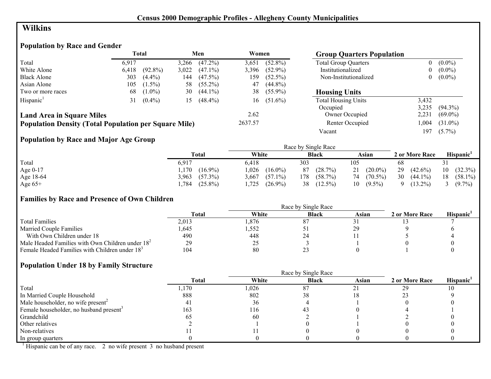## **Wilkins**

## **Population by Race and Gender**

|                                                              |       | <b>Total</b> |       | Men        | Women   |            | <b>Group Quarters Population</b> |                |            |
|--------------------------------------------------------------|-------|--------------|-------|------------|---------|------------|----------------------------------|----------------|------------|
| Total                                                        | 6.917 |              | 3,266 | $(47.2\%)$ | 3,651   | $(52.8\%)$ | <b>Total Group Quarters</b>      | $\bf{0}$       | $(0.0\%)$  |
| White Alone                                                  | 6,418 | $(92.8\%)$   | 3,022 | $(47.1\%)$ | 3,396   | $(52.9\%)$ | Institutionalized                | $\bf{0}$       | $(0.0\%)$  |
| <b>Black Alone</b>                                           | 303   | $(4.4\%)$    | 144   | $(47.5\%)$ | 59ء     | $(52.5\%)$ | Non-Institutionalized            | $\overline{0}$ | $(0.0\%)$  |
| Asian Alone                                                  | 105   | $(1.5\%)$    | 58    | $(55.2\%)$ | 47      | $(44.8\%)$ |                                  |                |            |
| Two or more races                                            | 68    | $(1.0\%)$    | 30    | $(44.1\%)$ | 38      | $(55.9\%)$ | <b>Housing Units</b>             |                |            |
| Hispanic <sup>1</sup>                                        | 31    | $(0.4\%)$    | 15    | $(48.4\%)$ | 16      | $(51.6\%)$ | <b>Total Housing Units</b>       | 3,432          |            |
|                                                              |       |              |       |            |         |            | Occupied                         | 3,235          | $(94.3\%)$ |
| <b>Land Area in Square Miles</b>                             |       |              |       |            | 2.62    |            | Owner Occupied                   | 2,231          | $(69.0\%)$ |
| <b>Population Density (Total Population per Square Mile)</b> |       |              |       |            | 2637.57 |            | Renter Occupied                  | ,004           | $(31.0\%)$ |
|                                                              |       |              |       |            |         |            | Vacant                           | 197            | $(5.7\%)$  |

## **Population by Race and Major Age Group**

|           |                     |                     | Race by Single Race |                  |                  |                       |
|-----------|---------------------|---------------------|---------------------|------------------|------------------|-----------------------|
|           | Total               | White               | <b>Black</b>        | Asian            | 2 or More Race   | Hispanic <sup>1</sup> |
| Total     | 6,917               | 6.418               | 303                 | 105              | 68               |                       |
| Age 0-17  | $(16.9\%)$<br>,170  | .026<br>$(16.0\%)$  | (28.7%)<br>87       | $(20.0\%)$<br>21 | 29<br>$(42.6\%)$ | $(32.3\%)$<br>10      |
| Age 18-64 | $(57.3\%)$<br>3,963 | $(57.1\%)$<br>3.667 | $(58.7\%)$<br>178   | 74 (70.5%)       | 30<br>$(44.1\%)$ | $(58.1\%)$<br>18      |
| Age $65+$ | $(25.8\%)$<br>.784  | ,725<br>$(26.9\%)$  | 38<br>$(12.5\%)$    | $(9.5\%)$<br>10  | $(13.2\%)$       | 3 $(9.7\%)$           |

#### **Families by Race and Presence of Own Children**

|                                                            |              |       | Race by Single Race |       |                |                 |
|------------------------------------------------------------|--------------|-------|---------------------|-------|----------------|-----------------|
|                                                            | <b>Total</b> | White | <b>Black</b>        | Asian | 2 or More Race | <b>Hispanic</b> |
| <b>Total Families</b>                                      | 2,013        | .876  | 87                  |       |                |                 |
| <b>Married Couple Families</b>                             | .645         | .552  |                     |       |                |                 |
| With Own Children under 18                                 | 490          | 448   | ∼                   |       |                |                 |
| Male Headed Families with Own Children under $182$         | 29           | 25    |                     |       |                |                 |
| Female Headed Families with Children under 18 <sup>3</sup> | 104          | 80    | <u>_</u>            |       |                |                 |

#### **Population Under 18 by Family Structure**

|                                                     |              |       | Race by Single Race |       |                |                       |
|-----------------------------------------------------|--------------|-------|---------------------|-------|----------------|-----------------------|
|                                                     | <b>Total</b> | White | <b>Black</b>        | Asian | 2 or More Race | Hispanic <sup>1</sup> |
| Total                                               | ,170         | 1,026 | 87                  |       | 29             |                       |
| In Married Couple Household                         | 888          | 802   |                     |       |                |                       |
| Male householder, no wife present <sup>2</sup>      |              | 36    |                     |       |                |                       |
| Female householder, no husband present <sup>3</sup> | 163          | 116   |                     |       |                |                       |
| Grandchild                                          |              | 60    |                     |       |                |                       |
| Other relatives                                     |              |       |                     |       |                |                       |
| Non-relatives                                       |              |       |                     |       |                |                       |
| In group quarters                                   |              |       |                     |       |                |                       |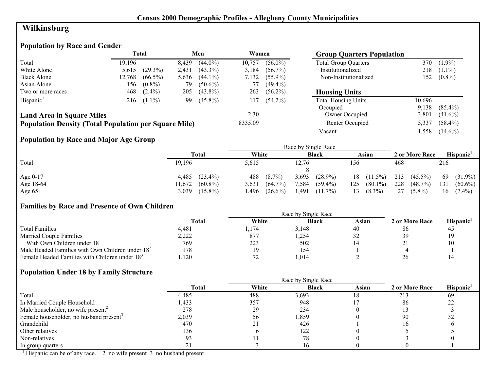## **Wilkinsburg**

## **Population by Race and Gender**

|                                                              | Total  |            |       | Men        |         | Women      | <b>Group Quarters Population</b> |        |            |
|--------------------------------------------------------------|--------|------------|-------|------------|---------|------------|----------------------------------|--------|------------|
| Total                                                        | 19.196 |            | 8,439 | $(44.0\%)$ | 10.757  | $(56.0\%)$ | <b>Total Group Quarters</b>      | 370    | $(1.9\%)$  |
| White Alone                                                  | 5.615  | $(29.3\%)$ | 2,431 | $(43.3\%)$ | 3.184   | $(56.7\%)$ | Institutionalized                | 218    | $(1.1\%)$  |
| <b>Black Alone</b>                                           | 12,768 | $(66.5\%)$ | 5,636 | $(44.1\%)$ | 7.132   | $(55.9\%)$ | Non-Institutionalized            | 152    | $(0.8\%)$  |
| Asian Alone                                                  | 156    | $(0.8\%)$  | 79.   | $(50.6\%)$ |         | $(49.4\%)$ |                                  |        |            |
| Two or more races                                            | 468    | $(2.4\%)$  | 205   | $(43.8\%)$ | 263     | $(56.2\%)$ | <b>Housing Units</b>             |        |            |
| Hispanic <sup>1</sup>                                        | 216    | $(1.1\%)$  | 99    | $(45.8\%)$ | 117     | $(54.2\%)$ | <b>Total Housing Units</b>       | 10,696 |            |
|                                                              |        |            |       |            |         |            | Occupied                         | 9.138  | $(85.4\%)$ |
| <b>Land Area in Square Miles</b>                             |        |            |       |            | 2.30    |            | Owner Occupied                   | 3,801  | $(41.6\%)$ |
| <b>Population Density (Total Population per Square Mile)</b> |        |            |       |            | 8335.09 |            | Renter Occupied                  | 5.337  | $(58.4\%)$ |
|                                                              |        |            |       |            |         |            | Vacant                           | .558   | $(14.6\%)$ |

## **Population by Race and Major Age Group**

|           |                      |                     | Race by Single Race |                   |                   |                   |
|-----------|----------------------|---------------------|---------------------|-------------------|-------------------|-------------------|
|           | <b>Total</b>         | White               | <b>Black</b>        | Asian             | 2 or More Race    | Hispanic          |
| Total     | 19,196               | 5,615               | 12,76               | 156               | 468               | 216               |
|           |                      |                     |                     |                   |                   |                   |
| Age 0-17  | $(23.4\%)$<br>4,485  | 488<br>$(8.7\%)$    | 3,693<br>$(28.9\%)$ | $18(11.5\%)$      | $(45.5\%)$<br>213 | 69<br>$(31.9\%)$  |
| Age 18-64 | $(60.8\%)$<br>11,672 | $(64.7\%)$<br>3.631 | 7.584<br>$(59.4\%)$ | $(80.1\%)$<br>125 | 228<br>$(48.7\%)$ | 131<br>$(60.6\%)$ |
| Age $65+$ | $(15.8\%)$<br>3,039  | .496<br>$(26.6\%)$  | 1,491<br>$(11.7\%)$ | $(8.3\%)$<br>13   | $(5.8\%)$<br>27   | $(7.4\%)$<br>16   |

## **Families by Race and Presence of Own Children**

|                                                            |       |       | Race by Single Race |       |                |                 |
|------------------------------------------------------------|-------|-------|---------------------|-------|----------------|-----------------|
|                                                            | Total | White | <b>Black</b>        | Asian | 2 or More Race | <b>Hispanic</b> |
| <b>Total Families</b>                                      | 4.481 | .174  | 3,148               | 40    | 86             | 4.              |
| <b>Married Couple Families</b>                             | 2,222 | 877   | ,254                | ے ر   |                | 1 Q             |
| With Own Children under 18                                 | 769   | 223   | 502                 |       |                | 10              |
| Male Headed Families with Own Children under $182$         | !78   | 19    | 154                 |       |                |                 |
| Female Headed Families with Children under 18 <sup>3</sup> | .120  |       | .014                |       |                |                 |

#### **Population Under 18 by Family Structure**

|                                                     |              |       | Race by Single Race |       |                |                       |
|-----------------------------------------------------|--------------|-------|---------------------|-------|----------------|-----------------------|
|                                                     | <b>Total</b> | White | <b>Black</b>        | Asian | 2 or More Race | Hispanic <sup>'</sup> |
| Total                                               | 4,485        | 488   | 3,693               | .8    | 213            | 69                    |
| In Married Couple Household                         | ,433         | 357   | 948                 |       | 86             | 22                    |
| Male householder, no wife present <sup>2</sup>      | 278          | 29    | 234                 |       |                |                       |
| Female householder, no husband present <sup>3</sup> | 2,039        | 56    | 1,859               |       | 90             | 32                    |
| Grandchild                                          | 470          | 21    | 426                 |       |                |                       |
| Other relatives                                     | 136          |       | 122                 |       |                |                       |
| Non-relatives                                       | 93           |       | 78                  |       |                |                       |
| In group quarters                                   |              |       | Ιh                  |       |                |                       |